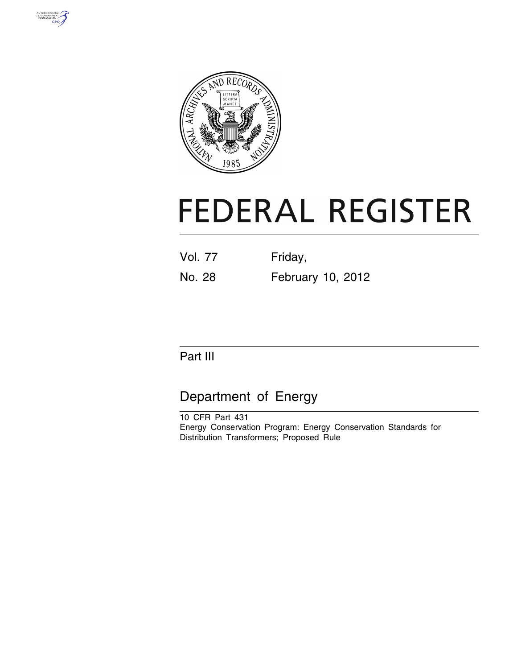



# **FEDERAL REGISTER**

| Vol. 77 | Friday, |  |
|---------|---------|--|
|         |         |  |

No. 28 February 10, 2012

# Part III

# Department of Energy

10 CFR Part 431 Energy Conservation Program: Energy Conservation Standards for Distribution Transformers; Proposed Rule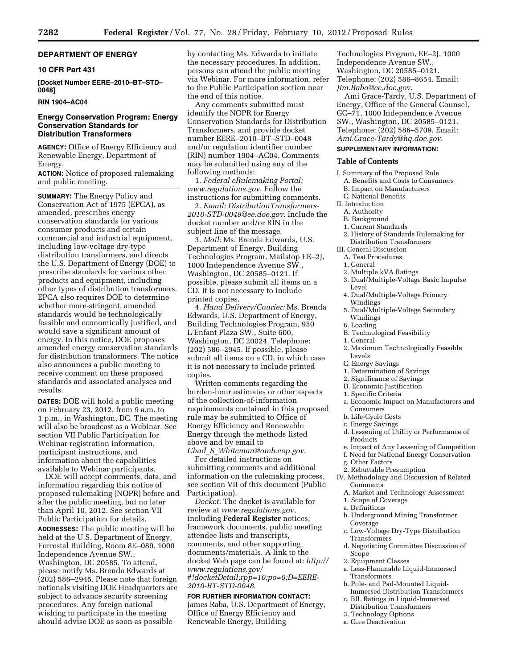# **DEPARTMENT OF ENERGY**

# **10 CFR Part 431**

**[Docket Number EERE–2010–BT–STD– 0048]** 

# **RIN 1904–AC04**

# **Energy Conservation Program: Energy Conservation Standards for Distribution Transformers**

**AGENCY:** Office of Energy Efficiency and Renewable Energy, Department of Energy.

**ACTION:** Notice of proposed rulemaking and public meeting.

**SUMMARY:** The Energy Policy and Conservation Act of 1975 (EPCA), as amended, prescribes energy conservation standards for various consumer products and certain commercial and industrial equipment, including low-voltage dry-type distribution transformers, and directs the U.S. Department of Energy (DOE) to prescribe standards for various other products and equipment, including other types of distribution transformers. EPCA also requires DOE to determine whether more-stringent, amended standards would be technologically feasible and economically justified, and would save a significant amount of energy. In this notice, DOE proposes amended energy conservation standards for distribution transformers. The notice also announces a public meeting to receive comment on these proposed standards and associated analyses and results.

**DATES:** DOE will hold a public meeting on February 23, 2012, from 9 a.m. to 1 p.m., in Washington, DC. The meeting will also be broadcast as a Webinar. See section VII Public Participation for Webinar registration information, participant instructions, and information about the capabilities available to Webinar participants.

DOE will accept comments, data, and information regarding this notice of proposed rulemaking (NOPR) before and after the public meeting, but no later than April 10, 2012. See section VII Public Participation for details.

**ADDRESSES:** The public meeting will be held at the U.S. Department of Energy, Forrestal Building, Room 8E–089, 1000 Independence Avenue SW., Washington, DC 20585. To attend, please notify Ms. Brenda Edwards at (202) 586–2945. Please note that foreign nationals visiting DOE Headquarters are subject to advance security screening procedures. Any foreign national wishing to participate in the meeting should advise DOE as soon as possible

by contacting Ms. Edwards to initiate the necessary procedures. In addition, persons can attend the public meeting via Webinar. For more information, refer to the Public Participation section near the end of this notice.

Any comments submitted must identify the NOPR for Energy Conservation Standards for Distribution Transformers, and provide docket number EERE–2010–BT–STD–0048 and/or regulation identifier number (RIN) number 1904–AC04. Comments may be submitted using any of the following methods:

1. *Federal eRulemaking Portal: [www.regulations.gov](http://www.regulations.gov)*. Follow the instructions for submitting comments.

2. *Email: [DistributionTransformers-](mailto:DistributionTransformers-2010-STD-0048@ee.doe.gov)[2010-STD-0048@ee.doe.gov](mailto:DistributionTransformers-2010-STD-0048@ee.doe.gov)*. Include the docket number and/or RIN in the subject line of the message.

3. *Mail:* Ms. Brenda Edwards, U.S. Department of Energy, Building Technologies Program, Mailstop EE–2J, 1000 Independence Avenue SW., Washington, DC 20585–0121. If possible, please submit all items on a CD. It is not necessary to include printed copies.

4. *Hand Delivery/Courier:* Ms. Brenda Edwards, U.S. Department of Energy, Building Technologies Program, 950 L'Enfant Plaza SW., Suite 600, Washington, DC 20024. Telephone: (202) 586–2945. If possible, please submit all items on a CD, in which case it is not necessary to include printed copies.

Written comments regarding the burden-hour estimates or other aspects of the collection-of-information requirements contained in this proposed rule may be submitted to Office of Energy Efficiency and Renewable Energy through the methods listed above and by email to

*Chad*\_*S*\_*[Whiteman@omb.eop.gov](mailto:Chad_S_Whiteman@omb.eop.gov)*. For detailed instructions on submitting comments and additional information on the rulemaking process, see section VII of this document (Public Participation).

*Docket:* The docket is available for review at *[www.regulations.gov](http://www.regulations.gov)*, including **Federal Register** notices, framework documents, public meeting attendee lists and transcripts, comments, and other supporting documents/materials. A link to the docket Web page can be found at: *[http://](http://www.regulations.gov/#!docketDetail;rpp=10;po=0;D=EERE-2010-BT-STD-0048) [www.regulations.gov/](http://www.regulations.gov/#!docketDetail;rpp=10;po=0;D=EERE-2010-BT-STD-0048) [#!docketDetail;rpp=10;po=0;D=EERE-](http://www.regulations.gov/#!docketDetail;rpp=10;po=0;D=EERE-2010-BT-STD-0048)[2010-BT-STD-0048](http://www.regulations.gov/#!docketDetail;rpp=10;po=0;D=EERE-2010-BT-STD-0048)*.

#### **FOR FURTHER INFORMATION CONTACT:**

James Raba, U.S. Department of Energy, Office of Energy Efficiency and Renewable Energy, Building

Technologies Program, EE–2J, 1000 Independence Avenue SW., Washington, DC 20585–0121. Telephone: (202) 586–8654. Email: *[Jim.Raba@ee.doe.gov](mailto:Jim.Raba@ee.doe.gov)*.

Ami Grace-Tardy, U.S. Department of Energy, Office of the General Counsel, GC–71, 1000 Independence Avenue SW., Washington, DC 20585–0121. Telephone: (202) 586–5709. Email: *[Ami.Grace-Tardy@hq.doe.gov](mailto:Ami.Grace-Tardy@hq.doe.gov)*.

# **SUPPLEMENTARY INFORMATION:**

#### **Table of Contents**

- I. Summary of the Proposed Rule
	- A. Benefits and Costs to Consumers
	- B. Impact on Manufacturers
	- C. National Benefits
- II. Introduction
- A. Authority
- B. Background
- 1. Current Standards
- 2. History of Standards Rulemaking for Distribution Transformers
- III. General Discussion
- A. Test Procedures
- 1. General
- 2. Multiple kVA Ratings
- 3. Dual/Multiple-Voltage Basic Impulse Level
- 4. Dual/Multiple-Voltage Primary Windings
- 5. Dual/Multiple-Voltage Secondary Windings
- 6. Loading
- B. Technological Feasibility
- 1. General
- 2. Maximum Technologically Feasible Levels
- C. Energy Savings
- 1. Determination of Savings
- 2. Significance of Savings
- D. Economic Justification
- 1. Specific Criteria
- a. Economic Impact on Manufacturers and Consumers
- b. Life-Cycle Costs
- c. Energy Savings
- d. Lessening of Utility or Performance of Products
- e. Impact of Any Lessening of Competition
- f. Need for National Energy Conservation
- g. Other Factors
- 2. Rebuttable Presumption
- IV. Methodology and Discussion of Related Comments
- A. Market and Technology Assessment
- 1. Scope of Coverage
- a. Definitions
- b. Underground Mining Transformer Coverage
- c. Low-Voltage Dry-Type Distribution **Transformers**
- d. Negotiating Committee Discussion of Scope
- 2. Equipment Classes
- a. Less-Flammable Liquid-Immersed Transformers
- b. Pole- and Pad-Mounted Liquid-Immersed Distribution Transformers
- c. BIL Ratings in Liquid-Immersed Distribution Transformers
- 3. Technology Options
- a. Core Deactivation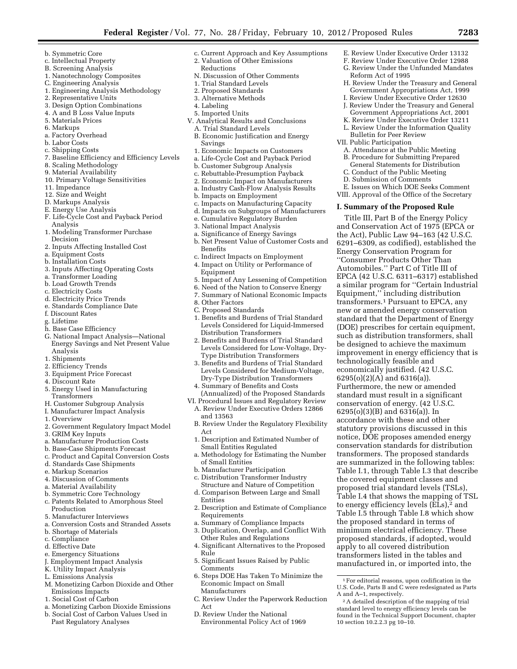- b. Symmetric Core
- c. Intellectual Property
- B. Screening Analysis
- 1. Nanotechnology Composites
- C. Engineering Analysis
- 1. Engineering Analysis Methodology
- 2. Representative Units
- 3. Design Option Combinations
- 4. A and B Loss Value Inputs
- 5. Materials Prices
- 6. Markups
- a. Factory Overhead
- b. Labor Costs
- c. Shipping Costs
- 7. Baseline Efficiency and Efficiency Levels
- 8. Scaling Methodology
- 9. Material Availability 10. Primary Voltage Sensitivities
- 
- 11. Impedance
- 12. Size and Weight
- D. Markups Analysis
- E. Energy Use Analysis
- F. Life-Cycle Cost and Payback Period Analysis
- 1. Modeling Transformer Purchase Decision
- 2. Inputs Affecting Installed Cost
- a. Equipment Costs
- b. Installation Costs
- 3. Inputs Affecting Operating Costs
- a. Transformer Loading
- b. Load Growth Trends
- c. Electricity Costs
- d. Electricity Price Trends
- e. Standards Compliance Date
- f. Discount Rates
- g. Lifetime
- h. Base Case Efficiency
- G. National Impact Analysis—National Energy Savings and Net Present Value Analysis
- 1. Shipments
- 2. Efficiency Trends
- 3. Equipment Price Forecast
- 4. Discount Rate
- 5. Energy Used in Manufacturing
- Transformers H. Customer Subgroup Analysis
- I. Manufacturer Impact Analysis
- 1. Overview
- 2. Government Regulatory Impact Model
- 3. GRIM Key Inputs
- a. Manufacturer Production Costs
- b. Base-Case Shipments Forecast
- c. Product and Capital Conversion Costs
- d. Standards Case Shipments
- e. Markup Scenarios
- 4. Discussion of Comments
- 
- a. Material Availability
- b. Symmetric Core Technology
- c. Patents Related to Amorphous Steel Production
- 5. Manufacturer Interviews
- a. Conversion Costs and Stranded Assets
- b. Shortage of Materials
- c. Compliance
- d. Effective Date
- 
- e. Emergency Situations J. Employment Impact Analysis
- 
- K. Utility Impact Analysis
- L. Emissions Analysis
- M. Monetizing Carbon Dioxide and Other Emissions Impacts
- 1. Social Cost of Carbon
- a. Monetizing Carbon Dioxide Emissions
- b. Social Cost of Carbon Values Used in Past Regulatory Analyses
- c. Current Approach and Key Assumptions 2. Valuation of Other Emissions
	- Reductions
- N. Discussion of Other Comments
- 1. Trial Standard Levels
- 2. Proposed Standards
- 3. Alternative Methods
- 4. Labeling
- 5. Imported Units
- V. Analytical Results and Conclusions
- A. Trial Standard Levels
- B. Economic Justification and Energy Savings
- 1. Economic Impacts on Customers
- a. Life-Cycle Cost and Payback Period
- b. Customer Subgroup Analysis
- c. Rebuttable-Presumption Payback
- 2. Economic Impact on Manufacturers
- a. Industry Cash-Flow Analysis Results
- b. Impacts on Employment
- c. Impacts on Manufacturing Capacity
- d. Impacts on Subgroups of Manufacturers
- e. Cumulative Regulatory Burden
- 3. National Impact Analysis
- a. Significance of Energy Savings

8. Other Factors C. Proposed Standards

and 13563

Act

Entities

Rule

Act

Comments

Manufacturers

Requirements

- b. Net Present Value of Customer Costs and Benefits
- c. Indirect Impacts on Employment
- 4. Impact on Utility or Performance of Equipment
- 5. Impact of Any Lessening of Competition
- 6. Need of the Nation to Conserve Energy 7. Summary of National Economic Impacts

1. Benefits and Burdens of Trial Standard Levels Considered for Liquid-Immersed

2. Benefits and Burdens of Trial Standard Levels Considered for Low-Voltage, Dry-Type Distribution Transformers 3. Benefits and Burdens of Trial Standard Levels Considered for Medium-Voltage, Dry-Type Distribution Transformers 4. Summary of Benefits and Costs

(Annualized) of the Proposed Standards VI. Procedural Issues and Regulatory Review A. Review Under Executive Orders 12866

B. Review Under the Regulatory Flexibility

1. Description and Estimated Number of

a. Methodology for Estimating the Number

2. Description and Estimate of Compliance

a. Summary of Compliance Impacts 3. Duplication, Overlap, and Conflict With Other Rules and Regulations 4. Significant Alternatives to the Proposed

5. Significant Issues Raised by Public

Economic Impact on Small

D. Review Under the National Environmental Policy Act of 1969

6. Steps DOE Has Taken To Minimize the

C. Review Under the Paperwork Reduction

Small Entities Regulated

of Small Entities b. Manufacturer Participation c. Distribution Transformer Industry Structure and Nature of Competition d. Comparison Between Large and Small

Distribution Transformers

1For editorial reasons, upon codification in the U.S. Code, Parts B and C were redesignated as Parts

E. Review Under Executive Order 13132 F. Review Under Executive Order 12988 G. Review Under the Unfunded Mandates

H. Review Under the Treasury and General Government Appropriations Act, 1999 I. Review Under Executive Order 12630 J. Review Under the Treasury and General Government Appropriations Act, 2001 K. Review Under Executive Order 13211 L. Review Under the Information Quality

Reform Act of 1995

Bulletin for Peer Review VII. Public Participation

technologically feasible and economically justified. (42 U.S.C. 6295(o)(2)(A) and 6316(a)). Furthermore, the new or amended standard must result in a significant conservation of energy. (42 U.S.C. 6295(o)(3)(B) and 6316(a)). In accordance with these and other statutory provisions discussed in this notice, DOE proposes amended energy conservation standards for distribution transformers. The proposed standards are summarized in the following tables: Table I.1, through Table I.3 that describe the covered equipment classes and proposed trial standard levels (TSLs), Table I.4 that shows the mapping of TSL to energy efficiency levels (ELs),<sup>2</sup> and Table I.5 through Table I.8 which show the proposed standard in terms of minimum electrical efficiency. These proposed standards, if adopted, would apply to all covered distribution transformers listed in the tables and manufactured in, or imported into, the

A. Attendance at the Public Meeting B. Procedure for Submitting Prepared General Statements for Distribution C. Conduct of the Public Meeting D. Submission of Comments

E. Issues on Which DOE Seeks Comment VIII. Approval of the Office of the Secretary **I. Summary of the Proposed Rule**  Title III, Part B of the Energy Policy and Conservation Act of 1975 (EPCA or the Act), Public Law 94–163 (42 U.S.C. 6291–6309, as codified), established the Energy Conservation Program for ''Consumer Products Other Than Automobiles.'' Part C of Title III of EPCA (42 U.S.C. 6311–6317) established a similar program for ''Certain Industrial Equipment,'' including distribution transformers.1 Pursuant to EPCA, any new or amended energy conservation standard that the Department of Energy (DOE) prescribes for certain equipment, such as distribution transformers, shall be designed to achieve the maximum improvement in energy efficiency that is

2A detailed description of the mapping of trial standard level to energy efficiency levels can be found in the Technical Support Document, chapter

A and A–1, respectively.

10 section 10.2.2.3 pg 10–10.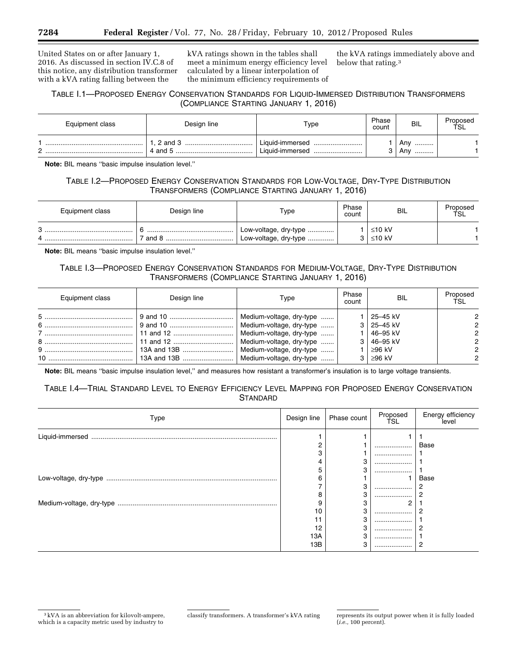United States on or after January 1, 2016. As discussed in section IV.C.8 of this notice, any distribution transformer with a kVA rating falling between the

kVA ratings shown in the tables shall meet a minimum energy efficiency level calculated by a linear interpolation of the minimum efficiency requirements of

the kVA ratings immediately above and below that rating.3

# TABLE I.1—PROPOSED ENERGY CONSERVATION STANDARDS FOR LIQUID-IMMERSED DISTRIBUTION TRANSFORMERS (COMPLIANCE STARTING JANUARY 1, 2016)

| Equipment class | Design line            | Type                                   | Phase<br>count | <b>BIL</b>          | Proposed<br>TSL |
|-----------------|------------------------|----------------------------------------|----------------|---------------------|-----------------|
|                 | $2$ and $3$<br>4 and 5 | Liquid-immersed<br>Liauid-immersed<br> |                | Anv<br><br>Anv<br>. |                 |

**Note:** BIL means ''basic impulse insulation level.''

# TABLE I.2—PROPOSED ENERGY CONSERVATION STANDARDS FOR LOW-VOLTAGE, DRY-TYPE DISTRIBUTION TRANSFORMERS (COMPLIANCE STARTING JANUARY 1, 2016)

| Equipment class | Design line | $\tau_\mathsf{ype}$                            | Phase<br>count | BIL              | Proposed<br>TSL |
|-----------------|-------------|------------------------------------------------|----------------|------------------|-----------------|
| C               | and 8       | Low-voltage, dry-type<br>Low-voltage, dry-type |                | ≤10 kV<br>≤10 kV |                 |

**Note:** BIL means ''basic impulse insulation level.''

# TABLE I.3—PROPOSED ENERGY CONSERVATION STANDARDS FOR MEDIUM-VOLTAGE, DRY-TYPE DISTRIBUTION TRANSFORMERS (COMPLIANCE STARTING JANUARY 1, 2016)

| Design line<br>Equipment class |  | Type | Phase<br>count | <b>BIL</b>          | Proposed<br>ŤSL |
|--------------------------------|--|------|----------------|---------------------|-----------------|
|                                |  |      |                | 25-45 kV            |                 |
|                                |  |      |                | $3 \mid 25 - 45$ kV |                 |
|                                |  |      |                | ∣46–95 kV           |                 |
|                                |  |      |                | $3 \mid 46 - 95$ kV |                 |
|                                |  |      |                | l ≥96 kV            |                 |
|                                |  |      |                | $3 \mid \geq 96$ kV |                 |

**Note:** BIL means ''basic impulse insulation level,'' and measures how resistant a transformer's insulation is to large voltage transients.

# TABLE I.4—TRIAL STANDARD LEVEL TO ENERGY EFFICIENCY LEVEL MAPPING FOR PROPOSED ENERGY CONSERVATION **STANDARD**

| Type | Design line | Phase count | Proposed<br>ŤSL | Energy efficiency<br>level |
|------|-------------|-------------|-----------------|----------------------------|
|      |             |             |                 |                            |
|      |             |             |                 | Base                       |
|      |             |             |                 |                            |
|      | 4           | 3           |                 |                            |
|      | 5           | 3           |                 |                            |
|      | 6           |             |                 | Base                       |
|      |             | 3           |                 |                            |
|      | 8           | 3           |                 | 2                          |
|      |             |             | 2               |                            |
|      | 10          | 3           |                 |                            |
|      |             | ت           |                 |                            |
|      | 12          | 3           |                 |                            |
|      | 13A         | 3           |                 |                            |
|      | 13B         | 3           |                 | 2                          |

<sup>3</sup> kVA is an abbreviation for kilovolt-ampere, which is a capacity metric used by industry to

classify transformers. A transformer's kVA rating represents its output power when it is fully loaded (*i.e.,* 100 percent).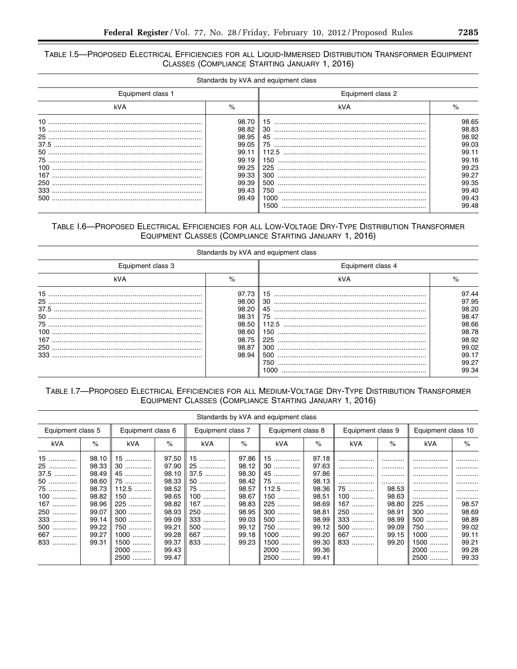# TABLE I.5-PROPOSED ELECTRICAL EFFICIENCIES FOR ALL LIQUID-IMMERSED DISTRIBUTION TRANSFORMER EQUIPMENT CLASSES (COMPLIANCE STARTING JANUARY 1, 2016)

|                   |       | Standards by kVA and equipment class |       |  |
|-------------------|-------|--------------------------------------|-------|--|
| Equipment class 1 |       | Equipment class 2                    |       |  |
| kVA               | $\%$  | kVA                                  | $\%$  |  |
|                   | 98.70 |                                      | 98.65 |  |
|                   | 98.82 |                                      | 98.83 |  |
|                   | 98.95 |                                      | 98.92 |  |
|                   | 99.05 |                                      | 99.03 |  |
|                   | 99.11 | 112.5                                | 99.11 |  |
|                   | 99.19 | 150                                  | 99.16 |  |
| 100               | 99.25 | 225                                  | 99.23 |  |
|                   | 99.33 | 300                                  | 99.27 |  |
|                   | 99.39 |                                      | 99.35 |  |
|                   | 99.43 | 750                                  | 99.40 |  |
| 500               | 99.49 | 1000                                 | 99.43 |  |
|                   |       | 1500                                 | 99.48 |  |

# TABLE I.6-PROPOSED ELECTRICAL EFFICIENCIES FOR ALL LOW-VOLTAGE DRY-TYPE DISTRIBUTION TRANSFORMER EQUIPMENT CLASSES (COMPLIANCE STARTING JANUARY 1, 2016)

|                                                                               | Equipment class 4                                           |                                                                                                 |
|-------------------------------------------------------------------------------|-------------------------------------------------------------|-------------------------------------------------------------------------------------------------|
| %                                                                             | kVA                                                         | %                                                                                               |
| 97.73<br>98.00<br>98.20<br>98.31<br>98.50<br>98.60<br>98.75<br>98.87<br>98.94 | 15<br>30<br>75<br>112.5<br>150<br>225<br>300<br>500<br>750. | 97.44<br>97.95<br>98.20<br>98.47<br>98.66<br>98.78<br>98.92<br>99.02<br>99.17<br>99.27<br>99.34 |
|                                                                               |                                                             | Standards by kVA and equipment class<br>1000                                                    |

# TABLE I.7-PROPOSED ELECTRICAL EFFICIENCIES FOR ALL MEDIUM-VOLTAGE DRY-TYPE DISTRIBUTION TRANSFORMER EQUIPMENT CLASSES (COMPLIANCE STARTING JANUARY 1, 2016)

|                                                                                   | Standards by kVA and equipment class                                                                     |                                                                                                        |                                                                                                                   |                                                                                           |                                                                                                          |                                                                                                  |                                                                                                                   |                                                                             |                                                                                       |                                                                                      |                                                                                         |
|-----------------------------------------------------------------------------------|----------------------------------------------------------------------------------------------------------|--------------------------------------------------------------------------------------------------------|-------------------------------------------------------------------------------------------------------------------|-------------------------------------------------------------------------------------------|----------------------------------------------------------------------------------------------------------|--------------------------------------------------------------------------------------------------|-------------------------------------------------------------------------------------------------------------------|-----------------------------------------------------------------------------|---------------------------------------------------------------------------------------|--------------------------------------------------------------------------------------|-----------------------------------------------------------------------------------------|
| Equipment class 5                                                                 |                                                                                                          | Equipment class 6                                                                                      |                                                                                                                   | Equipment class 7                                                                         |                                                                                                          | Equipment class 8                                                                                |                                                                                                                   | Equipment class 9                                                           |                                                                                       | Equipment class 10                                                                   |                                                                                         |
| kVA                                                                               | $\%$                                                                                                     | kVA                                                                                                    | %                                                                                                                 | kVA                                                                                       | $\%$                                                                                                     | kVA                                                                                              | $\%$                                                                                                              | kVA                                                                         | $\%$                                                                                  | kVA                                                                                  | $\%$                                                                                    |
| 15<br>25<br>37.5<br>50<br>75<br>$100$<br>$167$<br>250<br>333<br>500<br>667<br>833 | 98.10<br>98.33<br>98.49<br>98.60<br>98.73<br>98.82<br>98.96<br>99.07<br>99.14<br>99.22<br>99.27<br>99.31 | $15$<br>30<br>45<br>75<br>$112.5$<br>150<br>225<br>300<br>500<br><br>750<br>$1000$<br>1500<br>2000<br> | 97.50<br>97.90<br>98.10<br>98.33<br>98.52<br>98.65<br>98.82<br>98.93<br>99.09<br>99.21<br>99.28<br>99.37<br>99.43 | 15<br>25<br>$37.5$<br>50<br>75<br>$100$<br>167<br>250<br>333<br><br>500<br><br>667<br>833 | 97.86<br>98.12<br>98.30<br>98.42<br>98.57<br>98.67<br>98.83<br>98.95<br>99.03<br>99.12<br>99.18<br>99.23 | 15<br>30<br>45<br>75<br>$112.5$<br>150<br>225<br>300<br>500<br>750<br>$1000$<br>1500<br>2000<br> | 97.18<br>97.63<br>97.86<br>98.13<br>98.36<br>98.51<br>98.69<br>98.81<br>98.99<br>99.12<br>99.20<br>99.30<br>99.36 | <br>75<br>100<br><br>167<br>250<br><br>333<br><br>500<br><br>667<br><br>833 | .<br><br><br><br>98.53<br>98.63<br>98.80<br>98.91<br>98.99<br>99.09<br>99.15<br>99.20 | <br>.<br>.<br>.<br>.<br>225<br>$300$<br>500<br>750<br>$1000$<br>1500<br><br>2000<br> | .<br>.<br>.<br><br>.<br><br>98.57<br>98.69<br>98.89<br>99.02<br>99.11<br>99.21<br>99.28 |
|                                                                                   |                                                                                                          | 2500<br>                                                                                               | 99.47                                                                                                             |                                                                                           |                                                                                                          | 2500<br>                                                                                         | 99.41                                                                                                             |                                                                             |                                                                                       | 2500<br>                                                                             | 99.33                                                                                   |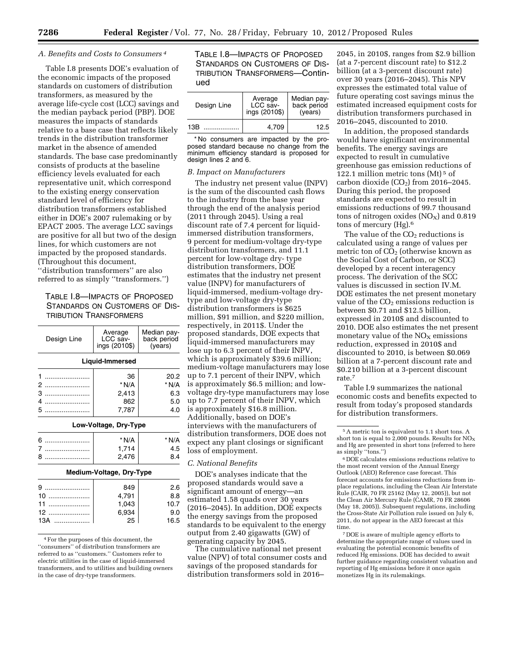#### *A. Benefits and Costs to Consumers 4*

Table I.8 presents DOE's evaluation of the economic impacts of the proposed standards on customers of distribution transformers, as measured by the average life-cycle cost (LCC) savings and the median payback period (PBP). DOE measures the impacts of standards relative to a base case that reflects likely trends in the distribution transformer market in the absence of amended standards. The base case predominantly consists of products at the baseline efficiency levels evaluated for each representative unit, which correspond to the existing energy conservation standard level of efficiency for distribution transformers established either in DOE's 2007 rulemaking or by EPACT 2005. The average LCC savings are positive for all but two of the design lines, for which customers are not impacted by the proposed standards. (Throughout this document,

''distribution transformers'' are also referred to as simply ''transformers.'')

# TABLE I.8—IMPACTS OF PROPOSED STANDARDS ON CUSTOMERS OF DIS-TRIBUTION TRANSFORMERS

| Average<br>LCC sav-<br>ings (2010\$) | Median pay-<br>back period<br>(years) |
|--------------------------------------|---------------------------------------|
|                                      |                                       |
| 36                                   | 20.2                                  |
| * N/A                                | * N/A                                 |
| 2,413                                | 6.3                                   |
| 862                                  | 5.0                                   |
| 7.787                                | 4.0                                   |
|                                      | Liquid-Immersed                       |

# 6 ........................ \* N/A \* N/A

# 8 ........................ 2,476 8.4 **Medium-Voltage, Dry-Type**

7 ........................ 1,714 4.5

|      | 849             | 2.6  |
|------|-----------------|------|
| $10$ | 4,791           | 8.8  |
| 11   | 1,043<br>6,934  | 10.7 |
| 12   |                 | 9.0  |
| 13A  | $\overline{25}$ | 16.5 |

<sup>4</sup>For the purposes of this document, the ''consumers'' of distribution transformers are referred to as ''customers.'' Customers refer to electric utilities in the case of liquid-immersed transformers, and to utilities and building owners in the case of dry-type transformers.

TABLE I.8—IMPACTS OF PROPOSED STANDARDS ON CUSTOMERS OF DIS-TRIBUTION TRANSFORMERS—Continued

| Design Line | Average<br>LCC sav-<br>ings (2010\$) | Median pay-<br>back period<br>(years) |  |
|-------------|--------------------------------------|---------------------------------------|--|
| 13B         | 4.709                                | 12.5                                  |  |

\* No consumers are impacted by the proposed standard because no change from the minimum efficiency standard is proposed for design lines 2 and 6.

#### *B. Impact on Manufacturers*

The industry net present value (INPV) is the sum of the discounted cash flows to the industry from the base year through the end of the analysis period (2011 through 2045). Using a real discount rate of 7.4 percent for liquidimmersed distribution transformers, 9 percent for medium-voltage dry-type distribution transformers, and 11.1 percent for low-voltage dry- type distribution transformers, DOE estimates that the industry net present value (INPV) for manufacturers of liquid-immersed, medium-voltage drytype and low-voltage dry-type distribution transformers is \$625 million, \$91 million, and \$220 million, respectively, in 2011\$. Under the proposed standards, DOE expects that liquid-immersed manufacturers may lose up to 6.3 percent of their INPV, which is approximately \$39.6 million; medium-voltage manufacturers may lose up to 7.1 percent of their INPV, which is approximately \$6.5 million; and lowvoltage dry-type manufacturers may lose up to 7.7 percent of their INPV, which is approximately \$16.8 million. Additionally, based on DOE's interviews with the manufacturers of distribution transformers, DOE does not expect any plant closings or significant loss of employment.

# *C. National Benefits*

DOE's analyses indicate that the proposed standards would save a significant amount of energy—an estimated 1.58 quads over 30 years (2016–2045). In addition, DOE expects the energy savings from the proposed standards to be equivalent to the energy output from 2.40 gigawatts (GW) of generating capacity by 2045.

The cumulative national net present value (NPV) of total consumer costs and savings of the proposed standards for distribution transformers sold in 2016–

2045, in 2010\$, ranges from \$2.9 billion (at a 7-percent discount rate) to \$12.2 billion (at a 3-percent discount rate) over 30 years (2016–2045). This NPV expresses the estimated total value of future operating cost savings minus the estimated increased equipment costs for distribution transformers purchased in 2016–2045, discounted to 2010.

In addition, the proposed standards would have significant environmental benefits. The energy savings are expected to result in cumulative greenhouse gas emission reductions of 122.1 million metric tons (Mt) 5 of carbon dioxide  $(CO<sub>2</sub>)$  from 2016–2045. During this period, the proposed standards are expected to result in emissions reductions of 99.7 thousand tons of nitrogen oxides  $(NO_X)$  and 0.819 tons of mercury (Hg).6

The value of the  $CO<sub>2</sub>$  reductions is calculated using a range of values per metric ton of  $CO<sub>2</sub>$  (otherwise known as the Social Cost of Carbon, or SCC) developed by a recent interagency process. The derivation of the SCC values is discussed in section IV.M. DOE estimates the net present monetary value of the  $CO<sub>2</sub>$  emissions reduction is between \$0.71 and \$12.5 billion, expressed in 2010\$ and discounted to 2010. DOE also estimates the net present monetary value of the  $NO<sub>x</sub>$  emissions reduction, expressed in 2010\$ and discounted to 2010, is between \$0.069 billion at a 7-percent discount rate and \$0.210 billion at a 3-percent discount rate.7

Table I.9 summarizes the national economic costs and benefits expected to result from today's proposed standards for distribution transformers.

7 DOE is aware of multiple agency efforts to determine the appropriate range of values used in evaluating the potential economic benefits of reduced Hg emissions. DOE has decided to await further guidance regarding consistent valuation and reporting of Hg emissions before it once again monetizes Hg in its rulemakings.

<sup>5</sup>A metric ton is equivalent to 1.1 short tons. A short ton is equal to 2,000 pounds. Results for  $NO<sub>x</sub>$ and Hg are presented in short tons (referred to here as simply ''tons.'')

<sup>6</sup> DOE calculates emissions reductions relative to the most recent version of the Annual Energy Outlook (AEO) Reference case forecast. This forecast accounts for emissions reductions from inplace regulations, including the Clean Air Interstate Rule (CAIR, 70 FR 25162 (May 12, 2005)), but not the Clean Air Mercury Rule (CAMR, 70 FR 28606 (May 18, 2005)). Subsequent regulations, including the Cross-State Air Pollution rule issued on July 6, 2011, do not appear in the AEO forecast at this time.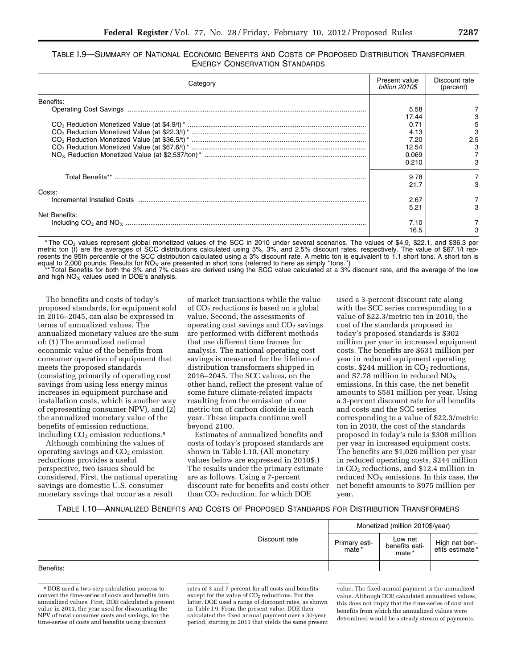# TABLE I.9—SUMMARY OF NATIONAL ECONOMIC BENEFITS AND COSTS OF PROPOSED DISTRIBUTION TRANSFORMER ENERGY CONSERVATION STANDARDS

| Category      | Present value<br>billion 2010\$ | Discount rate<br>(percent) |
|---------------|---------------------------------|----------------------------|
| Benefits:     |                                 |                            |
|               | 5.58                            |                            |
|               | 17.44                           |                            |
|               | 0.71                            | 5                          |
|               | 4.13                            |                            |
|               | 7.20                            | 2.5                        |
|               | 12.54                           |                            |
|               | 0.069                           |                            |
|               | 0.210                           |                            |
|               | 9.78                            |                            |
|               | 21.7                            |                            |
| Costs:        |                                 |                            |
|               | 2.67                            |                            |
|               | 5.21                            |                            |
| Net Benefits: |                                 |                            |
|               | 7.10                            |                            |
|               | 16.5                            |                            |

\* The CO<sub>2</sub> values represent global monetized values of the SCC in 2010 under several scenarios. The values of \$4.9, \$22.1, and \$36.3 per metric ton (t) are the averages of SCC distributions calculated using 5%, 3%, and 2.5% discount rates, respectively. The value of \$67.1/t represents the 95th percentile of the SCC distribution calculated using a 3% discount rate. A metric ton is equivalent to 1.1 short tons. A short ton is equal to 2,000 pounds. Results for NO<sub>X</sub> are presented in short tons (referred to here as simply "tons.")<br>equal to 2,000 pounds. Results for NOX are presented in short tons (referred to here as simply "tons.")

Total Benefits for both the 3% and 7% cases are derived using the SCC value calculated at a 3% discount rate, and the average of the low and high  $NO<sub>x</sub>$  values used in DOE's analysis.

The benefits and costs of today's proposed standards, for equipment sold in 2016–2045, can also be expressed in terms of annualized values. The annualized monetary values are the sum of: (1) The annualized national economic value of the benefits from consumer operation of equipment that meets the proposed standards (consisting primarily of operating cost savings from using less energy minus increases in equipment purchase and installation costs, which is another way of representing consumer NPV), and (2) the annualized monetary value of the benefits of emission reductions, including  $CO<sub>2</sub>$  emission reductions.<sup>8</sup>

Although combining the values of operating savings and  $CO<sub>2</sub>$  emission reductions provides a useful perspective, two issues should be considered. First, the national operating savings are domestic U.S. consumer monetary savings that occur as a result

of market transactions while the value of  $CO<sub>2</sub>$  reductions is based on a global value. Second, the assessments of operating cost savings and  $CO<sub>2</sub>$  savings are performed with different methods that use different time frames for analysis. The national operating cost savings is measured for the lifetime of distribution transformers shipped in 2016–2045. The SCC values, on the other hand, reflect the present value of some future climate-related impacts resulting from the emission of one metric ton of carbon dioxide in each year. These impacts continue well beyond 2100.

Estimates of annualized benefits and costs of today's proposed standards are shown in Table I.10. (All monetary values below are expressed in 2010\$.) The results under the primary estimate are as follows. Using a 7-percent discount rate for benefits and costs other than  $CO<sub>2</sub>$  reduction, for which DOE

used a 3-percent discount rate along with the SCC series corresponding to a value of \$22.3/metric ton in 2010, the cost of the standards proposed in today's proposed standards is \$302 million per year in increased equipment costs. The benefits are \$631 million per year in reduced equipment operating costs, \$244 million in  $CO<sub>2</sub>$  reductions, and \$7.78 million in reduced  $NO<sub>x</sub>$ emissions. In this case, the net benefit amounts to \$581 million per year. Using a 3-percent discount rate for all benefits and costs and the SCC series corresponding to a value of \$22.3/metric ton in 2010, the cost of the standards proposed in today's rule is \$308 million per year in increased equipment costs. The benefits are \$1,026 million per year in reduced operating costs, \$244 million in CO2 reductions, and \$12.4 million in reduced  $NO<sub>x</sub>$  emissions. In this case, the net benefit amounts to \$975 million per year.

# TABLE I.10—ANNUALIZED BENEFITS AND COSTS OF PROPOSED STANDARDS FOR DISTRIBUTION TRANSFORMERS

|           | Discount rate |                         | Monetized (million 2010\$/year)    |                                  |
|-----------|---------------|-------------------------|------------------------------------|----------------------------------|
|           |               | Primary esti-<br>mate * | Low net<br>benefits esti-<br>mate* | High net ben-<br>efits estimate* |
| Benefits: |               |                         |                                    |                                  |

8 DOE used a two-step calculation process to convert the time-series of costs and benefits into annualized values. First, DOE calculated a present value in 2011, the year used for discounting the NPV of total consumer costs and savings, for the time-series of costs and benefits using discount

rates of 3 and 7 percent for all costs and benefits except for the value of CO<sub>2</sub> reductions. For the latter, DOE used a range of discount rates, as shown in Table I.9. From the present value, DOE then calculated the fixed annual payment over a 30-year period, starting in 2011 that yields the same present

value. The fixed annual payment is the annualized value. Although DOE calculated annualized values, this does not imply that the time-series of cost and benefits from which the annualized values were determined would be a steady stream of payments.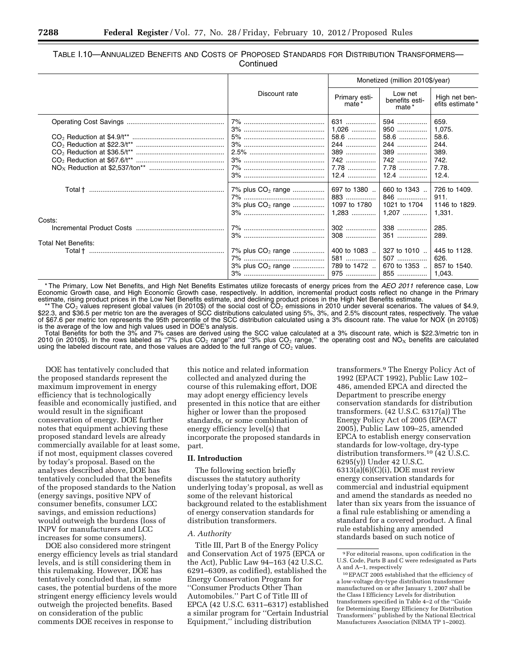# TABLE I.10—ANNUALIZED BENEFITS AND COSTS OF PROPOSED STANDARDS FOR DISTRIBUTION TRANSFORMERS— **Continued**

|                                                              |                                                         | Monetized (million 2010\$/year) |                                                |                                                |
|--------------------------------------------------------------|---------------------------------------------------------|---------------------------------|------------------------------------------------|------------------------------------------------|
|                                                              | Discount rate                                           | Primary esti-<br>mate *         | Low net<br>benefits esti-<br>mate*             | High net ben-<br>efits estimate*               |
|                                                              |                                                         | 631<br>$1,026$<br>58.6          | 594<br>950<br>58.6                             | 659.<br>1,075.<br>58.6.                        |
|                                                              |                                                         | 244                             | 244                                            | 244.                                           |
|                                                              |                                                         | 389                             | 389                                            | 389.                                           |
|                                                              |                                                         | 742                             | 742                                            | 742.                                           |
|                                                              |                                                         | 7.78                            | $7.78$                                         | 7.78.                                          |
|                                                              |                                                         | $12.4$                          | $12.4$                                         | 12.4.                                          |
| Total † ……………………………………………………………                              | 7% plus CO <sub>2</sub> range                           | 697 to 1380                     | 660 to 1343                                    | 726 to 1409.                                   |
|                                                              |                                                         | 883                             | 846                                            | 911.                                           |
|                                                              | 3% plus CO <sub>2</sub> range                           | 1097 to 1780                    | 1021 to 1704                                   | 1146 to 1829.                                  |
|                                                              |                                                         | $1,283$                         | $1,207$                                        | 1,331.                                         |
| Costs:                                                       |                                                         |                                 | 338                                            | 285.                                           |
|                                                              |                                                         |                                 | 351                                            | 289.                                           |
| <b>Total Net Benefits:</b><br>Total † ………………………………………………………… | 7% plus CO <sub>2</sub> range<br>$3\%$ plus $CO2$ range | 789 to 1472                     | 400 to 1083  327 to 1010<br>507<br>670 to 1353 | 445 to 1128.<br>626.<br>857 to 1540.<br>1,043. |

\* The Primary, Low Net Benefits, and High Net Benefits Estimates utilize forecasts of energy prices from the *AEO 2011* reference case, Low Economic Growth case, and High Economic Growth case, respectively. In addition, incremental product costs reflect no change in the Primary estimate, rising product prices in the Low Net Benefits estimate, and declining product prices in the High Net Benefits estimate.<br>
\*\* The CO<sub>2</sub> values represent global values (in 2010\$) of the social cost of CO<sub>2</sub> emission

\$22.3, and \$36.5 per metric ton are the averages of SCC distributions calculated using 5%, 3%, and 2.5% discount rates, respectively. The value of \$67.6 per metric ton represents the 95th percentile of the SCC distribution calculated using a 3% discount rate. The value for NOX (in 2010\$) is the average of the low and high values used in DOE's analysis.

Total Benefits for both the 3% and 7% cases are derived using the SCC value calculated at a 3% discount rate, which is \$22.3/metric ton in 2010 (in 2010\$). In the rows labeled as "7% plus CO<sub>2</sub> range" and "3% plus CO<sub>2</sub> range," the operating cost and NO<sub>X</sub> benefits are calculated using the labeled discount rate, and those values are added to the full range of  $CO<sub>2</sub>$  values.

DOE has tentatively concluded that the proposed standards represent the maximum improvement in energy efficiency that is technologically feasible and economically justified, and would result in the significant conservation of energy. DOE further notes that equipment achieving these proposed standard levels are already commercially available for at least some, if not most, equipment classes covered by today's proposal. Based on the analyses described above, DOE has tentatively concluded that the benefits of the proposed standards to the Nation (energy savings, positive NPV of consumer benefits, consumer LCC savings, and emission reductions) would outweigh the burdens (loss of INPV for manufacturers and LCC increases for some consumers).

DOE also considered more stringent energy efficiency levels as trial standard levels, and is still considering them in this rulemaking. However, DOE has tentatively concluded that, in some cases, the potential burdens of the more stringent energy efficiency levels would outweigh the projected benefits. Based on consideration of the public comments DOE receives in response to

this notice and related information collected and analyzed during the course of this rulemaking effort, DOE may adopt energy efficiency levels presented in this notice that are either higher or lower than the proposed standards, or some combination of energy efficiency level(s) that incorporate the proposed standards in part.

#### **II. Introduction**

The following section briefly discusses the statutory authority underlying today's proposal, as well as some of the relevant historical background related to the establishment of energy conservation standards for distribution transformers.

#### *A. Authority*

Title III, Part B of the Energy Policy and Conservation Act of 1975 (EPCA or the Act), Public Law 94–163 (42 U.S.C. 6291–6309, as codified), established the Energy Conservation Program for ''Consumer Products Other Than Automobiles.'' Part C of Title III of EPCA (42 U.S.C. 6311–6317) established a similar program for ''Certain Industrial Equipment,'' including distribution

transformers.9 The Energy Policy Act of 1992 (EPACT 1992), Public Law 102– 486, amended EPCA and directed the Department to prescribe energy conservation standards for distribution transformers. (42 U.S.C. 6317(a)) The Energy Policy Act of 2005 (EPACT 2005), Public Law 109–25, amended EPCA to establish energy conservation standards for low-voltage, dry-type distribution transformers.10 (42 U.S.C. 6295(y)) Under 42 U.S.C.  $6313(a)(6)(C)(i)$ , DOE must review energy conservation standards for commercial and industrial equipment and amend the standards as needed no later than six years from the issuance of a final rule establishing or amending a standard for a covered product. A final rule establishing any amended standards based on such notice of

<sup>9</sup>For editorial reasons, upon codification in the U.S. Code, Parts B and C were redesignated as Parts A and A–1, respectively

<sup>10</sup>EPACT 2005 established that the efficiency of a low-voltage dry-type distribution transformer manufactured on or after January 1, 2007 shall be the Class I Efficiency Levels for distribution transformers specified in Table 4–2 of the ''Guide for Determining Energy Efficiency for Distribution Transformers'' published by the National Electrical Manufacturers Association (NEMA TP 1–2002).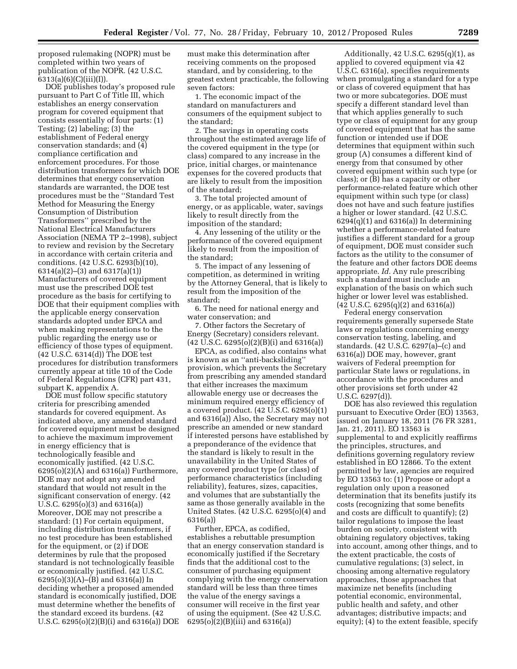proposed rulemaking (NOPR) must be completed within two years of publication of the NOPR. (42 U.S.C. 6313(a)(6)(C)(iii)(I)).

DOE publishes today's proposed rule pursuant to Part C of Title III, which establishes an energy conservation program for covered equipment that consists essentially of four parts: (1) Testing; (2) labeling; (3) the establishment of Federal energy conservation standards; and (4) compliance certification and enforcement procedures. For those distribution transformers for which DOE determines that energy conservation standards are warranted, the DOE test procedures must be the ''Standard Test Method for Measuring the Energy Consumption of Distribution Transformers'' prescribed by the National Electrical Manufacturers Association (NEMA TP 2–1998), subject to review and revision by the Secretary in accordance with certain criteria and conditions. (42 U.S.C. 6293(b)(10), 6314(a)(2)–(3) and 6317(a)(1)) Manufacturers of covered equipment must use the prescribed DOE test procedure as the basis for certifying to DOE that their equipment complies with the applicable energy conservation standards adopted under EPCA and when making representations to the public regarding the energy use or efficiency of those types of equipment. (42 U.S.C. 6314(d)) The DOE test procedures for distribution transformers currently appear at title 10 of the Code of Federal Regulations (CFR) part 431, subpart K, appendix A.

DOE must follow specific statutory criteria for prescribing amended standards for covered equipment. As indicated above, any amended standard for covered equipment must be designed to achieve the maximum improvement in energy efficiency that is technologically feasible and economically justified. (42 U.S.C.  $6295(0)(2)(A)$  and  $6316(a)$ ) Furthermore, DOE may not adopt any amended standard that would not result in the significant conservation of energy. (42 U.S.C. 6295(o)(3) and 6316(a)) Moreover, DOE may not prescribe a standard: (1) For certain equipment, including distribution transformers, if no test procedure has been established for the equipment, or (2) if DOE determines by rule that the proposed standard is not technologically feasible or economically justified. (42 U.S.C. 6295(o)(3)(A)–(B) and 6316(a)) In deciding whether a proposed amended standard is economically justified, DOE must determine whether the benefits of the standard exceed its burdens. (42 U.S.C. 6295(o)(2)(B)(i) and 6316(a)) DOE

must make this determination after receiving comments on the proposed standard, and by considering, to the greatest extent practicable, the following seven factors:

1. The economic impact of the standard on manufacturers and consumers of the equipment subject to the standard;

2. The savings in operating costs throughout the estimated average life of the covered equipment in the type (or class) compared to any increase in the price, initial charges, or maintenance expenses for the covered products that are likely to result from the imposition of the standard;

3. The total projected amount of energy, or as applicable, water, savings likely to result directly from the imposition of the standard;

4. Any lessening of the utility or the performance of the covered equipment likely to result from the imposition of the standard;

5. The impact of any lessening of competition, as determined in writing by the Attorney General, that is likely to result from the imposition of the standard;

6. The need for national energy and water conservation; and

7. Other factors the Secretary of Energy (Secretary) considers relevant. (42 U.S.C. 6295(o)(2)(B)(i) and 6316(a))

EPCA, as codified, also contains what is known as an ''anti-backsliding'' provision, which prevents the Secretary from prescribing any amended standard that either increases the maximum allowable energy use or decreases the minimum required energy efficiency of a covered product. (42 U.S.C. 6295(o)(1) and 6316(a)) Also, the Secretary may not prescribe an amended or new standard if interested persons have established by a preponderance of the evidence that the standard is likely to result in the unavailability in the United States of any covered product type (or class) of performance characteristics (including reliability), features, sizes, capacities, and volumes that are substantially the same as those generally available in the United States. (42 U.S.C. 6295(o)(4) and 6316(a))

Further, EPCA, as codified, establishes a rebuttable presumption that an energy conservation standard is economically justified if the Secretary finds that the additional cost to the consumer of purchasing equipment complying with the energy conservation standard will be less than three times the value of the energy savings a consumer will receive in the first year of using the equipment. (See 42 U.S.C. 6295(o)(2)(B)(iii) and 6316(a))

Additionally, 42 U.S.C. 6295(q)(1), as applied to covered equipment via 42 U.S.C. 6316(a), specifies requirements when promulgating a standard for a type or class of covered equipment that has two or more subcategories. DOE must specify a different standard level than that which applies generally to such type or class of equipment for any group of covered equipment that has the same function or intended use if DOE determines that equipment within such group (A) consumes a different kind of energy from that consumed by other covered equipment within such type (or class); or (B) has a capacity or other performance-related feature which other equipment within such type (or class) does not have and such feature justifies a higher or lower standard. (42 U.S.C.  $6294(q)(1)$  and  $6316(a)$ ) In determining whether a performance-related feature justifies a different standard for a group of equipment, DOE must consider such factors as the utility to the consumer of the feature and other factors DOE deems appropriate. *Id.* Any rule prescribing such a standard must include an explanation of the basis on which such higher or lower level was established. (42 U.S.C. 6295(q)(2) and 6316(a))

Federal energy conservation requirements generally supersede State laws or regulations concerning energy conservation testing, labeling, and standards. (42 U.S.C. 6297(a)–(c) and 6316(a)) DOE may, however, grant waivers of Federal preemption for particular State laws or regulations, in accordance with the procedures and other provisions set forth under 42 U.S.C. 6297(d)).

DOE has also reviewed this regulation pursuant to Executive Order (EO) 13563, issued on January 18, 2011 (76 FR 3281, Jan. 21, 2011). EO 13563 is supplemental to and explicitly reaffirms the principles, structures, and definitions governing regulatory review established in EO 12866. To the extent permitted by law, agencies are required by EO 13563 to: (1) Propose or adopt a regulation only upon a reasoned determination that its benefits justify its costs (recognizing that some benefits and costs are difficult to quantify); (2) tailor regulations to impose the least burden on society, consistent with obtaining regulatory objectives, taking into account, among other things, and to the extent practicable, the costs of cumulative regulations; (3) select, in choosing among alternative regulatory approaches, those approaches that maximize net benefits (including potential economic, environmental, public health and safety, and other advantages; distributive impacts; and equity); (4) to the extent feasible, specify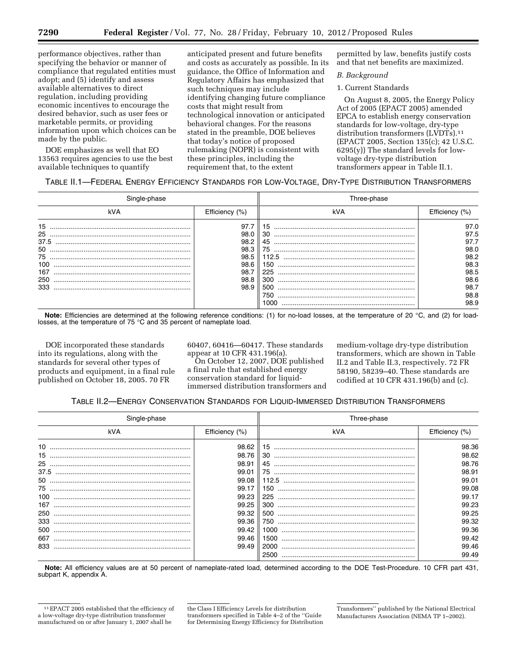performance objectives, rather than specifying the behavior or manner of compliance that regulated entities must adopt; and (5) identify and assess available alternatives to direct regulation, including providing economic incentives to encourage the desired behavior, such as user fees or marketable permits, or providing information upon which choices can be made by the public.

DOE emphasizes as well that EO 13563 requires agencies to use the best available techniques to quantify

anticipated present and future benefits and costs as accurately as possible. In its guidance, the Office of Information and Regulatory Affairs has emphasized that such techniques may include identifying changing future compliance costs that might result from technological innovation or anticipated behavioral changes. For the reasons stated in the preamble, DOE believes that today's notice of proposed rulemaking (NOPR) is consistent with these principles, including the requirement that, to the extent

permitted by law, benefits justify costs and that net benefits are maximized.

# *B. Background*

# 1. Current Standards

On August 8, 2005, the Energy Policy Act of 2005 (EPACT 2005) amended EPCA to establish energy conservation standards for low-voltage, dry-type distribution transformers (LVDTs).<sup>11</sup> (EPACT 2005, Section 135(c); 42 U.S.C. 6295(y)) The standard levels for lowvoltage dry-type distribution transformers appear in Table II.1.

# TABLE II.1—FEDERAL ENERGY EFFICIENCY STANDARDS FOR LOW-VOLTAGE, DRY-TYPE DISTRIBUTION TRANSFORMERS

|                                                          |                                                                      | Three-phase                                                  |                                                                              |
|----------------------------------------------------------|----------------------------------------------------------------------|--------------------------------------------------------------|------------------------------------------------------------------------------|
| kVA                                                      | Efficiency (%)                                                       | kVA                                                          | Efficiency (%)                                                               |
| 15<br>25<br>37.5<br>50<br>75<br>100<br>167<br>250<br>333 | 97.7<br>98.0<br>98.2<br>98.3<br>98.5<br>98.6<br>98.7<br>98.8<br>98.9 | 30<br>45<br>75.<br>112.5<br>150<br>225<br>300<br>500<br>750. | 97.0<br>97.5<br>97.7<br>98.0<br>98.2<br>98.3<br>98.5<br>98.6<br>98.7<br>98.8 |
|                                                          |                                                                      | 000                                                          | 98.9                                                                         |

**Note:** Efficiencies are determined at the following reference conditions: (1) for no-load losses, at the temperature of 20 °C, and (2) for loadlosses, at the temperature of 75 °C and 35 percent of nameplate load.

DOE incorporated these standards into its regulations, along with the standards for several other types of products and equipment, in a final rule published on October 18, 2005. 70 FR

60407, 60416—60417. These standards appear at 10 CFR 431.196(a).

On October 12, 2007, DOE published a final rule that established energy conservation standard for liquidimmersed distribution transformers and medium-voltage dry-type distribution transformers, which are shown in Table II.2 and Table II.3, respectively. 72 FR 58190, 58239–40. These standards are codified at 10 CFR 431.196(b) and (c).

# TABLE II.2—ENERGY CONSERVATION STANDARDS FOR LIQUID-IMMERSED DISTRIBUTION TRANSFORMERS

| Single-phase |                | Three-phase |                |  |
|--------------|----------------|-------------|----------------|--|
| kVA          | Efficiency (%) | kVA         | Efficiency (%) |  |
|              | 98.62          |             | 98.36          |  |
|              | 98.76          |             | 98.62          |  |
| 25           | 98.91          |             | 98.76          |  |
| 37.5         | 99.01          | 75          | 98.91          |  |
| 50           | 99.08          | 112.5       | 99.01          |  |
|              | 99.17          | 150         | 99.08          |  |
| 100          | 99.23          | 225         | 99.17          |  |
| 167          | 99.25          |             | 99.23          |  |
| 250          | 99.32          | 500         | 99.25          |  |
| 333          | 99.36          | 750.        | 99.32          |  |
| 500          | 99.42          | 1000        | 99.36          |  |
| 667          | 99.46          | 1500        | 99.42          |  |
| 833          | 99.49          | 2000        | 99.46          |  |
|              |                | 2500        | 99.49          |  |

**Note:** All efficiency values are at 50 percent of nameplate-rated load, determined according to the DOE Test-Procedure. 10 CFR part 431, subpart K, appendix A.

<sup>11</sup>EPACT 2005 established that the efficiency of a low-voltage dry-type distribution transformer manufactured on or after January 1, 2007 shall be

the Class I Efficiency Levels for distribution transformers specified in Table 4–2 of the ''Guide for Determining Energy Efficiency for Distribution

Transformers'' published by the National Electrical Manufacturers Association (NEMA TP 1–2002).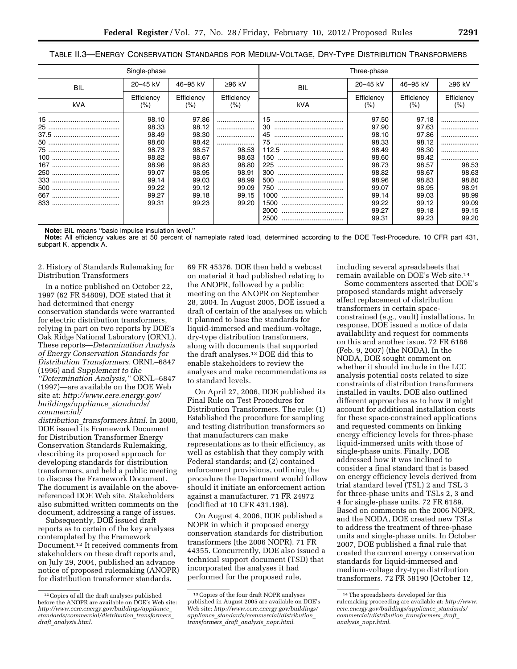TABLE II.3—ENERGY CONSERVATION STANDARDS FOR MEDIUM-VOLTAGE, DRY-TYPE DISTRIBUTION TRANSFORMERS

|                    | Single-phase         |                       |                   |                    | Three-phase       |                       |                   |
|--------------------|----------------------|-----------------------|-------------------|--------------------|-------------------|-----------------------|-------------------|
| <b>BIL</b>         | 20-45 kV             | 46-95 kV              | ≥96 kV            | <b>BIL</b>         | 20-45 kV          | 46-95 kV              | $≥96$ kV          |
| kVA                | Efficiency<br>$(\%)$ | Efficiency<br>$(\% )$ | Efficiency<br>(%) | kVA                | Efficiency<br>(%) | Efficiency<br>$(\% )$ | Efficiency<br>(%) |
|                    | 98.10                | 97.86                 |                   | 15                 | 97.50             | 97.18                 |                   |
|                    | 98.33<br>98.49       | 98.12<br>98.30        | .<br>.            | 30<br><br>45<br>   | 97.90<br>98.10    | 97.63<br>97.86        | .<br>.            |
|                    | 98.60<br>98.73       | 98.42<br>98.57        | .<br>98.53        | 75<br>             | 98.33<br>98.49    | 98.12<br>98.30        | .<br>.            |
|                    | 98.82<br>98.96       | 98.67<br>98.83        | 98.63<br>98.80    | 150<br><br>225     | 98.60<br>98.73    | 98.42<br>98.57        | <br>98.53         |
|                    | 99.07                | 98.95                 | 98.91             | <br>300<br>        | 98.82             | 98.67                 | 98.63             |
| 333<br><br>500<br> | 99.14<br>99.22       | 99.03<br>99.12        | 98.99<br>99.09    | 500<br><br>750<br> | 98.96<br>99.07    | 98.83<br>98.95        | 98.80<br>98.91    |
| 833<br>            | 99.27<br>99.31       | 99.18<br>99.23        | 99.15<br>99.20    | 1000<br>1500       | 99.14<br>99.22    | 99.03<br>99.12        | 98.99<br>99.09    |
|                    |                      |                       |                   | 2000<br><br>2500   | 99.27<br>99.31    | 99.18<br>99.23        | 99.15<br>99.20    |

**Note:** BIL means ''basic impulse insulation level.''

**Note:** All efficiency values are at 50 percent of nameplate rated load, determined according to the DOE Test-Procedure. 10 CFR part 431, subpart K, appendix A.

2. History of Standards Rulemaking for Distribution Transformers

In a notice published on October 22, 1997 (62 FR 54809), DOE stated that it had determined that energy conservation standards were warranted for electric distribution transformers, relying in part on two reports by DOE's Oak Ridge National Laboratory (ORNL). These reports—*Determination Analysis of Energy Conservation Standards for Distribution Transformers,* ORNL–6847 (1996) and *Supplement to the ''Determination Analysis,''* ORNL–6847 (1997)—are available on the DOE Web site at: *[http://www.eere.energy.gov/](http://www.eere.energy.gov/buildings/appliance_standards/commercial/distribution_transformers.html)  [buildings/appliance](http://www.eere.energy.gov/buildings/appliance_standards/commercial/distribution_transformers.html)*\_*standards/ [commercial/](http://www.eere.energy.gov/buildings/appliance_standards/commercial/distribution_transformers.html)* 

*distribution*\_*[transformers.html.](http://www.eere.energy.gov/buildings/appliance_standards/commercial/distribution_transformers.html)* In 2000, DOE issued its Framework Document for Distribution Transformer Energy Conservation Standards Rulemaking, describing its proposed approach for developing standards for distribution transformers, and held a public meeting to discuss the Framework Document. The document is available on the abovereferenced DOE Web site. Stakeholders also submitted written comments on the document, addressing a range of issues.

Subsequently, DOE issued draft reports as to certain of the key analyses contemplated by the Framework Document.12 It received comments from stakeholders on these draft reports and, on July 29, 2004, published an advance notice of proposed rulemaking (ANOPR) for distribution transformer standards.

69 FR 45376. DOE then held a webcast on material it had published relating to the ANOPR, followed by a public meeting on the ANOPR on September 28, 2004. In August 2005, DOE issued a draft of certain of the analyses on which it planned to base the standards for liquid-immersed and medium-voltage, dry-type distribution transformers, along with documents that supported the draft analyses.13 DOE did this to enable stakeholders to review the analyses and make recommendations as to standard levels.

On April 27, 2006, DOE published its Final Rule on Test Procedures for Distribution Transformers. The rule: (1) Established the procedure for sampling and testing distribution transformers so that manufacturers can make representations as to their efficiency, as well as establish that they comply with Federal standards; and (2) contained enforcement provisions, outlining the procedure the Department would follow should it initiate an enforcement action against a manufacturer. 71 FR 24972 (codified at 10 CFR 431.198).

On August 4, 2006, DOE published a NOPR in which it proposed energy conservation standards for distribution transformers (the 2006 NOPR). 71 FR 44355. Concurrently, DOE also issued a technical support document (TSD) that incorporated the analyses it had performed for the proposed rule,

including several spreadsheets that remain available on DOE's Web site.14

Some commenters asserted that DOE's proposed standards might adversely affect replacement of distribution transformers in certain spaceconstrained (*e.g.,* vault) installations. In response, DOE issued a notice of data availability and request for comments on this and another issue. 72 FR 6186 (Feb. 9, 2007) (the NODA). In the NODA, DOE sought comment on whether it should include in the LCC analysis potential costs related to size constraints of distribution transformers installed in vaults. DOE also outlined different approaches as to how it might account for additional installation costs for these space-constrained applications and requested comments on linking energy efficiency levels for three-phase liquid-immersed units with those of single-phase units. Finally, DOE addressed how it was inclined to consider a final standard that is based on energy efficiency levels derived from trial standard level (TSL) 2 and TSL 3 for three-phase units and TSLs 2, 3 and 4 for single-phase units. 72 FR 6189. Based on comments on the 2006 NOPR, and the NODA, DOE created new TSLs to address the treatment of three-phase units and single-phase units. In October 2007, DOE published a final rule that created the current energy conservation standards for liquid-immersed and medium-voltage dry-type distribution transformers. 72 FR 58190 (October 12,

<sup>12</sup>Copies of all the draft analyses published before the ANOPR are available on DOE's Web site: *[http://www.eere.energy.gov/buildings/appliance](http://www.eere.energy.gov/buildings/appliance_standards/commercial/distribution_transformers_draft_analysis.html)*\_ *[standards/commercial/distribution](http://www.eere.energy.gov/buildings/appliance_standards/commercial/distribution_transformers_draft_analysis.html)*\_*transformers*\_ *draft*\_*[analysis.html](http://www.eere.energy.gov/buildings/appliance_standards/commercial/distribution_transformers_draft_analysis.html)*.

<sup>13</sup>Copies of the four draft NOPR analyses published in August 2005 are available on DOE's Web site: *[http://www.eere.energy.gov/buildings/](http://www.eere.energy.gov/buildings/appliance_standards/commercial/distribution_transformers_draft_analysis_nopr.html) appliance*\_*[standards/commercial/distribution](http://www.eere.energy.gov/buildings/appliance_standards/commercial/distribution_transformers_draft_analysis_nopr.html)*\_ *[transformers](http://www.eere.energy.gov/buildings/appliance_standards/commercial/distribution_transformers_draft_analysis_nopr.html)*\_*draft*\_*analysis*\_*nopr.html*.

<sup>14</sup>The spreadsheets developed for this rulemaking proceeding are available at: *[http://www.](http://www.eere.energy.gov/buildings/appliance_standards/commercial/distribution_transformers_draft_analysis_nopr.html) [eere.energy.gov/buildings/appliance](http://www.eere.energy.gov/buildings/appliance_standards/commercial/distribution_transformers_draft_analysis_nopr.html)*\_*standards/ [commercial/distribution](http://www.eere.energy.gov/buildings/appliance_standards/commercial/distribution_transformers_draft_analysis_nopr.html)*\_*transformers*\_*draft*\_ *analysis*\_*[nopr.html](http://www.eere.energy.gov/buildings/appliance_standards/commercial/distribution_transformers_draft_analysis_nopr.html)*.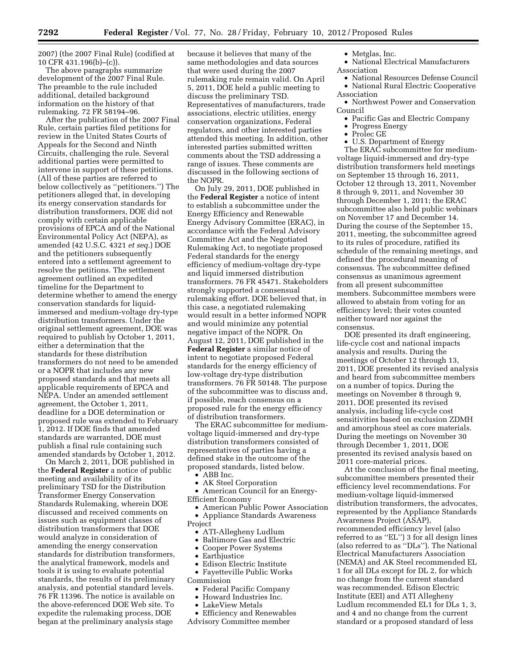2007) (the 2007 Final Rule) (codified at 10 CFR 431.196(b)–(c)).

The above paragraphs summarize development of the 2007 Final Rule. The preamble to the rule included additional, detailed background information on the history of that rulemaking. 72 FR 58194–96.

After the publication of the 2007 Final Rule, certain parties filed petitions for review in the United States Courts of Appeals for the Second and Ninth Circuits, challenging the rule. Several additional parties were permitted to intervene in support of these petitions. (All of these parties are referred to below collectively as ''petitioners.'') The petitioners alleged that, in developing its energy conservation standards for distribution transformers, DOE did not comply with certain applicable provisions of EPCA and of the National Environmental Policy Act (NEPA), as amended (42 U.S.C. 4321 *et seq.*) DOE and the petitioners subsequently entered into a settlement agreement to resolve the petitions. The settlement agreement outlined an expedited timeline for the Department to determine whether to amend the energy conservation standards for liquidimmersed and medium-voltage dry-type distribution transformers. Under the original settlement agreement, DOE was required to publish by October 1, 2011, either a determination that the standards for these distribution transformers do not need to be amended or a NOPR that includes any new proposed standards and that meets all applicable requirements of EPCA and NEPA. Under an amended settlement agreement, the October 1, 2011, deadline for a DOE determination or proposed rule was extended to February 1, 2012. If DOE finds that amended standards are warranted, DOE must publish a final rule containing such amended standards by October 1, 2012.

On March 2, 2011, DOE published in the **Federal Register** a notice of public meeting and availability of its preliminary TSD for the Distribution Transformer Energy Conservation Standards Rulemaking, wherein DOE discussed and received comments on issues such as equipment classes of distribution transformers that DOE would analyze in consideration of amending the energy conservation standards for distribution transformers, the analytical framework, models and tools it is using to evaluate potential standards, the results of its preliminary analysis, and potential standard levels. 76 FR 11396. The notice is available on the above-referenced DOE Web site. To expedite the rulemaking process, DOE began at the preliminary analysis stage

because it believes that many of the same methodologies and data sources that were used during the 2007 rulemaking rule remain valid. On April 5, 2011, DOE held a public meeting to discuss the preliminary TSD. Representatives of manufacturers, trade associations, electric utilities, energy conservation organizations, Federal regulators, and other interested parties attended this meeting. In addition, other interested parties submitted written comments about the TSD addressing a range of issues. These comments are discussed in the following sections of the NOPR.

On July 29, 2011, DOE published in the **Federal Register** a notice of intent to establish a subcommittee under the Energy Efficiency and Renewable Energy Advisory Committee (ERAC), in accordance with the Federal Advisory Committee Act and the Negotiated Rulemaking Act, to negotiate proposed Federal standards for the energy efficiency of medium-voltage dry-type and liquid immersed distribution transformers. 76 FR 45471. Stakeholders strongly supported a consensual rulemaking effort. DOE believed that, in this case, a negotiated rulemaking would result in a better informed NOPR and would minimize any potential negative impact of the NOPR. On August 12, 2011, DOE published in the **Federal Register** a similar notice of intent to negotiate proposed Federal standards for the energy efficiency of low-voltage dry-type distribution transformers. 76 FR 50148. The purpose of the subcommittee was to discuss and, if possible, reach consensus on a proposed rule for the energy efficiency of distribution transformers.

The ERAC subcommittee for mediumvoltage liquid-immersed and dry-type distribution transformers consisted of representatives of parties having a defined stake in the outcome of the proposed standards, listed below.

- ABB Inc.
- AK Steel Corporation
- American Council for an Energy-Efficient Economy
- American Public Power Association • Appliance Standards Awareness Project
	- ATI-Allegheny Ludlum
	- Baltimore Gas and Electric
	- Cooper Power Systems
	- Earthjustice
	- Edison Electric Institute
	- Fayetteville Public Works
- Commission
	- Federal Pacific Company
	- Howard Industries Inc.
	- LakeView Metals
- Efficiency and Renewables
- Advisory Committee member
- Metglas, Inc.
- National Electrical Manufacturers Association
- National Resources Defense Council • National Rural Electric Cooperative
- Association • Northwest Power and Conservation
- Council
	- Pacific Gas and Electric Company
	- Progress Energy
	- Prolec GE
	- U.S. Department of Energy

The ERAC subcommittee for mediumvoltage liquid-immersed and dry-type distribution transformers held meetings on September 15 through 16, 2011, October 12 through 13, 2011, November 8 through 9, 2011, and November 30 through December 1, 2011; the ERAC subcommittee also held public webinars on November 17 and December 14. During the course of the September 15, 2011, meeting, the subcommittee agreed to its rules of procedure, ratified its schedule of the remaining meetings, and defined the procedural meaning of consensus. The subcommittee defined consensus as unanimous agreement from all present subcommittee members. Subcommittee members were allowed to abstain from voting for an efficiency level; their votes counted neither toward nor against the consensus.

DOE presented its draft engineering, life-cycle cost and national impacts analysis and results. During the meetings of October 12 through 13, 2011, DOE presented its revised analysis and heard from subcommittee members on a number of topics. During the meetings on November 8 through 9, 2011, DOE presented its revised analysis, including life-cycle cost sensitivities based on exclusion ZDMH and amorphous steel as core materials. During the meetings on November 30 through December 1, 2011, DOE presented its revised analysis based on 2011 core-material prices.

At the conclusion of the final meeting, subcommittee members presented their efficiency level recommendations. For medium-voltage liquid-immersed distribution transformers, the advocates, represented by the Appliance Standards Awareness Project (ASAP), recommended efficiency level (also referred to as ''EL'') 3 for all design lines (also referred to as ''DLs''). The National Electrical Manufacturers Association (NEMA) and AK Steel recommended EL 1 for all DLs except for DL 2, for which no change from the current standard was recommended. Edison Electric Institute (EEI) and ATI Allegheny Ludlum recommended EL1 for DLs 1, 3, and 4 and no change from the current standard or a proposed standard of less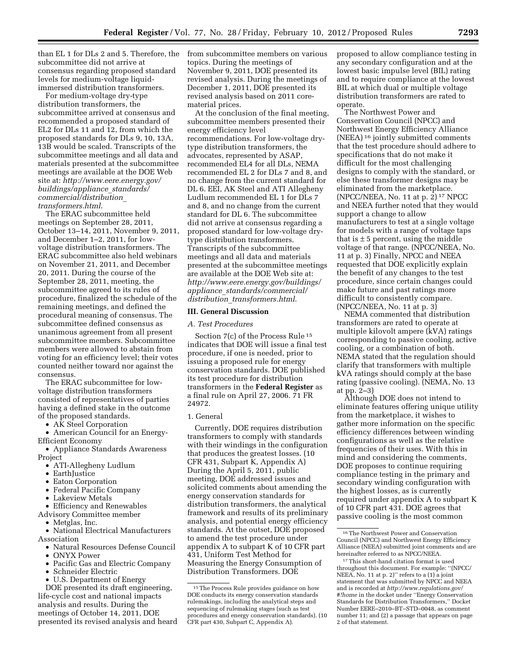than EL 1 for DLs 2 and 5. Therefore, the subcommittee did not arrive at consensus regarding proposed standard levels for medium-voltage liquidimmersed distribution transformers.

For medium-voltage dry-type distribution transformers, the subcommittee arrived at consensus and recommended a proposed standard of EL2 for DLs 11 and 12, from which the proposed standards for DLs 9, 10, 13A, 13B would be scaled. Transcripts of the subcommittee meetings and all data and materials presented at the subcommittee meetings are available at the DOE Web site at: *[http://www.eere.energy.gov/](http://www.eere.energy.gov/buildings/appliance_standards/commercial/distribution_transformers.html) [buildings/appliance](http://www.eere.energy.gov/buildings/appliance_standards/commercial/distribution_transformers.html)*\_*standards/ [commercial/distribution](http://www.eere.energy.gov/buildings/appliance_standards/commercial/distribution_transformers.html)*\_ *[transformers.html](http://www.eere.energy.gov/buildings/appliance_standards/commercial/distribution_transformers.html)*.

The ERAC subcommittee held meetings on September 28, 2011, October 13–14, 2011, November 9, 2011, and December 1–2, 2011, for lowvoltage distribution transformers. The ERAC subcommittee also held webinars on November 21, 2011, and December 20, 2011. During the course of the September 28, 2011, meeting, the subcommittee agreed to its rules of procedure, finalized the schedule of the remaining meetings, and defined the procedural meaning of consensus. The subcommittee defined consensus as unanimous agreement from all present subcommittee members. Subcommittee members were allowed to abstain from voting for an efficiency level; their votes counted neither toward nor against the consensus.

The ERAC subcommittee for lowvoltage distribution transformers consisted of representatives of parties having a defined stake in the outcome of the proposed standards.

• AK Steel Corporation

• American Council for an Energy-Efficient Economy

- Appliance Standards Awareness Project
	- ATI-Allegheny Ludlum
	- EarthJustice
	- Eaton Corporation
	- Federal Pacific Company
	- Lakeview Metals
- Efficiency and Renewables
- Advisory Committee member
	- Metglas, Inc.
- National Electrical Manufacturers Association
	- Natural Resources Defense Council
	- ONYX Power
	- Pacific Gas and Electric Company
	- Schneider Electric
	- U.S. Department of Energy

DOE presented its draft engineering, life-cycle cost and national impacts analysis and results. During the meetings of October 14, 2011, DOE presented its revised analysis and heard from subcommittee members on various topics. During the meetings of November 9, 2011, DOE presented its revised analysis. During the meetings of December 1, 2011, DOE presented its revised analysis based on 2011 corematerial prices.

At the conclusion of the final meeting, subcommittee members presented their energy efficiency level recommendations. For low-voltage drytype distribution transformers, the advocates, represented by ASAP, recommended EL4 for all DLs, NEMA recommended EL 2 for DLs 7 and 8, and no change from the current standard for DL 6. EEI, AK Steel and ATI Allegheny Ludlum recommended EL 1 for DLs 7 and 8, and no change from the current standard for DL 6. The subcommittee did not arrive at consensus regarding a proposed standard for low-voltage drytype distribution transformers. Transcripts of the subcommittee meetings and all data and materials presented at the subcommittee meetings are available at the DOE Web site at: *[http://www.eere.energy.gov/buildings/](http://www.eere.energy.gov/buildings/appliance_standards/commercial/distribution_transformers.html) appliance*\_*[standards/commercial/](http://www.eere.energy.gov/buildings/appliance_standards/commercial/distribution_transformers.html) distribution*\_*[transformers.html](http://www.eere.energy.gov/buildings/appliance_standards/commercial/distribution_transformers.html)*.

#### **III. General Discussion**

#### *A. Test Procedures*

Section 7(c) of the Process Rule 15 indicates that DOE will issue a final test procedure, if one is needed, prior to issuing a proposed rule for energy conservation standards. DOE published its test procedure for distribution transformers in the **Federal Register** as a final rule on April 27, 2006. 71 FR 24972.

#### 1. General

Currently, DOE requires distribution transformers to comply with standards with their windings in the configuration that produces the greatest losses. (10 CFR 431, Subpart K, Appendix A) During the April 5, 2011, public meeting, DOE addressed issues and solicited comments about amending the energy conservation standards for distribution transformers, the analytical framework and results of its preliminary analysis, and potential energy efficiency standards. At the outset, DOE proposed to amend the test procedure under appendix A to subpart K of 10 CFR part 431, Uniform Test Method for Measuring the Energy Consumption of Distribution Transformers. DOE

proposed to allow compliance testing in any secondary configuration and at the lowest basic impulse level (BIL) rating and to require compliance at the lowest BIL at which dual or multiple voltage distribution transformers are rated to operate.

The Northwest Power and Conservation Council (NPCC) and Northwest Energy Efficiency Alliance (NEEA) 16 jointly submitted comments that the test procedure should adhere to specifications that do not make it difficult for the most challenging designs to comply with the standard, or else these transformer designs may be eliminated from the marketplace. (NPCC/NEEA, No. 11 at p. 2) 17 NPCC and NEEA further noted that they would support a change to allow manufacturers to test at a single voltage for models with a range of voltage taps that is  $\pm$  5 percent, using the middle voltage of that range. (NPCC/NEEA, No. 11 at p. 3) Finally, NPCC and NEEA requested that DOE explicitly explain the benefit of any changes to the test procedure, since certain changes could make future and past ratings more difficult to consistently compare. (NPCC/NEEA, No. 11 at p. 3)

NEMA commented that distribution transformers are rated to operate at multiple kilovolt ampere (kVA) ratings corresponding to passive cooling, active cooling, or a combination of both. NEMA stated that the regulation should clarify that transformers with multiple kVA ratings should comply at the base rating (passive cooling). (NEMA, No. 13 at pp. 2–3)

Although DOE does not intend to eliminate features offering unique utility from the marketplace, it wishes to gather more information on the specific efficiency differences between winding configurations as well as the relative frequencies of their uses. With this in mind and considering the comments, DOE proposes to continue requiring compliance testing in the primary and secondary winding configuration with the highest losses, as is currently required under appendix A to subpart K of 10 CFR part 431. DOE agrees that passive cooling is the most common

<sup>&</sup>lt;sup>15</sup>The Process Rule provides guidance on how DOE conducts its energy conservation standards rulemakings, including the analytical steps and sequencing of rulemaking stages (such as test procedures and energy conservation standards). (10 CFR part 430, Subpart C, Appendix A).

<sup>16</sup>The Northwest Power and Conservation Council (NPCC) and Northwest Energy Efficiency Alliance (NEEA) submitted joint comments and are hereinafter referred to as NPCC/NEEA.

<sup>17</sup>This short-hand citation format is used throughout this document. For example: ''(NPCC/ NEEA, No. 11 at p. 2)'' refers to a (1) a joint statement that was submitted by NPCC and NEEA and is recorded at *[http://www.regulations.gov/](http://www.regulations.gov/#!home)  [#!home](http://www.regulations.gov/#!home)* in the docket under ''Energy Conservation Standards for Distribution Transformers,'' Docket Number EERE–2010–BT–STD–0048, as comment number 11; and (2) a passage that appears on page 2 of that statement.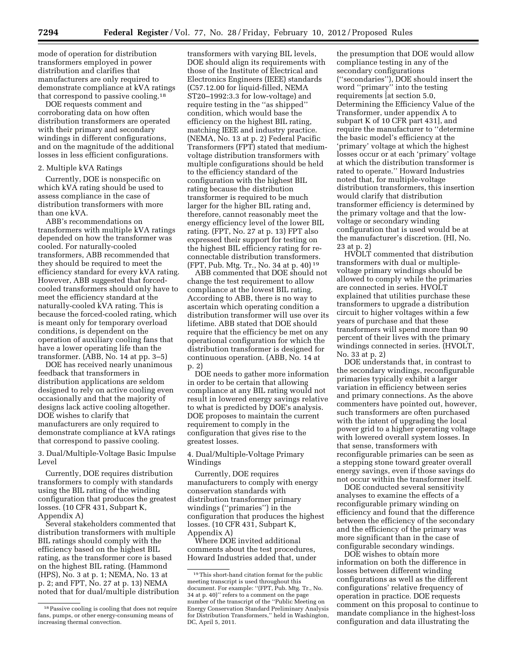mode of operation for distribution transformers employed in power distribution and clarifies that manufacturers are only required to demonstrate compliance at kVA ratings that correspond to passive cooling.18

DOE requests comment and corroborating data on how often distribution transformers are operated with their primary and secondary windings in different configurations, and on the magnitude of the additional losses in less efficient configurations.

# 2. Multiple kVA Ratings

Currently, DOE is nonspecific on which kVA rating should be used to assess compliance in the case of distribution transformers with more than one kVA.

ABB's recommendations on transformers with multiple kVA ratings depended on how the transformer was cooled. For naturally-cooled transformers, ABB recommended that they should be required to meet the efficiency standard for every kVA rating. However, ABB suggested that forcedcooled transformers should only have to meet the efficiency standard at the naturally-cooled kVA rating. This is because the forced-cooled rating, which is meant only for temporary overload conditions, is dependent on the operation of auxiliary cooling fans that have a lower operating life than the transformer. (ABB, No. 14 at pp. 3–5)

DOE has received nearly unanimous feedback that transformers in distribution applications are seldom designed to rely on active cooling even occasionally and that the majority of designs lack active cooling altogether. DOE wishes to clarify that manufacturers are only required to demonstrate compliance at kVA ratings that correspond to passive cooling.

3. Dual/Multiple-Voltage Basic Impulse Level

Currently, DOE requires distribution transformers to comply with standards using the BIL rating of the winding configuration that produces the greatest losses. (10 CFR 431, Subpart K, Appendix A)

Several stakeholders commented that distribution transformers with multiple BIL ratings should comply with the efficiency based on the highest BIL rating, as the transformer core is based on the highest BIL rating. (Hammond (HPS), No. 3 at p. 1; NEMA, No. 13 at p. 2; and FPT, No. 27 at p. 13) NEMA noted that for dual/multiple distribution

transformers with varying BIL levels, DOE should align its requirements with those of the Institute of Electrical and Electronics Engineers (IEEE) standards (C57.12.00 for liquid-filled, NEMA ST20–1992:3.3 for low-voltage) and require testing in the ''as shipped'' condition, which would base the efficiency on the highest BIL rating, matching IEEE and industry practice. (NEMA, No. 13 at p. 2) Federal Pacific Transformers (FPT) stated that mediumvoltage distribution transformers with multiple configurations should be held to the efficiency standard of the configuration with the highest BIL rating because the distribution transformer is required to be much larger for the higher BIL rating and, therefore, cannot reasonably meet the energy efficiency level of the lower BIL rating. (FPT, No. 27 at p. 13) FPT also expressed their support for testing on the highest BIL efficiency rating for reconnectable distribution transformers. (FPT, Pub. Mtg. Tr., No. 34 at p. 40) 19

ABB commented that DOE should not change the test requirement to allow compliance at the lowest BIL rating. According to ABB, there is no way to ascertain which operating condition a distribution transformer will use over its lifetime. ABB stated that DOE should require that the efficiency be met on any operational configuration for which the distribution transformer is designed for continuous operation. (ABB, No. 14 at p. 2)

DOE needs to gather more information in order to be certain that allowing compliance at any BIL rating would not result in lowered energy savings relative to what is predicted by DOE's analysis. DOE proposes to maintain the current requirement to comply in the configuration that gives rise to the greatest losses.

4. Dual/Multiple-Voltage Primary Windings

Currently, DOE requires manufacturers to comply with energy conservation standards with distribution transformer primary windings (''primaries'') in the configuration that produces the highest losses. (10 CFR 431, Subpart K, Appendix A)

Where DOE invited additional comments about the test procedures, Howard Industries added that, under

the presumption that DOE would allow compliance testing in any of the secondary configurations (''secondaries''), DOE should insert the word ''primary'' into the testing requirements [at section 5.0, Determining the Efficiency Value of the Transformer, under appendix A to subpart K of 10 CFR part 431], and require the manufacturer to ''determine the basic model's efficiency at the 'primary' voltage at which the highest losses occur or at each 'primary' voltage at which the distribution transformer is rated to operate.'' Howard Industries noted that, for multiple-voltage distribution transformers, this insertion would clarify that distribution transformer efficiency is determined by the primary voltage and that the lowvoltage or secondary winding configuration that is used would be at the manufacturer's discretion. (HI, No. 23 at p. 2)

HVOLT commented that distribution transformers with dual or multiplevoltage primary windings should be allowed to comply while the primaries are connected in series. HVOLT explained that utilities purchase these transformers to upgrade a distribution circuit to higher voltages within a few years of purchase and that these transformers will spend more than 90 percent of their lives with the primary windings connected in series. (HVOLT, No. 33 at p. 2)

DOE understands that, in contrast to the secondary windings, reconfigurable primaries typically exhibit a larger variation in efficiency between series and primary connections. As the above commenters have pointed out, however, such transformers are often purchased with the intent of upgrading the local power grid to a higher operating voltage with lowered overall system losses. In that sense, transformers with reconfigurable primaries can be seen as a stepping stone toward greater overall energy savings, even if those savings do not occur within the transformer itself.

DOE conducted several sensitivity analyses to examine the effects of a reconfigurable primary winding on efficiency and found that the difference between the efficiency of the secondary and the efficiency of the primary was more significant than in the case of configurable secondary windings.

DOE wishes to obtain more information on both the difference in losses between different winding configurations as well as the different configurations' relative frequency of operation in practice. DOE requests comment on this proposal to continue to mandate compliance in the highest-loss configuration and data illustrating the

<sup>18</sup>Passive cooling is cooling that does not require fans, pumps, or other energy-consuming means of increasing thermal convection.

<sup>19</sup>This short-hand citation format for the public meeting transcript is used throughout this document. For example: ''(FPT, Pub. Mtg. Tr., No. 34 at p. 40)'' refers to a comment on the page number of the transcript of the ''Public Meeting on Energy Conservation Standard Preliminary Analysis for Distribution Transformers,'' held in Washington, DC, April 5, 2011.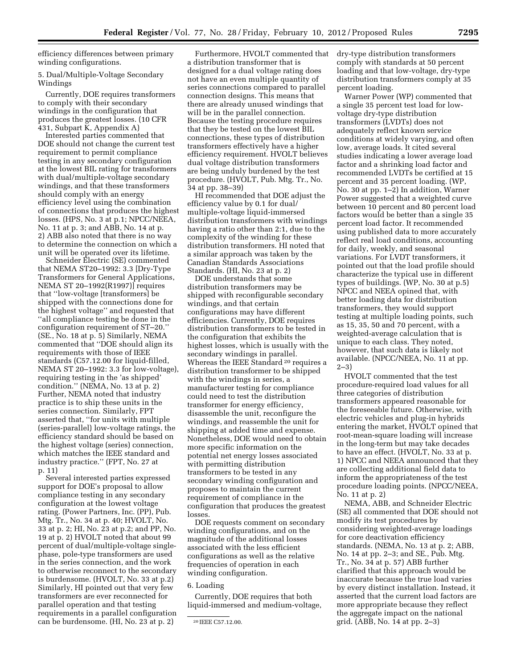efficiency differences between primary winding configurations.

5. Dual/Multiple-Voltage Secondary Windings

Currently, DOE requires transformers to comply with their secondary windings in the configuration that produces the greatest losses. (10 CFR 431, Subpart K, Appendix A)

Interested parties commented that DOE should not change the current test requirement to permit compliance testing in any secondary configuration at the lowest BIL rating for transformers with dual/multiple-voltage secondary windings, and that these transformers should comply with an energy efficiency level using the combination of connections that produces the highest losses. (HPS, No. 3 at p.1; NPCC/NEEA, No. 11 at p. 3; and ABB, No. 14 at p. 2) ABB also noted that there is no way to determine the connection on which a unit will be operated over its lifetime.

Schneider Electric (SE) commented that NEMA ST20–1992: 3.3 [Dry-Type Transformers for General Applications, NEMA ST 20–1992(R1997)] requires that ''low-voltage [transformers] be shipped with the connections done for the highest voltage'' and requested that ''all compliance testing be done in the configuration requirement of ST–20.'' (SE., No. 18 at p. 5) Similarly, NEMA commented that ''DOE should align its requirements with those of IEEE standards (C57.12.00 for liquid-filled, NEMA ST 20–1992: 3.3 for low-voltage), requiring testing in the 'as shipped' condition.'' (NEMA, No. 13 at p. 2) Further, NEMA noted that industry practice is to ship these units in the series connection. Similarly, FPT asserted that, ''for units with multiple (series-parallel) low-voltage ratings, the efficiency standard should be based on the highest voltage (series) connection, which matches the IEEE standard and industry practice.'' (FPT, No. 27 at p. 11)

Several interested parties expressed support for DOE's proposal to allow compliance testing in any secondary configuration at the lowest voltage rating. (Power Partners, Inc. (PP), Pub. Mtg. Tr., No. 34 at p. 40; HVOLT, No. 33 at p. 2; HI, No. 23 at p.2; and PP, No. 19 at p. 2) HVOLT noted that about 99 percent of dual/multiple-voltage singlephase, pole-type transformers are used in the series connection, and the work to otherwise reconnect to the secondary is burdensome. (HVOLT, No. 33 at p.2) Similarly, HI pointed out that very few transformers are ever reconnected for parallel operation and that testing requirements in a parallel configuration can be burdensome. (HI, No. 23 at p. 2)

Furthermore, HVOLT commented that a distribution transformer that is designed for a dual voltage rating does not have an even multiple quantity of series connections compared to parallel connection designs. This means that there are already unused windings that will be in the parallel connection. Because the testing procedure requires that they be tested on the lowest BIL connections, these types of distribution transformers effectively have a higher efficiency requirement. HVOLT believes dual voltage distribution transformers are being unduly burdened by the test procedure. (HVOLT, Pub. Mtg. Tr., No. 34 at pp. 38–39)

HI recommended that DOE adjust the efficiency value by 0.1 for dual/ multiple-voltage liquid-immersed distribution transformers with windings having a ratio other than 2:1, due to the complexity of the winding for these distribution transformers. HI noted that a similar approach was taken by the Canadian Standards Associations Standards. (HI, No. 23 at p. 2)

DOE understands that some distribution transformers may be shipped with reconfigurable secondary windings, and that certain configurations may have different efficiencies. Currently, DOE requires distribution transformers to be tested in the configuration that exhibits the highest losses, which is usually with the secondary windings in parallel. Whereas the IEEE Standard 20 requires a distribution transformer to be shipped with the windings in series, a manufacturer testing for compliance could need to test the distribution transformer for energy efficiency, disassemble the unit, reconfigure the windings, and reassemble the unit for shipping at added time and expense. Nonetheless, DOE would need to obtain more specific information on the potential net energy losses associated with permitting distribution transformers to be tested in any secondary winding configuration and proposes to maintain the current requirement of compliance in the configuration that produces the greatest losses.

DOE requests comment on secondary winding configurations, and on the magnitude of the additional losses associated with the less efficient configurations as well as the relative frequencies of operation in each winding configuration.

#### 6. Loading

Currently, DOE requires that both liquid-immersed and medium-voltage, dry-type distribution transformers comply with standards at 50 percent loading and that low-voltage, dry-type distribution transformers comply at 35 percent loading.

Warner Power (WP) commented that a single 35 percent test load for lowvoltage dry-type distribution transformers (LVDTs) does not adequately reflect known service conditions at widely varying, and often low, average loads. It cited several studies indicating a lower average load factor and a shrinking load factor and recommended LVDTs be certified at 15 percent and 35 percent loading. (WP, No. 30 at pp. 1–2) In addition, Warner Power suggested that a weighted curve between 10 percent and 80 percent load factors would be better than a single 35 percent load factor. It recommended using published data to more accurately reflect real load conditions, accounting for daily, weekly, and seasonal variations. For LVDT transformers, it pointed out that the load profile should characterize the typical use in different types of buildings. (WP, No. 30 at p.5) NPCC and NEEA opined that, with better loading data for distribution transformers, they would support testing at multiple loading points, such as 15, 35, 50 and 70 percent, with a weighted-average calculation that is unique to each class. They noted, however, that such data is likely not available. (NPCC/NEEA, No. 11 at pp. 2–3)

HVOLT commented that the test procedure-required load values for all three categories of distribution transformers appeared reasonable for the foreseeable future. Otherwise, with electric vehicles and plug-in hybrids entering the market, HVOLT opined that root-mean-square loading will increase in the long-term but may take decades to have an effect. (HVOLT, No. 33 at p. 1) NPCC and NEEA announced that they are collecting additional field data to inform the appropriateness of the test procedure loading points. (NPCC/NEEA, No. 11 at p. 2)

NEMA, ABB, and Schneider Electric (SE) all commented that DOE should not modify its test procedures by considering weighted-average loadings for core deactivation efficiency standards. (NEMA, No. 13 at p. 2; ABB, No. 14 at pp. 2–3; and SE., Pub. Mtg. Tr., No. 34 at p. 57) ABB further clarified that this approach would be inaccurate because the true load varies by every distinct installation. Instead, it asserted that the current load factors are more appropriate because they reflect the aggregate impact on the national grid. (ABB, No. 14 at pp. 2–3)

<sup>20</sup> IEEE C57.12.00.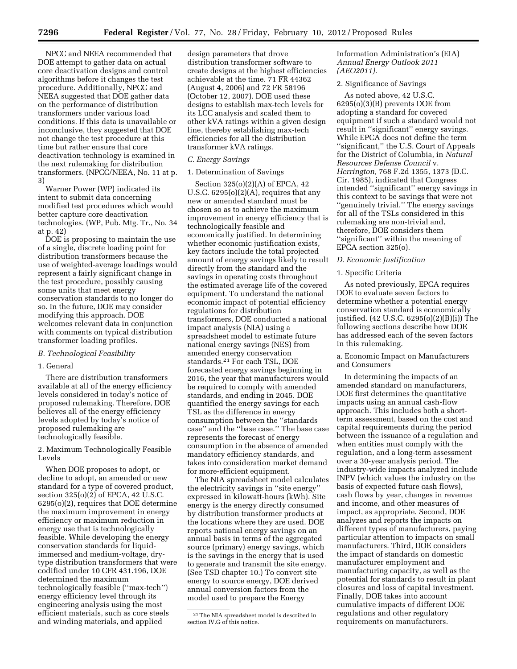NPCC and NEEA recommended that DOE attempt to gather data on actual core deactivation designs and control algorithms before it changes the test procedure. Additionally, NPCC and NEEA suggested that DOE gather data on the performance of distribution transformers under various load conditions. If this data is unavailable or inconclusive, they suggested that DOE not change the test procedure at this time but rather ensure that core deactivation technology is examined in the next rulemaking for distribution transformers. (NPCC/NEEA, No. 11 at p. 3)

Warner Power (WP) indicated its intent to submit data concerning modified test procedures which would better capture core deactivation technologies. (WP, Pub. Mtg. Tr., No. 34 at p. 42)

DOE is proposing to maintain the use of a single, discrete loading point for distribution transformers because the use of weighted-average loadings would represent a fairly significant change in the test procedure, possibly causing some units that meet energy conservation standards to no longer do so. In the future, DOE may consider modifying this approach. DOE welcomes relevant data in conjunction with comments on typical distribution transformer loading profiles.

#### *B. Technological Feasibility*

#### 1. General

There are distribution transformers available at all of the energy efficiency levels considered in today's notice of proposed rulemaking. Therefore, DOE believes all of the energy efficiency levels adopted by today's notice of proposed rulemaking are technologically feasible.

2. Maximum Technologically Feasible Levels

When DOE proposes to adopt, or decline to adopt, an amended or new standard for a type of covered product, section 325(o)(2) of EPCA, 42 U.S.C. 6295(o)(2), requires that DOE determine the maximum improvement in energy efficiency or maximum reduction in energy use that is technologically feasible. While developing the energy conservation standards for liquidimmersed and medium-voltage, drytype distribution transformers that were codified under 10 CFR 431.196, DOE determined the maximum technologically feasible (''max-tech'') energy efficiency level through its engineering analysis using the most efficient materials, such as core steels and winding materials, and applied

design parameters that drove distribution transformer software to create designs at the highest efficiencies achievable at the time. 71 FR 44362 (August 4, 2006) and 72 FR 58196 (October 12, 2007). DOE used these designs to establish max-tech levels for its LCC analysis and scaled them to other kVA ratings within a given design line, thereby establishing max-tech efficiencies for all the distribution transformer kVA ratings.

#### *C. Energy Savings*

# 1. Determination of Savings

Section 325(o)(2)(A) of EPCA, 42 U.S.C.  $6295(0)(2)(A)$ , requires that any new or amended standard must be chosen so as to achieve the maximum improvement in energy efficiency that is technologically feasible and economically justified. In determining whether economic justification exists, key factors include the total projected amount of energy savings likely to result directly from the standard and the savings in operating costs throughout the estimated average life of the covered equipment. To understand the national economic impact of potential efficiency regulations for distribution transformers, DOE conducted a national impact analysis (NIA) using a spreadsheet model to estimate future national energy savings (NES) from amended energy conservation standards.21 For each TSL, DOE forecasted energy savings beginning in 2016, the year that manufacturers would be required to comply with amended standards, and ending in 2045. DOE quantified the energy savings for each TSL as the difference in energy consumption between the ''standards case'' and the ''base case.'' The base case represents the forecast of energy consumption in the absence of amended mandatory efficiency standards, and takes into consideration market demand for more-efficient equipment.

The NIA spreadsheet model calculates the electricity savings in ''site energy'' expressed in kilowatt-hours (kWh). Site energy is the energy directly consumed by distribution transformer products at the locations where they are used. DOE reports national energy savings on an annual basis in terms of the aggregated source (primary) energy savings, which is the savings in the energy that is used to generate and transmit the site energy. (See TSD chapter 10.) To convert site energy to source energy, DOE derived annual conversion factors from the model used to prepare the Energy

Information Administration's (EIA) *Annual Energy Outlook 2011 (AEO2011).* 

#### 2. Significance of Savings

As noted above, 42 U.S.C. 6295(o)(3)(B) prevents DOE from adopting a standard for covered equipment if such a standard would not result in ''significant'' energy savings. While EPCA does not define the term ''significant,'' the U.S. Court of Appeals for the District of Columbia, in *Natural Resources Defense Council* v. *Herrington,* 768 F.2d 1355, 1373 (D.C. Cir. 1985), indicated that Congress intended ''significant'' energy savings in this context to be savings that were not ''genuinely trivial.'' The energy savings for all of the TSLs considered in this rulemaking are non-trivial and, therefore, DOE considers them ''significant'' within the meaning of EPCA section 325(o).

#### *D. Economic Justification*

#### 1. Specific Criteria

As noted previously, EPCA requires DOE to evaluate seven factors to determine whether a potential energy conservation standard is economically justified. (42 U.S.C. 6295(o)(2)(B)(i)) The following sections describe how DOE has addressed each of the seven factors in this rulemaking.

# a. Economic Impact on Manufacturers and Consumers

In determining the impacts of an amended standard on manufacturers, DOE first determines the quantitative impacts using an annual cash-flow approach. This includes both a shortterm assessment, based on the cost and capital requirements during the period between the issuance of a regulation and when entities must comply with the regulation, and a long-term assessment over a 30-year analysis period. The industry-wide impacts analyzed include INPV (which values the industry on the basis of expected future cash flows), cash flows by year, changes in revenue and income, and other measures of impact, as appropriate. Second, DOE analyzes and reports the impacts on different types of manufacturers, paying particular attention to impacts on small manufacturers. Third, DOE considers the impact of standards on domestic manufacturer employment and manufacturing capacity, as well as the potential for standards to result in plant closures and loss of capital investment. Finally, DOE takes into account cumulative impacts of different DOE regulations and other regulatory requirements on manufacturers.

<sup>21</sup>The NIA spreadsheet model is described in section IV.G of this notice.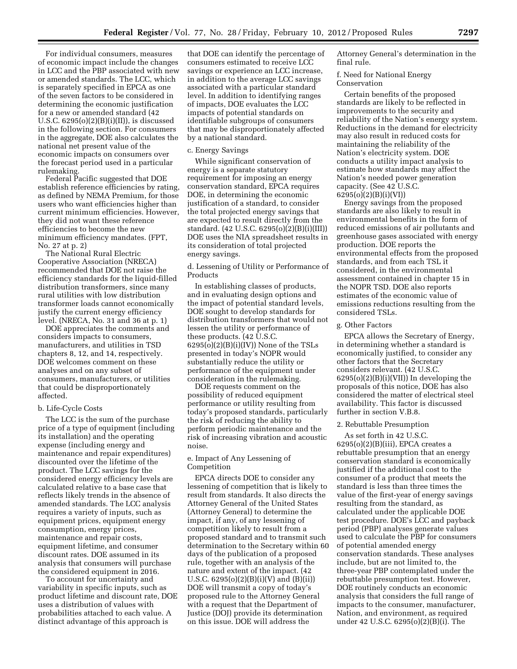For individual consumers, measures of economic impact include the changes in LCC and the PBP associated with new or amended standards. The LCC, which is separately specified in EPCA as one of the seven factors to be considered in determining the economic justification for a new or amended standard (42 U.S.C.  $6295(o)(2)(B)(i)(II))$ , is discussed in the following section. For consumers in the aggregate, DOE also calculates the national net present value of the economic impacts on consumers over the forecast period used in a particular rulemaking.

Federal Pacific suggested that DOE establish reference efficiencies by rating, as defined by NEMA Premium, for those users who want efficiencies higher than current minimum efficiencies. However, they did not want these reference efficiencies to become the new minimum efficiency mandates. (FPT, No. 27 at p. 2)

The National Rural Electric Cooperative Association (NRECA) recommended that DOE not raise the efficiency standards for the liquid-filled distribution transformers, since many rural utilities with low distribution transformer loads cannot economically justify the current energy efficiency level. (NRECA, No. 31 and 36 at p. 1)

DOE appreciates the comments and considers impacts to consumers, manufacturers, and utilities in TSD chapters 8, 12, and 14, respectively. DOE welcomes comment on these analyses and on any subset of consumers, manufacturers, or utilities that could be disproportionately affected.

#### b. Life-Cycle Costs

The LCC is the sum of the purchase price of a type of equipment (including its installation) and the operating expense (including energy and maintenance and repair expenditures) discounted over the lifetime of the product. The LCC savings for the considered energy efficiency levels are calculated relative to a base case that reflects likely trends in the absence of amended standards. The LCC analysis requires a variety of inputs, such as equipment prices, equipment energy consumption, energy prices, maintenance and repair costs, equipment lifetime, and consumer discount rates. DOE assumed in its analysis that consumers will purchase the considered equipment in 2016.

To account for uncertainty and variability in specific inputs, such as product lifetime and discount rate, DOE uses a distribution of values with probabilities attached to each value. A distinct advantage of this approach is

that DOE can identify the percentage of consumers estimated to receive LCC savings or experience an LCC increase, in addition to the average LCC savings associated with a particular standard level. In addition to identifying ranges of impacts, DOE evaluates the LCC impacts of potential standards on identifiable subgroups of consumers that may be disproportionately affected by a national standard.

#### c. Energy Savings

While significant conservation of energy is a separate statutory requirement for imposing an energy conservation standard, EPCA requires DOE, in determining the economic justification of a standard, to consider the total projected energy savings that are expected to result directly from the standard. (42 U.S.C. 6295(o)(2)(B)(i)(III)) DOE uses the NIA spreadsheet results in its consideration of total projected energy savings.

d. Lessening of Utility or Performance of Products

In establishing classes of products, and in evaluating design options and the impact of potential standard levels, DOE sought to develop standards for distribution transformers that would not lessen the utility or performance of these products. (42 U.S.C.  $6295(o)(2)(B)(i)(IV)$ ) None of the TSLs presented in today's NOPR would substantially reduce the utility or performance of the equipment under consideration in the rulemaking.

DOE requests comment on the possibility of reduced equipment performance or utility resulting from today's proposed standards, particularly the risk of reducing the ability to perform periodic maintenance and the risk of increasing vibration and acoustic noise.

# e. Impact of Any Lessening of Competition

EPCA directs DOE to consider any lessening of competition that is likely to result from standards. It also directs the Attorney General of the United States (Attorney General) to determine the impact, if any, of any lessening of competition likely to result from a proposed standard and to transmit such determination to the Secretary within 60 days of the publication of a proposed rule, together with an analysis of the nature and extent of the impact. (42 U.S.C.  $6295(o)(2)(B)(i)(V)$  and  $(B)(ii))$ DOE will transmit a copy of today's proposed rule to the Attorney General with a request that the Department of Justice (DOJ) provide its determination on this issue. DOE will address the

Attorney General's determination in the final rule.

f. Need for National Energy Conservation

Certain benefits of the proposed standards are likely to be reflected in improvements to the security and reliability of the Nation's energy system. Reductions in the demand for electricity may also result in reduced costs for maintaining the reliability of the Nation's electricity system. DOE conducts a utility impact analysis to estimate how standards may affect the Nation's needed power generation capacity. (See 42 U.S.C. 6295(o)(2)(B)(i)(VI))

Energy savings from the proposed standards are also likely to result in environmental benefits in the form of reduced emissions of air pollutants and greenhouse gases associated with energy production. DOE reports the environmental effects from the proposed standards, and from each TSL it considered, in the environmental assessment contained in chapter 15 in the NOPR TSD. DOE also reports estimates of the economic value of emissions reductions resulting from the considered TSLs.

#### g. Other Factors

EPCA allows the Secretary of Energy, in determining whether a standard is economically justified, to consider any other factors that the Secretary considers relevant. (42 U.S.C.  $6295(o)(2)(B)(i)(VII))$  In developing the proposals of this notice, DOE has also considered the matter of electrical steel availability. This factor is discussed further in section V.B.8.

#### 2. Rebuttable Presumption

As set forth in 42 U.S.C.  $6295(o)(2)(B)(iii)$ , EPCA creates a rebuttable presumption that an energy conservation standard is economically justified if the additional cost to the consumer of a product that meets the standard is less than three times the value of the first-year of energy savings resulting from the standard, as calculated under the applicable DOE test procedure. DOE's LCC and payback period (PBP) analyses generate values used to calculate the PBP for consumers of potential amended energy conservation standards. These analyses include, but are not limited to, the three-year PBP contemplated under the rebuttable presumption test. However, DOE routinely conducts an economic analysis that considers the full range of impacts to the consumer, manufacturer, Nation, and environment, as required under 42 U.S.C. 6295(o)(2)(B)(i). The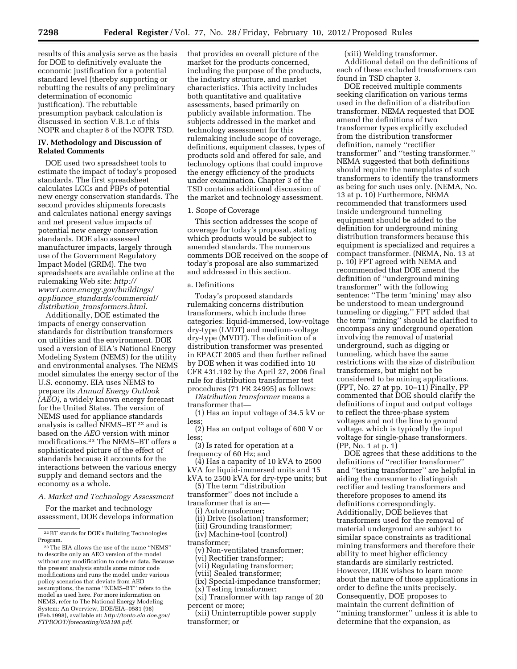results of this analysis serve as the basis for DOE to definitively evaluate the economic justification for a potential standard level (thereby supporting or rebutting the results of any preliminary determination of economic justification). The rebuttable presumption payback calculation is discussed in section V.B.1.c of this NOPR and chapter 8 of the NOPR TSD.

# **IV. Methodology and Discussion of Related Comments**

DOE used two spreadsheet tools to estimate the impact of today's proposed standards. The first spreadsheet calculates LCCs and PBPs of potential new energy conservation standards. The second provides shipments forecasts and calculates national energy savings and net present value impacts of potential new energy conservation standards. DOE also assessed manufacturer impacts, largely through use of the Government Regulatory Impact Model (GRIM). The two spreadsheets are available online at the rulemaking Web site: *[http://](http://www1.eere.energy.gov/buildings/appliance_standards/commercial/distribution_transformers.html) [www1.eere.energy.gov/buildings/](http://www1.eere.energy.gov/buildings/appliance_standards/commercial/distribution_transformers.html)  appliance*\_*[standards/commercial/](http://www1.eere.energy.gov/buildings/appliance_standards/commercial/distribution_transformers.html) distribution*\_*[transformers.html](http://www1.eere.energy.gov/buildings/appliance_standards/commercial/distribution_transformers.html)*.

Additionally, DOE estimated the impacts of energy conservation standards for distribution transformers on utilities and the environment. DOE used a version of EIA's National Energy Modeling System (NEMS) for the utility and environmental analyses. The NEMS model simulates the energy sector of the U.S. economy. EIA uses NEMS to prepare its *Annual Energy Outlook (AEO),* a widely known energy forecast for the United States. The version of NEMS used for appliance standards analysis is called NEMS-BT<sup>22</sup> and is based on the *AEO* version with minor modifications.23 The NEMS–BT offers a sophisticated picture of the effect of standards because it accounts for the interactions between the various energy supply and demand sectors and the economy as a whole.

*A. Market and Technology Assessment* 

For the market and technology assessment, DOE develops information

that provides an overall picture of the market for the products concerned, including the purpose of the products, the industry structure, and market characteristics. This activity includes both quantitative and qualitative assessments, based primarily on publicly available information. The subjects addressed in the market and technology assessment for this rulemaking include scope of coverage, definitions, equipment classes, types of products sold and offered for sale, and technology options that could improve the energy efficiency of the products under examination. Chapter 3 of the TSD contains additional discussion of the market and technology assessment.

#### 1. Scope of Coverage

This section addresses the scope of coverage for today's proposal, stating which products would be subject to amended standards. The numerous comments DOE received on the scope of today's proposal are also summarized and addressed in this section.

#### a. Definitions

Today's proposed standards rulemaking concerns distribution transformers, which include three categories: liquid-immersed, low-voltage dry-type (LVDT) and medium-voltage dry-type (MVDT). The definition of a distribution transformer was presented in EPACT 2005 and then further refined by DOE when it was codified into 10 CFR 431.192 by the April 27, 2006 final rule for distribution transformer test procedures (71 FR 24995) as follows:

*Distribution transformer* means a transformer that—

(1) Has an input voltage of 34.5 kV or less;

(2) Has an output voltage of 600 V or less;

(3) Is rated for operation at a frequency of 60 Hz; and

(4) Has a capacity of 10 kVA to 2500 kVA for liquid-immersed units and 15 kVA to 2500 kVA for dry-type units; but

(5) The term ''distribution

transformer'' does not include a transformer that is an—

(i) Autotransformer;

(ii) Drive (isolation) transformer;

- (iii) Grounding transformer;
- (iv) Machine-tool (control)

transformer;

(v) Non-ventilated transformer;

(vi) Rectifier transformer;

(vii) Regulating transformer;

(viii) Sealed transformer;

(ix) Special-impedance transformer;

(x) Testing transformer;

(xi) Transformer with tap range of 20 percent or more;

(xii) Uninterruptible power supply transformer; or

(xiii) Welding transformer. Additional detail on the definitions of each of these excluded transformers can found in TSD chapter 3.

DOE received multiple comments seeking clarification on various terms used in the definition of a distribution transformer. NEMA requested that DOE amend the definitions of two transformer types explicitly excluded from the distribution transformer definition, namely ''rectifier transformer'' and ''testing transformer.'' NEMA suggested that both definitions should require the nameplates of such transformers to identify the transformers as being for such uses only. (NEMA, No. 13 at p. 10) Furthermore, NEMA recommended that transformers used inside underground tunneling equipment should be added to the definition for underground mining distribution transformers because this equipment is specialized and requires a compact transformer. (NEMA, No. 13 at p. 10) FPT agreed with NEMA and recommended that DOE amend the definition of ''underground mining transformer'' with the following sentence: ''The term 'mining' may also be understood to mean underground tunneling or digging.'' FPT added that the term ''mining'' should be clarified to encompass any underground operation involving the removal of material underground, such as digging or tunneling, which have the same restrictions with the size of distribution transformers, but might not be considered to be mining applications. (FPT, No. 27 at pp. 10–11) Finally, PP commented that DOE should clarify the definitions of input and output voltage to reflect the three-phase system voltages and not the line to ground voltage, which is typically the input voltage for single-phase transformers. (PP, No. 1 at p. 1)

DOE agrees that these additions to the definitions of ''rectifier transformer'' and ''testing transformer'' are helpful in aiding the consumer to distinguish rectifier and testing transformers and therefore proposes to amend its definitions correspondingly. Additionally, DOE believes that transformers used for the removal of material underground are subject to similar space constraints as traditional mining transformers and therefore their ability to meet higher efficiency standards are similarly restricted. However, DOE wishes to learn more about the nature of those applications in order to define the units precisely. Consequently, DOE proposes to maintain the current definition of ''mining transformer'' unless it is able to determine that the expansion, as

<sup>22</sup>BT stands for DOE's Building Technologies Program.

<sup>23</sup>The EIA allows the use of the name ''NEMS'' to describe only an AEO version of the model without any modification to code or data. Because the present analysis entails some minor code modifications and runs the model under various policy scenarios that deviate from AEO assumptions, the name ''NEMS–BT'' refers to the model as used here. For more information on NEMS, refer to The National Energy Modeling System: An Overview, DOE/EIA–0581 (98) (Feb.1998), available at: *[http://tonto.eia.doe.gov/](http://tonto.eia.doe.gov/FTPROOT/forecasting/058198.pdf) [FTPROOT/forecasting/058198.pdf.](http://tonto.eia.doe.gov/FTPROOT/forecasting/058198.pdf)*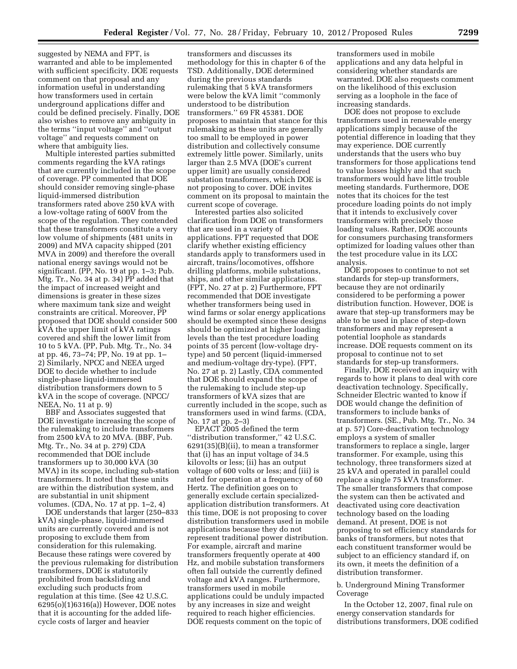suggested by NEMA and FPT, is warranted and able to be implemented with sufficient specificity. DOE requests comment on that proposal and any information useful in understanding how transformers used in certain underground applications differ and could be defined precisely. Finally, DOE also wishes to remove any ambiguity in the terms ''input voltage'' and ''output voltage'' and requests comment on where that ambiguity lies.

Multiple interested parties submitted comments regarding the kVA ratings that are currently included in the scope of coverage. PP commented that DOE should consider removing single-phase liquid-immersed distribution transformers rated above 250 kVA with a low-voltage rating of 600V from the scope of the regulation. They contended that these transformers constitute a very low volume of shipments (481 units in 2009) and MVA capacity shipped (201 MVA in 2009) and therefore the overall national energy savings would not be significant. (PP, No. 19 at pp. 1–3; Pub. Mtg. Tr., No. 34 at p. 34) PP added that the impact of increased weight and dimensions is greater in these sizes where maximum tank size and weight constraints are critical. Moreover, PP proposed that DOE should consider 500 kVA the upper limit of kVA ratings covered and shift the lower limit from 10 to 5 kVA. (PP, Pub. Mtg. Tr., No. 34 at pp. 46, 73–74; PP, No. 19 at pp. 1– 2) Similarly, NPCC and NEEA urged DOE to decide whether to include single-phase liquid-immersed distribution transformers down to 5 kVA in the scope of coverage. (NPCC/ NEEA, No. 11 at p. 9)

BBF and Associates suggested that DOE investigate increasing the scope of the rulemaking to include transformers from 2500 kVA to 20 MVA. (BBF, Pub. Mtg. Tr., No. 34 at p. 279) CDA recommended that DOE include transformers up to 30,000 kVA (30 MVA) in its scope, including sub-station transformers. It noted that these units are within the distribution system, and are substantial in unit shipment volumes. (CDA, No. 17 at pp. 1–2, 4)

DOE understands that larger (250–833 kVA) single-phase, liquid-immersed units are currently covered and is not proposing to exclude them from consideration for this rulemaking. Because these ratings were covered by the previous rulemaking for distribution transformers, DOE is statutorily prohibited from backsliding and excluding such products from regulation at this time. (See 42 U.S.C. 6295(o)(1)6316(a)) However, DOE notes that it is accounting for the added lifecycle costs of larger and heavier

transformers and discusses its methodology for this in chapter 6 of the TSD. Additionally, DOE determined during the previous standards rulemaking that 5 kVA transformers were below the kVA limit ''commonly understood to be distribution transformers.'' 69 FR 45381. DOE proposes to maintain that stance for this rulemaking as these units are generally too small to be employed in power distribution and collectively consume extremely little power. Similarly, units larger than 2.5 MVA (DOE's current upper limit) are usually considered substation transformers, which DOE is not proposing to cover. DOE invites comment on its proposal to maintain the current scope of coverage.

Interested parties also solicited clarification from DOE on transformers that are used in a variety of applications. FPT requested that DOE clarify whether existing efficiency standards apply to transformers used in aircraft, trains/locomotives, offshore drilling platforms, mobile substations, ships, and other similar applications. (FPT, No. 27 at p. 2) Furthermore, FPT recommended that DOE investigate whether transformers being used in wind farms or solar energy applications should be exempted since these designs should be optimized at higher loading levels than the test procedure loading points of 35 percent (low-voltage drytype) and 50 percent (liquid-immersed and medium-voltage dry-type). (FPT, No. 27 at p. 2) Lastly, CDA commented that DOE should expand the scope of the rulemaking to include step-up transformers of kVA sizes that are currently included in the scope, such as transformers used in wind farms. (CDA, No. 17 at pp. 2–3)

EPACT 2005 defined the term ''distribution transformer,'' 42 U.S.C. 6291(35)(B)(ii), to mean a transformer that (i) has an input voltage of 34.5 kilovolts or less; (ii) has an output voltage of 600 volts or less; and (iii) is rated for operation at a frequency of 60 Hertz. The definition goes on to generally exclude certain specializedapplication distribution transformers. At this time, DOE is not proposing to cover distribution transformers used in mobile applications because they do not represent traditional power distribution. For example, aircraft and marine transformers frequently operate at 400 Hz, and mobile substation transformers often fall outside the currently defined voltage and kVA ranges. Furthermore, transformers used in mobile applications could be unduly impacted by any increases in size and weight required to reach higher efficiencies. DOE requests comment on the topic of

transformers used in mobile applications and any data helpful in considering whether standards are warranted. DOE also requests comment on the likelihood of this exclusion serving as a loophole in the face of increasing standards.

DOE does not propose to exclude transformers used in renewable energy applications simply because of the potential difference in loading that they may experience. DOE currently understands that the users who buy transformers for those applications tend to value losses highly and that such transformers would have little trouble meeting standards. Furthermore, DOE notes that its choices for the test procedure loading points do not imply that it intends to exclusively cover transformers with precisely those loading values. Rather, DOE accounts for consumers purchasing transformers optimized for loading values other than the test procedure value in its LCC analysis.

DOE proposes to continue to not set standards for step-up transformers, because they are not ordinarily considered to be performing a power distribution function. However, DOE is aware that step-up transformers may be able to be used in place of step-down transformers and may represent a potential loophole as standards increase. DOE requests comment on its proposal to continue not to set standards for step-up transformers.

Finally, DOE received an inquiry with regards to how it plans to deal with core deactivation technology. Specifically, Schneider Electric wanted to know if DOE would change the definition of transformers to include banks of transformers. (SE., Pub. Mtg. Tr., No. 34 at p. 57) Core-deactivation technology employs a system of smaller transformers to replace a single, larger transformer. For example, using this technology, three transformers sized at 25 kVA and operated in parallel could replace a single 75 kVA transformer. The smaller transformers that compose the system can then be activated and deactivated using core deactivation technology based on the loading demand. At present, DOE is not proposing to set efficiency standards for banks of transformers, but notes that each constituent transformer would be subject to an efficiency standard if, on its own, it meets the definition of a distribution transformer.

# b. Underground Mining Transformer Coverage

In the October 12, 2007, final rule on energy conservation standards for distributions transformers, DOE codified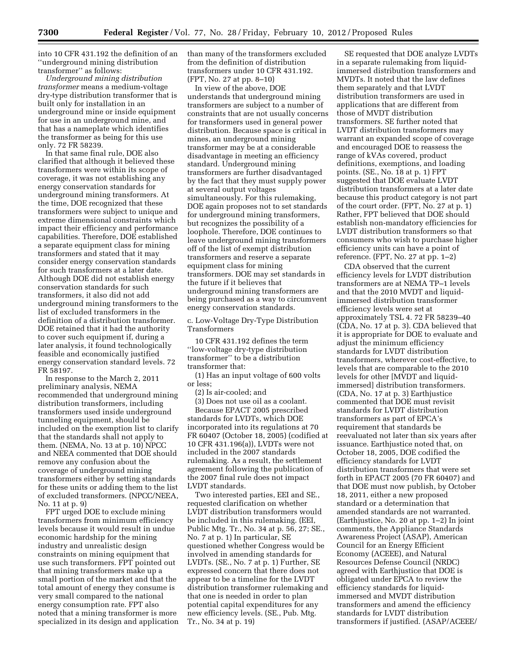into 10 CFR 431.192 the definition of an ''underground mining distribution transformer'' as follows:

*Underground mining distribution transformer* means a medium-voltage dry-type distribution transformer that is built only for installation in an underground mine or inside equipment for use in an underground mine, and that has a nameplate which identifies the transformer as being for this use only. 72 FR 58239.

In that same final rule, DOE also clarified that although it believed these transformers were within its scope of coverage, it was not establishing any energy conservation standards for underground mining transformers. At the time, DOE recognized that these transformers were subject to unique and extreme dimensional constraints which impact their efficiency and performance capabilities. Therefore, DOE established a separate equipment class for mining transformers and stated that it may consider energy conservation standards for such transformers at a later date. Although DOE did not establish energy conservation standards for such transformers, it also did not add underground mining transformers to the list of excluded transformers in the definition of a distribution transformer. DOE retained that it had the authority to cover such equipment if, during a later analysis, it found technologically feasible and economically justified energy conservation standard levels. 72 FR 58197.

In response to the March 2, 2011 preliminary analysis, NEMA recommended that underground mining distribution transformers, including transformers used inside underground tunneling equipment, should be included on the exemption list to clarify that the standards shall not apply to them. (NEMA, No. 13 at p. 10) NPCC and NEEA commented that DOE should remove any confusion about the coverage of underground mining transformers either by setting standards for these units or adding them to the list of excluded transformers. (NPCC/NEEA, No. 11 at p. 9)

FPT urged DOE to exclude mining transformers from minimum efficiency levels because it would result in undue economic hardship for the mining industry and unrealistic design constraints on mining equipment that use such transformers. FPT pointed out that mining transformers make up a small portion of the market and that the total amount of energy they consume is very small compared to the national energy consumption rate. FPT also noted that a mining transformer is more specialized in its design and application than many of the transformers excluded from the definition of distribution transformers under 10 CFR 431.192. (FPT, No. 27 at pp. 8–10)

In view of the above, DOE understands that underground mining transformers are subject to a number of constraints that are not usually concerns for transformers used in general power distribution. Because space is critical in mines, an underground mining transformer may be at a considerable disadvantage in meeting an efficiency standard. Underground mining transformers are further disadvantaged by the fact that they must supply power at several output voltages simultaneously. For this rulemaking, DOE again proposes not to set standards for underground mining transformers, but recognizes the possibility of a loophole. Therefore, DOE continues to leave underground mining transformers off of the list of exempt distribution transformers and reserve a separate equipment class for mining transformers. DOE may set standards in the future if it believes that underground mining transformers are being purchased as a way to circumvent energy conservation standards.

c. Low-Voltage Dry-Type Distribution Transformers

10 CFR 431.192 defines the term ''low-voltage dry-type distribution transformer'' to be a distribution transformer that:

(1) Has an input voltage of 600 volts or less;

(2) Is air-cooled; and

(3) Does not use oil as a coolant. Because EPACT 2005 prescribed standards for LVDTs, which DOE incorporated into its regulations at 70 FR 60407 (October 18, 2005) (codified at 10 CFR 431.196(a)), LVDTs were not included in the 2007 standards rulemaking. As a result, the settlement agreement following the publication of the 2007 final rule does not impact LVDT standards.

Two interested parties, EEI and SE., requested clarification on whether LVDT distribution transformers would be included in this rulemaking. (EEI, Public Mtg. Tr., No. 34 at p. 56, 27; SE., No. 7 at p. 1) In particular, SE questioned whether Congress would be involved in amending standards for LVDTs. (SE., No. 7 at p. 1) Further, SE expressed concern that there does not appear to be a timeline for the LVDT distribution transformer rulemaking and that one is needed in order to plan potential capital expenditures for any new efficiency levels. (SE., Pub. Mtg. Tr., No. 34 at p. 19)

SE requested that DOE analyze LVDTs in a separate rulemaking from liquidimmersed distribution transformers and MVDTs. It noted that the law defines them separately and that LVDT distribution transformers are used in applications that are different from those of MVDT distribution transformers. SE further noted that LVDT distribution transformers may warrant an expanded scope of coverage and encouraged DOE to reassess the range of kVAs covered, product definitions, exemptions, and loading points. (SE., No. 18 at p. 1) FPT suggested that DOE evaluate LVDT distribution transformers at a later date because this product category is not part of the court order. (FPT, No. 27 at p. 1) Rather, FPT believed that DOE should establish non-mandatory efficiencies for LVDT distribution transformers so that consumers who wish to purchase higher efficiency units can have a point of reference. (FPT, No. 27 at pp. 1–2)

CDA observed that the current efficiency levels for LVDT distribution transformers are at NEMA TP–1 levels and that the 2010 MVDT and liquidimmersed distribution transformer efficiency levels were set at approximately TSL 4. 72 FR 58239–40 (CDA, No. 17 at p. 3). CDA believed that it is appropriate for DOE to evaluate and adjust the minimum efficiency standards for LVDT distribution transformers, wherever cost-effective, to levels that are comparable to the 2010 levels for other [MVDT and liquidimmersed] distribution transformers. (CDA, No. 17 at p. 3) Earthjustice commented that DOE must revisit standards for LVDT distribution transformers as part of EPCA's requirement that standards be reevaluated not later than six years after issuance. Earthjustice noted that, on October 18, 2005, DOE codified the efficiency standards for LVDT distribution transformers that were set forth in EPACT 2005 (70 FR 60407) and that DOE must now publish, by October 18, 2011, either a new proposed standard or a determination that amended standards are not warranted. (Earthjustice, No. 20 at pp. 1–2) In joint comments, the Appliance Standards Awareness Project (ASAP), American Council for an Energy Efficient Economy (ACEEE), and Natural Resources Defense Council (NRDC) agreed with Earthjustice that DOE is obligated under EPCA to review the efficiency standards for liquidimmersed and MVDT distribution transformers and amend the efficiency standards for LVDT distribution transformers if justified. (ASAP/ACEEE/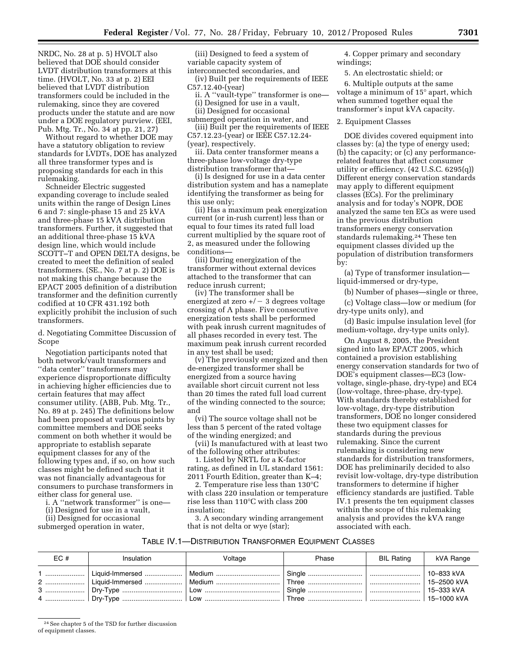NRDC, No. 28 at p. 5) HVOLT also believed that DOE should consider LVDT distribution transformers at this time. (HVOLT, No. 33 at p. 2) EEI believed that LVDT distribution transformers could be included in the rulemaking, since they are covered products under the statute and are now under a DOE regulatory purview. (EEI, Pub. Mtg. Tr., No. 34 at pp. 21, 27)

Without regard to whether DOE may have a statutory obligation to review standards for LVDTs, DOE has analyzed all three transformer types and is proposing standards for each in this rulemaking.

Schneider Electric suggested expanding coverage to include sealed units within the range of Design Lines 6 and 7: single-phase 15 and 25 kVA and three-phase 15 kVA distribution transformers. Further, it suggested that an additional three-phase 15 kVA design line, which would include SCOTT–T and OPEN DELTA designs, be created to meet the definition of sealed transformers. (SE., No. 7 at p. 2) DOE is not making this change because the EPACT 2005 definition of a distribution transformer and the definition currently codified at 10 CFR 431.192 both explicitly prohibit the inclusion of such transformers.

d. Negotiating Committee Discussion of Scope

Negotiation participants noted that both network/vault transformers and ''data center'' transformers may experience disproportionate difficulty in achieving higher efficiencies due to certain features that may affect consumer utility. (ABB, Pub. Mtg. Tr., No. 89 at p. 245) The definitions below had been proposed at various points by committee members and DOE seeks comment on both whether it would be appropriate to establish separate equipment classes for any of the following types and, if so, on how such classes might be defined such that it was not financially advantageous for consumers to purchase transformers in either class for general use.

i. A ''network transformer'' is one—

(i) Designed for use in a vault,

(ii) Designed for occasional

submerged operation in water,

(iii) Designed to feed a system of variable capacity system of interconnected secondaries, and

(iv) Built per the requirements of IEEE C57.12.40-(year)

ii. A ''vault-type'' transformer is one— (i) Designed for use in a vault,

(ii) Designed for occasional

submerged operation in water, and (iii) Built per the requirements of IEEE C57.12.23-(year) or IEEE C57.12.24- (year), respectively.

iii. Data center transformer means a three-phase low-voltage dry-type distribution transformer that—

(i) Is designed for use in a data center distribution system and has a nameplate identifying the transformer as being for this use only;

(ii) Has a maximum peak energization current (or in-rush current) less than or equal to four times its rated full load current multiplied by the square root of 2, as measured under the following conditions—

(iii) During energization of the transformer without external devices attached to the transformer that can reduce inrush current;

(iv) The transformer shall be energized at zero  $+/-$  3 degrees voltage crossing of A phase. Five consecutive energization tests shall be performed with peak inrush current magnitudes of all phases recorded in every test. The maximum peak inrush current recorded in any test shall be used;

(v) The previously energized and then de-energized transformer shall be energized from a source having available short circuit current not less than 20 times the rated full load current of the winding connected to the source; and

(vi) The source voltage shall not be less than 5 percent of the rated voltage of the winding energized; and

(vii) Is manufactured with at least two of the following other attributes:

1. Listed by NRTL for a K-factor rating, as defined in UL standard 1561: 2011 Fourth Edition, greater than K–4;

2. Temperature rise less than 130°C with class 220 insulation or temperature rise less than 110°C with class 200 insulation;

3. A secondary winding arrangement that is not delta or wye (star);

4. Copper primary and secondary windings;

5. An electrostatic shield; or

6. Multiple outputs at the same voltage a minimum of 15° apart, which when summed together equal the transformer's input kVA capacity.

2. Equipment Classes

DOE divides covered equipment into classes by: (a) the type of energy used; (b) the capacity; or (c) any performancerelated features that affect consumer utility or efficiency. (42 U.S.C. 6295(q)) Different energy conservation standards may apply to different equipment classes (ECs). For the preliminary analysis and for today's NOPR, DOE analyzed the same ten ECs as were used in the previous distribution transformers energy conservation standards rulemaking.24 These ten equipment classes divided up the population of distribution transformers by:

(a) Type of transformer insulation liquid-immersed or dry-type,

(b) Number of phases—single or three,

(c) Voltage class—low or medium (for dry-type units only), and

(d) Basic impulse insulation level (for medium-voltage, dry-type units only).

On August 8, 2005, the President signed into law EPACT 2005, which contained a provision establishing energy conservation standards for two of DOE's equipment classes—EC3 (lowvoltage, single-phase, dry-type) and EC4 (low-voltage, three-phase, dry-type). With standards thereby established for low-voltage, dry-type distribution transformers, DOE no longer considered these two equipment classes for standards during the previous rulemaking. Since the current rulemaking is considering new standards for distribution transformers, DOE has preliminarily decided to also revisit low-voltage, dry-type distribution transformers to determine if higher efficiency standards are justified. Table IV.1 presents the ten equipment classes within the scope of this rulemaking analysis and provides the kVA range associated with each.

TABLE IV.1—DISTRIBUTION TRANSFORMER EQUIPMENT CLASSES

| EC#         | Insulation | Voltage                   | Phase | <b>BIL Rating</b> | kVA Range                                              |
|-------------|------------|---------------------------|-------|-------------------|--------------------------------------------------------|
| $2$ , , , , |            | Liquid-Immersed    Medium |       |                   | 10-833 kVA<br>15-2500 kVA<br>15-333 kVA<br>15-1000 kVA |

<sup>24</sup>See chapter 5 of the TSD for further discussion of equipment classes.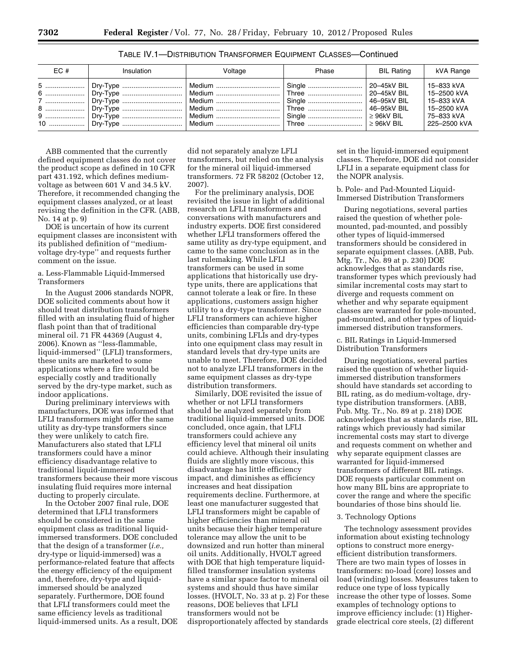| EC# | Insulation                                                                                                                                                                                                 | Voltage | Phase | BIL Rating | kVA Range                                                                              |
|-----|------------------------------------------------------------------------------------------------------------------------------------------------------------------------------------------------------------|---------|-------|------------|----------------------------------------------------------------------------------------|
|     | 5    Dry-Type    Medium    Single    20–45kV BIL<br>7    Dry-Type    Medium    Single    46–95kV BIL<br>8    Dry-Type    Medium    Three    46–95kV BIL<br>9    Dry-Type    Medium    Single    ≥ 96kV BIL |         |       |            | 15-833 kVA<br>15-2500 kVA<br>15-833 kVA<br>15-2500 kVA<br>  75–833 kVA<br>225-2500 kVA |

TABLE IV.1—DISTRIBUTION TRANSFORMER EQUIPMENT CLASSES—Continued

ABB commented that the currently defined equipment classes do not cover the product scope as defined in 10 CFR part 431.192, which defines mediumvoltage as between 601 V and 34.5 kV. Therefore, it recommended changing the equipment classes analyzed, or at least revising the definition in the CFR. (ABB, No. 14 at p. 9)

DOE is uncertain of how its current equipment classes are inconsistent with its published definition of ''mediumvoltage dry-type'' and requests further comment on the issue.

# a. Less-Flammable Liquid-Immersed Transformers

In the August 2006 standards NOPR, DOE solicited comments about how it should treat distribution transformers filled with an insulating fluid of higher flash point than that of traditional mineral oil. 71 FR 44369 (August 4, 2006). Known as ''less-flammable, liquid-immersed'' (LFLI) transformers, these units are marketed to some applications where a fire would be especially costly and traditionally served by the dry-type market, such as indoor applications.

During preliminary interviews with manufacturers, DOE was informed that LFLI transformers might offer the same utility as dry-type transformers since they were unlikely to catch fire. Manufacturers also stated that LFLI transformers could have a minor efficiency disadvantage relative to traditional liquid-immersed transformers because their more viscous insulating fluid requires more internal ducting to properly circulate.

In the October 2007 final rule, DOE determined that LFLI transformers should be considered in the same equipment class as traditional liquidimmersed transformers. DOE concluded that the design of a transformer (*i.e.,*  dry-type or liquid-immersed) was a performance-related feature that affects the energy efficiency of the equipment and, therefore, dry-type and liquidimmersed should be analyzed separately. Furthermore, DOE found that LFLI transformers could meet the same efficiency levels as traditional liquid-immersed units. As a result, DOE did not separately analyze LFLI transformers, but relied on the analysis for the mineral oil liquid-immersed transformers. 72 FR 58202 (October 12, 2007).

For the preliminary analysis, DOE revisited the issue in light of additional research on LFLI transformers and conversations with manufacturers and industry experts. DOE first considered whether LFLI transformers offered the same utility as dry-type equipment, and came to the same conclusion as in the last rulemaking. While LFLI transformers can be used in some applications that historically use drytype units, there are applications that cannot tolerate a leak or fire. In these applications, customers assign higher utility to a dry-type transformer. Since LFLI transformers can achieve higher efficiencies than comparable dry-type units, combining LFLIs and dry-types into one equipment class may result in standard levels that dry-type units are unable to meet. Therefore, DOE decided not to analyze LFLI transformers in the same equipment classes as dry-type distribution transformers.

Similarly, DOE revisited the issue of whether or not LFLI transformers should be analyzed separately from traditional liquid-immersed units. DOE concluded, once again, that LFLI transformers could achieve any efficiency level that mineral oil units could achieve. Although their insulating fluids are slightly more viscous, this disadvantage has little efficiency impact, and diminishes as efficiency increases and heat dissipation requirements decline. Furthermore, at least one manufacturer suggested that LFLI transformers might be capable of higher efficiencies than mineral oil units because their higher temperature tolerance may allow the unit to be downsized and run hotter than mineral oil units. Additionally, HVOLT agreed with DOE that high temperature liquidfilled transformer insulation systems have a similar space factor to mineral oil systems and should thus have similar losses. (HVOLT, No. 33 at p. 2) For these reasons, DOE believes that LFLI transformers would not be disproportionately affected by standards

set in the liquid-immersed equipment classes. Therefore, DOE did not consider LFLI in a separate equipment class for the NOPR analysis.

b. Pole- and Pad-Mounted Liquid-Immersed Distribution Transformers

During negotiations, several parties raised the question of whether polemounted, pad-mounted, and possibly other types of liquid-immersed transformers should be considered in separate equipment classes. (ABB, Pub. Mtg. Tr., No. 89 at p. 230) DOE acknowledges that as standards rise, transformer types which previously had similar incremental costs may start to diverge and requests comment on whether and why separate equipment classes are warranted for pole-mounted, pad-mounted, and other types of liquidimmersed distribution transformers.

# c. BIL Ratings in Liquid-Immersed Distribution Transformers

During negotiations, several parties raised the question of whether liquidimmersed distribution transformers should have standards set according to BIL rating, as do medium-voltage, drytype distribution transformers. (ABB, Pub. Mtg. Tr., No. 89 at p. 218) DOE acknowledges that as standards rise, BIL ratings which previously had similar incremental costs may start to diverge and requests comment on whether and why separate equipment classes are warranted for liquid-immersed transformers of different BIL ratings. DOE requests particular comment on how many BIL bins are appropriate to cover the range and where the specific boundaries of those bins should lie.

#### 3. Technology Options

The technology assessment provides information about existing technology options to construct more energyefficient distribution transformers. There are two main types of losses in transformers: no-load (core) losses and load (winding) losses. Measures taken to reduce one type of loss typically increase the other type of losses. Some examples of technology options to improve efficiency include: (1) Highergrade electrical core steels, (2) different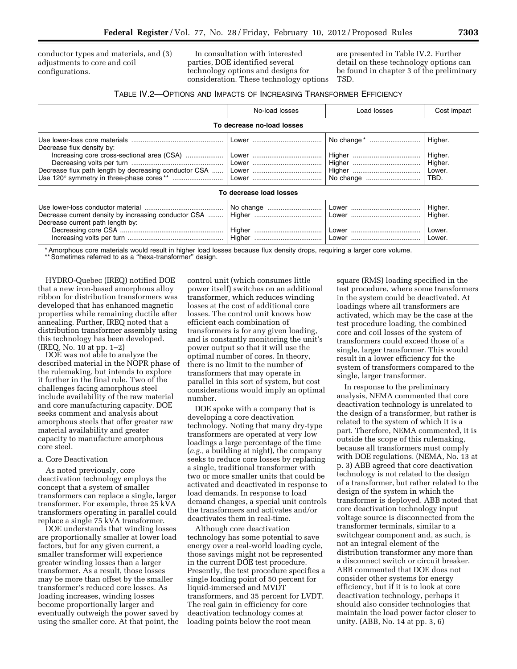conductor types and materials, and (3) adjustments to core and coil configurations.

In consultation with interested parties, DOE identified several technology options and designs for consideration. These technology options

are presented in Table IV.2. Further detail on these technology options can be found in chapter 3 of the preliminary TSD.

# TABLE IV.2—OPTIONS AND IMPACTS OF INCREASING TRANSFORMER EFFICIENCY

|                                                                                          | No-load losses             | Load losses | Cost impact                                     |
|------------------------------------------------------------------------------------------|----------------------------|-------------|-------------------------------------------------|
|                                                                                          | To decrease no-load losses |             |                                                 |
| Decrease flux density by:<br>Decrease flux path length by decreasing conductor CSA       |                            |             | Higher.<br>Higher.<br>Higher.<br>Lower.<br>TBD. |
|                                                                                          | To decrease load losses    |             |                                                 |
| Decrease current density by increasing conductor CSA<br>Decrease current path length by: |                            |             | Higher.<br>Higher.<br>Lower.                    |

\* Amorphous core materials would result in higher load losses because flux density drops, requiring a larger core volume.

\*\* Sometimes referred to as a "hexa-transformer" design.

HYDRO-Quebec (IREQ) notified DOE that a new iron-based amorphous alloy ribbon for distribution transformers was developed that has enhanced magnetic properties while remaining ductile after annealing. Further, IREQ noted that a distribution transformer assembly using this technology has been developed. (IREQ, No. 10 at pp. 1–2)

DOE was not able to analyze the described material in the NOPR phase of the rulemaking, but intends to explore it further in the final rule. Two of the challenges facing amorphous steel include availability of the raw material and core manufacturing capacity. DOE seeks comment and analysis about amorphous steels that offer greater raw material availability and greater capacity to manufacture amorphous core steel.

#### a. Core Deactivation

As noted previously, core deactivation technology employs the concept that a system of smaller transformers can replace a single, larger transformer. For example, three 25 kVA transformers operating in parallel could replace a single 75 kVA transformer.

DOE understands that winding losses are proportionally smaller at lower load factors, but for any given current, a smaller transformer will experience greater winding losses than a larger transformer. As a result, those losses may be more than offset by the smaller transformer's reduced core losses. As loading increases, winding losses become proportionally larger and eventually outweigh the power saved by using the smaller core. At that point, the

control unit (which consumes little power itself) switches on an additional transformer, which reduces winding losses at the cost of additional core losses. The control unit knows how efficient each combination of transformers is for any given loading, and is constantly monitoring the unit's power output so that it will use the optimal number of cores. In theory, there is no limit to the number of transformers that may operate in parallel in this sort of system, but cost considerations would imply an optimal number.

DOE spoke with a company that is developing a core deactivation technology. Noting that many dry-type transformers are operated at very low loadings a large percentage of the time (*e.g.,* a building at night), the company seeks to reduce core losses by replacing a single, traditional transformer with two or more smaller units that could be activated and deactivated in response to load demands. In response to load demand changes, a special unit controls the transformers and activates and/or deactivates them in real-time.

Although core deactivation technology has some potential to save energy over a real-world loading cycle, those savings might not be represented in the current DOE test procedure. Presently, the test procedure specifies a single loading point of 50 percent for liquid-immersed and MVDT transformers, and 35 percent for LVDT. The real gain in efficiency for core deactivation technology comes at loading points below the root mean

square (RMS) loading specified in the test procedure, where some transformers in the system could be deactivated. At loadings where all transformers are activated, which may be the case at the test procedure loading, the combined core and coil losses of the system of transformers could exceed those of a single, larger transformer. This would result in a lower efficiency for the system of transformers compared to the single, larger transformer.

In response to the preliminary analysis, NEMA commented that core deactivation technology is unrelated to the design of a transformer, but rather is related to the system of which it is a part. Therefore, NEMA commented, it is outside the scope of this rulemaking, because all transformers must comply with DOE regulations. (NEMA, No. 13 at p. 3) ABB agreed that core deactivation technology is not related to the design of a transformer, but rather related to the design of the system in which the transformer is deployed. ABB noted that core deactivation technology input voltage source is disconnected from the transformer terminals, similar to a switchgear component and, as such, is not an integral element of the distribution transformer any more than a disconnect switch or circuit breaker. ABB commented that DOE does not consider other systems for energy efficiency, but if it is to look at core deactivation technology, perhaps it should also consider technologies that maintain the load power factor closer to unity. (ABB, No. 14 at pp. 3, 6)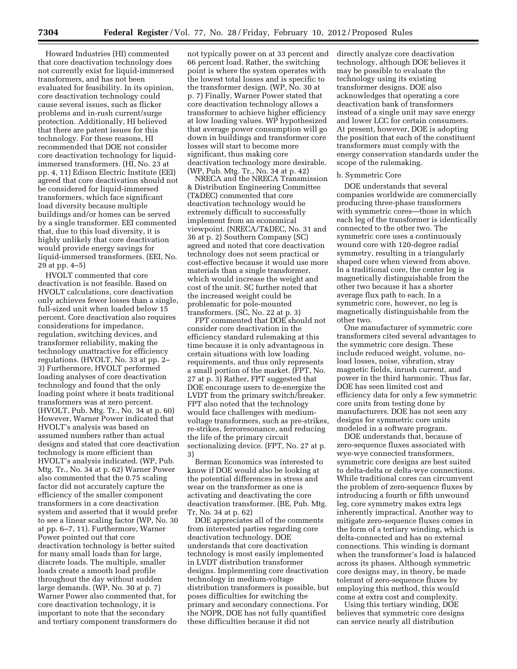Howard Industries (HI) commented that core deactivation technology does not currently exist for liquid-immersed transformers, and has not been evaluated for feasibility. In its opinion, core deactivation technology could cause several issues, such as flicker problems and in-rush current/surge protection. Additionally, HI believed that there are patent issues for this technology. For these reasons, HI recommended that DOE not consider core deactivation technology for liquidimmersed transformers. (HI, No. 23 at pp. 4, 11) Edison Electric Institute (EEI) agreed that core deactivation should not be considered for liquid-immersed transformers, which face significant load diversity because multiple buildings and/or homes can be served by a single transformer. EEI commented that, due to this load diversity, it is highly unlikely that core deactivation would provide energy savings for liquid-immersed transformers. (EEI, No. 29 at pp. 4–5)

HVOLT commented that core deactivation is not feasible. Based on HVOLT calculations, core deactivation only achieves fewer losses than a single, full-sized unit when loaded below 15 percent. Core deactivation also requires considerations for impedance, regulation, switching devices, and transformer reliability, making the technology unattractive for efficiency regulations. (HVOLT, No. 33 at pp. 2– 3) Furthermore, HVOLT performed loading analyses of core deactivation technology and found that the only loading point where it beats traditional transformers was at zero percent. (HVOLT, Pub. Mtg. Tr., No. 34 at p. 60) However, Warner Power indicated that HVOLT's analysis was based on assumed numbers rather than actual designs and stated that core deactivation technology is more efficient than HVOLT's analysis indicated. (WP, Pub. Mtg. Tr., No. 34 at p. 62) Warner Power also commented that the 0.75 scaling factor did not accurately capture the efficiency of the smaller component transformers in a core deactivation system and asserted that it would prefer to see a linear scaling factor (WP, No. 30 at pp. 6–7, 11). Furthermore, Warner Power pointed out that core deactivation technology is better suited for many small loads than for large, discrete loads. The multiple, smaller loads create a smooth load profile throughout the day without sudden large demands. (WP, No. 30 at p. 7) Warner Power also commented that, for core deactivation technology, it is important to note that the secondary and tertiary component transformers do

not typically power on at 33 percent and 66 percent load. Rather, the switching point is where the system operates with the lowest total losses and is specific to the transformer design. (WP, No. 30 at p. 7) Finally, Warner Power stated that core deactivation technology allows a transformer to achieve higher efficiency at low loading values. WP hypothesized that average power consumption will go down in buildings and transformer core losses will start to become more significant, thus making core deactivation technology more desirable. (WP, Pub. Mtg. Tr., No. 34 at p. 42)

NRECA and the NRECA Transmission & Distribution Engineering Committee (T&DEC) commented that core deactivation technology would be extremely difficult to successfully implement from an economical viewpoint. (NRECA/T&DEC, No. 31 and 36 at p. 2) Southern Company (SC) agreed and noted that core deactivation technology does not seem practical or cost-effective because it would use more materials than a single transformer, which would increase the weight and cost of the unit. SC further noted that the increased weight could be problematic for pole-mounted transformers. (SC, No. 22 at p. 3)

FPT commented that DOE should not consider core deactivation in the efficiency standard rulemaking at this time because it is only advantageous in certain situations with low loading requirements, and thus only represents a small portion of the market. (FPT, No. 27 at p. 3) Rather, FPT suggested that DOE encourage users to de-energize the LVDT from the primary switch/breaker. FPT also noted that the technology would face challenges with mediumvoltage transformers, such as pre-strikes, re-strikes, ferroresonance, and reducing the life of the primary circuit sectionalizing device. (FPT, No. 27 at p. 3)

Berman Economics was interested to know if DOE would also be looking at the potential differences in stress and wear on the transformer as one is activating and deactivating the core deactivation transformer. (BE, Pub. Mtg. Tr, No. 34 at p. 62)

DOE appreciates all of the comments from interested parties regarding core deactivation technology. DOE understands that core deactivation technology is most easily implemented in LVDT distribution transformer designs. Implementing core deactivation technology in medium-voltage distribution transformers is possible, but poses difficulties for switching the primary and secondary connections. For the NOPR, DOE has not fully quantified these difficulties because it did not

directly analyze core deactivation technology, although DOE believes it may be possible to evaluate the technology using its existing transformer designs. DOE also acknowledges that operating a core deactivation bank of transformers instead of a single unit may save energy and lower LCC for certain consumers. At present, however, DOE is adopting the position that each of the constituent transformers must comply with the energy conservation standards under the scope of the rulemaking.

# b. Symmetric Core

DOE understands that several companies worldwide are commercially producing three-phase transformers with symmetric cores—those in which each leg of the transformer is identically connected to the other two. The symmetric core uses a continuously wound core with 120-degree radial symmetry, resulting in a triangularly shaped core when viewed from above. In a traditional core, the center leg is magnetically distinguishable from the other two because it has a shorter average flux path to each. In a symmetric core, however, no leg is magnetically distinguishable from the other two.

One manufacturer of symmetric core transformers cited several advantages to the symmetric core design. These include reduced weight, volume, noload losses, noise, vibration, stray magnetic fields, inrush current, and power in the third harmonic. Thus far, DOE has seen limited cost and efficiency data for only a few symmetric core units from testing done by manufacturers. DOE has not seen any designs for symmetric core units modeled in a software program.

DOE understands that, because of zero-sequence fluxes associated with wye-wye connected transformers, symmetric core designs are best suited to delta-delta or delta-wye connections. While traditional cores can circumvent the problem of zero-sequence fluxes by introducing a fourth or fifth unwound leg, core symmetry makes extra legs inherently impractical. Another way to mitigate zero-sequence fluxes comes in the form of a tertiary winding, which is delta-connected and has no external connections. This winding is dormant when the transformer's load is balanced across its phases. Although symmetric core designs may, in theory, be made tolerant of zero-sequence fluxes by employing this method, this would come at extra cost and complexity.

Using this tertiary winding, DOE believes that symmetric core designs can service nearly all distribution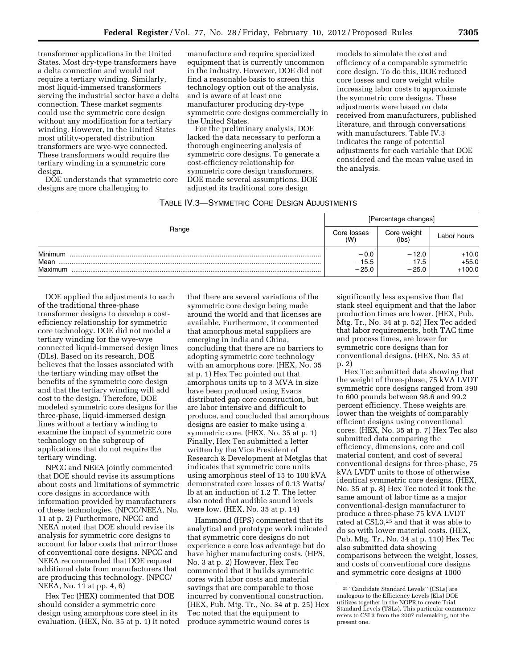transformer applications in the United States. Most dry-type transformers have a delta connection and would not require a tertiary winding. Similarly, most liquid-immersed transformers serving the industrial sector have a delta connection. These market segments could use the symmetric core design without any modification for a tertiary winding. However, in the United States most utility-operated distribution transformers are wye-wye connected. These transformers would require the tertiary winding in a symmetric core design.

DOE understands that symmetric core designs are more challenging to

manufacture and require specialized equipment that is currently uncommon in the industry. However, DOE did not find a reasonable basis to screen this technology option out of the analysis, and is aware of at least one manufacturer producing dry-type symmetric core designs commercially in the United States.

For the preliminary analysis, DOE lacked the data necessary to perform a thorough engineering analysis of symmetric core designs. To generate a cost-efficiency relationship for symmetric core design transformers, DOE made several assumptions. DOE adjusted its traditional core design

models to simulate the cost and efficiency of a comparable symmetric core design. To do this, DOE reduced core losses and core weight while increasing labor costs to approximate the symmetric core designs. These adjustments were based on data received from manufacturers, published literature, and through conversations with manufacturers. Table IV.3 indicates the range of potential adjustments for each variable that DOE considered and the mean value used in the analysis.

|  | TABLE IV.3—SYMMETRIC CORE DESIGN ADJUSTMENTS |
|--|----------------------------------------------|
|--|----------------------------------------------|

|                            | [Percentage changes]         |                               |                                |  |
|----------------------------|------------------------------|-------------------------------|--------------------------------|--|
| Range                      |                              | Core weight<br>(lbs)          | Labor hours                    |  |
| Minimum<br>Mean<br>Maximum | $-0.0$<br>$-15.5$<br>$-25.0$ | $-12.0$<br>$-17.5$<br>$-25.0$ | $+10.0$<br>$+55.0$<br>$+100.0$ |  |

DOE applied the adjustments to each of the traditional three-phase transformer designs to develop a costefficiency relationship for symmetric core technology. DOE did not model a tertiary winding for the wye-wye connected liquid-immersed design lines (DLs). Based on its research, DOE believes that the losses associated with the tertiary winding may offset the benefits of the symmetric core design and that the tertiary winding will add cost to the design. Therefore, DOE modeled symmetric core designs for the three-phase, liquid-immersed design lines without a tertiary winding to examine the impact of symmetric core technology on the subgroup of applications that do not require the tertiary winding.

NPCC and NEEA jointly commented that DOE should revise its assumptions about costs and limitations of symmetric core designs in accordance with information provided by manufacturers of these technologies. (NPCC/NEEA, No. 11 at p. 2) Furthermore, NPCC and NEEA noted that DOE should revise its analysis for symmetric core designs to account for labor costs that mirror those of conventional core designs. NPCC and NEEA recommended that DOE request additional data from manufacturers that are producing this technology. (NPCC/ NEEA, No. 11 at pp. 4, 6)

Hex Tec (HEX) commented that DOE should consider a symmetric core design using amorphous core steel in its evaluation. (HEX, No. 35 at p. 1) It noted

that there are several variations of the symmetric core design being made around the world and that licenses are available. Furthermore, it commented that amorphous metal suppliers are emerging in India and China, concluding that there are no barriers to adopting symmetric core technology with an amorphous core. (HEX, No. 35 at p. 1) Hex Tec pointed out that amorphous units up to 3 MVA in size have been produced using Evans distributed gap core construction, but are labor intensive and difficult to produce, and concluded that amorphous designs are easier to make using a symmetric core. (HEX, No. 35 at p. 1) Finally, Hex Tec submitted a letter written by the Vice President of Research & Development at Metglas that indicates that symmetric core units using amorphous steel of 15 to 100 kVA demonstrated core losses of 0.13 Watts/ lb at an induction of 1.2 T. The letter also noted that audible sound levels were low. (HEX, No. 35 at p. 14)

Hammond (HPS) commented that its analytical and prototype work indicated that symmetric core designs do not experience a core loss advantage but do have higher manufacturing costs. (HPS, No. 3 at p. 2) However, Hex Tec commented that it builds symmetric cores with labor costs and material savings that are comparable to those incurred by conventional construction. (HEX, Pub. Mtg. Tr., No. 34 at p. 25) Hex Tec noted that the equipment to produce symmetric wound cores is

significantly less expensive than flat stack steel equipment and that the labor production times are lower. (HEX, Pub. Mtg. Tr., No. 34 at p. 52) Hex Tec added that labor requirements, both TAC time and process times, are lower for symmetric core designs than for conventional designs. (HEX, No. 35 at p. 2)

Hex Tec submitted data showing that the weight of three-phase, 75 kVA LVDT symmetric core designs ranged from 390 to 600 pounds between 98.6 and 99.2 percent efficiency. These weights are lower than the weights of comparably efficient designs using conventional cores. (HEX, No. 35 at p. 7) Hex Tec also submitted data comparing the efficiency, dimensions, core and coil material content, and cost of several conventional designs for three-phase, 75 kVA LVDT units to those of otherwise identical symmetric core designs. (HEX, No. 35 at p. 8) Hex Tec noted it took the same amount of labor time as a major conventional-design manufacturer to produce a three-phase 75 kVA LVDT rated at CSL3,25 and that it was able to do so with lower material costs. (HEX, Pub. Mtg. Tr., No. 34 at p. 110) Hex Tec also submitted data showing comparisons between the weight, losses, and costs of conventional core designs and symmetric core designs at 1000

<sup>25</sup> ''Candidate Standard Levels'' (CSLs) are analogous to the Efficiency Levels (ELs) DOE utilizes together in the NOPR to create Trial Standard Levels (TSLs). This particular commenter refers to CSL3 from the 2007 rulemaking, not the present one.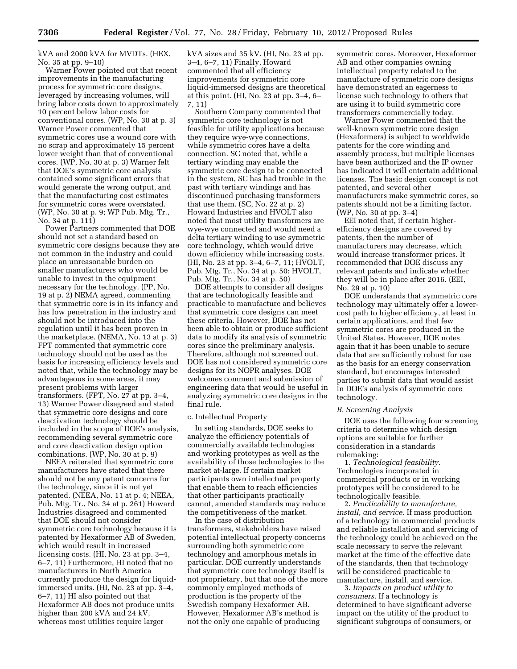kVA and 2000 kVA for MVDTs. (HEX, No. 35 at pp. 9–10)

Warner Power pointed out that recent improvements in the manufacturing process for symmetric core designs, leveraged by increasing volumes, will bring labor costs down to approximately 10 percent below labor costs for conventional cores. (WP, No. 30 at p. 3) Warner Power commented that symmetric cores use a wound core with no scrap and approximately 15 percent lower weight than that of conventional cores. (WP, No. 30 at p. 3) Warner felt that DOE's symmetric core analysis contained some significant errors that would generate the wrong output, and that the manufacturing cost estimates for symmetric cores were overstated. (WP, No. 30 at p. 9; WP Pub. Mtg. Tr., No. 34 at p. 111)

Power Partners commented that DOE should not set a standard based on symmetric core designs because they are not common in the industry and could place an unreasonable burden on smaller manufacturers who would be unable to invest in the equipment necessary for the technology. (PP, No. 19 at p. 2) NEMA agreed, commenting that symmetric core is in its infancy and has low penetration in the industry and should not be introduced into the regulation until it has been proven in the marketplace. (NEMA, No. 13 at p. 3) FPT commented that symmetric core technology should not be used as the basis for increasing efficiency levels and noted that, while the technology may be advantageous in some areas, it may present problems with larger transformers. (FPT, No. 27 at pp. 3–4, 13) Warner Power disagreed and stated that symmetric core designs and core deactivation technology should be included in the scope of DOE's analysis, recommending several symmetric core and core deactivation design option combinations. (WP, No. 30 at p. 9)

NEEA reiterated that symmetric core manufacturers have stated that there should not be any patent concerns for the technology, since it is not yet patented. (NEEA, No. 11 at p. 4; NEEA, Pub. Mtg. Tr., No. 34 at p. 261) Howard Industries disagreed and commented that DOE should not consider symmetric core technology because it is patented by Hexaformer AB of Sweden, which would result in increased licensing costs. (HI, No. 23 at pp. 3–4, 6–7, 11) Furthermore, HI noted that no manufacturers in North America currently produce the design for liquidimmersed units. (HI, No. 23 at pp. 3–4, 6–7, 11) HI also pointed out that Hexaformer AB does not produce units higher than 200 kVA and 24 kV, whereas most utilities require larger

kVA sizes and 35 kV. (HI, No. 23 at pp. 3–4, 6–7, 11) Finally, Howard commented that all efficiency improvements for symmetric core liquid-immersed designs are theoretical at this point. (HI, No. 23 at pp. 3–4, 6– 7, 11)

Southern Company commented that symmetric core technology is not feasible for utility applications because they require wye-wye connections, while symmetric cores have a delta connection. SC noted that, while a tertiary winding may enable the symmetric core design to be connected in the system, SC has had trouble in the past with tertiary windings and has discontinued purchasing transformers that use them. (SC, No. 22 at p. 2) Howard Industries and HVOLT also noted that most utility transformers are wye-wye connected and would need a delta tertiary winding to use symmetric core technology, which would drive down efficiency while increasing costs. (HI, No. 23 at pp. 3–4, 6–7, 11; HVOLT, Pub. Mtg. Tr., No. 34 at p. 50; HVOLT, Pub. Mtg. Tr., No. 34 at p. 50)

DOE attempts to consider all designs that are technologically feasible and practicable to manufacture and believes that symmetric core designs can meet these criteria. However, DOE has not been able to obtain or produce sufficient data to modify its analysis of symmetric cores since the preliminary analysis. Therefore, although not screened out, DOE has not considered symmetric core designs for its NOPR analyses. DOE welcomes comment and submission of engineering data that would be useful in analyzing symmetric core designs in the final rule.

#### c. Intellectual Property

In setting standards, DOE seeks to analyze the efficiency potentials of commercially available technologies and working prototypes as well as the availability of those technologies to the market at-large. If certain market participants own intellectual property that enable them to reach efficiencies that other participants practically cannot, amended standards may reduce the competitiveness of the market.

In the case of distribution transformers, stakeholders have raised potential intellectual property concerns surrounding both symmetric core technology and amorphous metals in particular. DOE currently understands that symmetric core technology itself is not proprietary, but that one of the more commonly employed methods of production is the property of the Swedish company Hexaformer AB. However, Hexaformer AB's method is not the only one capable of producing

symmetric cores. Moreover, Hexaformer AB and other companies owning intellectual property related to the manufacture of symmetric core designs have demonstrated an eagerness to license such technology to others that are using it to build symmetric core transformers commercially today.

Warner Power commented that the well-known symmetric core design (Hexaformers) is subject to worldwide patents for the core winding and assembly process, but multiple licenses have been authorized and the IP owner has indicated it will entertain additional licenses. The basic design concept is not patented, and several other manufacturers make symmetric cores, so patents should not be a limiting factor. (WP, No. 30 at pp. 3–4)

EEI noted that, if certain higherefficiency designs are covered by patents, then the number of manufacturers may decrease, which would increase transformer prices. It recommended that DOE discuss any relevant patents and indicate whether they will be in place after 2016. (EEI, No. 29 at p. 10)

DOE understands that symmetric core technology may ultimately offer a lowercost path to higher efficiency, at least in certain applications, and that few symmetric cores are produced in the United States. However, DOE notes again that it has been unable to secure data that are sufficiently robust for use as the basis for an energy conservation standard, but encourages interested parties to submit data that would assist in DOE's analysis of symmetric core technology.

#### *B. Screening Analysis*

DOE uses the following four screening criteria to determine which design options are suitable for further consideration in a standards rulemaking:

1. *Technological feasibility.*  Technologies incorporated in commercial products or in working prototypes will be considered to be technologically feasible.

2. *Practicability to manufacture, install, and service.* If mass production of a technology in commercial products and reliable installation and servicing of the technology could be achieved on the scale necessary to serve the relevant market at the time of the effective date of the standards, then that technology will be considered practicable to manufacture, install, and service.

3. *Impacts on product utility to consumers.* If a technology is determined to have significant adverse impact on the utility of the product to significant subgroups of consumers, or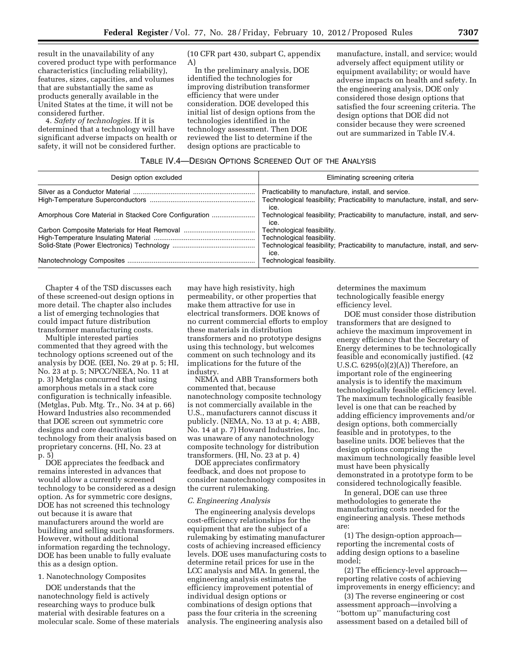result in the unavailability of any covered product type with performance characteristics (including reliability), features, sizes, capacities, and volumes that are substantially the same as products generally available in the United States at the time, it will not be considered further.

4. *Safety of technologies.* If it is determined that a technology will have significant adverse impacts on health or safety, it will not be considered further.

(10 CFR part 430, subpart C, appendix A)

In the preliminary analysis, DOE identified the technologies for improving distribution transformer efficiency that were under consideration. DOE developed this initial list of design options from the technologies identified in the technology assessment. Then DOE reviewed the list to determine if the design options are practicable to

manufacture, install, and service; would adversely affect equipment utility or equipment availability; or would have adverse impacts on health and safety. In the engineering analysis, DOE only considered those design options that satisfied the four screening criteria. The design options that DOE did not consider because they were screened out are summarized in Table IV.4.

# TABLE IV.4—DESIGN OPTIONS SCREENED OUT OF THE ANALYSIS

| Design option excluded                                | Eliminating screening criteria                                                                                                               |
|-------------------------------------------------------|----------------------------------------------------------------------------------------------------------------------------------------------|
|                                                       | Practicability to manufacture, install, and service.<br>Technological feasibility; Practicability to manufacture, install, and serv-<br>ice. |
| Amorphous Core Material in Stacked Core Configuration | Technological feasibility; Practicability to manufacture, install, and serv-<br>ice.                                                         |
|                                                       | Technological feasibility.                                                                                                                   |
|                                                       | Technological feasibility.                                                                                                                   |
|                                                       | Technological feasibility; Practicability to manufacture, install, and serv-<br>ice.                                                         |
|                                                       | Technological feasibility.                                                                                                                   |

Chapter 4 of the TSD discusses each of these screened-out design options in more detail. The chapter also includes a list of emerging technologies that could impact future distribution transformer manufacturing costs.

Multiple interested parties commented that they agreed with the technology options screened out of the analysis by DOE. (EEI, No. 29 at p. 5; HI, No. 23 at p. 5; NPCC/NEEA, No. 11 at p. 3) Metglas concurred that using amorphous metals in a stack core configuration is technically infeasible. (Metglas, Pub. Mtg. Tr., No. 34 at p. 66) Howard Industries also recommended that DOE screen out symmetric core designs and core deactivation technology from their analysis based on proprietary concerns. (HI, No. 23 at p. 5)

DOE appreciates the feedback and remains interested in advances that would allow a currently screened technology to be considered as a design option. As for symmetric core designs, DOE has not screened this technology out because it is aware that manufacturers around the world are building and selling such transformers. However, without additional information regarding the technology, DOE has been unable to fully evaluate this as a design option.

#### 1. Nanotechnology Composites

DOE understands that the nanotechnology field is actively researching ways to produce bulk material with desirable features on a molecular scale. Some of these materials

may have high resistivity, high permeability, or other properties that make them attractive for use in electrical transformers. DOE knows of no current commercial efforts to employ these materials in distribution transformers and no prototype designs using this technology, but welcomes comment on such technology and its implications for the future of the industry.

NEMA and ABB Transformers both commented that, because nanotechnology composite technology is not commercially available in the U.S., manufacturers cannot discuss it publicly. (NEMA, No. 13 at p. 4; ABB, No. 14 at p. 7) Howard Industries, Inc. was unaware of any nanotechnology composite technology for distribution transformers. (HI, No. 23 at p. 4)

DOE appreciates confirmatory feedback, and does not propose to consider nanotechnology composites in the current rulemaking.

#### *C. Engineering Analysis*

The engineering analysis develops cost-efficiency relationships for the equipment that are the subject of a rulemaking by estimating manufacturer costs of achieving increased efficiency levels. DOE uses manufacturing costs to determine retail prices for use in the LCC analysis and MIA. In general, the engineering analysis estimates the efficiency improvement potential of individual design options or combinations of design options that pass the four criteria in the screening analysis. The engineering analysis also

determines the maximum technologically feasible energy efficiency level.

DOE must consider those distribution transformers that are designed to achieve the maximum improvement in energy efficiency that the Secretary of Energy determines to be technologically feasible and economically justified. (42 U.S.C. 6295(o)(2)(A)) Therefore, an important role of the engineering analysis is to identify the maximum technologically feasible efficiency level. The maximum technologically feasible level is one that can be reached by adding efficiency improvements and/or design options, both commercially feasible and in prototypes, to the baseline units. DOE believes that the design options comprising the maximum technologically feasible level must have been physically demonstrated in a prototype form to be considered technologically feasible.

In general, DOE can use three methodologies to generate the manufacturing costs needed for the engineering analysis. These methods are:

(1) The design-option approach reporting the incremental costs of adding design options to a baseline model;

(2) The efficiency-level approach reporting relative costs of achieving improvements in energy efficiency; and

(3) The reverse engineering or cost assessment approach—involving a ''bottom up'' manufacturing cost assessment based on a detailed bill of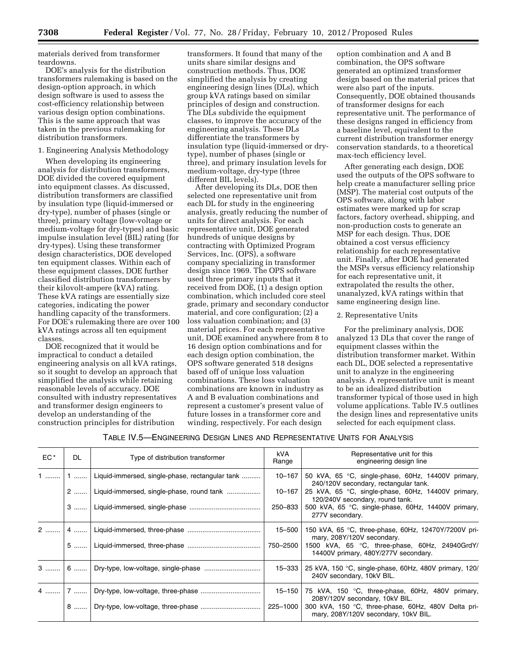materials derived from transformer teardowns.

DOE's analysis for the distribution transformers rulemaking is based on the design-option approach, in which design software is used to assess the cost-efficiency relationship between various design option combinations. This is the same approach that was taken in the previous rulemaking for distribution transformers.

# 1. Engineering Analysis Methodology

When developing its engineering analysis for distribution transformers, DOE divided the covered equipment into equipment classes. As discussed, distribution transformers are classified by insulation type (liquid-immersed or dry-type), number of phases (single or three), primary voltage (low-voltage or medium-voltage for dry-types) and basic impulse insulation level (BIL) rating (for dry-types). Using these transformer design characteristics, DOE developed ten equipment classes. Within each of these equipment classes, DOE further classified distribution transformers by their kilovolt-ampere (kVA) rating. These kVA ratings are essentially size categories, indicating the power handling capacity of the transformers. For DOE's rulemaking there are over 100 kVA ratings across all ten equipment classes.

DOE recognized that it would be impractical to conduct a detailed engineering analysis on all kVA ratings, so it sought to develop an approach that simplified the analysis while retaining reasonable levels of accuracy. DOE consulted with industry representatives and transformer design engineers to develop an understanding of the construction principles for distribution

transformers. It found that many of the units share similar designs and construction methods. Thus, DOE simplified the analysis by creating engineering design lines (DLs), which group kVA ratings based on similar principles of design and construction. The DLs subdivide the equipment classes, to improve the accuracy of the engineering analysis. These DLs differentiate the transformers by insulation type (liquid-immersed or drytype), number of phases (single or three), and primary insulation levels for medium-voltage, dry-type (three different BIL levels).

After developing its DLs, DOE then selected one representative unit from each DL for study in the engineering analysis, greatly reducing the number of units for direct analysis. For each representative unit, DOE generated hundreds of unique designs by contracting with Optimized Program Services, Inc. (OPS), a software company specializing in transformer design since 1969. The OPS software used three primary inputs that it received from DOE,  $(i)$  a design option combination, which included core steel grade, primary and secondary conductor material, and core configuration; (2) a loss valuation combination; and (3) material prices. For each representative unit, DOE examined anywhere from 8 to 16 design option combinations and for each design option combination, the OPS software generated 518 designs based off of unique loss valuation combinations. These loss valuation combinations are known in industry as A and B evaluation combinations and represent a customer's present value of future losses in a transformer core and winding, respectively. For each design

option combination and A and B combination, the OPS software generated an optimized transformer design based on the material prices that were also part of the inputs. Consequently, DOE obtained thousands of transformer designs for each representative unit. The performance of these designs ranged in efficiency from a baseline level, equivalent to the current distribution transformer energy conservation standards, to a theoretical max-tech efficiency level.

After generating each design, DOE used the outputs of the OPS software to help create a manufacturer selling price (MSP). The material cost outputs of the OPS software, along with labor estimates were marked up for scrap factors, factory overhead, shipping, and non-production costs to generate an MSP for each design. Thus, DOE obtained a cost versus efficiency relationship for each representative unit. Finally, after DOE had generated the MSPs versus efficiency relationship for each representative unit, it extrapolated the results the other, unanalyzed, kVA ratings within that same engineering design line.

# 2. Representative Units

For the preliminary analysis, DOE analyzed 13 DLs that cover the range of equipment classes within the distribution transformer market. Within each DL, DOE selected a representative unit to analyze in the engineering analysis. A representative unit is meant to be an idealized distribution transformer typical of those used in high volume applications. Table IV.5 outlines the design lines and representative units selected for each equipment class.

#### TABLE IV.5—ENGINEERING DESIGN LINES AND REPRESENTATIVE UNITS FOR ANALYSIS

| EC* | DL. | Type of distribution transformer                | kVA<br>Range | Representative unit for this<br>engineering design line                                         |
|-----|-----|-------------------------------------------------|--------------|-------------------------------------------------------------------------------------------------|
| 1   | 1   | Liquid-immersed, single-phase, rectangular tank | 10–167       | 50 kVA, 65 °C, single-phase, 60Hz, 14400V primary,<br>240/120V secondary, rectangular tank.     |
|     |     | 2    Liquid-immersed, single-phase, round tank  | 10-167       | 25 kVA, 65 °C, single-phase, 60Hz, 14400V primary,<br>120/240V secondary, round tank.           |
|     | $3$ |                                                 | $250 - 833$  | 500 kVA, 65 °C, single-phase, 60Hz, 14400V primary,<br>277V secondary.                          |
|     |     |                                                 |              | 15-500   150 kVA, 65 °C, three-phase, 60Hz, 12470Y/7200V pri-<br>mary, 208Y/120V secondary.     |
|     |     |                                                 |              | 750-2500 1500 kVA, 65 °C, three-phase, 60Hz, 24940GrdY/<br>14400V primary, 480Y/277V secondary. |
|     |     | 6  Dry-type, low-voltage, single-phase          |              | 15-333   25 kVA, 150 °C, single-phase, 60Hz, 480V primary, 120/<br>240V secondary, 10kV BIL.    |
|     |     |                                                 | $15 - 150$   | 75 kVA, 150 °C, three-phase, 60Hz, 480V primary,<br>208Y/120V secondary, 10kV BIL.              |
|     |     | 8  Dry-type, low-voltage, three-phase           | 225-1000     | 300 kVA, 150 °C, three-phase, 60Hz, 480V Delta pri-<br>mary, 208Y/120V secondary, 10kV BIL.     |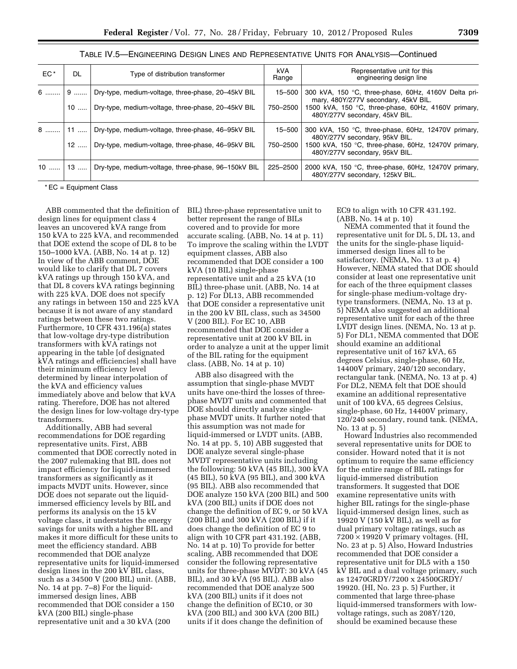| EC*    | DL      | Type of distribution transformer                                                                         | <b>kVA</b><br>Range | Representative unit for this<br>engineering design line                                                                                                                               |
|--------|---------|----------------------------------------------------------------------------------------------------------|---------------------|---------------------------------------------------------------------------------------------------------------------------------------------------------------------------------------|
| 6    9 | 10<br>. | Dry-type, medium-voltage, three-phase, 20-45kV BIL<br>Dry-type, medium-voltage, three-phase, 20-45kV BIL | 15-500<br>750-2500  | 300 kVA, 150 °C, three-phase, 60Hz, 4160V Delta pri-<br>mary, 480Y/277V secondary, 45kV BIL.<br>1500 kVA, 150 °C, three-phase, 60Hz, 4160V primary,<br>480Y/277V secondary, 45kV BIL. |
| 8.     | $12$    | Dry-type, medium-voltage, three-phase, 46-95kV BIL<br>Dry-type, medium-voltage, three-phase, 46-95kV BIL | 15–500<br>750-2500  | 300 kVA, 150 °C, three-phase, 60Hz, 12470V primary,<br>480Y/277V secondary, 95kV BIL.<br>1500 kVA, 150 °C, three-phase, 60Hz, 12470V primary,<br>480Y/277V secondary, 95kV BIL.       |
| $10$   | $13$    | Dry-type, medium-voltage, three-phase, 96-150kV BIL                                                      | 225-2500            | 2000 kVA, 150 °C, three-phase, 60Hz, 12470V primary,<br>480Y/277V secondary, 125kV BIL.                                                                                               |

# TABLE IV.5—ENGINEERING DESIGN LINES AND REPRESENTATIVE UNITS FOR ANALYSIS—Continued

 $*$  EC = Equipment Class

design lines for equipment class 4 leaves an uncovered kVA range from 150 kVA to 225 kVA, and recommended that DOE extend the scope of DL 8 to be 150–1000 kVA. (ABB, No. 14 at p. 12) In view of the ABB comment, DOE would like to clarify that DL 7 covers kVA ratings up through 150 kVA, and that DL 8 covers kVA ratings beginning with 225 kVA. DOE does not specify any ratings in between 150 and 225 kVA because it is not aware of any standard ratings between these two ratings. Furthermore, 10 CFR 431.196(a) states that low-voltage dry-type distribution transformers with kVA ratings not appearing in the table [of designated kVA ratings and efficiencies] shall have their minimum efficiency level determined by linear interpolation of the kVA and efficiency values immediately above and below that kVA rating. Therefore, DOE has not altered the design lines for low-voltage dry-type transformers.

Additionally, ABB had several recommendations for DOE regarding representative units. First, ABB commented that DOE correctly noted in the 2007 rulemaking that BIL does not impact efficiency for liquid-immersed transformers as significantly as it impacts MVDT units. However, since DOE does not separate out the liquidimmersed efficiency levels by BIL and performs its analysis on the 15 kV voltage class, it understates the energy savings for units with a higher BIL and makes it more difficult for these units to meet the efficiency standard. ABB recommended that DOE analyze representative units for liquid-immersed design lines in the 200 kV BIL class, such as a 34500 V (200 BIL) unit. (ABB, No. 14 at pp. 7–8) For the liquidimmersed design lines, ABB recommended that DOE consider a 150 kVA (200 BIL) single-phase representative unit and a 30 kVA (200

ABB commented that the definition of BIL) three-phase representative unit to better represent the range of BILs covered and to provide for more accurate scaling. (ABB, No. 14 at p. 11) To improve the scaling within the LVDT equipment classes, ABB also recommended that DOE consider a 100 kVA (10 BIL) single-phase representative unit and a 25 kVA (10 BIL) three-phase unit. (ABB, No. 14 at p. 12) For DL13, ABB recommended that DOE consider a representative unit in the 200 kV BIL class, such as 34500 V (200 BIL). For EC 10, ABB recommended that DOE consider a representative unit at 200 kV BIL in order to analyze a unit at the upper limit of the BIL rating for the equipment class. (ABB, No. 14 at p. 10)

> ABB also disagreed with the assumption that single-phase MVDT units have one-third the losses of threephase MVDT units and commented that DOE should directly analyze singlephase MVDT units. It further noted that this assumption was not made for liquid-immersed or LVDT units. (ABB, No. 14 at pp. 5, 10) ABB suggested that DOE analyze several single-phase MVDT representative units including the following: 50 kVA (45 BIL), 300 kVA (45 BIL), 50 kVA (95 BIL), and 300 kVA (95 BIL). ABB also recommended that DOE analyze 150 kVA (200 BIL) and 500 kVA (200 BIL) units if DOE does not change the definition of EC 9, or 50 kVA (200 BIL) and 300 kVA (200 BIL) if it does change the definition of EC 9 to align with 10 CFR part 431.192. (ABB, No. 14 at p. 10) To provide for better scaling, ABB recommended that DOE consider the following representative units for three-phase MVDT: 30 kVA (45 BIL), and 30 kVA (95 BIL). ABB also recommended that DOE analyze 500 kVA (200 BIL) units if it does not change the definition of EC10, or 30 kVA (200 BIL) and 300 kVA (200 BIL) units if it does change the definition of

EC9 to align with 10 CFR 431.192. (ABB, No. 14 at p. 10)

NEMA commented that it found the representative unit for DL 5, DL 13, and the units for the single-phase liquidimmersed design lines all to be satisfactory. (NEMA, No. 13 at p. 4) However, NEMA stated that DOE should consider at least one representative unit for each of the three equipment classes for single-phase medium-voltage drytype transformers. (NEMA, No. 13 at p. 5) NEMA also suggested an additional representative unit for each of the three LVDT design lines. (NEMA, No. 13 at p. 5) For DL1, NEMA commented that DOE should examine an additional representative unit of 167 kVA, 65 degrees Celsius, single-phase, 60 Hz, 14400V primary, 240/120 secondary, rectangular tank. (NEMA, No. 13 at p. 4) For DL2, NEMA felt that DOE should examine an additional representative unit of 100 kVA, 65 degrees Celsius, single-phase, 60 Hz, 14400V primary, 120/240 secondary, round tank. (NEMA, No. 13 at p. 5)

Howard Industries also recommended several representative units for DOE to consider. Howard noted that it is not optimum to require the same efficiency for the entire range of BIL ratings for liquid-immersed distribution transformers. It suggested that DOE examine representative units with higher BIL ratings for the single-phase liquid-immersed design lines, such as 19920 V (150 kV BIL), as well as for dual primary voltage ratings, such as  $7200 \times 19920$  V primary voltages. (HI, No. 23 at p. 5) Also, Howard Industries recommended that DOE consider a representative unit for DL5 with a 150 kV BIL and a dual voltage primary, such as 12470GRDY/7200 x 24500GRDY/ 19920. (HI, No. 23 p. 5) Further, it commented that large three-phase liquid-immersed transformers with lowvoltage ratings, such as 208Y/120, should be examined because these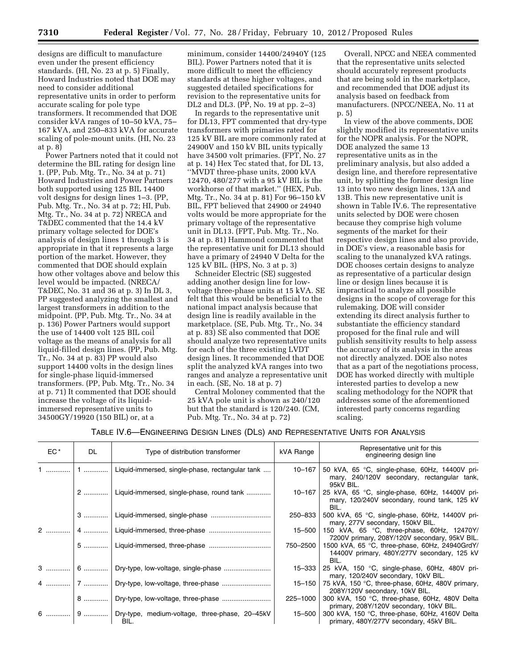designs are difficult to manufacture even under the present efficiency standards. (HI, No. 23 at p. 5) Finally, Howard Industries noted that DOE may need to consider additional representative units in order to perform accurate scaling for pole type transformers. It recommended that DOE consider kVA ranges of 10–50 kVA, 75– 167 kVA, and 250–833 kVA for accurate scaling of pole-mount units. (HI, No. 23 at p. 8)

Power Partners noted that it could not determine the BIL rating for design line 1. (PP, Pub. Mtg. Tr., No. 34 at p. 71) Howard Industries and Power Partners both supported using 125 BIL 14400 volt designs for design lines 1–3. (PP, Pub. Mtg. Tr., No. 34 at p. 72; HI, Pub. Mtg. Tr., No. 34 at p. 72) NRECA and T&DEC commented that the 14.4 kV primary voltage selected for DOE's analysis of design lines 1 through 3 is appropriate in that it represents a large portion of the market. However, they commented that DOE should explain how other voltages above and below this level would be impacted. (NRECA/ T&DEC, No. 31 and 36 at p. 3) In DL 3, PP suggested analyzing the smallest and largest transformers in addition to the midpoint. (PP, Pub. Mtg. Tr., No. 34 at p. 136) Power Partners would support the use of 14400 volt 125 BIL coil voltage as the means of analysis for all liquid-filled design lines. (PP, Pub. Mtg. Tr., No. 34 at p. 83) PP would also support 14400 volts in the design lines for single-phase liquid-immersed transformers. (PP, Pub. Mtg. Tr., No. 34 at p. 71) It commented that DOE should increase the voltage of its liquidimmersed representative units to 34500GY/19920 (150 BIL) or, at a

minimum, consider 14400/24940Y (125 BIL). Power Partners noted that it is more difficult to meet the efficiency standards at these higher voltages, and suggested detailed specifications for revision to the representative units for DL2 and DL3. (PP, No. 19 at pp. 2–3)

In regards to the representative unit for DL13, FPT commented that dry-type transformers with primaries rated for 125 kV BIL are more commonly rated at 24900V and 150 kV BIL units typically have 34500 volt primaries. (FPT, No. 27 at p. 14) Hex Tec stated that, for DL 13, ''MVDT three-phase units, 2000 kVA 12470, 480/277 with a 95 kV BIL is the workhorse of that market.'' (HEX, Pub. Mtg. Tr., No. 34 at p. 81) For 96–150 kV BIL, FPT believed that 24900 or 24940 volts would be more appropriate for the primary voltage of the representative unit in DL13. (FPT, Pub. Mtg. Tr., No. 34 at p. 81) Hammond commented that the representative unit for DL13 should have a primary of 24940 V Delta for the 125 kV BIL. (HPS, No. 3 at p. 3)

Schneider Electric (SE) suggested adding another design line for lowvoltage three-phase units at 15 kVA. SE felt that this would be beneficial to the national impact analysis because that design line is readily available in the marketplace. (SE, Pub. Mtg. Tr., No. 34 at p. 83) SE also commented that DOE should analyze two representative units for each of the three existing LVDT design lines. It recommended that DOE split the analyzed kVA ranges into two ranges and analyze a representative unit in each. (SE, No. 18 at p. 7)

Central Moloney commented that the 25 kVA pole unit is shown as 240/120 but that the standard is 120/240. (CM, Pub. Mtg. Tr., No. 34 at p. 72)

Overall, NPCC and NEEA commented that the representative units selected should accurately represent products that are being sold in the marketplace, and recommended that DOE adjust its analysis based on feedback from manufacturers. (NPCC/NEEA, No. 11 at p. 5)

In view of the above comments, DOE slightly modified its representative units for the NOPR analysis. For the NOPR, DOE analyzed the same 13 representative units as in the preliminary analysis, but also added a design line, and therefore representative unit, by splitting the former design line 13 into two new design lines, 13A and 13B. This new representative unit is shown in Table IV.6. The representative units selected by DOE were chosen because they comprise high volume segments of the market for their respective design lines and also provide, in DOE's view, a reasonable basis for scaling to the unanalyzed kVA ratings. DOE chooses certain designs to analyze as representative of a particular design line or design lines because it is impractical to analyze all possible designs in the scope of coverage for this rulemaking. DOE will consider extending its direct analysis further to substantiate the efficiency standard proposed for the final rule and will publish sensitivity results to help assess the accuracy of its analysis in the areas not directly analyzed. DOE also notes that as a part of the negotiations process, DOE has worked directly with multiple interested parties to develop a new scaling methodology for the NOPR that addresses some of the aforementioned interested party concerns regarding scaling.

# TABLE IV.6—ENGINEERING DESIGN LINES (DLS) AND REPRESENTATIVE UNITS FOR ANALYSIS

| $EC^*$ | DL. | Type of distribution transformer                                 | kVA Range | Representative unit for this<br>engineering design line                                                             |
|--------|-----|------------------------------------------------------------------|-----------|---------------------------------------------------------------------------------------------------------------------|
|        | │1  | Liquid-immersed, single-phase, rectangular tank                  | 10-167    | 50 kVA, 65 °C, single-phase, 60Hz, 14400V pri-<br>mary, 240/120V secondary, rectangular tank,                       |
|        |     | 2    Liquid-immersed, single-phase, round tank                   | 10-167    | 95kV BIL.<br>25 kVA, 65 °C, single-phase, 60Hz, 14400V pri-<br>mary, 120/240V secondary, round tank, 125 kV<br>BIL. |
|        |     | 3    Liquid-immersed, single-phase                               | 250-833   | 500 kVA, 65 °C, single-phase, 60Hz, 14400V pri-<br>mary, 277V secondary, 150kV BIL.                                 |
|        |     | 2    4    Liquid-immersed, three-phase                           |           | 15-500   150 kVA, 65 °C, three-phase, 60Hz, 12470Y/<br>7200V primary, 208Y/120V secondary, 95kV BIL.                |
|        |     | 5    Liquid-immersed, three-phase                                |           | 750-2500   1500 kVA, 65 °C, three-phase, 60Hz, 24940GrdY/<br>14400V primary, 480Y/277V secondary, 125 kV<br>BIL.    |
|        |     | 3  6    Dry-type, low-voltage, single-phase                      | 15–333    | 25 kVA, 150 °C, single-phase, 60Hz, 480V pri-<br>mary, 120/240V secondary, 10kV BIL.                                |
|        |     |                                                                  |           | 15–150   75 kVA, 150 °C, three-phase, 60Hz, 480V primary,<br>208Y/120V secondary, 10kV BIL.                         |
|        |     | 8    Dry-type, low-voltage, three-phase                          |           | 225-1000   300 kVA, 150 °C, three-phase, 60Hz, 480V Delta<br>primary, 208Y/120V secondary, 10kV BIL.                |
|        |     | 6    9    Dry-type, medium-voltage, three-phase, 20-45kV<br>BIL. |           | 15-500   300 kVA, 150 °C, three-phase, 60Hz, 4160V Delta<br>primary, 480Y/277V secondary, 45kV BIL.                 |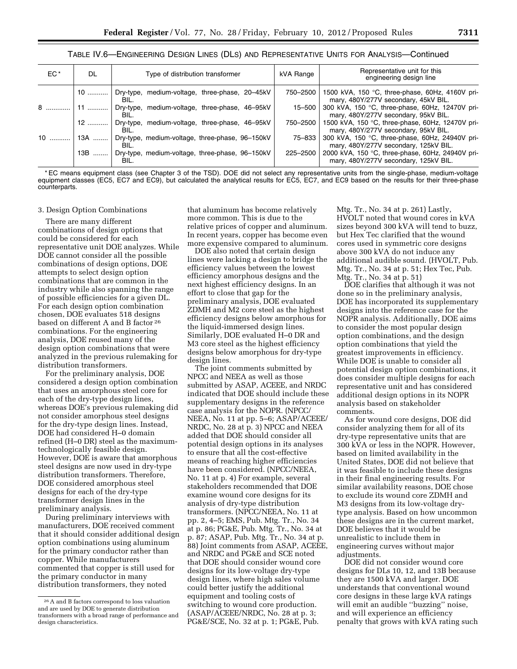# TABLE IV.6—ENGINEERING DESIGN LINES (DLS) AND REPRESENTATIVE UNITS FOR ANALYSIS—Continued

| $EC^*$ | DL   | Type of distribution transformer                               | kVA Range | Representative unit for this<br>engineering design line                                   |
|--------|------|----------------------------------------------------------------|-----------|-------------------------------------------------------------------------------------------|
|        |      | 10    Dry-type, medium-voltage, three-phase, 20–45kV<br>BIL.   | 750-2500  | 1500 kVA, 150 °C, three-phase, 60Hz, 4160V pri-<br>mary, 480Y/277V secondary, 45kV BIL.   |
| 8      | $11$ | Dry-type, medium-voltage, three-phase, 46-95kV<br>BIL.         | 15–500    | 300 kVA, 150 °C, three-phase, 60Hz, 12470V pri-<br>mary, 480Y/277V secondary, 95kV BIL.   |
|        |      | 12    Dry-type, medium-voltage, three-phase, 46–95kV<br>BIL.   | 750–2500  | 1500 kVA, 150 °C, three-phase, 60Hz, 12470V pri-<br>mary, 480Y/277V secondary, 95kV BIL.  |
| $10$   | 13A  | Dry-type, medium-voltage, three-phase, 96-150kV<br>BIL.        | 75–833    | 300 kVA, 150 °C, three-phase, 60Hz, 24940V pri-<br>mary, 480Y/277V secondary, 125kV BIL.  |
|        |      | 13B    Dry-type, medium-voltage, three-phase, 96-150kV<br>BIL. | 225-2500  | 2000 kVA, 150 °C, three-phase, 60Hz, 24940V pri-<br>mary, 480Y/277V secondary, 125kV BIL. |

\* EC means equipment class (see Chapter 3 of the TSD). DOE did not select any representative units from the single-phase, medium-voltage equipment classes (EC5, EC7 and EC9), but calculated the analytical results for EC5, EC7, and EC9 based on the results for their three-phase counterparts.

#### 3. Design Option Combinations

There are many different combinations of design options that could be considered for each representative unit DOE analyzes. While DOE cannot consider all the possible combinations of design options, DOE attempts to select design option combinations that are common in the industry while also spanning the range of possible efficiencies for a given DL. For each design option combination chosen, DOE evaluates 518 designs based on different A and B factor 26 combinations. For the engineering analysis, DOE reused many of the design option combinations that were analyzed in the previous rulemaking for distribution transformers.

For the preliminary analysis, DOE considered a design option combination that uses an amorphous steel core for each of the dry-type design lines, whereas DOE's previous rulemaking did not consider amorphous steel designs for the dry-type design lines. Instead, DOE had considered H–0 domain refined (H–0 DR) steel as the maximumtechnologically feasible design. However, DOE is aware that amorphous steel designs are now used in dry-type distribution transformers. Therefore, DOE considered amorphous steel designs for each of the dry-type transformer design lines in the preliminary analysis.

During preliminary interviews with manufacturers, DOE received comment that it should consider additional design option combinations using aluminum for the primary conductor rather than copper. While manufacturers commented that copper is still used for the primary conductor in many distribution transformers, they noted

that aluminum has become relatively more common. This is due to the relative prices of copper and aluminum. In recent years, copper has become even more expensive compared to aluminum.

DOE also noted that certain design lines were lacking a design to bridge the efficiency values between the lowest efficiency amorphous designs and the next highest efficiency designs. In an effort to close that gap for the preliminary analysis, DOE evaluated ZDMH and M2 core steel as the highest efficiency designs below amorphous for the liquid-immersed design lines. Similarly, DOE evaluated H–0 DR and M3 core steel as the highest efficiency designs below amorphous for dry-type design lines.

The joint comments submitted by NPCC and NEEA as well as those submitted by ASAP, ACEEE, and NRDC indicated that DOE should include these supplementary designs in the reference case analysis for the NOPR. (NPCC/ NEEA, No. 11 at pp. 5–6; ASAP/ACEEE/ NRDC, No. 28 at p. 3) NPCC and NEEA added that DOE should consider all potential design options in its analyses to ensure that all the cost-effective means of reaching higher efficiencies have been considered. (NPCC/NEEA, No. 11 at p. 4) For example, several stakeholders recommended that DOE examine wound core designs for its analysis of dry-type distribution transformers. (NPCC/NEEA, No. 11 at pp. 2, 4–5; EMS, Pub. Mtg. Tr., No. 34 at p. 86; PG&E, Pub. Mtg. Tr., No. 34 at p. 87; ASAP, Pub. Mtg. Tr., No. 34 at p. 88) Joint comments from ASAP, ACEEE, and NRDC and PG&E and SCE noted that DOE should consider wound core designs for its low-voltage dry-type design lines, where high sales volume could better justify the additional equipment and tooling costs of switching to wound core production. (ASAP/ACEEE/NRDC, No. 28 at p. 3; PG&E/SCE, No. 32 at p. 1; PG&E, Pub.

Mtg. Tr., No. 34 at p. 261) Lastly, HVOLT noted that wound cores in kVA sizes beyond 300 kVA will tend to buzz, but Hex Tec clarified that the wound cores used in symmetric core designs above 300 kVA do not induce any additional audible sound. (HVOLT, Pub. Mtg. Tr., No. 34 at p. 51; Hex Tec, Pub. Mtg. Tr., No. 34 at p. 51)

DOE clarifies that although it was not done so in the preliminary analysis, DOE has incorporated its supplementary designs into the reference case for the NOPR analysis. Additionally, DOE aims to consider the most popular design option combinations, and the design option combinations that yield the greatest improvements in efficiency. While DOE is unable to consider all potential design option combinations, it does consider multiple designs for each representative unit and has considered additional design options in its NOPR analysis based on stakeholder comments.

As for wound core designs, DOE did consider analyzing them for all of its dry-type representative units that are 300 kVA or less in the NOPR. However, based on limited availability in the United States, DOE did not believe that it was feasible to include these designs in their final engineering results. For similar availability reasons, DOE chose to exclude its wound core ZDMH and M3 designs from its low-voltage drytype analysis. Based on how uncommon these designs are in the current market, DOE believes that it would be unrealistic to include them in engineering curves without major adjustments.

DOE did not consider wound core designs for DLs 10, 12, and 13B because they are 1500 kVA and larger. DOE understands that conventional wound core designs in these large kVA ratings will emit an audible ''buzzing'' noise, and will experience an efficiency penalty that grows with kVA rating such

<sup>26</sup>A and B factors correspond to loss valuation and are used by DOE to generate distribution transformers with a broad range of performance and design characteristics.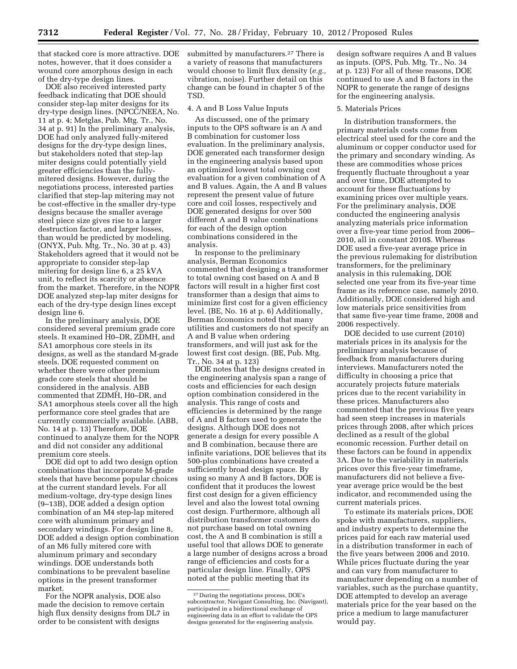that stacked core is more attractive. DOE notes, however, that it does consider a wound core amorphous design in each of the dry-type design lines.

DOE also received interested party feedback indicating that DOE should consider step-lap miter designs for its dry-type design lines. (NPCC/NEEA, No. 11 at p. 4; Metglas, Pub. Mtg. Tr., No. 34 at p. 91) In the preliminary analysis, DOE had only analyzed fully-mitered designs for the dry-type design lines, but stakeholders noted that step-lap miter designs could potentially yield greater efficiencies than the fullymitered designs. However, during the negotiations process, interested parties clarified that step-lap mitering may not be cost-effective in the smaller dry-type designs because the smaller average steel piece size gives rise to a larger destruction factor, and larger losses, than would be predicted by modeling. (ONYX, Pub. Mtg. Tr., No. 30 at p. 43) Stakeholders agreed that it would not be appropriate to consider step-lap mitering for design line 6, a 25 kVA unit, to reflect its scarcity or absence from the market. Therefore, in the NOPR DOE analyzed step-lap miter designs for each of the dry-type design lines except design line 6.

In the preliminary analysis, DOE considered several premium grade core steels. It examined H0–DR, ZDMH, and SA1 amorphous core steels in its designs, as well as the standard M-grade steels. DOE requested comment on whether there were other premium grade core steels that should be considered in the analysis. ABB commented that ZDMH, H0–DR, and SA1 amorphous steels cover all the high performance core steel grades that are currently commercially available. (ABB, No. 14 at p. 13) Therefore, DOE continued to analyze them for the NOPR and did not consider any additional premium core steels.

DOE did opt to add two design option combinations that incorporate M-grade steels that have become popular choices at the current standard levels. For all medium-voltage, dry-type design lines (9–13B), DOE added a design option combination of an M4 step-lap mitered core with aluminum primary and secondary windings. For design line 8, DOE added a design option combination of an M6 fully mitered core with aluminum primary and secondary windings. DOE understands both combinations to be prevalent baseline options in the present transformer market.

For the NOPR analysis, DOE also made the decision to remove certain high flux density designs from DL7 in order to be consistent with designs

submitted by manufacturers.<sup>27</sup> There is a variety of reasons that manufacturers would choose to limit flux density (*e.g.,*  vibration, noise). Further detail on this change can be found in chapter 5 of the TSD.

#### 4. A and B Loss Value Inputs

As discussed, one of the primary inputs to the OPS software is an A and B combination for customer loss evaluation. In the preliminary analysis, DOE generated each transformer design in the engineering analysis based upon an optimized lowest total owning cost evaluation for a given combination of A and B values. Again, the A and B values represent the present value of future core and coil losses, respectively and DOE generated designs for over 500 different A and B value combinations for each of the design option combinations considered in the analysis.

In response to the preliminary analysis, Berman Economics commented that designing a transformer to total owning cost based on A and B factors will result in a higher first cost transformer than a design that aims to minimize first cost for a given efficiency level. (BE, No. 16 at p. 6) Additionally, Berman Economics noted that many utilities and customers do not specify an A and B value when ordering transformers, and will just ask for the lowest first cost design. (BE, Pub. Mtg. Tr., No. 34 at p. 123)

DOE notes that the designs created in the engineering analysis span a range of costs and efficiencies for each design option combination considered in the analysis. This range of costs and efficiencies is determined by the range of A and B factors used to generate the designs. Although DOE does not generate a design for every possible A and B combination, because there are infinite variations, DOE believes that its 500-plus combinations have created a sufficiently broad design space. By using so many A and B factors, DOE is confident that it produces the lowest first cost design for a given efficiency level and also the lowest total owning cost design. Furthermore, although all distribution transformer customers do not purchase based on total owning cost, the A and B combination is still a useful tool that allows DOE to generate a large number of designs across a broad range of efficiencies and costs for a particular design line. Finally, OPS noted at the public meeting that its

design software requires A and B values as inputs. (OPS, Pub. Mtg. Tr., No. 34 at p. 123) For all of these reasons, DOE continued to use A and B factors in the NOPR to generate the range of designs for the engineering analysis.

#### 5. Materials Prices

In distribution transformers, the primary materials costs come from electrical steel used for the core and the aluminum or copper conductor used for the primary and secondary winding. As these are commodities whose prices frequently fluctuate throughout a year and over time, DOE attempted to account for these fluctuations by examining prices over multiple years. For the preliminary analysis, DOE conducted the engineering analysis analyzing materials price information over a five-year time period from 2006– 2010, all in constant 2010\$. Whereas DOE used a five-year average price in the previous rulemaking for distribution transformers, for the preliminary analysis in this rulemaking, DOE selected one year from its five-year time frame as its reference case, namely 2010. Additionally, DOE considered high and low materials price sensitivities from that same five-year time frame, 2008 and 2006 respectively.

DOE decided to use current (2010) materials prices in its analysis for the preliminary analysis because of feedback from manufacturers during interviews. Manufacturers noted the difficulty in choosing a price that accurately projects future materials prices due to the recent variability in these prices. Manufacturers also commented that the previous five years had seen steep increases in materials prices through 2008, after which prices declined as a result of the global economic recession. Further detail on these factors can be found in appendix 3A. Due to the variability in materials prices over this five-year timeframe, manufacturers did not believe a fiveyear average price would be the best indicator, and recommended using the current materials prices.

To estimate its materials prices, DOE spoke with manufacturers, suppliers, and industry experts to determine the prices paid for each raw material used in a distribution transformer in each of the five years between 2006 and 2010. While prices fluctuate during the year and can vary from manufacturer to manufacturer depending on a number of variables, such as the purchase quantity, DOE attempted to develop an average materials price for the year based on the price a medium to large manufacturer would pay.

<sup>27</sup> During the negotiations process, DOE's subcontractor, Navigant Consulting, Inc. (Navigant), participated in a bidirectional exchange of engineering data in an effort to validate the OPS designs generated for the engineering analysis.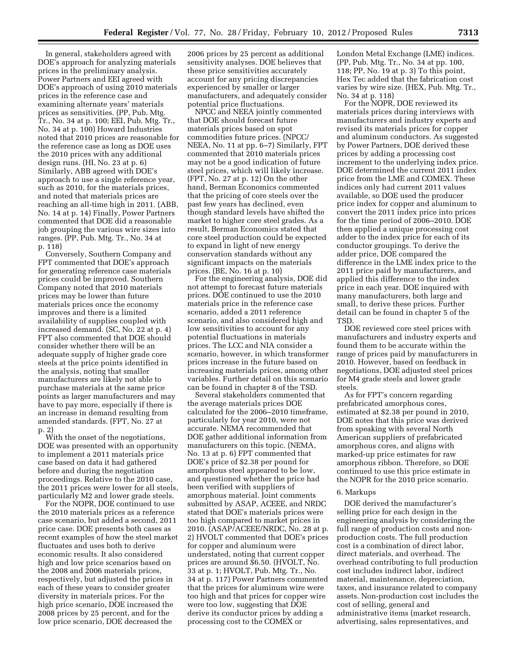In general, stakeholders agreed with DOE's approach for analyzing materials prices in the preliminary analysis. Power Partners and EEI agreed with DOE's approach of using 2010 materials prices in the reference case and examining alternate years' materials prices as sensitivities. (PP, Pub. Mtg. Tr., No. 34 at p. 100; EEI, Pub. Mtg. Tr., No. 34 at p. 100) Howard Industries noted that 2010 prices are reasonable for the reference case as long as DOE uses the 2010 prices with any additional design runs. (HI, No. 23 at p. 6) Similarly, ABB agreed with DOE's approach to use a single reference year, such as 2010, for the materials prices, and noted that materials prices are reaching an all-time high in 2011. (ABB, No. 14 at p. 14) Finally, Power Partners commented that DOE did a reasonable job grouping the various wire sizes into ranges. (PP, Pub. Mtg. Tr., No. 34 at p. 118)

Conversely, Southern Company and FPT commented that DOE's approach for generating reference case materials prices could be improved. Southern Company noted that 2010 materials prices may be lower than future materials prices once the economy improves and there is a limited availability of supplies coupled with increased demand. (SC, No. 22 at p. 4) FPT also commented that DOE should consider whether there will be an adequate supply of higher grade core steels at the price points identified in the analysis, noting that smaller manufacturers are likely not able to purchase materials at the same price points as larger manufacturers and may have to pay more, especially if there is an increase in demand resulting from amended standards. (FPT, No. 27 at p. 2)

With the onset of the negotiations, DOE was presented with an opportunity to implement a 2011 materials price case based on data it had gathered before and during the negotiation proceedings. Relative to the 2010 case, the 2011 prices were lower for all steels, particularly M2 and lower grade steels.

For the NOPR, DOE continued to use the 2010 materials prices as a reference case scenario, but added a second, 2011 price case. DOE presents both cases as recent examples of how the steel market fluctuates and uses both to derive economic results. It also considered high and low price scenarios based on the 2008 and 2006 materials prices, respectively, but adjusted the prices in each of these years to consider greater diversity in materials prices. For the high price scenario, DOE increased the 2008 prices by 25 percent, and for the low price scenario, DOE decreased the

2006 prices by 25 percent as additional sensitivity analyses. DOE believes that these price sensitivities accurately account for any pricing discrepancies experienced by smaller or larger manufacturers, and adequately consider potential price fluctuations.

NPCC and NEEA jointly commented that DOE should forecast future materials prices based on spot commodities future prices. (NPCC/ NEEA, No. 11 at pp. 6–7) Similarly, FPT commented that 2010 materials prices may not be a good indication of future steel prices, which will likely increase. (FPT, No. 27 at p. 12) On the other hand, Berman Economics commented that the pricing of core steels over the past few years has declined, even though standard levels have shifted the market to higher core steel grades. As a result, Berman Economics stated that core steel production could be expected to expand in light of new energy conservation standards without any significant impacts on the materials prices. (BE, No. 16 at p. 10)

For the engineering analysis, DOE did not attempt to forecast future materials prices. DOE continued to use the 2010 materials price in the reference case scenario, added a 2011 reference scenario, and also considered high and low sensitivities to account for any potential fluctuations in materials prices. The LCC and NIA consider a scenario, however, in which transformer prices increase in the future based on increasing materials prices, among other variables. Further detail on this scenario can be found in chapter 8 of the TSD.

Several stakeholders commented that the average materials prices DOE calculated for the 2006–2010 timeframe, particularly for year 2010, were not accurate. NEMA recommended that DOE gather additional information from manufacturers on this topic. (NEMA, No. 13 at p. 6) FPT commented that DOE's price of \$2.38 per pound for amorphous steel appeared to be low, and questioned whether the price had been verified with suppliers of amorphous material. Joint comments submitted by ASAP, ACEEE, and NRDC stated that DOE's materials prices were too high compared to market prices in 2010. (ASAP/ACEEE/NRDC, No. 28 at p. 2) HVOLT commented that DOE's prices for copper and aluminum were understated, noting that current copper prices are around \$6.50. (HVOLT, No. 33 at p. 1; HVOLT, Pub. Mtg. Tr., No. 34 at p. 117) Power Partners commented that the prices for aluminum wire were too high and that prices for copper wire were too low, suggesting that DOE derive its conductor prices by adding a processing cost to the COMEX or

London Metal Exchange (LME) indices. (PP, Pub. Mtg. Tr., No. 34 at pp. 100, 118; PP, No. 19 at p. 3) To this point, Hex Tec added that the fabrication cost varies by wire size. (HEX, Pub. Mtg. Tr., No. 34 at p. 118)

For the NOPR, DOE reviewed its materials prices during interviews with manufacturers and industry experts and revised its materials prices for copper and aluminum conductors. As suggested by Power Partners, DOE derived these prices by adding a processing cost increment to the underlying index price. DOE determined the current 2011 index price from the LME and COMEX. These indices only had current 2011 values available, so DOE used the producer price index for copper and aluminum to convert the 2011 index price into prices for the time period of 2006–2010. DOE then applied a unique processing cost adder to the index price for each of its conductor groupings. To derive the adder price, DOE compared the difference in the LME index price to the 2011 price paid by manufacturers, and applied this difference to the index price in each year. DOE inquired with many manufacturers, both large and small, to derive these prices. Further detail can be found in chapter 5 of the TSD.

DOE reviewed core steel prices with manufacturers and industry experts and found them to be accurate within the range of prices paid by manufacturers in 2010. However, based on feedback in negotiations, DOE adjusted steel prices for M4 grade steels and lower grade steels.

As for FPT's concern regarding prefabricated amorphous cores, estimated at \$2.38 per pound in 2010, DOE notes that this price was derived from speaking with several North American suppliers of prefabricated amorphous cores, and aligns with marked-up price estimates for raw amorphous ribbon. Therefore, so DOE continued to use this price estimate in the NOPR for the 2010 price scenario.

#### 6. Markups

DOE derived the manufacturer's selling price for each design in the engineering analysis by considering the full range of production costs and nonproduction costs. The full production cost is a combination of direct labor, direct materials, and overhead. The overhead contributing to full production cost includes indirect labor, indirect material, maintenance, depreciation, taxes, and insurance related to company assets. Non-production cost includes the cost of selling, general and administrative items (market research, advertising, sales representatives, and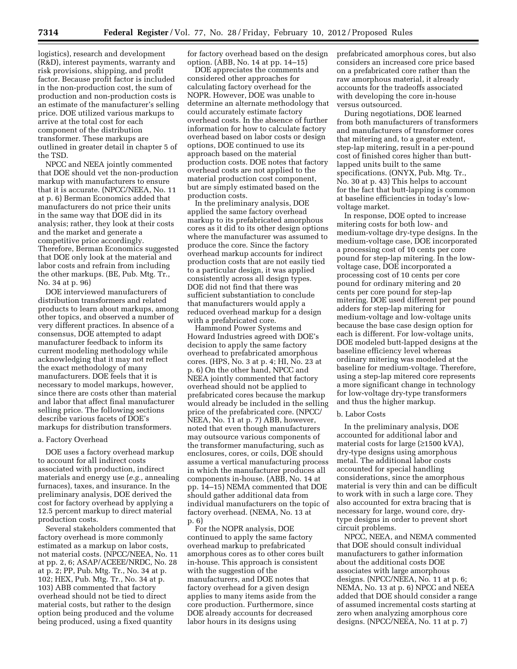logistics), research and development (R&D), interest payments, warranty and risk provisions, shipping, and profit factor. Because profit factor is included in the non-production cost, the sum of production and non-production costs is an estimate of the manufacturer's selling price. DOE utilized various markups to arrive at the total cost for each component of the distribution transformer. These markups are outlined in greater detail in chapter 5 of the TSD.

NPCC and NEEA jointly commented that DOE should vet the non-production markup with manufacturers to ensure that it is accurate. (NPCC/NEEA, No. 11 at p. 6) Berman Economics added that manufacturers do not price their units in the same way that DOE did in its analysis; rather, they look at their costs and the market and generate a competitive price accordingly. Therefore, Berman Economics suggested that DOE only look at the material and labor costs and refrain from including the other markups. (BE, Pub. Mtg. Tr., No. 34 at p. 96)

DOE interviewed manufacturers of distribution transformers and related products to learn about markups, among other topics, and observed a number of very different practices. In absence of a consensus, DOE attempted to adapt manufacturer feedback to inform its current modeling methodology while acknowledging that it may not reflect the exact methodology of many manufacturers. DOE feels that it is necessary to model markups, however, since there are costs other than material and labor that affect final manufacturer selling price. The following sections describe various facets of DOE's markups for distribution transformers.

# a. Factory Overhead

DOE uses a factory overhead markup to account for all indirect costs associated with production, indirect materials and energy use (*e.g.,* annealing furnaces), taxes, and insurance. In the preliminary analysis, DOE derived the cost for factory overhead by applying a 12.5 percent markup to direct material production costs.

Several stakeholders commented that factory overhead is more commonly estimated as a markup on labor costs, not material costs. (NPCC/NEEA, No. 11 at pp. 2, 6; ASAP/ACEEE/NRDC, No. 28 at p. 2; PP, Pub. Mtg. Tr., No. 34 at p. 102; HEX, Pub. Mtg. Tr., No. 34 at p. 103) ABB commented that factory overhead should not be tied to direct material costs, but rather to the design option being produced and the volume being produced, using a fixed quantity

for factory overhead based on the design option. (ABB, No. 14 at pp. 14–15)

DOE appreciates the comments and considered other approaches for calculating factory overhead for the NOPR. However, DOE was unable to determine an alternate methodology that could accurately estimate factory overhead costs. In the absence of further information for how to calculate factory overhead based on labor costs or design options, DOE continued to use its approach based on the material production costs. DOE notes that factory overhead costs are not applied to the material production cost component, but are simply estimated based on the production costs.

In the preliminary analysis, DOE applied the same factory overhead markup to its prefabricated amorphous cores as it did to its other design options where the manufacturer was assumed to produce the core. Since the factory overhead markup accounts for indirect production costs that are not easily tied to a particular design, it was applied consistently across all design types. DOE did not find that there was sufficient substantiation to conclude that manufacturers would apply a reduced overhead markup for a design with a prefabricated core.

Hammond Power Systems and Howard Industries agreed with DOE's decision to apply the same factory overhead to prefabricated amorphous cores. (HPS, No. 3 at p. 4; HI, No. 23 at p. 6) On the other hand, NPCC and NEEA jointly commented that factory overhead should not be applied to prefabricated cores because the markup would already be included in the selling price of the prefabricated core. (NPCC/ NEEA, No. 11 at p. 7) ABB, however, noted that even though manufacturers may outsource various components of the transformer manufacturing, such as enclosures, cores, or coils, DOE should assume a vertical manufacturing process in which the manufacturer produces all components in-house. (ABB, No. 14 at pp. 14–15) NEMA commented that DOE should gather additional data from individual manufacturers on the topic of factory overhead. (NEMA, No. 13 at p. 6)

For the NOPR analysis, DOE continued to apply the same factory overhead markup to prefabricated amorphous cores as to other cores built in-house. This approach is consistent with the suggestion of the manufacturers, and DOE notes that factory overhead for a given design applies to many items aside from the core production. Furthermore, since DOE already accounts for decreased labor hours in its designs using

prefabricated amorphous cores, but also considers an increased core price based on a prefabricated core rather than the raw amorphous material, it already accounts for the tradeoffs associated with developing the core in-house versus outsourced.

During negotiations, DOE learned from both manufacturers of transformers and manufacturers of transformer cores that mitering and, to a greater extent, step-lap mitering, result in a per-pound cost of finished cores higher than buttlapped units built to the same specifications. (ONYX, Pub. Mtg. Tr., No. 30 at p. 43) This helps to account for the fact that butt-lapping is common at baseline efficiencies in today's lowvoltage market.

In response, DOE opted to increase mitering costs for both low- and medium-voltage dry-type designs. In the medium-voltage case, DOE incorporated a processing cost of 10 cents per core pound for step-lap mitering. In the lowvoltage case, DOE incorporated a processing cost of 10 cents per core pound for ordinary mitering and 20 cents per core pound for step-lap mitering. DOE used different per pound adders for step-lap mitering for medium-voltage and low-voltage units because the base case design option for each is different. For low-voltage units, DOE modeled butt-lapped designs at the baseline efficiency level whereas ordinary mitering was modeled at the baseline for medium-voltage. Therefore, using a step-lap mitered core represents a more significant change in technology for low-voltage dry-type transformers and thus the higher markup.

#### b. Labor Costs

In the preliminary analysis, DOE accounted for additional labor and material costs for large  $(\geq 1500 \text{ kVA})$ , dry-type designs using amorphous metal. The additional labor costs accounted for special handling considerations, since the amorphous material is very thin and can be difficult to work with in such a large core. They also accounted for extra bracing that is necessary for large, wound core, drytype designs in order to prevent short circuit problems.

NPCC, NEEA, and NEMA commented that DOE should consult individual manufacturers to gather information about the additional costs DOE associates with large amorphous designs. (NPCC/NEEA, No. 11 at p. 6; NEMA, No. 13 at p. 6) NPCC and NEEA added that DOE should consider a range of assumed incremental costs starting at zero when analyzing amorphous core designs. (NPCC/NEEA, No. 11 at p. 7)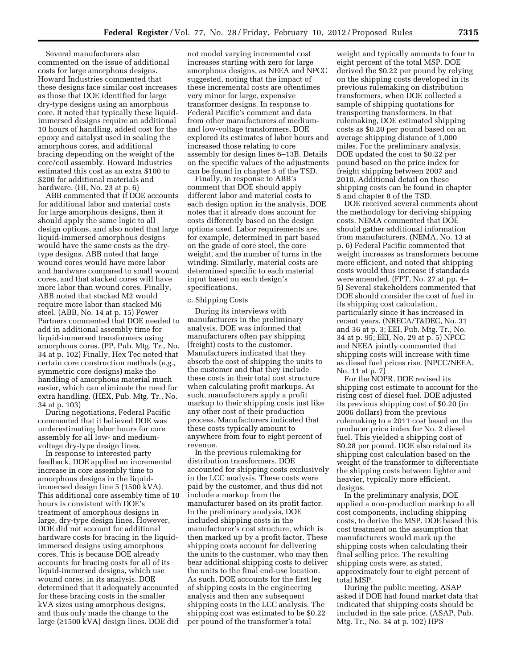Several manufacturers also commented on the issue of additional costs for large amorphous designs. Howard Industries commented that these designs face similar cost increases as those that DOE identified for large dry-type designs using an amorphous core. It noted that typically these liquidimmersed designs require an additional 10 hours of handling, added cost for the epoxy and catalyst used in sealing the amorphous cores, and additional bracing depending on the weight of the core/coil assembly. Howard Industries estimated this cost as an extra \$100 to \$200 for additional materials and hardware. (HI, No. 23 at p. 6)

ABB commented that if DOE accounts for additional labor and material costs for large amorphous designs, then it should apply the same logic to all design options, and also noted that large liquid-immersed amorphous designs would have the same costs as the drytype designs. ABB noted that large wound cores would have more labor and hardware compared to small wound cores, and that stacked cores will have more labor than wound cores. Finally, ABB noted that stacked M2 would require more labor than stacked M6 steel. (ABB, No. 14 at p. 15) Power Partners commented that DOE needed to add in additional assembly time for liquid-immersed transformers using amorphous cores. (PP, Pub. Mtg. Tr., No. 34 at p. 102) Finally, Hex Tec noted that certain core construction methods (*e.g.,*  symmetric core designs) make the handling of amorphous material much easier, which can eliminate the need for extra handling. (HEX, Pub. Mtg. Tr., No. 34 at p. 103)

During negotiations, Federal Pacific commented that it believed DOE was underestimating labor hours for core assembly for all low- and mediumvoltage dry-type design lines.

In response to interested party feedback, DOE applied an incremental increase in core assembly time to amorphous designs in the liquidimmersed design line 5 (1500 kVA). This additional core assembly time of 10 hours is consistent with DOE's treatment of amorphous designs in large, dry-type design lines. However, DOE did not account for additional hardware costs for bracing in the liquidimmersed designs using amorphous cores. This is because DOE already accounts for bracing costs for all of its liquid-immersed designs, which use wound cores, in its analysis. DOE determined that it adequately accounted for these bracing costs in the smaller kVA sizes using amorphous designs, and thus only made the change to the large (≥1500 kVA) design lines. DOE did

not model varying incremental cost increases starting with zero for large amorphous designs, as NEEA and NPCC suggested, noting that the impact of these incremental costs are oftentimes very minor for large, expensive transformer designs. In response to Federal Pacific's comment and data from other manufacturers of mediumand low-voltage transformers, DOE explored its estimates of labor hours and increased those relating to core assembly for design lines 6–13B. Details on the specific values of the adjustments can be found in chapter 5 of the TSD.

Finally, in response to ABB's comment that DOE should apply different labor and material costs to each design option in the analysis, DOE notes that it already does account for costs differently based on the design options used. Labor requirements are, for example, determined in part based on the grade of core steel, the core weight, and the number of turns in the winding. Similarly, material costs are determined specific to each material input based on each design's specifications.

# c. Shipping Costs

During its interviews with manufacturers in the preliminary analysis, DOE was informed that manufacturers often pay shipping (freight) costs to the customer. Manufacturers indicated that they absorb the cost of shipping the units to the customer and that they include these costs in their total cost structure when calculating profit markups. As such, manufacturers apply a profit markup to their shipping costs just like any other cost of their production process. Manufacturers indicated that these costs typically amount to anywhere from four to eight percent of revenue.

In the previous rulemaking for distribution transformers, DOE accounted for shipping costs exclusively in the LCC analysis. These costs were paid by the customer, and thus did not include a markup from the manufacturer based on its profit factor. In the preliminary analysis, DOE included shipping costs in the manufacturer's cost structure, which is then marked up by a profit factor. These shipping costs account for delivering the units to the customer, who may then bear additional shipping costs to deliver the units to the final end-use location. As such, DOE accounts for the first leg of shipping costs in the engineering analysis and then any subsequent shipping costs in the LCC analysis. The shipping cost was estimated to be \$0.22 per pound of the transformer's total

weight and typically amounts to four to eight percent of the total MSP. DOE derived the \$0.22 per pound by relying on the shipping costs developed in its previous rulemaking on distribution transformers, when DOE collected a sample of shipping quotations for transporting transformers. In that rulemaking, DOE estimated shipping costs as \$0.20 per pound based on an average shipping distance of 1,000 miles. For the preliminary analysis, DOE updated the cost to \$0.22 per pound based on the price index for freight shipping between 2007 and 2010. Additional detail on these shipping costs can be found in chapter 5 and chapter 8 of the TSD.

DOE received several comments about the methodology for deriving shipping costs. NEMA commented that DOE should gather additional information from manufacturers. (NEMA, No. 13 at p. 6) Federal Pacific commented that weight increases as transformers become more efficient, and noted that shipping costs would thus increase if standards were amended. (FPT, No. 27 at pp. 4– 5) Several stakeholders commented that DOE should consider the cost of fuel in its shipping cost calculation, particularly since it has increased in recent years. (NRECA/T&DEC, No. 31 and 36 at p. 3; EEI, Pub. Mtg. Tr., No. 34 at p. 95; EEI, No. 29 at p. 5) NPCC and NEEA jointly commented that shipping costs will increase with time as diesel fuel prices rise. (NPCC/NEEA, No. 11 at p. 7)

For the NOPR, DOE revised its shipping cost estimate to account for the rising cost of diesel fuel. DOE adjusted its previous shipping cost of \$0.20 (in 2006 dollars) from the previous rulemaking to a 2011 cost based on the producer price index for No. 2 diesel fuel. This yielded a shipping cost of \$0.28 per pound. DOE also retained its shipping cost calculation based on the weight of the transformer to differentiate the shipping costs between lighter and heavier, typically more efficient, designs.

In the preliminary analysis, DOE applied a non-production markup to all cost components, including shipping costs, to derive the MSP. DOE based this cost treatment on the assumption that manufacturers would mark up the shipping costs when calculating their final selling price. The resulting shipping costs were, as stated, approximately four to eight percent of total MSP.

During the public meeting, ASAP asked if DOE had found market data that indicated that shipping costs should be included in the sale price. (ASAP, Pub. Mtg. Tr., No. 34 at p. 102) HPS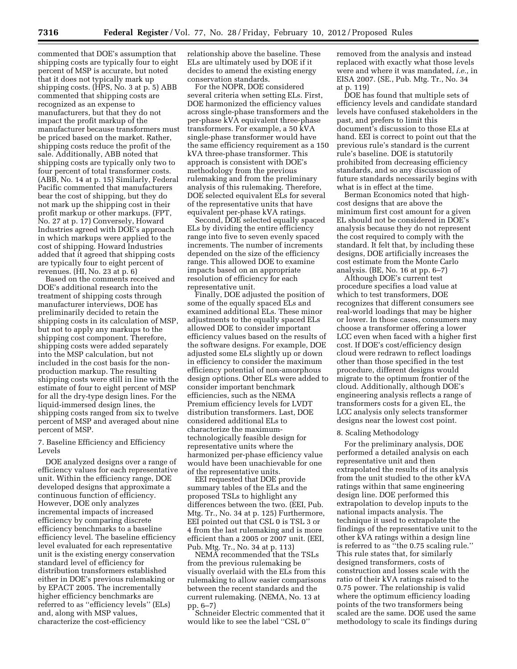commented that DOE's assumption that shipping costs are typically four to eight percent of MSP is accurate, but noted that it does not typically mark up shipping costs. (HPS, No. 3 at p. 5) ABB commented that shipping costs are recognized as an expense to manufacturers, but that they do not impact the profit markup of the manufacturer because transformers must be priced based on the market. Rather, shipping costs reduce the profit of the sale. Additionally, ABB noted that shipping costs are typically only two to four percent of total transformer costs. (ABB, No. 14 at p. 15) Similarly, Federal Pacific commented that manufacturers bear the cost of shipping, but they do not mark up the shipping cost in their profit markup or other markups. (FPT, No. 27 at p. 17) Conversely, Howard Industries agreed with DOE's approach in which markups were applied to the cost of shipping. Howard Industries added that it agreed that shipping costs are typically four to eight percent of revenues. (HI, No. 23 at p. 6)

Based on the comments received and DOE's additional research into the treatment of shipping costs through manufacturer interviews, DOE has preliminarily decided to retain the shipping costs in its calculation of MSP, but not to apply any markups to the shipping cost component. Therefore, shipping costs were added separately into the MSP calculation, but not included in the cost basis for the nonproduction markup. The resulting shipping costs were still in line with the estimate of four to eight percent of MSP for all the dry-type design lines. For the liquid-immersed design lines, the shipping costs ranged from six to twelve percent of MSP and averaged about nine percent of MSP.

7. Baseline Efficiency and Efficiency Levels

DOE analyzed designs over a range of efficiency values for each representative unit. Within the efficiency range, DOE developed designs that approximate a continuous function of efficiency. However, DOE only analyzes incremental impacts of increased efficiency by comparing discrete efficiency benchmarks to a baseline efficiency level. The baseline efficiency level evaluated for each representative unit is the existing energy conservation standard level of efficiency for distribution transformers established either in DOE's previous rulemaking or by EPACT 2005. The incrementally higher efficiency benchmarks are referred to as ''efficiency levels'' (ELs) and, along with MSP values, characterize the cost-efficiency

relationship above the baseline. These ELs are ultimately used by DOE if it decides to amend the existing energy conservation standards.

For the NOPR, DOE considered several criteria when setting ELs. First, DOE harmonized the efficiency values across single-phase transformers and the per-phase kVA equivalent three-phase transformers. For example, a 50 kVA single-phase transformer would have the same efficiency requirement as a 150 kVA three-phase transformer. This approach is consistent with DOE's methodology from the previous rulemaking and from the preliminary analysis of this rulemaking. Therefore, DOE selected equivalent ELs for several of the representative units that have equivalent per-phase kVA ratings.

Second, DOE selected equally spaced ELs by dividing the entire efficiency range into five to seven evenly spaced increments. The number of increments depended on the size of the efficiency range. This allowed DOE to examine impacts based on an appropriate resolution of efficiency for each representative unit.

Finally, DOE adjusted the position of some of the equally spaced ELs and examined additional ELs. These minor adjustments to the equally spaced ELs allowed DOE to consider important efficiency values based on the results of the software designs. For example, DOE adjusted some ELs slightly up or down in efficiency to consider the maximum efficiency potential of non-amorphous design options. Other ELs were added to consider important benchmark efficiencies, such as the NEMA Premium efficiency levels for LVDT distribution transformers. Last, DOE considered additional ELs to characterize the maximumtechnologically feasible design for representative units where the harmonized per-phase efficiency value would have been unachievable for one of the representative units.

EEI requested that DOE provide summary tables of the ELs and the proposed TSLs to highlight any differences between the two. (EEI, Pub. Mtg. Tr., No. 34 at p. 125) Furthermore, EEI pointed out that CSL 0 is TSL 3 or 4 from the last rulemaking and is more efficient than a 2005 or 2007 unit. (EEI, Pub. Mtg. Tr., No. 34 at p. 113)

NEMA recommended that the TSLs from the previous rulemaking be visually overlaid with the ELs from this rulemaking to allow easier comparisons between the recent standards and the current rulemaking. (NEMA, No. 13 at pp. 6–7)

Schneider Electric commented that it would like to see the label ''CSL 0''

removed from the analysis and instead replaced with exactly what those levels were and where it was mandated, *i.e.,* in EISA 2007. (SE., Pub. Mtg. Tr., No. 34 at p. 119)

DOE has found that multiple sets of efficiency levels and candidate standard levels have confused stakeholders in the past, and prefers to limit this document's discussion to those ELs at hand. EEI is correct to point out that the previous rule's standard is the current rule's baseline. DOE is statutorily prohibited from decreasing efficiency standards, and so any discussion of future standards necessarily begins with what is in effect at the time.

Berman Economics noted that highcost designs that are above the minimum first cost amount for a given EL should not be considered in DOE's analysis because they do not represent the cost required to comply with the standard. It felt that, by including these designs, DOE artificially increases the cost estimate from the Monte Carlo analysis. (BE, No. 16 at pp. 6–7)

Although DOE's current test procedure specifies a load value at which to test transformers, DOE recognizes that different consumers see real-world loadings that may be higher or lower. In those cases, consumers may choose a transformer offering a lower LCC even when faced with a higher first cost. If DOE's cost/efficiency design cloud were redrawn to reflect loadings other than those specified in the test procedure, different designs would migrate to the optimum frontier of the cloud. Additionally, although DOE's engineering analysis reflects a range of transformers costs for a given EL, the LCC analysis only selects transformer designs near the lowest cost point.

#### 8. Scaling Methodology

For the preliminary analysis, DOE performed a detailed analysis on each representative unit and then extrapolated the results of its analysis from the unit studied to the other kVA ratings within that same engineering design line. DOE performed this extrapolation to develop inputs to the national impacts analysis. The technique it used to extrapolate the findings of the representative unit to the other kVA ratings within a design line is referred to as ''the 0.75 scaling rule.'' This rule states that, for similarly designed transformers, costs of construction and losses scale with the ratio of their kVA ratings raised to the 0.75 power. The relationship is valid where the optimum efficiency loading points of the two transformers being scaled are the same. DOE used the same methodology to scale its findings during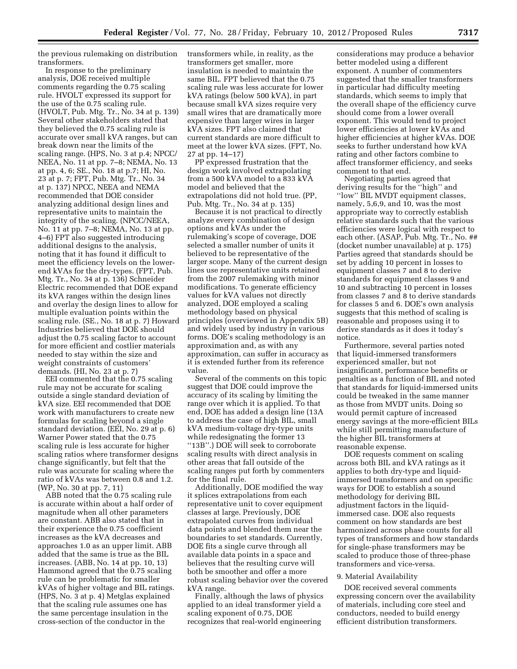the previous rulemaking on distribution transformers.

In response to the preliminary analysis, DOE received multiple comments regarding the 0.75 scaling rule. HVOLT expressed its support for the use of the 0.75 scaling rule. (HVOLT, Pub. Mtg. Tr., No. 34 at p. 139) Several other stakeholders stated that they believed the 0.75 scaling rule is accurate over small kVA ranges, but can break down near the limits of the scaling range. (HPS, No. 3 at p.4; NPCC/ NEEA, No. 11 at pp. 7–8; NEMA, No. 13 at pp. 4, 6; SE., No. 18 at p.7; HI, No. 23 at p. 7; FPT, Pub. Mtg. Tr., No. 34 at p. 137) NPCC, NEEA and NEMA recommended that DOE consider analyzing additional design lines and representative units to maintain the integrity of the scaling. (NPCC/NEEA, No. 11 at pp. 7–8; NEMA, No. 13 at pp. 4–6) FPT also suggested introducing additional designs to the analysis, noting that it has found it difficult to meet the efficiency levels on the lowerend kVAs for the dry-types. (FPT, Pub. Mtg. Tr., No. 34 at p. 136) Schneider Electric recommended that DOE expand its kVA ranges within the design lines and overlay the design lines to allow for multiple evaluation points within the scaling rule. (SE., No. 18 at p. 7) Howard Industries believed that DOE should adjust the 0.75 scaling factor to account for more efficient and costlier materials needed to stay within the size and weight constraints of customers' demands. (HI, No. 23 at p. 7)

EEI commented that the 0.75 scaling rule may not be accurate for scaling outside a single standard deviation of kVA size. EEI recommended that DOE work with manufacturers to create new formulas for scaling beyond a single standard deviation. (EEI, No. 29 at p. 6) Warner Power stated that the 0.75 scaling rule is less accurate for higher scaling ratios where transformer designs change significantly, but felt that the rule was accurate for scaling where the ratio of kVAs was between 0.8 and 1.2. (WP, No. 30 at pp. 7, 11)

ABB noted that the 0.75 scaling rule is accurate within about a half order of magnitude when all other parameters are constant. ABB also stated that in their experience the 0.75 coefficient increases as the kVA decreases and approaches 1.0 as an upper limit. ABB added that the same is true as the BIL increases. (ABB, No. 14 at pp. 10, 13) Hammond agreed that the 0.75 scaling rule can be problematic for smaller kVAs of higher voltage and BIL ratings. (HPS, No. 3 at p. 4) Metglas explained that the scaling rule assumes one has the same percentage insulation in the cross-section of the conductor in the

transformers while, in reality, as the transformers get smaller, more insulation is needed to maintain the same BIL. FPT believed that the 0.75 scaling rule was less accurate for lower kVA ratings (below 500 kVA), in part because small kVA sizes require very small wires that are dramatically more expensive than larger wires in larger kVA sizes. FPT also claimed that current standards are more difficult to meet at the lower kVA sizes. (FPT, No. 27 at pp. 14–17)

PP expressed frustration that the design work involved extrapolating from a 500 kVA model to a 833 kVA model and believed that the extrapolations did not hold true. (PP, Pub. Mtg. Tr., No. 34 at p. 135)

Because it is not practical to directly analyze every combination of design options and kVAs under the rulemaking's scope of coverage, DOE selected a smaller number of units it believed to be representative of the larger scope. Many of the current design lines use representative units retained from the 2007 rulemaking with minor modifications. To generate efficiency values for kVA values not directly analyzed, DOE employed a scaling methodology based on physical principles (overviewed in Appendix 5B) and widely used by industry in various forms. DOE's scaling methodology is an approximation and, as with any approximation, can suffer in accuracy as it is extended further from its reference value.

Several of the comments on this topic suggest that DOE could improve the accuracy of its scaling by limiting the range over which it is applied. To that end, DOE has added a design line (13A to address the case of high BIL, small kVA medium-voltage dry-type units while redesignating the former 13 ''13B''.) DOE will seek to corroborate scaling results with direct analysis in other areas that fall outside of the scaling ranges put forth by commenters for the final rule.

Additionally, DOE modified the way it splices extrapolations from each representative unit to cover equipment classes at large. Previously, DOE extrapolated curves from individual data points and blended them near the boundaries to set standards. Currently, DOE fits a single curve through all available data points in a space and believes that the resulting curve will both be smoother and offer a more robust scaling behavior over the covered kVA range.

Finally, although the laws of physics applied to an ideal transformer yield a scaling exponent of 0.75, DOE recognizes that real-world engineering

considerations may produce a behavior better modeled using a different exponent. A number of commenters suggested that the smaller transformers in particular had difficulty meeting standards, which seems to imply that the overall shape of the efficiency curve should come from a lower overall exponent. This would tend to project lower efficiencies at lower kVAs and higher efficiencies at higher kVAs. DOE seeks to further understand how kVA rating and other factors combine to affect transformer efficiency, and seeks comment to that end.

Negotiating parties agreed that deriving results for the ''high'' and ''low'' BIL MVDT equipment classes, namely, 5,6,9, and 10, was the most appropriate way to correctly establish relative standards such that the various efficiencies were logical with respect to each other. (ASAP, Pub. Mtg. Tr., No. ## (docket number unavailable) at p. 175) Parties agreed that standards should be set by adding 10 percent in losses to equipment classes 7 and 8 to derive standards for equipment classes 9 and 10 and subtracting 10 percent in losses from classes 7 and 8 to derive standards for classes 5 and 6. DOE's own analysis suggests that this method of scaling is reasonable and proposes using it to derive standards as it does it today's notice.

Furthermore, several parties noted that liquid-immersed transformers experienced smaller, but not insignificant, performance benefits or penalties as a function of BIL and noted that standards for liquid-immersed units could be tweaked in the same manner as those from MVDT units. Doing so would permit capture of increased energy savings at the more-efficient BILs while still permitting manufacture of the higher BIL transformers at reasonable expense.

DOE requests comment on scaling across both BIL and kVA ratings as it applies to both dry-type and liquidimmersed transformers and on specific ways for DOE to establish a sound methodology for deriving BIL adjustment factors in the liquidimmersed case. DOE also requests comment on how standards are best harmonized across phase counts for all types of transformers and how standards for single-phase transformers may be scaled to produce those of three-phase transformers and vice-versa.

#### 9. Material Availability

DOE received several comments expressing concern over the availability of materials, including core steel and conductors, needed to build energy efficient distribution transformers.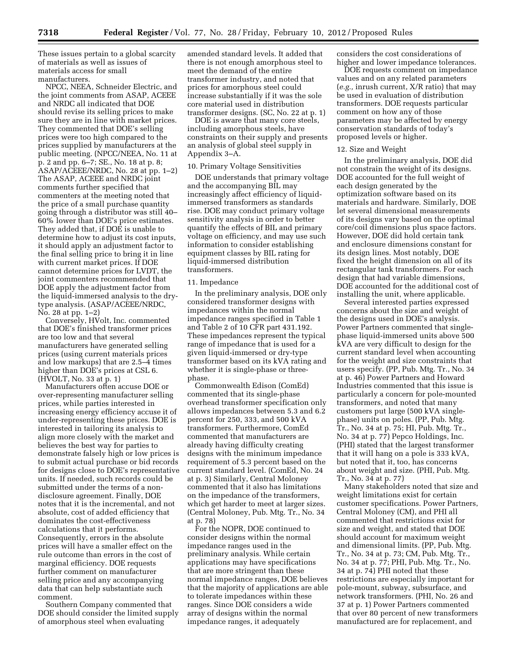These issues pertain to a global scarcity of materials as well as issues of materials access for small manufacturers.

NPCC, NEEA, Schneider Electric, and the joint comments from ASAP, ACEEE and NRDC all indicated that DOE should revise its selling prices to make sure they are in line with market prices. They commented that DOE's selling prices were too high compared to the prices supplied by manufacturers at the public meeting. (NPCC/NEEA, No. 11 at p. 2 and pp. 6–7; SE., No. 18 at p. 8; ASAP/ACEEE/NRDC, No. 28 at pp. 1–2) The ASAP, ACEEE and NRDC joint comments further specified that commenters at the meeting noted that the price of a small purchase quantity going through a distributor was still 40– 60% lower than DOE's price estimates. They added that, if DOE is unable to determine how to adjust its cost inputs, it should apply an adjustment factor to the final selling price to bring it in line with current market prices. If DOE cannot determine prices for LVDT, the joint commenters recommended that DOE apply the adjustment factor from the liquid-immersed analysis to the drytype analysis. (ASAP/ACEEE/NRDC, No. 28 at pp. 1–2)

Conversely, HVolt, Inc. commented that DOE's finished transformer prices are too low and that several manufacturers have generated selling prices (using current materials prices and low markups) that are 2.5–4 times higher than DOE's prices at CSL 6. (HVOLT, No. 33 at p. 1)

Manufacturers often accuse DOE or over-representing manufacturer selling prices, while parties interested in increasing energy efficiency accuse it of under-representing these prices. DOE is interested in tailoring its analysis to align more closely with the market and believes the best way for parties to demonstrate falsely high or low prices is to submit actual purchase or bid records for designs close to DOE's representative units. If needed, such records could be submitted under the terms of a nondisclosure agreement. Finally, DOE notes that it is the incremental, and not absolute, cost of added efficiency that dominates the cost-effectiveness calculations that it performs. Consequently, errors in the absolute prices will have a smaller effect on the rule outcome than errors in the cost of marginal efficiency. DOE requests further comment on manufacturer selling price and any accompanying data that can help substantiate such comment.

Southern Company commented that DOE should consider the limited supply of amorphous steel when evaluating

amended standard levels. It added that there is not enough amorphous steel to meet the demand of the entire transformer industry, and noted that prices for amorphous steel could increase substantially if it was the sole core material used in distribution transformer designs. (SC, No. 22 at p. 1)

DOE is aware that many core steels, including amorphous steels, have constraints on their supply and presents an analysis of global steel supply in Appendix 3–A.

#### 10. Primary Voltage Sensitivities

DOE understands that primary voltage and the accompanying BIL may increasingly affect efficiency of liquidimmersed transformers as standards rise. DOE may conduct primary voltage sensitivity analysis in order to better quantify the effects of BIL and primary voltage on efficiency, and may use such information to consider establishing equipment classes by BIL rating for liquid-immersed distribution transformers.

### 11. Impedance

In the preliminary analysis, DOE only considered transformer designs with impedances within the normal impedance ranges specified in Table 1 and Table 2 of 10 CFR part 431.192. These impedances represent the typical range of impedance that is used for a given liquid-immersed or dry-type transformer based on its kVA rating and whether it is single-phase or threephase.

Commonwealth Edison (ComEd) commented that its single-phase overhead transformer specification only allows impedances between 5.3 and 6.2 percent for 250, 333, and 500 kVA transformers. Furthermore, ComEd commented that manufacturers are already having difficulty creating designs with the minimum impedance requirement of 5.3 percent based on the current standard level. (ComEd, No. 24 at p. 3) Similarly, Central Moloney commented that it also has limitations on the impedance of the transformers, which get harder to meet at larger sizes. (Central Moloney, Pub. Mtg. Tr., No. 34 at p. 78)

For the NOPR, DOE continued to consider designs within the normal impedance ranges used in the preliminary analysis. While certain applications may have specifications that are more stringent than these normal impedance ranges, DOE believes that the majority of applications are able to tolerate impedances within these ranges. Since DOE considers a wide array of designs within the normal impedance ranges, it adequately

considers the cost considerations of higher and lower impedance tolerances.

DOE requests comment on impedance values and on any related parameters (*e.g.,* inrush current, X/R ratio) that may be used in evaluation of distribution transformers. DOE requests particular comment on how any of those parameters may be affected by energy conservation standards of today's proposed levels or higher.

#### 12. Size and Weight

In the preliminary analysis, DOE did not constrain the weight of its designs. DOE accounted for the full weight of each design generated by the optimization software based on its materials and hardware. Similarly, DOE let several dimensional measurements of its designs vary based on the optimal core/coil dimensions plus space factors. However, DOE did hold certain tank and enclosure dimensions constant for its design lines. Most notably, DOE fixed the height dimension on all of its rectangular tank transformers. For each design that had variable dimensions, DOE accounted for the additional cost of installing the unit, where applicable.

Several interested parties expressed concerns about the size and weight of the designs used in DOE's analysis. Power Partners commented that singlephase liquid-immersed units above 500 kVA are very difficult to design for the current standard level when accounting for the weight and size constraints that users specify. (PP, Pub. Mtg. Tr., No. 34 at p. 46) Power Partners and Howard Industries commented that this issue is particularly a concern for pole-mounted transformers, and noted that many customers put large (500 kVA singlephase) units on poles. (PP, Pub. Mtg. Tr., No. 34 at p. 75; HI, Pub. Mtg. Tr., No. 34 at p. 77) Pepco Holdings, Inc. (PHI) stated that the largest transformer that it will hang on a pole is 333 kVA, but noted that it, too, has concerns about weight and size. (PHI, Pub. Mtg. Tr., No. 34 at p. 77)

Many stakeholders noted that size and weight limitations exist for certain customer specifications. Power Partners, Central Moloney (CM), and PHI all commented that restrictions exist for size and weight, and stated that DOE should account for maximum weight and dimensional limits. (PP, Pub. Mtg. Tr., No. 34 at p. 73; CM, Pub. Mtg. Tr., No. 34 at p. 77; PHI, Pub. Mtg. Tr., No. 34 at p. 74) PHI noted that these restrictions are especially important for pole-mount, subway, subsurface, and network transformers. (PHI, No. 26 and 37 at p. 1) Power Partners commented that over 80 percent of new transformers manufactured are for replacement, and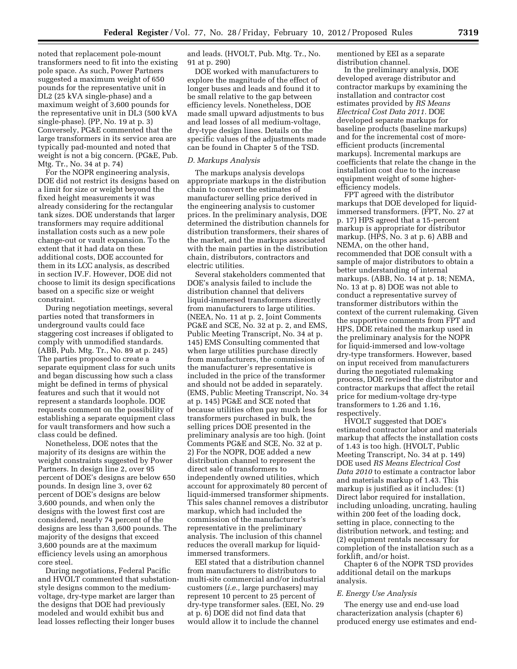noted that replacement pole-mount transformers need to fit into the existing pole space. As such, Power Partners suggested a maximum weight of 650 pounds for the representative unit in DL2 (25 kVA single-phase) and a maximum weight of 3,600 pounds for the representative unit in DL3 (500 kVA single-phase). (PP, No. 19 at p. 3) Conversely, PG&E commented that the large transformers in its service area are typically pad-mounted and noted that weight is not a big concern. (PG&E, Pub. Mtg. Tr., No. 34 at p. 74)

For the NOPR engineering analysis, DOE did not restrict its designs based on a limit for size or weight beyond the fixed height measurements it was already considering for the rectangular tank sizes. DOE understands that larger transformers may require additional installation costs such as a new pole change-out or vault expansion. To the extent that it had data on these additional costs, DOE accounted for them in its LCC analysis, as described in section IV.F. However, DOE did not choose to limit its design specifications based on a specific size or weight constraint.

During negotiation meetings, several parties noted that transformers in underground vaults could face staggering cost increases if obligated to comply with unmodified standards. (ABB, Pub. Mtg. Tr., No. 89 at p. 245) The parties proposed to create a separate equipment class for such units and began discussing how such a class might be defined in terms of physical features and such that it would not represent a standards loophole. DOE requests comment on the possibility of establishing a separate equipment class for vault transformers and how such a class could be defined.

Nonetheless, DOE notes that the majority of its designs are within the weight constraints suggested by Power Partners. In design line 2, over 95 percent of DOE's designs are below 650 pounds. In design line 3, over 62 percent of DOE's designs are below 3,600 pounds, and when only the designs with the lowest first cost are considered, nearly 74 percent of the designs are less than 3,600 pounds. The majority of the designs that exceed 3,600 pounds are at the maximum efficiency levels using an amorphous core steel.

During negotiations, Federal Pacific and HVOLT commented that substationstyle designs common to the mediumvoltage, dry-type market are larger than the designs that DOE had previously modeled and would exhibit bus and lead losses reflecting their longer buses

and leads. (HVOLT, Pub. Mtg. Tr., No. 91 at p. 290)

DOE worked with manufacturers to explore the magnitude of the effect of longer buses and leads and found it to be small relative to the gap between efficiency levels. Nonetheless, DOE made small upward adjustments to bus and lead losses of all medium-voltage, dry-type design lines. Details on the specific values of the adjustments made can be found in Chapter 5 of the TSD.

#### *D. Markups Analysis*

The markups analysis develops appropriate markups in the distribution chain to convert the estimates of manufacturer selling price derived in the engineering analysis to customer prices. In the preliminary analysis, DOE determined the distribution channels for distribution transformers, their shares of the market, and the markups associated with the main parties in the distribution chain, distributors, contractors and electric utilities.

Several stakeholders commented that DOE's analysis failed to include the distribution channel that delivers liquid-immersed transformers directly from manufacturers to large utilities. (NEEA, No. 11 at p. 2, Joint Comments PG&E and SCE, No. 32 at p. 2, and EMS, Public Meeting Transcript, No. 34 at p. 145) EMS Consulting commented that when large utilities purchase directly from manufacturers, the commission of the manufacturer's representative is included in the price of the transformer and should not be added in separately. (EMS, Public Meeting Transcript, No. 34 at p. 145) PG&E and SCE noted that because utilities often pay much less for transformers purchased in bulk, the selling prices DOE presented in the preliminary analysis are too high. (Joint Comments PG&E and SCE, No. 32 at p. 2) For the NOPR, DOE added a new distribution channel to represent the direct sale of transformers to independently owned utilities, which account for approximately 80 percent of liquid-immersed transformer shipments. This sales channel removes a distributor markup, which had included the commission of the manufacturer's representative in the preliminary analysis. The inclusion of this channel reduces the overall markup for liquidimmersed transformers.

EEI stated that a distribution channel from manufacturers to distributors to multi-site commercial and/or industrial customers (*i.e.,* large purchasers) may represent 10 percent to 25 percent of dry-type transformer sales. (EEI, No. 29 at p. 6) DOE did not find data that would allow it to include the channel

mentioned by EEI as a separate distribution channel.

In the preliminary analysis, DOE developed average distributor and contractor markups by examining the installation and contractor cost estimates provided by *RS Means Electrical Cost Data 2011.* DOE developed separate markups for baseline products (baseline markups) and for the incremental cost of moreefficient products (incremental markups). Incremental markups are coefficients that relate the change in the installation cost due to the increase equipment weight of some higherefficiency models.

FPT agreed with the distributor markups that DOE developed for liquidimmersed transformers. (FPT, No. 27 at p. 17) HPS agreed that a 15-percent markup is appropriate for distributor markup. (HPS, No. 3 at p. 6) ABB and NEMA, on the other hand, recommended that DOE consult with a sample of major distributors to obtain a better understanding of internal markups. (ABB, No. 14 at p. 18; NEMA, No. 13 at p. 8) DOE was not able to conduct a representative survey of transformer distributors within the context of the current rulemaking. Given the supportive comments from FPT and HPS, DOE retained the markup used in the preliminary analysis for the NOPR for liquid-immersed and low-voltage dry-type transformers. However, based on input received from manufacturers during the negotiated rulemaking process, DOE revised the distributor and contractor markups that affect the retail price for medium-voltage dry-type transformers to 1.26 and 1.16, respectively.

HVOLT suggested that DOE's estimated contractor labor and materials markup that affects the installation costs of 1.43 is too high. (HVOLT, Public Meeting Transcript, No. 34 at p. 149) DOE used *RS Means Electrical Cost Data 2010* to estimate a contractor labor and materials markup of 1.43. This markup is justified as it includes: (1) Direct labor required for installation, including unloading, uncrating, hauling within 200 feet of the loading dock, setting in place, connecting to the distribution network, and testing; and (2) equipment rentals necessary for completion of the installation such as a forklift, and/or hoist.

Chapter 6 of the NOPR TSD provides additional detail on the markups analysis.

## *E. Energy Use Analysis*

The energy use and end-use load characterization analysis (chapter 6) produced energy use estimates and end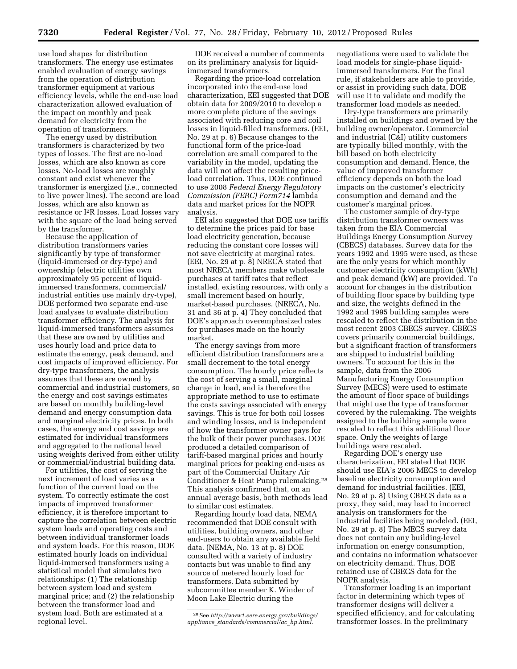use load shapes for distribution transformers. The energy use estimates enabled evaluation of energy savings from the operation of distribution transformer equipment at various efficiency levels, while the end-use load characterization allowed evaluation of the impact on monthly and peak demand for electricity from the operation of transformers.

The energy used by distribution transformers is characterized by two types of losses. The first are no-load losses, which are also known as core losses. No-load losses are roughly constant and exist whenever the transformer is energized (*i.e.,* connected to live power lines). The second are load losses, which are also known as resistance or I2R losses. Load losses vary with the square of the load being served by the transformer.

Because the application of distribution transformers varies significantly by type of transformer (liquid-immersed or dry-type) and ownership (electric utilities own approximately 95 percent of liquidimmersed transformers, commercial/ industrial entities use mainly dry-type), DOE performed two separate end-use load analyses to evaluate distribution transformer efficiency. The analysis for liquid-immersed transformers assumes that these are owned by utilities and uses hourly load and price data to estimate the energy, peak demand, and cost impacts of improved efficiency. For dry-type transformers, the analysis assumes that these are owned by commercial and industrial customers, so the energy and cost savings estimates are based on monthly building-level demand and energy consumption data and marginal electricity prices. In both cases, the energy and cost savings are estimated for individual transformers and aggregated to the national level using weights derived from either utility or commercial/industrial building data.

For utilities, the cost of serving the next increment of load varies as a function of the current load on the system. To correctly estimate the cost impacts of improved transformer efficiency, it is therefore important to capture the correlation between electric system loads and operating costs and between individual transformer loads and system loads. For this reason, DOE estimated hourly loads on individual liquid-immersed transformers using a statistical model that simulates two relationships: (1) The relationship between system load and system marginal price; and (2) the relationship between the transformer load and system load. Both are estimated at a regional level.

DOE received a number of comments on its preliminary analysis for liquidimmersed transformers.

Regarding the price-load correlation incorporated into the end-use load characterization, EEI suggested that DOE obtain data for 2009/2010 to develop a more complete picture of the savings associated with reducing core and coil losses in liquid-filled transformers. (EEI, No. 29 at p. 6) Because changes to the functional form of the price-load correlation are small compared to the variability in the model, updating the data will not affect the resulting priceload correlation. Thus, DOE continued to use 2008 *Federal Energy Regulatory Commission (FERC) Form714* lambda data and market prices for the NOPR analysis.

EEI also suggested that DOE use tariffs to determine the prices paid for base load electricity generation, because reducing the constant core losses will not save electricity at marginal rates. (EEI, No. 29 at p. 8) NRECA stated that most NRECA members make wholesale purchases at tariff rates that reflect installed, existing resources, with only a small increment based on hourly, market-based purchases. (NRECA, No. 31 and 36 at p. 4) They concluded that DOE's approach overemphasized rates for purchases made on the hourly market.

The energy savings from more efficient distribution transformers are a small decrement to the total energy consumption. The hourly price reflects the cost of serving a small, marginal change in load, and is therefore the appropriate method to use to estimate the costs savings associated with energy savings. This is true for both coil losses and winding losses, and is independent of how the transformer owner pays for the bulk of their power purchases. DOE produced a detailed comparison of tariff-based marginal prices and hourly marginal prices for peaking end-uses as part of the Commercial Unitary Air Conditioner & Heat Pump rulemaking.28 This analysis confirmed that, on an annual average basis, both methods lead to similar cost estimates.

Regarding hourly load data, NEMA recommended that DOE consult with utilities, building owners, and other end-users to obtain any available field data. (NEMA, No. 13 at p. 8) DOE consulted with a variety of industry contacts but was unable to find any source of metered hourly load for transformers. Data submitted by subcommittee member K. Winder of Moon Lake Electric during the

28See *[http://www1.eere.energy.gov/buildings/](http://www1.eere.energy.gov/buildings/appliance_standards/commercial/ac_hp.html) appliance*\_*[standards/commercial/ac](http://www1.eere.energy.gov/buildings/appliance_standards/commercial/ac_hp.html)*\_*hp.html.* 

negotiations were used to validate the load models for single-phase liquidimmersed transformers. For the final rule, if stakeholders are able to provide, or assist in providing such data, DOE will use it to validate and modify the transformer load models as needed.

Dry-type transformers are primarily installed on buildings and owned by the building owner/operator. Commercial and industrial (C&I) utility customers are typically billed monthly, with the bill based on both electricity consumption and demand. Hence, the value of improved transformer efficiency depends on both the load impacts on the customer's electricity consumption and demand and the customer's marginal prices.

The customer sample of dry-type distribution transformer owners was taken from the EIA Commercial Buildings Energy Consumption Survey (CBECS) databases. Survey data for the years 1992 and 1995 were used, as these are the only years for which monthly customer electricity consumption (kWh) and peak demand (kW) are provided. To account for changes in the distribution of building floor space by building type and size, the weights defined in the 1992 and 1995 building samples were rescaled to reflect the distribution in the most recent 2003 CBECS survey. CBECS covers primarily commercial buildings, but a significant fraction of transformers are shipped to industrial building owners. To account for this in the sample, data from the 2006 Manufacturing Energy Consumption Survey (MECS) were used to estimate the amount of floor space of buildings that might use the type of transformer covered by the rulemaking. The weights assigned to the building sample were rescaled to reflect this additional floor space. Only the weights of large buildings were rescaled.

Regarding DOE's energy use characterization, EEI stated that DOE should use EIA's 2006 MECS to develop baseline electricity consumption and demand for industrial facilities. (EEI, No. 29 at p. 8) Using CBECS data as a proxy, they said, may lead to incorrect analysis on transformers for the industrial facilities being modeled. (EEI, No. 29 at p. 8) The MECS survey data does not contain any building-level information on energy consumption, and contains no information whatsoever on electricity demand. Thus, DOE retained use of CBECS data for the NOPR analysis.

Transformer loading is an important factor in determining which types of transformer designs will deliver a specified efficiency, and for calculating transformer losses. In the preliminary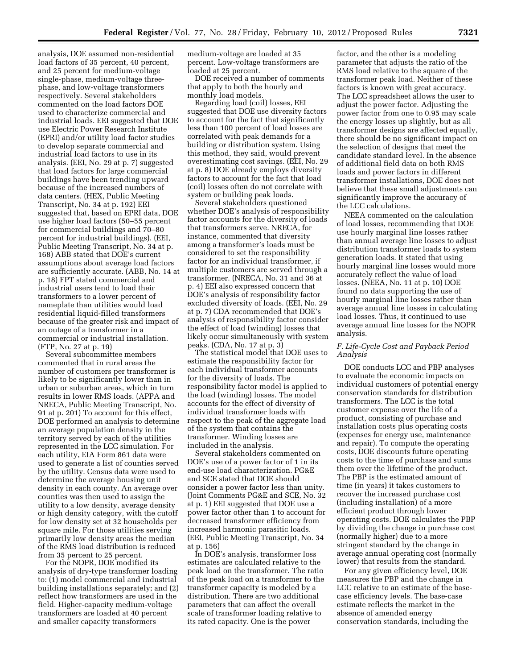analysis, DOE assumed non-residential load factors of 35 percent, 40 percent, and 25 percent for medium-voltage single-phase, medium-voltage threephase, and low-voltage transformers respectively. Several stakeholders commented on the load factors DOE used to characterize commercial and industrial loads. EEI suggested that DOE use Electric Power Research Institute (EPRI) and/or utility load factor studies to develop separate commercial and industrial load factors to use in its analysis. (EEI, No. 29 at p. 7) suggested that load factors for large commercial buildings have been trending upward because of the increased numbers of data centers. (HEX, Public Meeting Transcript, No. 34 at p. 192) EEI suggested that, based on EPRI data, DOE use higher load factors (50–55 percent for commercial buildings and 70–80 percent for industrial buildings). (EEI, Public Meeting Transcript, No. 34 at p. 168) ABB stated that DOE's current assumptions about average load factors are sufficiently accurate. (ABB, No. 14 at p. 18) FPT stated commercial and industrial users tend to load their transformers to a lower percent of nameplate than utilities would load residential liquid-filled transformers because of the greater risk and impact of an outage of a transformer in a commercial or industrial installation. (FTP, No. 27 at p. 19)

Several subcommittee members commented that in rural areas the number of customers per transformer is likely to be significantly lower than in urban or suburban areas, which in turn results in lower RMS loads. (APPA and NRECA, Public Meeting Transcript, No. 91 at p. 201) To account for this effect, DOE performed an analysis to determine an average population density in the territory served by each of the utilities represented in the LCC simulation. For each utility, EIA Form 861 data were used to generate a list of counties served by the utility. Census data were used to determine the average housing unit density in each county. An average over counties was then used to assign the utility to a low density, average density or high density category, with the cutoff for low density set at 32 households per square mile. For those utilities serving primarily low density areas the median of the RMS load distribution is reduced from 35 percent to 25 percent.

For the NOPR, DOE modified its analysis of dry-type transformer loading to: (1) model commercial and industrial building installations separately; and (2) reflect how transformers are used in the field. Higher-capacity medium-voltage transformers are loaded at 40 percent and smaller capacity transformers

medium-voltage are loaded at 35 percent. Low-voltage transformers are loaded at 25 percent.

DOE received a number of comments that apply to both the hourly and monthly load models.

Regarding load (coil) losses, EEI suggested that DOE use diversity factors to account for the fact that significantly less than 100 percent of load losses are correlated with peak demands for a building or distribution system. Using this method, they said, would prevent overestimating cost savings. (EEI, No. 29 at p. 8) DOE already employs diversity factors to account for the fact that load (coil) losses often do not correlate with system or building peak loads.

Several stakeholders questioned whether DOE's analysis of responsibility factor accounts for the diversity of loads that transformers serve. NRECA, for instance, commented that diversity among a transformer's loads must be considered to set the responsibility factor for an individual transformer, if multiple customers are served through a transformer. (NRECA, No. 31 and 36 at p. 4) EEI also expressed concern that DOE's analysis of responsibility factor excluded diversity of loads. (EEI, No. 29 at p. 7) CDA recommended that DOE's analysis of responsibility factor consider the effect of load (winding) losses that likely occur simultaneously with system peaks. (CDA, No. 17 at p. 3)

The statistical model that DOE uses to estimate the responsibility factor for each individual transformer accounts for the diversity of loads. The responsibility factor model is applied to the load (winding) losses. The model accounts for the effect of diversity of individual transformer loads with respect to the peak of the aggregate load of the system that contains the transformer. Winding losses are included in the analysis.

Several stakeholders commented on DOE's use of a power factor of 1 in its end-use load characterization. PG&E and SCE stated that DOE should consider a power factor less than unity. (Joint Comments PG&E and SCE, No. 32 at p. 1) EEI suggested that DOE use a power factor other than 1 to account for decreased transformer efficiency from increased harmonic parasitic loads. (EEI, Public Meeting Transcript, No. 34 at p. 156)

In DOE's analysis, transformer loss estimates are calculated relative to the peak load on the transformer. The ratio of the peak load on a transformer to the transformer capacity is modeled by a distribution. There are two additional parameters that can affect the overall scale of transformer loading relative to its rated capacity. One is the power

factor, and the other is a modeling parameter that adjusts the ratio of the RMS load relative to the square of the transformer peak load. Neither of these factors is known with great accuracy. The LCC spreadsheet allows the user to adjust the power factor. Adjusting the power factor from one to 0.95 may scale the energy losses up slightly, but as all transformer designs are affected equally, there should be no significant impact on the selection of designs that meet the candidate standard level. In the absence of additional field data on both RMS loads and power factors in different transformer installations, DOE does not believe that these small adjustments can significantly improve the accuracy of the LCC calculations.

NEEA commented on the calculation of load losses, recommending that DOE use hourly marginal line losses rather than annual average line losses to adjust distribution transformer loads to system generation loads. It stated that using hourly marginal line losses would more accurately reflect the value of load losses. (NEEA, No. 11 at p. 10) DOE found no data supporting the use of hourly marginal line losses rather than average annual line losses in calculating load losses. Thus, it continued to use average annual line losses for the NOPR analysis.

### *F. Life-Cycle Cost and Payback Period Analysis*

DOE conducts LCC and PBP analyses to evaluate the economic impacts on individual customers of potential energy conservation standards for distribution transformers. The LCC is the total customer expense over the life of a product, consisting of purchase and installation costs plus operating costs (expenses for energy use, maintenance and repair). To compute the operating costs, DOE discounts future operating costs to the time of purchase and sums them over the lifetime of the product. The PBP is the estimated amount of time (in years) it takes customers to recover the increased purchase cost (including installation) of a more efficient product through lower operating costs. DOE calculates the PBP by dividing the change in purchase cost (normally higher) due to a more stringent standard by the change in average annual operating cost (normally lower) that results from the standard.

For any given efficiency level, DOE measures the PBP and the change in LCC relative to an estimate of the basecase efficiency levels. The base-case estimate reflects the market in the absence of amended energy conservation standards, including the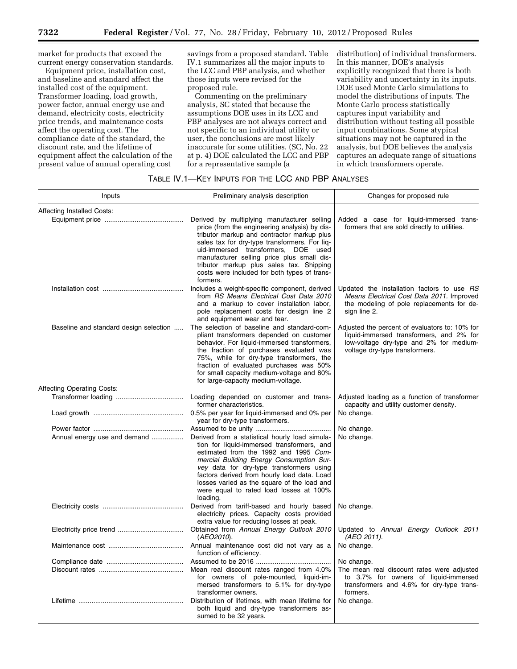market for products that exceed the current energy conservation standards.

Equipment price, installation cost, and baseline and standard affect the installed cost of the equipment. Transformer loading, load growth, power factor, annual energy use and demand, electricity costs, electricity price trends, and maintenance costs affect the operating cost. The compliance date of the standard, the discount rate, and the lifetime of equipment affect the calculation of the present value of annual operating cost

savings from a proposed standard. Table IV.1 summarizes all the major inputs to the LCC and PBP analysis, and whether those inputs were revised for the proposed rule.

Commenting on the preliminary analysis, SC stated that because the assumptions DOE uses in its LCC and PBP analyses are not always correct and not specific to an individual utility or user, the conclusions are most likely inaccurate for some utilities. (SC, No. 22 at p. 4) DOE calculated the LCC and PBP for a representative sample (a

distribution) of individual transformers. In this manner, DOE's analysis explicitly recognized that there is both variability and uncertainty in its inputs. DOE used Monte Carlo simulations to model the distributions of inputs. The Monte Carlo process statistically captures input variability and distribution without testing all possible input combinations. Some atypical situations may not be captured in the analysis, but DOE believes the analysis captures an adequate range of situations in which transformers operate.

## TABLE IV.1—KEY INPUTS FOR THE LCC AND PBP ANALYSES

| Inputs                                 | Preliminary analysis description                                                                                                                                                                                                                                                                                                                                                         | Changes for proposed rule                                                                                                                                               |
|----------------------------------------|------------------------------------------------------------------------------------------------------------------------------------------------------------------------------------------------------------------------------------------------------------------------------------------------------------------------------------------------------------------------------------------|-------------------------------------------------------------------------------------------------------------------------------------------------------------------------|
| <b>Affecting Installed Costs:</b>      | Derived by multiplying manufacturer selling<br>price (from the engineering analysis) by dis-<br>tributor markup and contractor markup plus<br>sales tax for dry-type transformers. For lig-<br>uid-immersed transformers, DOE used<br>manufacturer selling price plus small dis-<br>tributor markup plus sales tax. Shipping<br>costs were included for both types of trans-<br>formers. | Added a case for liquid-immersed trans-<br>formers that are sold directly to utilities.                                                                                 |
|                                        | Includes a weight-specific component, derived<br>from RS Means Electrical Cost Data 2010<br>and a markup to cover installation labor,<br>pole replacement costs for design line 2<br>and equipment wear and tear.                                                                                                                                                                        | Updated the installation factors to use RS<br>Means Electrical Cost Data 2011. Improved<br>the modeling of pole replacements for de-<br>sign line 2.                    |
| Baseline and standard design selection | The selection of baseline and standard-com-<br>pliant transformers depended on customer<br>behavior. For liquid-immersed transformers,<br>the fraction of purchases evaluated was<br>75%, while for dry-type transformers, the<br>fraction of evaluated purchases was 50%<br>for small capacity medium-voltage and 80%<br>for large-capacity medium-voltage.                             | Adjusted the percent of evaluators to: 10% for<br>liquid-immersed transformers, and 2% for<br>low-voltage dry-type and 2% for medium-<br>voltage dry-type transformers. |
| <b>Affecting Operating Costs:</b>      |                                                                                                                                                                                                                                                                                                                                                                                          |                                                                                                                                                                         |
|                                        | Loading depended on customer and trans-<br>former characteristics.                                                                                                                                                                                                                                                                                                                       | Adjusted loading as a function of transformer<br>capacity and utility customer density.                                                                                 |
|                                        | 0.5% per year for liquid-immersed and 0% per<br>year for dry-type transformers.                                                                                                                                                                                                                                                                                                          | No change.                                                                                                                                                              |
| Annual energy use and demand           | Derived from a statistical hourly load simula-<br>tion for liquid-immersed transformers, and<br>estimated from the 1992 and 1995 Com-<br>mercial Building Energy Consumption Sur-<br>vey data for dry-type transformers using<br>factors derived from hourly load data. Load<br>losses varied as the square of the load and<br>were equal to rated load losses at 100%<br>loading.       | No change.<br>No change.                                                                                                                                                |
|                                        | Derived from tariff-based and hourly based<br>electricity prices. Capacity costs provided<br>extra value for reducing losses at peak.                                                                                                                                                                                                                                                    | No change.                                                                                                                                                              |
|                                        | Obtained from Annual Energy Outlook 2010<br>(AEO2010).                                                                                                                                                                                                                                                                                                                                   | Updated to Annual Energy Outlook 2011<br>(AEO 2011).                                                                                                                    |
|                                        | Annual maintenance cost did not vary as a<br>function of efficiency.                                                                                                                                                                                                                                                                                                                     | No change.                                                                                                                                                              |
|                                        |                                                                                                                                                                                                                                                                                                                                                                                          | No change.                                                                                                                                                              |
|                                        | Mean real discount rates ranged from 4.0%<br>for owners of pole-mounted, liquid-im-<br>mersed transformers to 5.1% for dry-type<br>transformer owners.                                                                                                                                                                                                                                   | The mean real discount rates were adjusted<br>to 3.7% for owners of liquid-immersed<br>transformers and 4.6% for dry-type trans-<br>formers.                            |
|                                        | Distribution of lifetimes, with mean lifetime for<br>both liquid and dry-type transformers as-<br>sumed to be 32 years.                                                                                                                                                                                                                                                                  | No change.                                                                                                                                                              |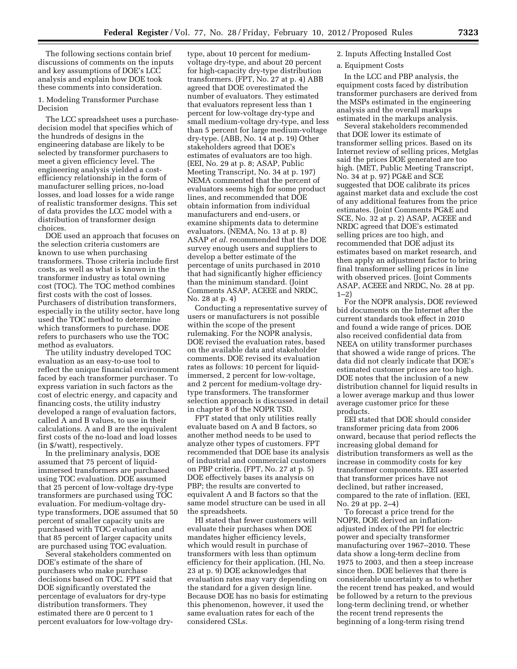The following sections contain brief discussions of comments on the inputs and key assumptions of DOE's LCC analysis and explain how DOE took these comments into consideration.

1. Modeling Transformer Purchase Decision

The LCC spreadsheet uses a purchasedecision model that specifies which of the hundreds of designs in the engineering database are likely to be selected by transformer purchasers to meet a given efficiency level. The engineering analysis yielded a costefficiency relationship in the form of manufacturer selling prices, no-load losses, and load losses for a wide range of realistic transformer designs. This set of data provides the LCC model with a distribution of transformer design choices.

DOE used an approach that focuses on the selection criteria customers are known to use when purchasing transformers. Those criteria include first costs, as well as what is known in the transformer industry as total owning cost (TOC). The TOC method combines first costs with the cost of losses. Purchasers of distribution transformers, especially in the utility sector, have long used the TOC method to determine which transformers to purchase. DOE refers to purchasers who use the TOC method as evaluators.

The utility industry developed TOC evaluation as an easy-to-use tool to reflect the unique financial environment faced by each transformer purchaser. To express variation in such factors as the cost of electric energy, and capacity and financing costs, the utility industry developed a range of evaluation factors, called A and B values, to use in their calculations. A and B are the equivalent first costs of the no-load and load losses (in \$/watt), respectively.

In the preliminary analysis, DOE assumed that 75 percent of liquidimmersed transformers are purchased using TOC evaluation. DOE assumed that 25 percent of low-voltage dry-type transformers are purchased using TOC evaluation. For medium-voltage drytype transformers, DOE assumed that 50 percent of smaller capacity units are purchased with TOC evaluation and that 85 percent of larger capacity units are purchased using TOC evaluation.

Several stakeholders commented on DOE's estimate of the share of purchasers who make purchase decisions based on TOC. FPT said that DOE significantly overstated the percentage of evaluators for dry-type distribution transformers. They estimated there are 0 percent to 1 percent evaluators for low-voltage drytype, about 10 percent for mediumvoltage dry-type, and about 20 percent for high-capacity dry-type distribution transformers. (FPT, No. 27 at p. 4) ABB agreed that DOE overestimated the number of evaluators. They estimated that evaluators represent less than 1 percent for low-voltage dry-type and small medium-voltage dry-type, and less than 5 percent for large medium-voltage dry-type. (ABB, No. 14 at p. 19) Other stakeholders agreed that DOE's estimates of evaluators are too high. (EEI, No. 29 at p. 8; ASAP, Public Meeting Transcript, No. 34 at p. 197) NEMA commented that the percent of evaluators seems high for some product lines, and recommended that DOE obtain information from individual manufacturers and end-users, or examine shipments data to determine evaluators. (NEMA, No. 13 at p. 8) ASAP *et al.* recommended that the DOE survey enough users and suppliers to develop a better estimate of the percentage of units purchased in 2010 that had significantly higher efficiency than the minimum standard. (Joint Comments ASAP, ACEEE and NRDC, No. 28 at p. 4)

Conducting a representative survey of users or manufacturers is not possible within the scope of the present rulemaking. For the NOPR analysis, DOE revised the evaluation rates, based on the available data and stakeholder comments. DOE revised its evaluation rates as follows: 10 percent for liquidimmersed, 2 percent for low-voltage, and 2 percent for medium-voltage drytype transformers. The transformer selection approach is discussed in detail in chapter 8 of the NOPR TSD.

FPT stated that only utilities really evaluate based on A and B factors, so another method needs to be used to analyze other types of customers. FPT recommended that DOE base its analysis of industrial and commercial customers on PBP criteria. (FPT, No. 27 at p. 5) DOE effectively bases its analysis on PBP; the results are converted to equivalent A and B factors so that the same model structure can be used in all the spreadsheets.

HI stated that fewer customers will evaluate their purchases when DOE mandates higher efficiency levels, which would result in purchase of transformers with less than optimum efficiency for their application. (HI, No. 23 at p. 9) DOE acknowledges that evaluation rates may vary depending on the standard for a given design line. Because DOE has no basis for estimating this phenomenon, however, it used the same evaluation rates for each of the considered CSLs.

## 2. Inputs Affecting Installed Cost

#### a. Equipment Costs

In the LCC and PBP analysis, the equipment costs faced by distribution transformer purchasers are derived from the MSPs estimated in the engineering analysis and the overall markups estimated in the markups analysis.

Several stakeholders recommended that DOE lower its estimate of transformer selling prices. Based on its Internet review of selling prices, Metglas said the prices DOE generated are too high. (MET, Public Meeting Transcript, No. 34 at p. 97) PG&E and SCE suggested that DOE calibrate its prices against market data and exclude the cost of any additional features from the price estimates. (Joint Comments PG&E and SCE, No. 32 at p. 2) ASAP, ACEEE and NRDC agreed that DOE's estimated selling prices are too high, and recommended that DOE adjust its estimates based on market research, and then apply an adjustment factor to bring final transformer selling prices in line with observed prices. (Joint Comments ASAP, ACEEE and NRDC, No. 28 at pp.  $1 - 2)$ 

For the NOPR analysis, DOE reviewed bid documents on the Internet after the current standards took effect in 2010 and found a wide range of prices. DOE also received confidential data from NEEA on utility transformer purchases that showed a wide range of prices. The data did not clearly indicate that DOE's estimated customer prices are too high. DOE notes that the inclusion of a new distribution channel for liquid results in a lower average markup and thus lower average customer price for these products.

EEI stated that DOE should consider transformer pricing data from 2006 onward, because that period reflects the increasing global demand for distribution transformers as well as the increase in commodity costs for key transformer components. EEI asserted that transformer prices have not declined, but rather increased, compared to the rate of inflation. (EEI, No. 29 at pp. 2–4)

To forecast a price trend for the NOPR, DOE derived an inflationadjusted index of the PPI for electric power and specialty transformer manufacturing over 1967–2010. These data show a long-term decline from 1975 to 2003, and then a steep increase since then. DOE believes that there is considerable uncertainty as to whether the recent trend has peaked, and would be followed by a return to the previous long-term declining trend, or whether the recent trend represents the beginning of a long-term rising trend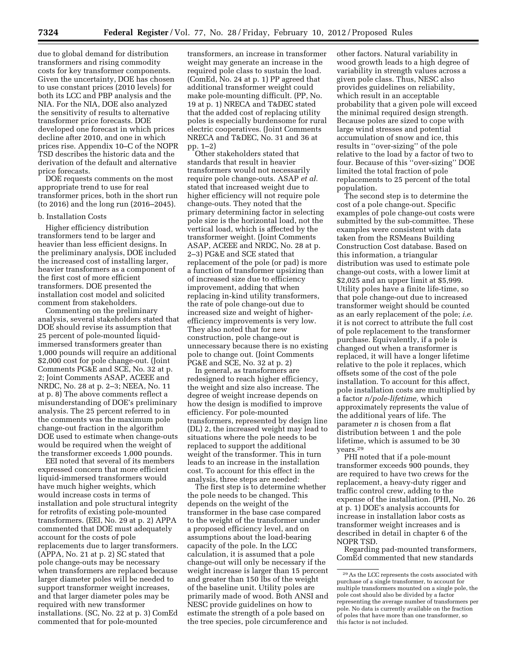due to global demand for distribution transformers and rising commodity costs for key transformer components. Given the uncertainty, DOE has chosen to use constant prices (2010 levels) for both its LCC and PBP analysis and the NIA. For the NIA, DOE also analyzed the sensitivity of results to alternative transformer price forecasts. DOE developed one forecast in which prices decline after 2010, and one in which prices rise. Appendix 10–C of the NOPR TSD describes the historic data and the derivation of the default and alternative price forecasts.

DOE requests comments on the most appropriate trend to use for real transformer prices, both in the short run (to 2016) and the long run (2016–2045).

#### b. Installation Costs

Higher efficiency distribution transformers tend to be larger and heavier than less efficient designs. In the preliminary analysis, DOE included the increased cost of installing larger, heavier transformers as a component of the first cost of more efficient transformers. DOE presented the installation cost model and solicited comment from stakeholders.

Commenting on the preliminary analysis, several stakeholders stated that DOE should revise its assumption that 25 percent of pole-mounted liquidimmersed transformers greater than 1,000 pounds will require an additional \$2,000 cost for pole change-out. (Joint Comments PG&E and SCE, No. 32 at p. 2; Joint Comments ASAP, ACEEE and NRDC, No. 28 at p. 2–3; NEEA, No. 11 at p. 8) The above comments reflect a misunderstanding of DOE's preliminary analysis. The 25 percent referred to in the comments was the maximum pole change-out fraction in the algorithm DOE used to estimate when change-outs would be required when the weight of the transformer exceeds 1,000 pounds.

EEI noted that several of its members expressed concern that more efficient liquid-immersed transformers would have much higher weights, which would increase costs in terms of installation and pole structural integrity for retrofits of existing pole-mounted transformers. (EEI, No. 29 at p. 2) APPA commented that DOE must adequately account for the costs of pole replacements due to larger transformers. (APPA, No. 21 at p. 2) SC stated that pole change-outs may be necessary when transformers are replaced because larger diameter poles will be needed to support transformer weight increases, and that larger diameter poles may be required with new transformer installations. (SC, No. 22 at p. 3) ComEd commented that for pole-mounted

transformers, an increase in transformer weight may generate an increase in the required pole class to sustain the load. (ComEd, No. 24 at p. 1) PP agreed that additional transformer weight could make pole-mounting difficult. (PP, No. 19 at p. 1) NRECA and T&DEC stated that the added cost of replacing utility poles is especially burdensome for rural electric cooperatives. (Joint Comments NRECA and T&DEC, No. 31 and 36 at pp. 1–2)

Other stakeholders stated that standards that result in heavier transformers would not necessarily require pole change-outs. ASAP *et al.*  stated that increased weight due to higher efficiency will not require pole change-outs. They noted that the primary determining factor in selecting pole size is the horizontal load, not the vertical load, which is affected by the transformer weight. (Joint Comments ASAP, ACEEE and NRDC, No. 28 at p. 2–3) PG&E and SCE stated that replacement of the pole (or pad) is more a function of transformer upsizing than of increased size due to efficiency improvement, adding that when replacing in-kind utility transformers, the rate of pole change-out due to increased size and weight of higherefficiency improvements is very low. They also noted that for new construction, pole change-out is unnecessary because there is no existing pole to change out. (Joint Comments PG&E and SCE, No. 32 at p. 2)

In general, as transformers are redesigned to reach higher efficiency, the weight and size also increase. The degree of weight increase depends on how the design is modified to improve efficiency. For pole-mounted transformers, represented by design line (DL) 2, the increased weight may lead to situations where the pole needs to be replaced to support the additional weight of the transformer. This in turn leads to an increase in the installation cost. To account for this effect in the analysis, three steps are needed:

The first step is to determine whether the pole needs to be changed. This depends on the weight of the transformer in the base case compared to the weight of the transformer under a proposed efficiency level, and on assumptions about the load-bearing capacity of the pole. In the LCC calculation, it is assumed that a pole change-out will only be necessary if the weight increase is larger than 15 percent and greater than 150 lbs of the weight of the baseline unit. Utility poles are primarily made of wood. Both ANSI and NESC provide guidelines on how to estimate the strength of a pole based on the tree species, pole circumference and

other factors. Natural variability in wood growth leads to a high degree of variability in strength values across a given pole class. Thus, NESC also provides guidelines on reliability, which result in an acceptable probability that a given pole will exceed the minimal required design strength. Because poles are sized to cope with large wind stresses and potential accumulation of snow and ice, this results in ''over-sizing'' of the pole relative to the load by a factor of two to four. Because of this ''over-sizing'' DOE limited the total fraction of pole replacements to 25 percent of the total population.

The second step is to determine the cost of a pole change-out. Specific examples of pole change-out costs were submitted by the sub-committee. These examples were consistent with data taken from the RSMeans Building Construction Cost database. Based on this information, a triangular distribution was used to estimate pole change-out costs, with a lower limit at \$2,025 and an upper limit at \$5,999. Utility poles have a finite life-time, so that pole change-out due to increased transformer weight should be counted as an early replacement of the pole; *i.e.*  it is not correct to attribute the full cost of pole replacement to the transformer purchase. Equivalently, if a pole is changed out when a transformer is replaced, it will have a longer lifetime relative to the pole it replaces, which offsets some of the cost of the pole installation. To account for this affect, pole installation costs are multiplied by a factor *n/pole-lifetime,* which approximately represents the value of the additional years of life. The parameter *n* is chosen from a flat distribution between 1 and the pole lifetime, which is assumed to be 30 years.29

PHI noted that if a pole-mount transformer exceeds 900 pounds, they are required to have two crews for the replacement, a heavy-duty rigger and traffic control crew, adding to the expense of the installation. (PHI, No. 26 at p. 1) DOE's analysis accounts for increase in installation labor costs as transformer weight increases and is described in detail in chapter 6 of the NOPR TSD.

Regarding pad-mounted transformers, ComEd commented that new standards

 $^{\rm 29}\hspace{0.1cm}{\rm As}$  the LCC represents the costs associated with purchase of a single transformer, to account for multiple transformers mounted on a single pole, the pole cost should also be divided by a factor representing the average number of transformers per pole. No data is currently available on the fraction of poles that have more than one transformer, so this factor is not included.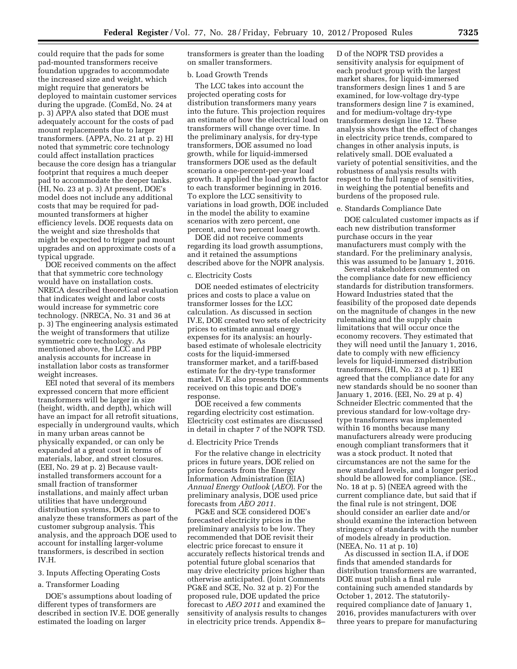could require that the pads for some pad-mounted transformers receive foundation upgrades to accommodate the increased size and weight, which might require that generators be deployed to maintain customer services during the upgrade. (ComEd, No. 24 at p. 3) APPA also stated that DOE must adequately account for the costs of pad mount replacements due to larger transformers. (APPA, No. 21 at p. 2) HI noted that symmetric core technology could affect installation practices because the core design has a triangular footprint that requires a much deeper pad to accommodate the deeper tanks. (HI, No. 23 at p. 3) At present, DOE's model does not include any additional costs that may be required for padmounted transformers at higher efficiency levels. DOE requests data on the weight and size thresholds that might be expected to trigger pad mount upgrades and on approximate costs of a typical upgrade.

DOE received comments on the affect that that symmetric core technology would have on installation costs. NRECA described theoretical evaluation that indicates weight and labor costs would increase for symmetric core technology. (NRECA, No. 31 and 36 at p. 3) The engineering analysis estimated the weight of transformers that utilize symmetric core technology. As mentioned above, the LCC and PBP analysis accounts for increase in installation labor costs as transformer weight increases.

EEI noted that several of its members expressed concern that more efficient transformers will be larger in size (height, width, and depth), which will have an impact for all retrofit situations, especially in underground vaults, which in many urban areas cannot be physically expanded, or can only be expanded at a great cost in terms of materials, labor, and street closures. (EEI, No. 29 at p. 2) Because vaultinstalled transformers account for a small fraction of transformer installations, and mainly affect urban utilities that have underground distribution systems, DOE chose to analyze these transformers as part of the customer subgroup analysis. This analysis, and the approach DOE used to account for installing larger-volume transformers, is described in section IV.H.

### 3. Inputs Affecting Operating Costs

## a. Transformer Loading

DOE's assumptions about loading of different types of transformers are described in section IV.E. DOE generally estimated the loading on larger

transformers is greater than the loading on smaller transformers.

#### b. Load Growth Trends

The LCC takes into account the projected operating costs for distribution transformers many years into the future. This projection requires an estimate of how the electrical load on transformers will change over time. In the preliminary analysis, for dry-type transformers, DOE assumed no load growth, while for liquid-immersed transformers DOE used as the default scenario a one-percent-per-year load growth. It applied the load growth factor to each transformer beginning in 2016. To explore the LCC sensitivity to variations in load growth, DOE included in the model the ability to examine scenarios with zero percent, one percent, and two percent load growth.

DOE did not receive comments regarding its load growth assumptions, and it retained the assumptions described above for the NOPR analysis.

#### c. Electricity Costs

DOE needed estimates of electricity prices and costs to place a value on transformer losses for the LCC calculation. As discussed in section IV.E, DOE created two sets of electricity prices to estimate annual energy expenses for its analysis: an hourlybased estimate of wholesale electricity costs for the liquid-immersed transformer market, and a tariff-based estimate for the dry-type transformer market. IV.E also presents the comments received on this topic and DOE's response.

DOE received a few comments regarding electricity cost estimation. Electricity cost estimates are discussed in detail in chapter 7 of the NOPR TSD.

#### d. Electricity Price Trends

For the relative change in electricity prices in future years, DOE relied on price forecasts from the Energy Information Administration (EIA) *Annual Energy Outlook* (*AEO*). For the preliminary analysis, DOE used price forecasts from *AEO 2011.* 

PG&E and SCE considered DOE's forecasted electricity prices in the preliminary analysis to be low. They recommended that DOE revisit their electric price forecast to ensure it accurately reflects historical trends and potential future global scenarios that may drive electricity prices higher than otherwise anticipated. (Joint Comments PG&E and SCE, No. 32 at p. 2) For the proposed rule, DOE updated the price forecast to *AEO 2011* and examined the sensitivity of analysis results to changes in electricity price trends. Appendix 8–

D of the NOPR TSD provides a sensitivity analysis for equipment of each product group with the largest market shares, for liquid-immersed transformers design lines 1 and 5 are examined, for low-voltage dry-type transformers design line 7 is examined, and for medium-voltage dry-type transformers design line 12. These analysis shows that the effect of changes in electricity price trends, compared to changes in other analysis inputs, is relatively small. DOE evaluated a variety of potential sensitivities, and the robustness of analysis results with respect to the full range of sensitivities, in weighing the potential benefits and burdens of the proposed rule.

#### e. Standards Compliance Date

DOE calculated customer impacts as if each new distribution transformer purchase occurs in the year manufacturers must comply with the standard. For the preliminary analysis, this was assumed to be January 1, 2016.

Several stakeholders commented on the compliance date for new efficiency standards for distribution transformers. Howard Industries stated that the feasibility of the proposed date depends on the magnitude of changes in the new rulemaking and the supply chain limitations that will occur once the economy recovers. They estimated that they will need until the January 1, 2016, date to comply with new efficiency levels for liquid-immersed distribution transformers. (HI, No. 23 at p. 1) EEI agreed that the compliance date for any new standards should be no sooner than January 1, 2016. (EEI, No. 29 at p. 4) Schneider Electric commented that the previous standard for low-voltage drytype transformers was implemented within 16 months because many manufacturers already were producing enough compliant transformers that it was a stock product. It noted that circumstances are not the same for the new standard levels, and a longer period should be allowed for compliance. (SE., No. 18 at p. 5) (NEEA agreed with the current compliance date, but said that if the final rule is not stringent, DOE should consider an earlier date and/or should examine the interaction between stringency of standards with the number of models already in production. (NEEA, No. 11 at p. 10)

As discussed in section II.A, if DOE finds that amended standards for distribution transformers are warranted, DOE must publish a final rule containing such amended standards by October 1, 2012. The statutorilyrequired compliance date of January 1, 2016, provides manufacturers with over three years to prepare for manufacturing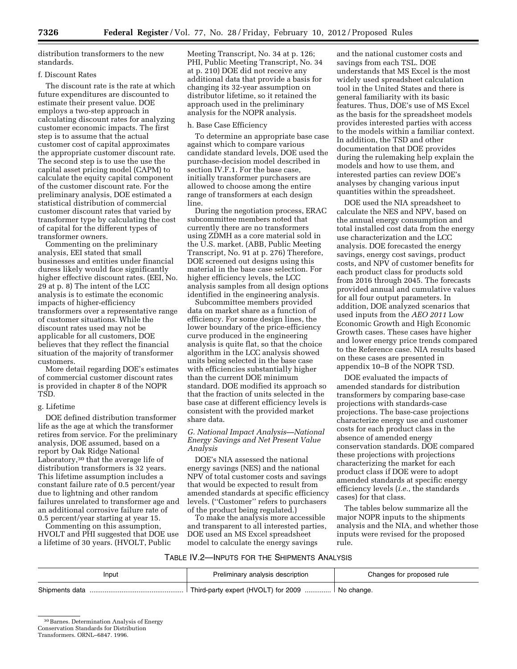distribution transformers to the new standards.

## f. Discount Rates

The discount rate is the rate at which future expenditures are discounted to estimate their present value. DOE employs a two-step approach in calculating discount rates for analyzing customer economic impacts. The first step is to assume that the actual customer cost of capital approximates the appropriate customer discount rate. The second step is to use the use the capital asset pricing model (CAPM) to calculate the equity capital component of the customer discount rate. For the preliminary analysis, DOE estimated a statistical distribution of commercial customer discount rates that varied by transformer type by calculating the cost of capital for the different types of transformer owners.

Commenting on the preliminary analysis, EEI stated that small businesses and entities under financial duress likely would face significantly higher effective discount rates. (EEI, No. 29 at p. 8) The intent of the LCC analysis is to estimate the economic impacts of higher-efficiency transformers over a representative range of customer situations. While the discount rates used may not be applicable for all customers, DOE believes that they reflect the financial situation of the majority of transformer customers.

More detail regarding DOE's estimates of commercial customer discount rates is provided in chapter 8 of the NOPR TSD.

## g. Lifetime

DOE defined distribution transformer life as the age at which the transformer retires from service. For the preliminary analysis, DOE assumed, based on a report by Oak Ridge National Laboratory,30 that the average life of distribution transformers is 32 years. This lifetime assumption includes a constant failure rate of 0.5 percent/year due to lightning and other random failures unrelated to transformer age and an additional corrosive failure rate of 0.5 percent/year starting at year 15.

Commenting on this assumption, HVOLT and PHI suggested that DOE use a lifetime of 30 years. (HVOLT, Public

Meeting Transcript, No. 34 at p. 126; PHI, Public Meeting Transcript, No. 34 at p. 210) DOE did not receive any additional data that provide a basis for changing its 32-year assumption on distributor lifetime, so it retained the approach used in the preliminary analysis for the NOPR analysis.

#### h. Base Case Efficiency

To determine an appropriate base case against which to compare various candidate standard levels, DOE used the purchase-decision model described in section IV.F.1. For the base case, initially transformer purchasers are allowed to choose among the entire range of transformers at each design line.

During the negotiation process, ERAC subcommittee members noted that currently there are no transformers using ZDMH as a core material sold in the U.S. market. (ABB, Public Meeting Transcript, No. 91 at p. 276) Therefore, DOE screened out designs using this material in the base case selection. For higher efficiency levels, the LCC analysis samples from all design options identified in the engineering analysis.

Subcommittee members provided data on market share as a function of efficiency. For some design lines, the lower boundary of the price-efficiency curve produced in the engineering analysis is quite flat, so that the choice algorithm in the LCC analysis showed units being selected in the base case with efficiencies substantially higher than the current DOE minimum standard. DOE modified its approach so that the fraction of units selected in the base case at different efficiency levels is consistent with the provided market share data.

### *G. National Impact Analysis—National Energy Savings and Net Present Value Analysis*

DOE's NIA assessed the national energy savings (NES) and the national NPV of total customer costs and savings that would be expected to result from amended standards at specific efficiency levels. (''Customer'' refers to purchasers of the product being regulated.)

To make the analysis more accessible and transparent to all interested parties, DOE used an MS Excel spreadsheet model to calculate the energy savings

and the national customer costs and savings from each TSL. DOE understands that MS Excel is the most widely used spreadsheet calculation tool in the United States and there is general familiarity with its basic features. Thus, DOE's use of MS Excel as the basis for the spreadsheet models provides interested parties with access to the models within a familiar context. In addition, the TSD and other documentation that DOE provides during the rulemaking help explain the models and how to use them, and interested parties can review DOE's analyses by changing various input quantities within the spreadsheet.

DOE used the NIA spreadsheet to calculate the NES and NPV, based on the annual energy consumption and total installed cost data from the energy use characterization and the LCC analysis. DOE forecasted the energy savings, energy cost savings, product costs, and NPV of customer benefits for each product class for products sold from 2016 through 2045. The forecasts provided annual and cumulative values for all four output parameters. In addition, DOE analyzed scenarios that used inputs from the *AEO 2011* Low Economic Growth and High Economic Growth cases. These cases have higher and lower energy price trends compared to the Reference case. NIA results based on these cases are presented in appendix 10–B of the NOPR TSD.

DOE evaluated the impacts of amended standards for distribution transformers by comparing base-case projections with standards-case projections. The base-case projections characterize energy use and customer costs for each product class in the absence of amended energy conservation standards. DOE compared these projections with projections characterizing the market for each product class if DOE were to adopt amended standards at specific energy efficiency levels (*i.e.*, the standards cases) for that class.

The tables below summarize all the major NOPR inputs to the shipments analysis and the NIA, and whether those inputs were revised for the proposed rule.

## TABLE IV.2—INPUTS FOR THE SHIPMENTS ANALYSIS

| Input          | Preliminary analysis description                  |  |  |  |
|----------------|---------------------------------------------------|--|--|--|
| Shipments data | Third-party expert (HVOLT) for 2009    No change. |  |  |  |

<sup>30</sup>Barnes. Determination Analysis of Energy

Conservation Standards for Distribution

Transformers. ORNL–6847. 1996.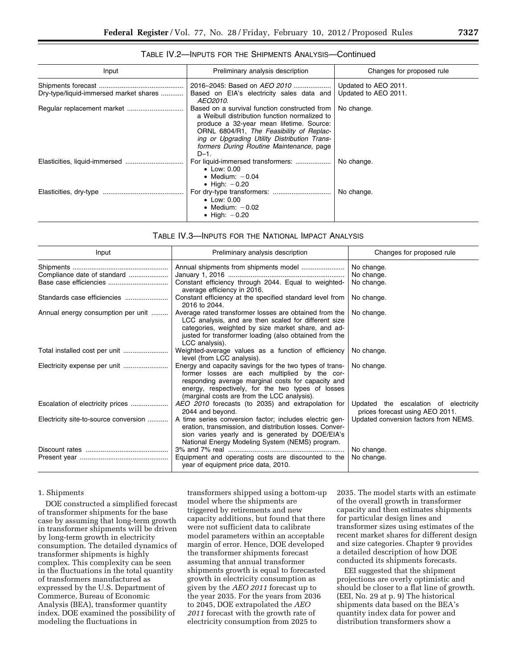| Input                                  | Preliminary analysis description                                                                                                                                                                                                                                                             | Changes for proposed rule                    |
|----------------------------------------|----------------------------------------------------------------------------------------------------------------------------------------------------------------------------------------------------------------------------------------------------------------------------------------------|----------------------------------------------|
| Dry-type/liquid-immersed market shares | 2016–2045: Based on AEO 2010<br>Based on EIA's electricity sales data and<br>AEO2010.                                                                                                                                                                                                        | Updated to AEO 2011.<br>Updated to AEO 2011. |
|                                        | Based on a survival function constructed from<br>a Weibull distribution function normalized to<br>produce a 32-year mean lifetime. Source:<br>ORNL 6804/R1, The Feasibility of Replac-<br>ing or Upgrading Utility Distribution Trans-<br>formers During Routine Maintenance, page<br>$D-1.$ | No change.                                   |
|                                        | $\bullet$ Low: 0.00<br>• Medium: $-0.04$<br>$\bullet$ High: $-0.20$                                                                                                                                                                                                                          | No change.                                   |
|                                        | $\bullet$ Low: 0.00<br>• Medium: $-0.02$<br>• High: $-0.20$                                                                                                                                                                                                                                  | No change.                                   |

## TABLE IV.2—INPUTS FOR THE SHIPMENTS ANALYSIS—Continued

## TABLE IV.3—INPUTS FOR THE NATIONAL IMPACT ANALYSIS

| Input                                 | Preliminary analysis description                                                                                                                                                                                                                                   | Changes for proposed rule                                                |  |  |
|---------------------------------------|--------------------------------------------------------------------------------------------------------------------------------------------------------------------------------------------------------------------------------------------------------------------|--------------------------------------------------------------------------|--|--|
|                                       |                                                                                                                                                                                                                                                                    | No change.                                                               |  |  |
| Compliance date of standard           |                                                                                                                                                                                                                                                                    | No change.                                                               |  |  |
|                                       | Constant efficiency through 2044. Equal to weighted-<br>average efficiency in 2016.                                                                                                                                                                                | No change.                                                               |  |  |
| Standards case efficiencies           | Constant efficiency at the specified standard level from<br>2016 to 2044.                                                                                                                                                                                          | No change.                                                               |  |  |
| Annual energy consumption per unit    | Average rated transformer losses are obtained from the<br>LCC analysis, and are then scaled for different size<br>categories, weighted by size market share, and ad-<br>justed for transformer loading (also obtained from the<br>LCC analysis).                   | No change.                                                               |  |  |
|                                       | Weighted-average values as a function of efficiency<br>level (from LCC analysis).                                                                                                                                                                                  | No change.                                                               |  |  |
|                                       | Energy and capacity savings for the two types of trans-<br>former losses are each multiplied by the cor-<br>responding average marginal costs for capacity and<br>energy, respectively, for the two types of losses<br>(marginal costs are from the LCC analysis). | No change.                                                               |  |  |
| Escalation of electricity prices      | AEO 2010 forecasts (to 2035) and extrapolation for<br>2044 and beyond.                                                                                                                                                                                             | Updated the escalation of electricity<br>prices forecast using AEO 2011. |  |  |
| Electricity site-to-source conversion | A time series conversion factor; includes electric gen-<br>eration, transmission, and distribution losses. Conver-<br>sion varies yearly and is generated by DOE/EIA's<br>National Energy Modeling System (NEMS) program.                                          | Updated conversion factors from NEMS.                                    |  |  |
|                                       |                                                                                                                                                                                                                                                                    | No change.                                                               |  |  |
|                                       | Equipment and operating costs are discounted to the<br>year of equipment price data, 2010.                                                                                                                                                                         | No change.                                                               |  |  |

#### 1. Shipments

DOE constructed a simplified forecast of transformer shipments for the base case by assuming that long-term growth in transformer shipments will be driven by long-term growth in electricity consumption. The detailed dynamics of transformer shipments is highly complex. This complexity can be seen in the fluctuations in the total quantity of transformers manufactured as expressed by the U.S. Department of Commerce, Bureau of Economic Analysis (BEA), transformer quantity index. DOE examined the possibility of modeling the fluctuations in

transformers shipped using a bottom-up model where the shipments are triggered by retirements and new capacity additions, but found that there were not sufficient data to calibrate model parameters within an acceptable margin of error. Hence, DOE developed the transformer shipments forecast assuming that annual transformer shipments growth is equal to forecasted growth in electricity consumption as given by the *AEO 2011* forecast up to the year 2035. For the years from 2036 to 2045, DOE extrapolated the *AEO 2011* forecast with the growth rate of electricity consumption from 2025 to

2035. The model starts with an estimate of the overall growth in transformer capacity and then estimates shipments for particular design lines and transformer sizes using estimates of the recent market shares for different design and size categories. Chapter 9 provides a detailed description of how DOE conducted its shipments forecasts.

EEI suggested that the shipment projections are overly optimistic and should be closer to a flat line of growth. (EEI, No. 29 at p. 9) The historical shipments data based on the BEA's quantity index data for power and distribution transformers show a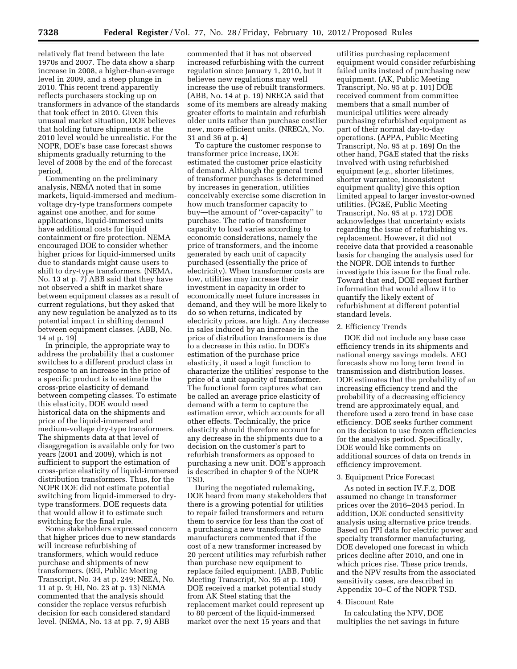relatively flat trend between the late 1970s and 2007. The data show a sharp increase in 2008, a higher-than-average level in 2009, and a steep plunge in 2010. This recent trend apparently reflects purchasers stocking up on transformers in advance of the standards that took effect in 2010. Given this unusual market situation, DOE believes that holding future shipments at the 2010 level would be unrealistic. For the NOPR, DOE's base case forecast shows shipments gradually returning to the level of 2008 by the end of the forecast period.

Commenting on the preliminary analysis, NEMA noted that in some markets, liquid-immersed and mediumvoltage dry-type transformers compete against one another, and for some applications, liquid-immersed units have additional costs for liquid containment or fire protection. NEMA encouraged DOE to consider whether higher prices for liquid-immersed units due to standards might cause users to shift to dry-type transformers. (NEMA, No. 13 at p. 7) ABB said that they have not observed a shift in market share between equipment classes as a result of current regulations, but they asked that any new regulation be analyzed as to its potential impact in shifting demand between equipment classes. (ABB, No. 14 at p. 19)

In principle, the appropriate way to address the probability that a customer switches to a different product class in response to an increase in the price of a specific product is to estimate the cross-price elasticity of demand between competing classes. To estimate this elasticity, DOE would need historical data on the shipments and price of the liquid-immersed and medium-voltage dry-type transformers. The shipments data at that level of disaggregation is available only for two years (2001 and 2009), which is not sufficient to support the estimation of cross-price elasticity of liquid-immersed distribution transformers. Thus, for the NOPR DOE did not estimate potential switching from liquid-immersed to drytype transformers. DOE requests data that would allow it to estimate such switching for the final rule.

Some stakeholders expressed concern that higher prices due to new standards will increase refurbishing of transformers, which would reduce purchase and shipments of new transformers. (EEI, Public Meeting Transcript, No. 34 at p. 249; NEEA, No. 11 at p. 9; HI, No. 23 at p. 13) NEMA commented that the analysis should consider the replace versus refurbish decision for each considered standard level. (NEMA, No. 13 at pp. 7, 9) ABB

commented that it has not observed increased refurbishing with the current regulation since January 1, 2010, but it believes new regulations may well increase the use of rebuilt transformers. (ABB, No. 14 at p. 19) NRECA said that some of its members are already making greater efforts to maintain and refurbish older units rather than purchase costlier new, more efficient units. (NRECA, No. 31 and 36 at p. 4)

To capture the customer response to transformer price increase, DOE estimated the customer price elasticity of demand. Although the general trend of transformer purchases is determined by increases in generation, utilities conceivably exercise some discretion in how much transformer capacity to buy—the amount of ''over-capacity'' to purchase. The ratio of transformer capacity to load varies according to economic considerations, namely the price of transformers, and the income generated by each unit of capacity purchased (essentially the price of electricity). When transformer costs are low, utilities may increase their investment in capacity in order to economically meet future increases in demand, and they will be more likely to do so when returns, indicated by electricity prices, are high. Any decrease in sales induced by an increase in the price of distribution transformers is due to a decrease in this ratio. In DOE's estimation of the purchase price elasticity, it used a logit function to characterize the utilities' response to the price of a unit capacity of transformer. The functional form captures what can be called an average price elasticity of demand with a term to capture the estimation error, which accounts for all other effects. Technically, the price elasticity should therefore account for any decrease in the shipments due to a decision on the customer's part to refurbish transformers as opposed to purchasing a new unit. DOE's approach is described in chapter 9 of the NOPR TSD.

During the negotiated rulemaking, DOE heard from many stakeholders that there is a growing potential for utilities to repair failed transformers and return them to service for less than the cost of a purchasing a new transformer. Some manufacturers commented that if the cost of a new transformer increased by 20 percent utilities may refurbish rather than purchase new equipment to replace failed equipment. (ABB, Public Meeting Transcript, No. 95 at p. 100) DOE received a market potential study from AK Steel stating that the replacement market could represent up to 80 percent of the liquid-immersed market over the next 15 years and that

utilities purchasing replacement equipment would consider refurbishing failed units instead of purchasing new equipment. (AK, Public Meeting Transcript, No. 95 at p. 101) DOE received comment from committee members that a small number of municipal utilities were already purchasing refurbished equipment as part of their normal day-to-day operations. (APPA, Public Meeting Transcript, No. 95 at p. 169) On the other hand, PG&E stated that the risks involved with using refurbished equipment (*e.g.,* shorter lifetimes, shorter warrantee, inconsistent equipment quality) give this option limited appeal to larger investor-owned utilities. (PG&E, Public Meeting Transcript, No. 95 at p. 172) DOE acknowledges that uncertainty exists regarding the issue of refurbishing vs. replacement. However, it did not receive data that provided a reasonable basis for changing the analysis used for the NOPR. DOE intends to further investigate this issue for the final rule. Toward that end, DOE request further information that would allow it to quantify the likely extent of refurbishment at different potential standard levels.

#### 2. Efficiency Trends

DOE did not include any base case efficiency trends in its shipments and national energy savings models. AEO forecasts show no long term trend in transmission and distribution losses. DOE estimates that the probability of an increasing efficiency trend and the probability of a decreasing efficiency trend are approximately equal, and therefore used a zero trend in base case efficiency. DOE seeks further comment on its decision to use frozen efficiencies for the analysis period. Specifically, DOE would like comments on additional sources of data on trends in efficiency improvement.

#### 3. Equipment Price Forecast

As noted in section IV.F.2, DOE assumed no change in transformer prices over the 2016–2045 period. In addition, DOE conducted sensitivity analysis using alternative price trends. Based on PPI data for electric power and specialty transformer manufacturing, DOE developed one forecast in which prices decline after 2010, and one in which prices rise. These price trends, and the NPV results from the associated sensitivity cases, are described in Appendix 10–C of the NOPR TSD.

## 4. Discount Rate

In calculating the NPV, DOE multiplies the net savings in future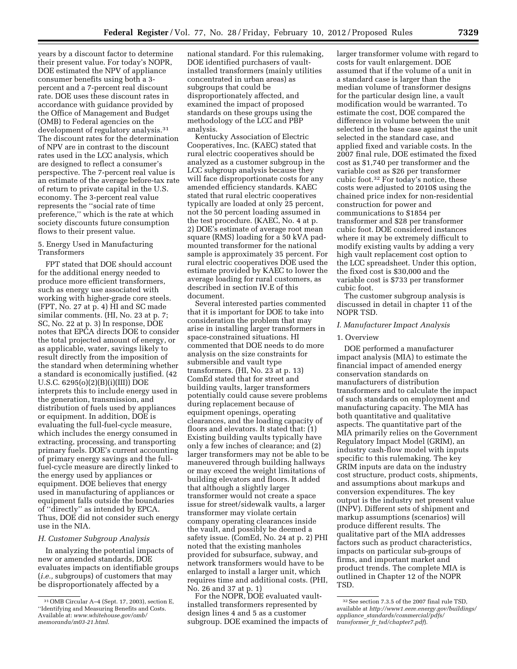years by a discount factor to determine their present value. For today's NOPR, DOE estimated the NPV of appliance consumer benefits using both a 3 percent and a 7-percent real discount rate. DOE uses these discount rates in accordance with guidance provided by the Office of Management and Budget (OMB) to Federal agencies on the development of regulatory analysis.<sup>31</sup> The discount rates for the determination of NPV are in contrast to the discount rates used in the LCC analysis, which are designed to reflect a consumer's perspective. The 7-percent real value is an estimate of the average before-tax rate of return to private capital in the U.S. economy. The 3-percent real value represents the ''social rate of time preference,'' which is the rate at which society discounts future consumption flows to their present value.

## 5. Energy Used in Manufacturing Transformers

FPT stated that DOE should account for the additional energy needed to produce more efficient transformers, such as energy use associated with working with higher-grade core steels. (FPT, No. 27 at p. 4) HI and SC made similar comments. (HI, No. 23 at p. 7; SC, No. 22 at p. 3) In response, DOE notes that EPCA directs DOE to consider the total projected amount of energy, or as applicable, water, savings likely to result directly from the imposition of the standard when determining whether a standard is economically justified. (42 U.S.C. 6295(o)(2)(B)(i)(III)) DOE interprets this to include energy used in the generation, transmission, and distribution of fuels used by appliances or equipment. In addition, DOE is evaluating the full-fuel-cycle measure, which includes the energy consumed in extracting, processing, and transporting primary fuels. DOE's current accounting of primary energy savings and the fullfuel-cycle measure are directly linked to the energy used by appliances or equipment. DOE believes that energy used in manufacturing of appliances or equipment falls outside the boundaries of ''directly'' as intended by EPCA. Thus, DOE did not consider such energy use in the NIA.

### *H. Customer Subgroup Analysis*

In analyzing the potential impacts of new or amended standards, DOE evaluates impacts on identifiable groups (*i.e.,* subgroups) of customers that may be disproportionately affected by a

national standard. For this rulemaking, DOE identified purchasers of vaultinstalled transformers (mainly utilities concentrated in urban areas) as subgroups that could be disproportionately affected, and examined the impact of proposed standards on these groups using the methodology of the LCC and PBP analysis.

Kentucky Association of Electric Cooperatives, Inc. (KAEC) stated that rural electric cooperatives should be analyzed as a customer subgroup in the LCC subgroup analysis because they will face disproportionate costs for any amended efficiency standards. KAEC stated that rural electric cooperatives typically are loaded at only 25 percent, not the 50 percent loading assumed in the test procedure. (KAEC, No. 4 at p. 2) DOE's estimate of average root mean square (RMS) loading for a 50 kVA padmounted transformer for the national sample is approximately 35 percent. For rural electric cooperatives DOE used the estimate provided by KAEC to lower the average loading for rural customers, as described in section IV.E of this document.

Several interested parties commented that it is important for DOE to take into consideration the problem that may arise in installing larger transformers in space-constrained situations. HI commented that DOE needs to do more analysis on the size constraints for submersible and vault type transformers. (HI, No. 23 at p. 13) ComEd stated that for street and building vaults, larger transformers potentially could cause severe problems during replacement because of equipment openings, operating clearances, and the loading capacity of floors and elevators. It stated that: (1) Existing building vaults typically have only a few inches of clearance; and (2) larger transformers may not be able to be maneuvered through building hallways or may exceed the weight limitations of building elevators and floors. It added that although a slightly larger transformer would not create a space issue for street/sidewalk vaults, a larger transformer may violate certain company operating clearances inside the vault, and possibly be deemed a safety issue. (ComEd, No. 24 at p. 2) PHI noted that the existing manholes provided for subsurface, subway, and network transformers would have to be enlarged to install a larger unit, which requires time and additional costs. (PHI, No. 26 and 37 at p. 1)

For the NOPR, DOE evaluated vaultinstalled transformers represented by design lines 4 and 5 as a customer subgroup. DOE examined the impacts of

larger transformer volume with regard to costs for vault enlargement. DOE assumed that if the volume of a unit in a standard case is larger than the median volume of transformer designs for the particular design line, a vault modification would be warranted. To estimate the cost, DOE compared the difference in volume between the unit selected in the base case against the unit selected in the standard case, and applied fixed and variable costs. In the 2007 final rule, DOE estimated the fixed cost as \$1,740 per transformer and the variable cost as \$26 per transformer cubic foot.32 For today's notice, these costs were adjusted to 2010\$ using the chained price index for non-residential construction for power and communications to \$1854 per transformer and \$28 per transformer cubic foot. DOE considered instances where it may be extremely difficult to modify existing vaults by adding a very high vault replacement cost option to the LCC spreadsheet. Under this option, the fixed cost is \$30,000 and the variable cost is \$733 per transformer cubic foot.

The customer subgroup analysis is discussed in detail in chapter 11 of the NOPR TSD.

#### *I. Manufacturer Impact Analysis*

#### 1. Overview

DOE performed a manufacturer impact analysis (MIA) to estimate the financial impact of amended energy conservation standards on manufacturers of distribution transformers and to calculate the impact of such standards on employment and manufacturing capacity. The MIA has both quantitative and qualitative aspects. The quantitative part of the MIA primarily relies on the Government Regulatory Impact Model (GRIM), an industry cash-flow model with inputs specific to this rulemaking. The key GRIM inputs are data on the industry cost structure, product costs, shipments, and assumptions about markups and conversion expenditures. The key output is the industry net present value (INPV). Different sets of shipment and markup assumptions (scenarios) will produce different results. The qualitative part of the MIA addresses factors such as product characteristics, impacts on particular sub-groups of firms, and important market and product trends. The complete MIA is outlined in Chapter 12 of the NOPR TSD.

<sup>31</sup>OMB Circular A–4 (Sept. 17, 2003), section E, ''Identifying and Measuring Benefits and Costs. Available at: *[www.whitehouse.gov/omb/](http://www.whitehouse.gov/omb/memoranda/m03-21.html) [memoranda/m03-21.html](http://www.whitehouse.gov/omb/memoranda/m03-21.html)*.

<sup>32</sup>See section 7.3.5 of the 2007 final rule TSD, available at *[http://www1.eere.energy.gov/buildings/](http://www1.eere.energy.gov/buildings/appliance_standards/commercial/pdfs/transformer_fr_tsd/chapter7.pdf)  appliance*\_*[standards/commercial/pdfs/](http://www1.eere.energy.gov/buildings/appliance_standards/commercial/pdfs/transformer_fr_tsd/chapter7.pdf) transformer*\_*fr*\_*[tsd/chapter7.pdf](http://www1.eere.energy.gov/buildings/appliance_standards/commercial/pdfs/transformer_fr_tsd/chapter7.pdf)*).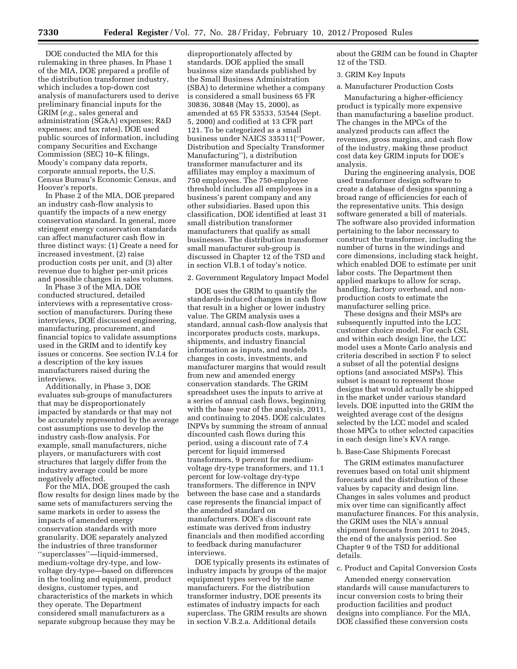DOE conducted the MIA for this rulemaking in three phases. In Phase 1 of the MIA, DOE prepared a profile of the distribution transformer industry, which includes a top-down cost analysis of manufacturers used to derive preliminary financial inputs for the GRIM (*e.g.,* sales general and administration (SG&A) expenses; R&D expenses; and tax rates). DOE used public sources of information, including company Securities and Exchange Commission (SEC) 10–K filings, Moody's company data reports, corporate annual reports, the U.S. Census Bureau's Economic Census, and Hoover's reports.

In Phase 2 of the MIA, DOE prepared an industry cash-flow analysis to quantify the impacts of a new energy conservation standard. In general, more stringent energy conservation standards can affect manufacturer cash flow in three distinct ways: (1) Create a need for increased investment, (2) raise production costs per unit, and (3) alter revenue due to higher per-unit prices and possible changes in sales volumes.

In Phase 3 of the MIA, DOE conducted structured, detailed interviews with a representative crosssection of manufacturers. During these interviews, DOE discussed engineering, manufacturing, procurement, and financial topics to validate assumptions used in the GRIM and to identify key issues or concerns. See section IV.I.4 for a description of the key issues manufacturers raised during the interviews.

Additionally, in Phase 3, DOE evaluates sub-groups of manufacturers that may be disproportionately impacted by standards or that may not be accurately represented by the average cost assumptions use to develop the industry cash-flow analysis. For example, small manufacturers, niche players, or manufacturers with cost structures that largely differ from the industry average could be more negatively affected.

For the MIA, DOE grouped the cash flow results for design lines made by the same sets of manufacturers serving the same markets in order to assess the impacts of amended energy conservation standards with more granularity. DOE separately analyzed the industries of three transformer ''superclasses''—liquid-immersed, medium-voltage dry-type, and lowvoltage dry-type—based on differences in the tooling and equipment, product designs, customer types, and characteristics of the markets in which they operate. The Department considered small manufacturers as a separate subgroup because they may be

disproportionately affected by standards. DOE applied the small business size standards published by the Small Business Administration (SBA) to determine whether a company is considered a small business 65 FR 30836, 30848 (May 15, 2000), as amended at 65 FR 53533, 53544 (Sept. 5, 2000) and codified at 13 CFR part 121. To be categorized as a small business under NAICS 335311(''Power, Distribution and Specialty Transformer Manufacturing''), a distribution transformer manufacturer and its affiliates may employ a maximum of 750 employees. The 750-employee threshold includes all employees in a business's parent company and any other subsidiaries. Based upon this classification, DOE identified at least 31 small distribution transformer manufacturers that qualify as small businesses. The distribution transformer small manufacturer sub-group is discussed in Chapter 12 of the TSD and in section VI.B.1 of today's notice.

### 2. Government Regulatory Impact Model

DOE uses the GRIM to quantify the standards-induced changes in cash flow that result in a higher or lower industry value. The GRIM analysis uses a standard, annual cash-flow analysis that incorporates products costs, markups, shipments, and industry financial information as inputs, and models changes in costs, investments, and manufacturer margins that would result from new and amended energy conservation standards. The GRIM spreadsheet uses the inputs to arrive at a series of annual cash flows, beginning with the base year of the analysis, 2011, and continuing to 2045. DOE calculates INPVs by summing the stream of annual discounted cash flows during this period, using a discount rate of 7.4 percent for liquid immersed transformers, 9 percent for mediumvoltage dry-type transformers, and 11.1 percent for low-voltage dry-type transformers. The difference in INPV between the base case and a standards case represents the financial impact of the amended standard on manufacturers. DOE's discount rate estimate was derived from industry financials and then modified according to feedback during manufacturer interviews.

DOE typically presents its estimates of industry impacts by groups of the major equipment types served by the same manufacturers. For the distribution transformer industry, DOE presents its estimates of industry impacts for each superclass. The GRIM results are shown in section V.B.2.a. Additional details

about the GRIM can be found in Chapter 12 of the TSD.

### 3. GRIM Key Inputs

a. Manufacturer Production Costs

Manufacturing a higher-efficiency product is typically more expensive than manufacturing a baseline product. The changes in the MPCs of the analyzed products can affect the revenues, gross margins, and cash flow of the industry, making these product cost data key GRIM inputs for DOE's analysis.

During the engineering analysis, DOE used transformer design software to create a database of designs spanning a broad range of efficiencies for each of the representative units. This design software generated a bill of materials. The software also provided information pertaining to the labor necessary to construct the transformer, including the number of turns in the windings and core dimensions, including stack height, which enabled DOE to estimate per unit labor costs. The Department then applied markups to allow for scrap, handling, factory overhead, and nonproduction costs to estimate the manufacturer selling price.

These designs and their MSPs are subsequently inputted into the LCC customer choice model. For each CSL and within each design line, the LCC model uses a Monte Carlo analysis and criteria described in section F to select a subset of all the potential designs options (and associated MSPs). This subset is meant to represent those designs that would actually be shipped in the market under various standard levels. DOE inputted into the GRIM the weighted average cost of the designs selected by the LCC model and scaled those MPCs to other selected capacities in each design line's KVA range.

#### b. Base-Case Shipments Forecast

The GRIM estimates manufacturer revenues based on total unit shipment forecasts and the distribution of these values by capacity and design line. Changes in sales volumes and product mix over time can significantly affect manufacturer finances. For this analysis, the GRIM uses the NIA's annual shipment forecasts from 2011 to 2045, the end of the analysis period. See Chapter 9 of the TSD for additional details.

### c. Product and Capital Conversion Costs

Amended energy conservation standards will cause manufacturers to incur conversion costs to bring their production facilities and product designs into compliance. For the MIA, DOE classified these conversion costs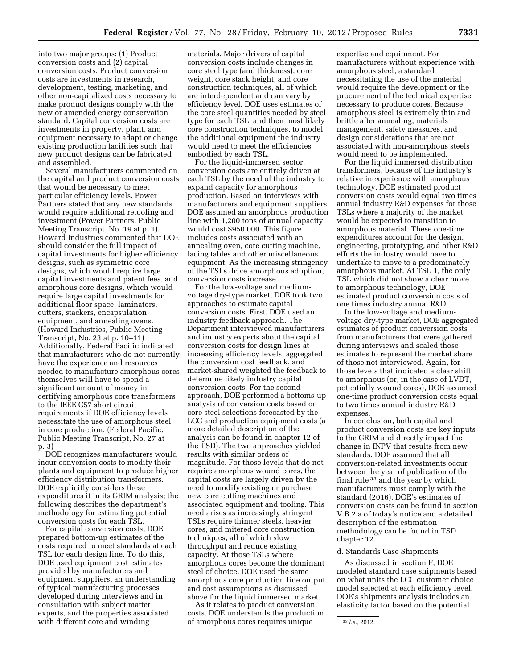into two major groups: (1) Product conversion costs and (2) capital conversion costs. Product conversion costs are investments in research, development, testing, marketing, and other non-capitalized costs necessary to make product designs comply with the new or amended energy conservation standard. Capital conversion costs are investments in property, plant, and equipment necessary to adapt or change existing production facilities such that new product designs can be fabricated and assembled.

Several manufacturers commented on the capital and product conversion costs that would be necessary to meet particular efficiency levels. Power Partners stated that any new standards would require additional retooling and investment (Power Partners, Public Meeting Transcript, No. 19 at p. 1). Howard Industries commented that DOE should consider the full impact of capital investments for higher efficiency designs, such as symmetric core designs, which would require large capital investments and patent fees, and amorphous core designs, which would require large capital investments for additional floor space, laminators, cutters, stackers, encapsulation equipment, and annealing ovens. (Howard Industries, Public Meeting Transcript, No. 23 at p. 10–11) Additionally, Federal Pacific indicated that manufacturers who do not currently have the experience and resources needed to manufacture amorphous cores themselves will have to spend a significant amount of money in certifying amorphous core transformers to the IEEE C57 short circuit requirements if DOE efficiency levels necessitate the use of amorphous steel in core production. (Federal Pacific, Public Meeting Transcript, No. 27 at p. 3)

DOE recognizes manufacturers would incur conversion costs to modify their plants and equipment to produce higher efficiency distribution transformers. DOE explicitly considers these expenditures it in its GRIM analysis; the following describes the department's methodology for estimating potential conversion costs for each TSL.

For capital conversion costs, DOE prepared bottom-up estimates of the costs required to meet standards at each TSL for each design line. To do this, DOE used equipment cost estimates provided by manufacturers and equipment suppliers, an understanding of typical manufacturing processes developed during interviews and in consultation with subject matter experts, and the properties associated with different core and winding

materials. Major drivers of capital conversion costs include changes in core steel type (and thickness), core weight, core stack height, and core construction techniques, all of which are interdependent and can vary by efficiency level. DOE uses estimates of the core steel quantities needed by steel type for each TSL, and then most likely core construction techniques, to model the additional equipment the industry would need to meet the efficiencies embodied by each TSL.

For the liquid-immersed sector, conversion costs are entirely driven at each TSL by the need of the industry to expand capacity for amorphous production. Based on interviews with manufacturers and equipment suppliers, DOE assumed an amorphous production line with 1,200 tons of annual capacity would cost \$950,000. This figure includes costs associated with an annealing oven, core cutting machine, lacing tables and other miscellaneous equipment. As the increasing stringency of the TSLs drive amorphous adoption, conversion costs increase.

For the low-voltage and mediumvoltage dry-type market, DOE took two approaches to estimate capital conversion costs. First, DOE used an industry feedback approach. The Department interviewed manufacturers and industry experts about the capital conversion costs for design lines at increasing efficiency levels, aggregated the conversion cost feedback, and market-shared weighted the feedback to determine likely industry capital conversion costs. For the second approach, DOE performed a bottoms-up analysis of conversion costs based on core steel selections forecasted by the LCC and production equipment costs (a more detailed description of the analysis can be found in chapter 12 of the TSD). The two approaches yielded results with similar orders of magnitude. For those levels that do not require amorphous wound cores, the capital costs are largely driven by the need to modify existing or purchase new core cutting machines and associated equipment and tooling. This need arises as increasingly stringent TSLs require thinner steels, heavier cores, and mitered core construction techniques, all of which slow throughput and reduce existing capacity. At those TSLs where amorphous cores become the dominant steel of choice, DOE used the same amorphous core production line output and cost assumptions as discussed above for the liquid immersed market.

As it relates to product conversion costs, DOE understands the production of amorphous cores requires unique

expertise and equipment. For manufacturers without experience with amorphous steel, a standard necessitating the use of the material would require the development or the procurement of the technical expertise necessary to produce cores. Because amorphous steel is extremely thin and brittle after annealing, materials management, safety measures, and design considerations that are not associated with non-amorphous steels would need to be implemented.

For the liquid immersed distribution transformers, because of the industry's relative inexperience with amorphous technology, DOE estimated product conversion costs would equal two times annual industry R&D expenses for those TSLs where a majority of the market would be expected to transition to amorphous material. These one-time expenditures account for the design, engineering, prototyping, and other R&D efforts the industry would have to undertake to move to a predominately amorphous market. At TSL 1, the only TSL which did not show a clear move to amorphous technology, DOE estimated product conversion costs of one times industry annual R&D.

In the low-voltage and mediumvoltage dry-type market, DOE aggregated estimates of product conversion costs from manufacturers that were gathered during interviews and scaled those estimates to represent the market share of those not interviewed. Again, for those levels that indicated a clear shift to amorphous (or, in the case of LVDT, potentially wound cores), DOE assumed one-time product conversion costs equal to two times annual industry R&D expenses.

In conclusion, both capital and product conversion costs are key inputs to the GRIM and directly impact the change in INPV that results from new standards. DOE assumed that all conversion-related investments occur between the year of publication of the final rule 33 and the year by which manufacturers must comply with the standard (2016). DOE's estimates of conversion costs can be found in section V.B.2.a of today's notice and a detailed description of the estimation methodology can be found in TSD chapter 12.

#### d. Standards Case Shipments

As discussed in section F, DOE modeled standard case shipments based on what units the LCC customer choice model selected at each efficiency level. DOE's shipments analysis includes an elasticity factor based on the potential

<sup>33</sup> *I.e.,* 2012.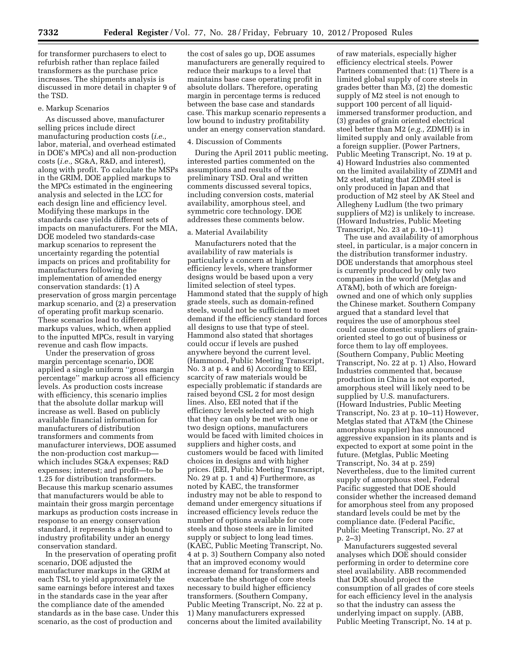for transformer purchasers to elect to refurbish rather than replace failed transformers as the purchase price increases. The shipments analysis is discussed in more detail in chapter 9 of the TSD.

#### e. Markup Scenarios

As discussed above, manufacturer selling prices include direct manufacturing production costs (*i.e.,*  labor, material, and overhead estimated in DOE's MPCs) and all non-production costs (*i.e.,* SG&A, R&D, and interest), along with profit. To calculate the MSPs in the GRIM, DOE applied markups to the MPCs estimated in the engineering analysis and selected in the LCC for each design line and efficiency level. Modifying these markups in the standards case yields different sets of impacts on manufacturers. For the MIA, DOE modeled two standards-case markup scenarios to represent the uncertainty regarding the potential impacts on prices and profitability for manufacturers following the implementation of amended energy conservation standards: (1) A preservation of gross margin percentage markup scenario, and (2) a preservation of operating profit markup scenario. These scenarios lead to different markups values, which, when applied to the inputted MPCs, result in varying revenue and cash flow impacts.

Under the preservation of gross margin percentage scenario, DOE applied a single uniform ''gross margin percentage'' markup across all efficiency levels. As production costs increase with efficiency, this scenario implies that the absolute dollar markup will increase as well. Based on publicly available financial information for manufacturers of distribution transformers and comments from manufacturer interviews, DOE assumed the non-production cost markup which includes SG&A expenses; R&D expenses; interest; and profit—to be 1.25 for distribution transformers. Because this markup scenario assumes that manufacturers would be able to maintain their gross margin percentage markups as production costs increase in response to an energy conservation standard, it represents a high bound to industry profitability under an energy conservation standard.

In the preservation of operating profit scenario, DOE adjusted the manufacturer markups in the GRIM at each TSL to yield approximately the same earnings before interest and taxes in the standards case in the year after the compliance date of the amended standards as in the base case. Under this scenario, as the cost of production and

the cost of sales go up, DOE assumes manufacturers are generally required to reduce their markups to a level that maintains base case operating profit in absolute dollars. Therefore, operating margin in percentage terms is reduced between the base case and standards case. This markup scenario represents a low bound to industry profitability under an energy conservation standard.

#### 4. Discussion of Comments

During the April 2011 public meeting, interested parties commented on the assumptions and results of the preliminary TSD. Oral and written comments discussed several topics, including conversion costs, material availability, amorphous steel, and symmetric core technology. DOE addresses these comments below.

#### a. Material Availability

Manufacturers noted that the availability of raw materials is particularly a concern at higher efficiency levels, where transformer designs would be based upon a very limited selection of steel types. Hammond stated that the supply of high grade steels, such as domain-refined steels, would not be sufficient to meet demand if the efficiency standard forces all designs to use that type of steel. Hammond also stated that shortages could occur if levels are pushed anywhere beyond the current level. (Hammond, Public Meeting Transcript, No. 3 at p. 4 and 6) According to EEI, scarcity of raw materials would be especially problematic if standards are raised beyond CSL 2 for most design lines. Also, EEI noted that if the efficiency levels selected are so high that they can only be met with one or two design options, manufacturers would be faced with limited choices in suppliers and higher costs, and customers would be faced with limited choices in designs and with higher prices. (EEI, Public Meeting Transcript, No. 29 at p. 1 and 4) Furthermore, as noted by KAEC, the transformer industry may not be able to respond to demand under emergency situations if increased efficiency levels reduce the number of options available for core steels and those steels are in limited supply or subject to long lead times. (KAEC, Public Meeting Transcript, No. 4 at p. 3) Southern Company also noted that an improved economy would increase demand for transformers and exacerbate the shortage of core steels necessary to build higher efficiency transformers. (Southern Company, Public Meeting Transcript, No. 22 at p. 1) Many manufacturers expressed concerns about the limited availability

of raw materials, especially higher efficiency electrical steels. Power Partners commented that: (1) There is a limited global supply of core steels in grades better than M3, (2) the domestic supply of M2 steel is not enough to support 100 percent of all liquidimmersed transformer production, and (3) grades of grain oriented electrical steel better than M2 (*e.g.,* ZDMH) is in limited supply and only available from a foreign supplier. (Power Partners, Public Meeting Transcript, No. 19 at p. 4) Howard Industries also commented on the limited availability of ZDMH and M2 steel, stating that ZDMH steel is only produced in Japan and that production of M2 steel by AK Steel and Allegheny Ludlum (the two primary suppliers of M2) is unlikely to increase. (Howard Industries, Public Meeting Transcript, No. 23 at p. 10–11)

The use and availability of amorphous steel, in particular, is a major concern in the distribution transformer industry. DOE understands that amorphous steel is currently produced by only two companies in the world (Metglas and AT&M), both of which are foreignowned and one of which only supplies the Chinese market. Southern Company argued that a standard level that requires the use of amorphous steel could cause domestic suppliers of grainoriented steel to go out of business or force them to lay off employees. (Southern Company, Public Meeting Transcript, No. 22 at p. 1) Also, Howard Industries commented that, because production in China is not exported, amorphous steel will likely need to be supplied by U.S. manufacturers. (Howard Industries, Public Meeting Transcript, No. 23 at p. 10–11) However, Metglas stated that AT&M (the Chinese amorphous supplier) has announced aggressive expansion in its plants and is expected to export at some point in the future. (Metglas, Public Meeting Transcript, No. 34 at p. 259) Nevertheless, due to the limited current supply of amorphous steel, Federal Pacific suggested that DOE should consider whether the increased demand for amorphous steel from any proposed standard levels could be met by the compliance date. (Federal Pacific, Public Meeting Transcript, No. 27 at p. 2–3)

Manufacturers suggested several analyses which DOE should consider performing in order to determine core steel availability. ABB recommended that DOE should project the consumption of all grades of core steels for each efficiency level in the analysis so that the industry can assess the underlying impact on supply. (ABB, Public Meeting Transcript, No. 14 at p.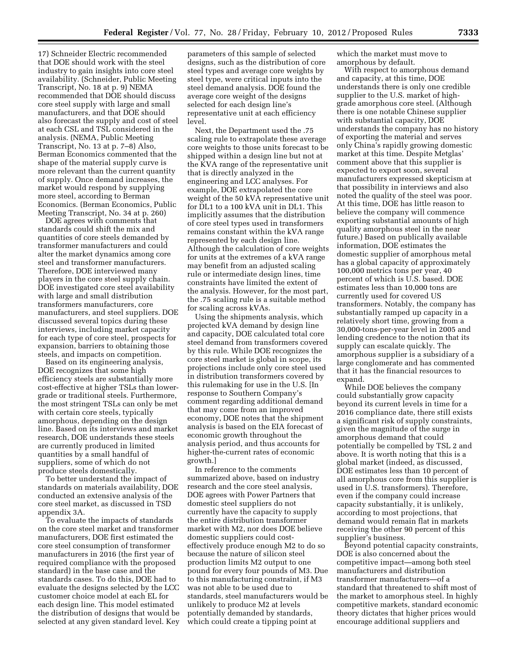17) Schneider Electric recommended that DOE should work with the steel industry to gain insights into core steel availability. (Schneider, Public Meeting Transcript, No. 18 at p. 9) NEMA recommended that DOE should discuss core steel supply with large and small manufacturers, and that DOE should also forecast the supply and cost of steel at each CSL and TSL considered in the analysis. (NEMA, Public Meeting Transcript, No. 13 at p. 7–8) Also, Berman Economics commented that the shape of the material supply curve is more relevant than the current quantity of supply. Once demand increases, the market would respond by supplying more steel, according to Berman Economics. (Berman Economics, Public Meeting Transcript, No. 34 at p. 260)

DOE agrees with comments that standards could shift the mix and quantities of core steels demanded by transformer manufacturers and could alter the market dynamics among core steel and transformer manufacturers. Therefore, DOE interviewed many players in the core steel supply chain. DOE investigated core steel availability with large and small distribution transformers manufacturers, core manufacturers, and steel suppliers. DOE discussed several topics during these interviews, including market capacity for each type of core steel, prospects for expansion, barriers to obtaining those steels, and impacts on competition.

Based on its engineering analysis, DOE recognizes that some high efficiency steels are substantially more cost-effective at higher TSLs than lowergrade or traditional steels. Furthermore, the most stringent TSLs can only be met with certain core steels, typically amorphous, depending on the design line. Based on its interviews and market research, DOE understands these steels are currently produced in limited quantities by a small handful of suppliers, some of which do not produce steels domestically.

To better understand the impact of standards on materials availability, DOE conducted an extensive analysis of the core steel market, as discussed in TSD appendix 3A.

To evaluate the impacts of standards on the core steel market and transformer manufacturers, DOE first estimated the core steel consumption of transformer manufacturers in 2016 (the first year of required compliance with the proposed standard) in the base case and the standards cases. To do this, DOE had to evaluate the designs selected by the LCC customer choice model at each EL for each design line. This model estimated the distribution of designs that would be selected at any given standard level. Key

parameters of this sample of selected designs, such as the distribution of core steel types and average core weights by steel type, were critical inputs into the steel demand analysis. DOE found the average core weight of the designs selected for each design line's representative unit at each efficiency level.

Next, the Department used the .75 scaling rule to extrapolate these average core weights to those units forecast to be shipped within a design line but not at the KVA range of the representative unit that is directly analyzed in the engineering and LCC analyses. For example, DOE extrapolated the core weight of the 50 kVA representative unit for DL1 to a 100 kVA unit in DL1. This implicitly assumes that the distribution of core steel types used in transformers remains constant within the kVA range represented by each design line. Although the calculation of core weights for units at the extremes of a kVA range may benefit from an adjusted scaling rule or intermediate design lines, time constraints have limited the extent of the analysis. However, for the most part, the .75 scaling rule is a suitable method for scaling across kVAs.

Using the shipments analysis, which projected kVA demand by design line and capacity, DOE calculated total core steel demand from transformers covered by this rule. While DOE recognizes the core steel market is global in scope, its projections include only core steel used in distribution transformers covered by this rulemaking for use in the U.S. [In response to Southern Company's comment regarding additional demand that may come from an improved economy, DOE notes that the shipment analysis is based on the EIA forecast of economic growth throughout the analysis period, and thus accounts for higher-the-current rates of economic growth.]

In reference to the comments summarized above, based on industry research and the core steel analysis, DOE agrees with Power Partners that domestic steel suppliers do not currently have the capacity to supply the entire distribution transformer market with M2, nor does DOE believe domestic suppliers could costeffectively produce enough M2 to do so because the nature of silicon steel production limits M2 output to one pound for every four pounds of M3. Due to this manufacturing constraint, if M3 was not able to be used due to standards, steel manufacturers would be unlikely to produce M2 at levels potentially demanded by standards, which could create a tipping point at

which the market must move to amorphous by default.

With respect to amorphous demand and capacity, at this time, DOE understands there is only one credible supplier to the U.S. market of highgrade amorphous core steel. (Although there is one notable Chinese supplier with substantial capacity, DOE understands the company has no history of exporting the material and serves only China's rapidly growing domestic market at this time. Despite Metglas' comment above that this supplier is expected to export soon, several manufacturers expressed skepticism at that possibility in interviews and also noted the quality of the steel was poor. At this time, DOE has little reason to believe the company will commence exporting substantial amounts of high quality amorphous steel in the near future.) Based on publically available information, DOE estimates the domestic supplier of amorphous metal has a global capacity of approximately 100,000 metrics tons per year, 40 percent of which is U.S. based. DOE estimates less than 10,000 tons are currently used for covered US transformers. Notably, the company has substantially ramped up capacity in a relatively short time, growing from a 30,000-tons-per-year level in 2005 and lending credence to the notion that its supply can escalate quickly. The amorphous supplier is a subsidiary of a large conglomerate and has commented that it has the financial resources to expand.

While DOE believes the company could substantially grow capacity beyond its current levels in time for a 2016 compliance date, there still exists a significant risk of supply constraints, given the magnitude of the surge in amorphous demand that could potentially be compelled by TSL 2 and above. It is worth noting that this is a global market (indeed, as discussed, DOE estimates less than 10 percent of all amorphous core from this supplier is used in U.S. transformers). Therefore, even if the company could increase capacity substantially, it is unlikely, according to most projections, that demand would remain flat in markets receiving the other 90 percent of this supplier's business.

Beyond potential capacity constraints, DOE is also concerned about the competitive impact—among both steel manufacturers and distribution transformer manufacturers—of a standard that threatened to shift most of the market to amorphous steel. In highly competitive markets, standard economic theory dictates that higher prices would encourage additional suppliers and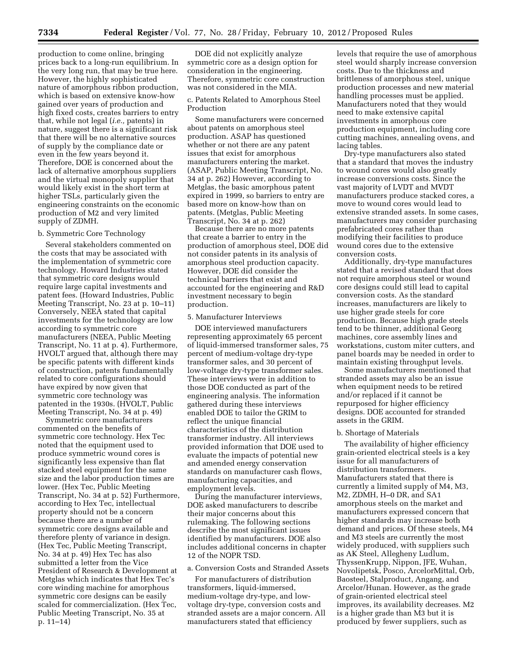production to come online, bringing prices back to a long-run equilibrium. In the very long run, that may be true here. However, the highly sophisticated nature of amorphous ribbon production, which is based on extensive know-how gained over years of production and high fixed costs, creates barriers to entry that, while not legal (*i.e.,* patents) in nature, suggest there is a significant risk that there will be no alternative sources of supply by the compliance date or even in the few years beyond it. Therefore, DOE is concerned about the lack of alternative amorphous suppliers and the virtual monopoly supplier that would likely exist in the short term at higher TSLs, particularly given the engineering constraints on the economic production of M2 and very limited supply of ZDMH.

## b. Symmetric Core Technology

Several stakeholders commented on the costs that may be associated with the implementation of symmetric core technology. Howard Industries stated that symmetric core designs would require large capital investments and patent fees. (Howard Industries, Public Meeting Transcript, No. 23 at p. 10–11) Conversely, NEEA stated that capital investments for the technology are low according to symmetric core manufacturers (NEEA, Public Meeting Transcript, No. 11 at p. 4). Furthermore, HVOLT argued that, although there may be specific patents with different kinds of construction, patents fundamentally related to core configurations should have expired by now given that symmetric core technology was patented in the 1930s. (HVOLT, Public Meeting Transcript, No. 34 at p. 49)

Symmetric core manufacturers commented on the benefits of symmetric core technology. Hex Tec noted that the equipment used to produce symmetric wound cores is significantly less expensive than flat stacked steel equipment for the same size and the labor production times are lower. (Hex Tec, Public Meeting Transcript, No. 34 at p. 52) Furthermore, according to Hex Tec, intellectual property should not be a concern because there are a number of symmetric core designs available and therefore plenty of variance in design. (Hex Tec, Public Meeting Transcript, No. 34 at p. 49) Hex Tec has also submitted a letter from the Vice President of Research & Development at Metglas which indicates that Hex Tec's core winding machine for amorphous symmetric core designs can be easily scaled for commercialization. (Hex Tec, Public Meeting Transcript, No. 35 at p. 11–14)

DOE did not explicitly analyze symmetric core as a design option for consideration in the engineering. Therefore, symmetric core construction was not considered in the MIA.

c. Patents Related to Amorphous Steel Production

Some manufacturers were concerned about patents on amorphous steel production. ASAP has questioned whether or not there are any patent issues that exist for amorphous manufacturers entering the market. (ASAP, Public Meeting Transcript, No. 34 at p. 262) However, according to Metglas, the basic amorphous patent expired in 1999, so barriers to entry are based more on know-how than on patents. (Metglas, Public Meeting Transcript, No. 34 at p. 262)

Because there are no more patents that create a barrier to entry in the production of amorphous steel, DOE did not consider patents in its analysis of amorphous steel production capacity. However, DOE did consider the technical barriers that exist and accounted for the engineering and R&D investment necessary to begin production.

#### 5. Manufacturer Interviews

DOE interviewed manufacturers representing approximately 65 percent of liquid-immersed transformer sales, 75 percent of medium-voltage dry-type transformer sales, and 30 percent of low-voltage dry-type transformer sales. These interviews were in addition to those DOE conducted as part of the engineering analysis. The information gathered during these interviews enabled DOE to tailor the GRIM to reflect the unique financial characteristics of the distribution transformer industry. All interviews provided information that DOE used to evaluate the impacts of potential new and amended energy conservation standards on manufacturer cash flows, manufacturing capacities, and employment levels.

During the manufacturer interviews, DOE asked manufacturers to describe their major concerns about this rulemaking. The following sections describe the most significant issues identified by manufacturers. DOE also includes additional concerns in chapter 12 of the NOPR TSD.

#### a. Conversion Costs and Stranded Assets

For manufacturers of distribution transformers, liquid-immersed, medium-voltage dry-type, and lowvoltage dry-type, conversion costs and stranded assets are a major concern. All manufacturers stated that efficiency

levels that require the use of amorphous steel would sharply increase conversion costs. Due to the thickness and brittleness of amorphous steel, unique production processes and new material handling processes must be applied. Manufacturers noted that they would need to make extensive capital investments in amorphous core production equipment, including core cutting machines, annealing ovens, and lacing tables.

Dry-type manufacturers also stated that a standard that moves the industry to wound cores would also greatly increase conversions costs. Since the vast majority of LVDT and MVDT manufacturers produce stacked cores, a move to wound cores would lead to extensive stranded assets. In some cases, manufacturers may consider purchasing prefabricated cores rather than modifying their facilities to produce wound cores due to the extensive conversion costs.

Additionally, dry-type manufactures stated that a revised standard that does not require amorphous steel or wound core designs could still lead to capital conversion costs. As the standard increases, manufacturers are likely to use higher grade steels for core production. Because high grade steels tend to be thinner, additional Georg machines, core assembly lines and workstations, custom miter cutters, and panel boards may be needed in order to maintain existing throughput levels.

Some manufacturers mentioned that stranded assets may also be an issue when equipment needs to be retired and/or replaced if it cannot be repurposed for higher efficiency designs. DOE accounted for stranded assets in the GRIM.

#### b. Shortage of Materials

The availability of higher efficiency grain-oriented electrical steels is a key issue for all manufacturers of distribution transformers. Manufacturers stated that there is currently a limited supply of M4, M3, M2, ZDMH, H–0 DR, and SA1 amorphous steels on the market and manufacturers expressed concern that higher standards may increase both demand and prices. Of these steels, M4 and M3 steels are currently the most widely produced, with suppliers such as AK Steel, Allegheny Ludlum, ThyssenKrupp, Nippon, JFE, Wuhan, Novolipetsk, Posco, ArcelorMittal, Orb, Baosteel, Stalproduct, Angang, and Arcelor/Hunan. However, as the grade of grain-oriented electrical steel improves, its availability decreases. M2 is a higher grade than M3 but it is produced by fewer suppliers, such as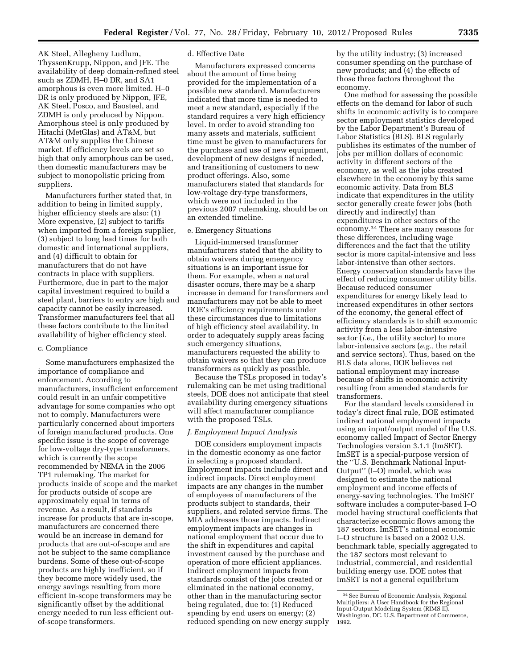AK Steel, Allegheny Ludlum, ThyssenKrupp, Nippon, and JFE. The availability of deep domain-refined steel such as ZDMH, H–0 DR, and SA1 amorphous is even more limited. H–0 DR is only produced by Nippon, JFE, AK Steel, Posco, and Baosteel, and ZDMH is only produced by Nippon. Amorphous steel is only produced by Hitachi (MetGlas) and AT&M, but AT&M only supplies the Chinese market. If efficiency levels are set so high that only amorphous can be used, then domestic manufacturers may be subject to monopolistic pricing from suppliers.

Manufacturers further stated that, in addition to being in limited supply, higher efficiency steels are also: (1) More expensive, (2) subject to tariffs when imported from a foreign supplier, (3) subject to long lead times for both domestic and international suppliers, and (4) difficult to obtain for manufacturers that do not have contracts in place with suppliers. Furthermore, due in part to the major capital investment required to build a steel plant, barriers to entry are high and capacity cannot be easily increased. Transformer manufacturers feel that all these factors contribute to the limited availability of higher efficiency steel.

## c. Compliance

Some manufacturers emphasized the importance of compliance and enforcement. According to manufacturers, insufficient enforcement could result in an unfair competitive advantage for some companies who opt not to comply. Manufacturers were particularly concerned about importers of foreign manufactured products. One specific issue is the scope of coverage for low-voltage dry-type transformers, which is currently the scope recommended by NEMA in the 2006 TP1 rulemaking. The market for products inside of scope and the market for products outside of scope are approximately equal in terms of revenue. As a result, if standards increase for products that are in-scope, manufacturers are concerned there would be an increase in demand for products that are out-of-scope and are not be subject to the same compliance burdens. Some of these out-of-scope products are highly inefficient, so if they become more widely used, the energy savings resulting from more efficient in-scope transformers may be significantly offset by the additional energy needed to run less efficient outof-scope transformers.

### d. Effective Date

Manufacturers expressed concerns about the amount of time being provided for the implementation of a possible new standard. Manufacturers indicated that more time is needed to meet a new standard, especially if the standard requires a very high efficiency level. In order to avoid stranding too many assets and materials, sufficient time must be given to manufacturers for the purchase and use of new equipment, development of new designs if needed, and transitioning of customers to new product offerings. Also, some manufacturers stated that standards for low-voltage dry-type transformers, which were not included in the previous 2007 rulemaking, should be on an extended timeline.

### e. Emergency Situations

Liquid-immersed transformer manufacturers stated that the ability to obtain waivers during emergency situations is an important issue for them. For example, when a natural disaster occurs, there may be a sharp increase in demand for transformers and manufacturers may not be able to meet DOE's efficiency requirements under these circumstances due to limitations of high efficiency steel availability. In order to adequately supply areas facing such emergency situations, manufacturers requested the ability to obtain waivers so that they can produce transformers as quickly as possible.

Because the TSLs proposed in today's rulemaking can be met using traditional steels, DOE does not anticipate that steel availability during emergency situations will affect manufacturer compliance with the proposed TSLs.

#### *J. Employment Impact Analysis*

DOE considers employment impacts in the domestic economy as one factor in selecting a proposed standard. Employment impacts include direct and indirect impacts. Direct employment impacts are any changes in the number of employees of manufacturers of the products subject to standards, their suppliers, and related service firms. The MIA addresses those impacts. Indirect employment impacts are changes in national employment that occur due to the shift in expenditures and capital investment caused by the purchase and operation of more efficient appliances. Indirect employment impacts from standards consist of the jobs created or eliminated in the national economy, other than in the manufacturing sector being regulated, due to: (1) Reduced spending by end users on energy; (2) reduced spending on new energy supply by the utility industry; (3) increased consumer spending on the purchase of new products; and (4) the effects of those three factors throughout the economy.

One method for assessing the possible effects on the demand for labor of such shifts in economic activity is to compare sector employment statistics developed by the Labor Department's Bureau of Labor Statistics (BLS). BLS regularly publishes its estimates of the number of jobs per million dollars of economic activity in different sectors of the economy, as well as the jobs created elsewhere in the economy by this same economic activity. Data from BLS indicate that expenditures in the utility sector generally create fewer jobs (both directly and indirectly) than expenditures in other sectors of the economy.34 There are many reasons for these differences, including wage differences and the fact that the utility sector is more capital-intensive and less labor-intensive than other sectors. Energy conservation standards have the effect of reducing consumer utility bills. Because reduced consumer expenditures for energy likely lead to increased expenditures in other sectors of the economy, the general effect of efficiency standards is to shift economic activity from a less labor-intensive sector (*i.e.,* the utility sector) to more labor-intensive sectors (*e.g.,* the retail and service sectors). Thus, based on the BLS data alone, DOE believes net national employment may increase because of shifts in economic activity resulting from amended standards for transformers.

For the standard levels considered in today's direct final rule, DOE estimated indirect national employment impacts using an input/output model of the U.S. economy called Impact of Sector Energy Technologies version 3.1.1 (ImSET). ImSET is a special-purpose version of the ''U.S. Benchmark National Input-Output'' (I–O) model, which was designed to estimate the national employment and income effects of energy-saving technologies. The ImSET software includes a computer-based I–O model having structural coefficients that characterize economic flows among the 187 sectors. ImSET's national economic I–O structure is based on a 2002 U.S. benchmark table, specially aggregated to the 187 sectors most relevant to industrial, commercial, and residential building energy use. DOE notes that ImSET is not a general equilibrium

<sup>34</sup>See Bureau of Economic Analysis, Regional Multipliers: A User Handbook for the Regional Input-Output Modeling System (RIMS II). Washington, DC. U.S. Department of Commerce, 1992.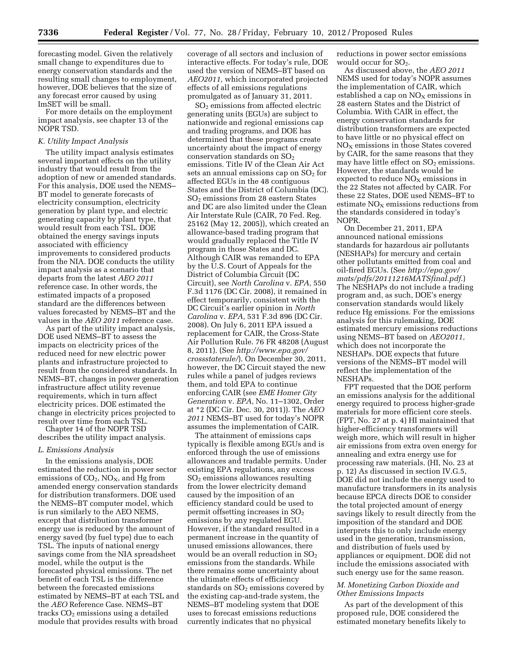forecasting model. Given the relatively small change to expenditures due to energy conservation standards and the resulting small changes to employment, however, DOE believes that the size of any forecast error caused by using ImSET will be small.

For more details on the employment impact analysis, see chapter 13 of the NOPR TSD.

#### *K. Utility Impact Analysis*

The utility impact analysis estimates several important effects on the utility industry that would result from the adoption of new or amended standards. For this analysis, DOE used the NEMS– BT model to generate forecasts of electricity consumption, electricity generation by plant type, and electric generating capacity by plant type, that would result from each TSL. DOE obtained the energy savings inputs associated with efficiency improvements to considered products from the NIA. DOE conducts the utility impact analysis as a scenario that departs from the latest *AEO 2011*  reference case. In other words, the estimated impacts of a proposed standard are the differences between values forecasted by NEMS–BT and the values in the *AEO 2011* reference case.

As part of the utility impact analysis, DOE used NEMS–BT to assess the impacts on electricity prices of the reduced need for new electric power plants and infrastructure projected to result from the considered standards. In NEMS–BT, changes in power generation infrastructure affect utility revenue requirements, which in turn affect electricity prices. DOE estimated the change in electricity prices projected to result over time from each TSL.

Chapter 14 of the NOPR TSD describes the utility impact analysis.

#### *L. Emissions Analysis*

In the emissions analysis, DOE estimated the reduction in power sector emissions of  $CO<sub>2</sub>$ , NO<sub>X</sub>, and Hg from amended energy conservation standards for distribution transformers. DOE used the NEMS–BT computer model, which is run similarly to the AEO NEMS, except that distribution transformer energy use is reduced by the amount of energy saved (by fuel type) due to each TSL. The inputs of national energy savings come from the NIA spreadsheet model, while the output is the forecasted physical emissions. The net benefit of each TSL is the difference between the forecasted emissions estimated by NEMS–BT at each TSL and the *AEO* Reference Case. NEMS–BT tracks  $CO<sub>2</sub>$  emissions using a detailed module that provides results with broad

coverage of all sectors and inclusion of interactive effects. For today's rule, DOE used the version of NEMS–BT based on *AEO2011,* which incorporated projected effects of all emissions regulations promulgated as of January 31, 2011.

SO2 emissions from affected electric generating units (EGUs) are subject to nationwide and regional emissions cap and trading programs, and DOE has determined that these programs create uncertainty about the impact of energy conservation standards on  $SO<sub>2</sub>$ emissions. Title IV of the Clean Air Act sets an annual emissions cap on  $SO<sub>2</sub>$  for affected EGUs in the 48 contiguous States and the District of Columbia (DC). SO2 emissions from 28 eastern States and DC are also limited under the Clean Air Interstate Rule (CAIR, 70 Fed. Reg. 25162 (May 12, 2005)), which created an allowance-based trading program that would gradually replaced the Title IV program in those States and DC. Although CAIR was remanded to EPA by the U.S. Court of Appeals for the District of Columbia Circuit (DC Circuit), see *North Carolina* v. *EPA,* 550 F.3d 1176 (DC Cir. 2008), it remained in effect temporarily, consistent with the DC Circuit's earlier opinion in *North Carolina* v. *EPA,* 531 F.3d 896 (DC Cir. 2008). On July 6, 2011 EPA issued a replacement for CAIR, the Cross-State Air Pollution Rule. 76 FR 48208 (August 8, 2011). (See *[http://www.epa.gov/](http://www.epa.gov/crossstaterule/)  [crossstaterule/](http://www.epa.gov/crossstaterule/)*). On December 30, 2011, however, the DC Circuit stayed the new rules while a panel of judges reviews them, and told EPA to continue enforcing CAIR (see *EME Homer City Generation* v. *EPA,* No. 11–1302, Order at \*2 (DC Cir. Dec. 30, 2011)). The *AEO 2011* NEMS–BT used for today's NOPR assumes the implementation of CAIR.

The attainment of emissions caps typically is flexible among EGUs and is enforced through the use of emissions allowances and tradable permits. Under existing EPA regulations, any excess  $SO<sub>2</sub>$  emissions allowances resulting from the lower electricity demand caused by the imposition of an efficiency standard could be used to permit offsetting increases in  $SO<sub>2</sub>$ emissions by any regulated EGU. However, if the standard resulted in a permanent increase in the quantity of unused emissions allowances, there would be an overall reduction in  $SO_2$ emissions from the standards. While there remains some uncertainty about the ultimate effects of efficiency standards on  $SO<sub>2</sub>$  emissions covered by the existing cap-and-trade system, the NEMS–BT modeling system that DOE uses to forecast emissions reductions currently indicates that no physical

reductions in power sector emissions would occur for  $SO<sub>2</sub>$ .

As discussed above, the *AEO 2011*  NEMS used for today's NOPR assumes the implementation of CAIR, which established a cap on  $NO<sub>x</sub>$  emissions in 28 eastern States and the District of Columbia. With CAIR in effect, the energy conservation standards for distribution transformers are expected to have little or no physical effect on  $NO<sub>x</sub>$  emissions in those States covered by CAIR, for the same reasons that they may have little effect on  $SO<sub>2</sub>$  emissions. However, the standards would be expected to reduce  $NO<sub>x</sub>$  emissions in the 22 States not affected by CAIR. For these 22 States, DOE used NEMS–BT to estimate  $NO<sub>x</sub>$  emissions reductions from the standards considered in today's NOPR.

On December 21, 2011, EPA announced national emissions standards for hazardous air pollutants (NESHAPs) for mercury and certain other pollutants emitted from coal and oil-fired EGUs. (See *[http://epa.gov/](http://epa.gov/mats/pdfs/20111216MATSfinal.pdf)  [mats/pdfs/20111216MATSfinal.pdf](http://epa.gov/mats/pdfs/20111216MATSfinal.pdf)*.) The NESHAPs do not include a trading program and, as such, DOE's energy conservation standards would likely reduce Hg emissions. For the emissions analysis for this rulemaking, DOE estimated mercury emissions reductions using NEMS–BT based on *AEO2011,*  which does not incorporate the NESHAPs. DOE expects that future versions of the NEMS–BT model will reflect the implementation of the NESHAPs.

FPT requested that the DOE perform an emissions analysis for the additional energy required to process higher-grade materials for more efficient core steels. (FPT, No. 27 at p. 4) HI maintained that higher-efficiency transformers will weigh more, which will result in higher air emissions from extra oven energy for annealing and extra energy use for processing raw materials. (HI, No. 23 at p. 12) As discussed in section IV.G.5, DOE did not include the energy used to manufacture transformers in its analysis because EPCA directs DOE to consider the total projected amount of energy savings likely to result directly from the imposition of the standard and DOE interprets this to only include energy used in the generation, transmission, and distribution of fuels used by appliances or equipment. DOE did not include the emissions associated with such energy use for the same reason.

## *M. Monetizing Carbon Dioxide and Other Emissions Impacts*

As part of the development of this proposed rule, DOE considered the estimated monetary benefits likely to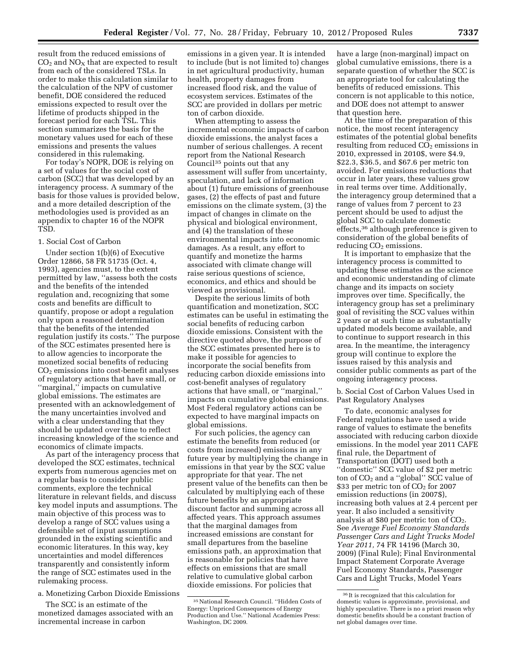result from the reduced emissions of  $CO<sub>2</sub>$  and  $NO<sub>X</sub>$  that are expected to result from each of the considered TSLs. In order to make this calculation similar to the calculation of the NPV of customer benefit, DOE considered the reduced emissions expected to result over the lifetime of products shipped in the forecast period for each TSL. This section summarizes the basis for the monetary values used for each of these emissions and presents the values considered in this rulemaking.

For today's NOPR, DOE is relying on a set of values for the social cost of carbon (SCC) that was developed by an interagency process. A summary of the basis for those values is provided below, and a more detailed description of the methodologies used is provided as an appendix to chapter 16 of the NOPR TSD.

## 1. Social Cost of Carbon

Under section 1(b)(6) of Executive Order 12866, 58 FR 51735 (Oct. 4, 1993), agencies must, to the extent permitted by law, ''assess both the costs and the benefits of the intended regulation and, recognizing that some costs and benefits are difficult to quantify, propose or adopt a regulation only upon a reasoned determination that the benefits of the intended regulation justify its costs.'' The purpose of the SCC estimates presented here is to allow agencies to incorporate the monetized social benefits of reducing  $CO<sub>2</sub>$  emissions into cost-benefit analyses of regulatory actions that have small, or ''marginal,'' impacts on cumulative global emissions. The estimates are presented with an acknowledgement of the many uncertainties involved and with a clear understanding that they should be updated over time to reflect increasing knowledge of the science and economics of climate impacts.

As part of the interagency process that developed the SCC estimates, technical experts from numerous agencies met on a regular basis to consider public comments, explore the technical literature in relevant fields, and discuss key model inputs and assumptions. The main objective of this process was to develop a range of SCC values using a defensible set of input assumptions grounded in the existing scientific and economic literatures. In this way, key uncertainties and model differences transparently and consistently inform the range of SCC estimates used in the rulemaking process.

a. Monetizing Carbon Dioxide Emissions

The SCC is an estimate of the monetized damages associated with an incremental increase in carbon

emissions in a given year. It is intended to include (but is not limited to) changes in net agricultural productivity, human health, property damages from increased flood risk, and the value of ecosystem services. Estimates of the SCC are provided in dollars per metric ton of carbon dioxide.

When attempting to assess the incremental economic impacts of carbon dioxide emissions, the analyst faces a number of serious challenges. A recent report from the National Research Council35 points out that any assessment will suffer from uncertainty, speculation, and lack of information about (1) future emissions of greenhouse gases, (2) the effects of past and future emissions on the climate system, (3) the impact of changes in climate on the physical and biological environment, and (4) the translation of these environmental impacts into economic damages. As a result, any effort to quantify and monetize the harms associated with climate change will raise serious questions of science, economics, and ethics and should be viewed as provisional.

Despite the serious limits of both quantification and monetization, SCC estimates can be useful in estimating the social benefits of reducing carbon dioxide emissions. Consistent with the directive quoted above, the purpose of the SCC estimates presented here is to make it possible for agencies to incorporate the social benefits from reducing carbon dioxide emissions into cost-benefit analyses of regulatory actions that have small, or ''marginal,'' impacts on cumulative global emissions. Most Federal regulatory actions can be expected to have marginal impacts on global emissions.

For such policies, the agency can estimate the benefits from reduced (or costs from increased) emissions in any future year by multiplying the change in emissions in that year by the SCC value appropriate for that year. The net present value of the benefits can then be calculated by multiplying each of these future benefits by an appropriate discount factor and summing across all affected years. This approach assumes that the marginal damages from increased emissions are constant for small departures from the baseline emissions path, an approximation that is reasonable for policies that have effects on emissions that are small relative to cumulative global carbon dioxide emissions. For policies that

have a large (non-marginal) impact on global cumulative emissions, there is a separate question of whether the SCC is an appropriate tool for calculating the benefits of reduced emissions. This concern is not applicable to this notice, and DOE does not attempt to answer that question here.

At the time of the preparation of this notice, the most recent interagency estimates of the potential global benefits resulting from reduced  $CO<sub>2</sub>$  emissions in 2010, expressed in 2010\$, were \$4.9, \$22.3, \$36.5, and \$67.6 per metric ton avoided. For emissions reductions that occur in later years, these values grow in real terms over time. Additionally, the interagency group determined that a range of values from 7 percent to 23 percent should be used to adjust the global SCC to calculate domestic effects,36 although preference is given to consideration of the global benefits of reducing  $CO<sub>2</sub>$  emissions.

It is important to emphasize that the interagency process is committed to updating these estimates as the science and economic understanding of climate change and its impacts on society improves over time. Specifically, the interagency group has set a preliminary goal of revisiting the SCC values within 2 years or at such time as substantially updated models become available, and to continue to support research in this area. In the meantime, the interagency group will continue to explore the issues raised by this analysis and consider public comments as part of the ongoing interagency process.

b. Social Cost of Carbon Values Used in Past Regulatory Analyses

To date, economic analyses for Federal regulations have used a wide range of values to estimate the benefits associated with reducing carbon dioxide emissions. In the model year 2011 CAFE final rule, the Department of Transportation (DOT) used both a ''domestic'' SCC value of \$2 per metric ton of  $CO<sub>2</sub>$  and a "global" SCC value of \$33 per metric ton of CO<sub>2</sub> for 2007 emission reductions (in 2007\$), increasing both values at 2.4 percent per year. It also included a sensitivity analysis at  $$80$  per metric ton of  $CO<sub>2</sub>$ . See *Average Fuel Economy Standards Passenger Cars and Light Trucks Model Year 2011,* 74 FR 14196 (March 30, 2009) (Final Rule); Final Environmental Impact Statement Corporate Average Fuel Economy Standards, Passenger Cars and Light Trucks, Model Years

<sup>35</sup>National Research Council. ''Hidden Costs of Energy: Unpriced Consequences of Energy Production and Use.'' National Academies Press: Washington, DC 2009.

<sup>36</sup> It is recognized that this calculation for domestic values is approximate, provisional, and highly speculative. There is no a priori reason why domestic benefits should be a constant fraction of net global damages over time.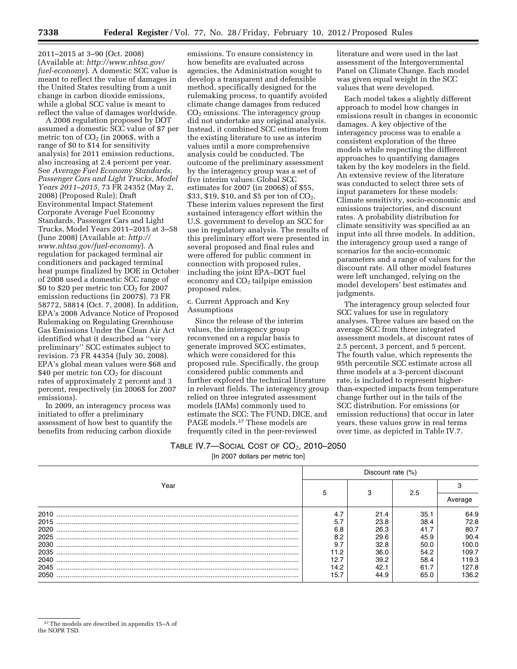2011–2015 at 3–90 (Oct. 2008) (Available at: *[http://www.nhtsa.gov/](http://www.nhtsa.gov/fuel-economy) [fuel-economy](http://www.nhtsa.gov/fuel-economy)*). A domestic SCC value is meant to reflect the value of damages in the United States resulting from a unit change in carbon dioxide emissions, while a global SCC value is meant to reflect the value of damages worldwide.

A 2008 regulation proposed by DOT assumed a domestic SCC value of \$7 per metric ton of  $CO<sub>2</sub>$  (in 2006\$, with a range of \$0 to \$14 for sensitivity analysis) for 2011 emission reductions, also increasing at 2.4 percent per year. See *Average Fuel Economy Standards, Passenger Cars and Light Trucks, Model Years 2011–2015,* 73 FR 24352 (May 2, 2008) (Proposed Rule); Draft Environmental Impact Statement Corporate Average Fuel Economy Standards, Passenger Cars and Light Trucks, Model Years 2011–2015 at 3–58 (June 2008) (Available at: *[http://](http://www.nhtsa.gov/fuel-economy) [www.nhtsa.gov/fuel-economy](http://www.nhtsa.gov/fuel-economy)*). A regulation for packaged terminal air conditioners and packaged terminal heat pumps finalized by DOE in October of 2008 used a domestic SCC range of \$0 to \$20 per metric ton  $CO<sub>2</sub>$  for 2007 emission reductions (in 2007\$). 73 FR 58772, 58814 (Oct. 7, 2008). In addition, EPA's 2008 Advance Notice of Proposed Rulemaking on Regulating Greenhouse Gas Emissions Under the Clean Air Act identified what it described as ''very preliminary'' SCC estimates subject to revision. 73 FR 44354 (July 30, 2008). EPA's global mean values were \$68 and \$40 per metric ton  $CO<sub>2</sub>$  for discount rates of approximately 2 percent and 3 percent, respectively (in 2006\$ for 2007 emissions).

In 2009, an interagency process was initiated to offer a preliminary assessment of how best to quantify the benefits from reducing carbon dioxide

emissions. To ensure consistency in how benefits are evaluated across agencies, the Administration sought to develop a transparent and defensible method, specifically designed for the rulemaking process, to quantify avoided climate change damages from reduced  $CO<sub>2</sub>$  emissions. The interagency group did not undertake any original analysis. Instead, it combined SCC estimates from the existing literature to use as interim values until a more comprehensive analysis could be conducted. The outcome of the preliminary assessment by the interagency group was a set of five interim values: Global SCC estimates for 2007 (in 2006\$) of \$55, \$33, \$19, \$10, and \$5 per ton of  $CO<sub>2</sub>$ . These interim values represent the first sustained interagency effort within the U.S. government to develop an SCC for use in regulatory analysis. The results of this preliminary effort were presented in several proposed and final rules and were offered for public comment in connection with proposed rules, including the joint EPA–DOT fuel economy and  $CO<sub>2</sub>$  tailpipe emission proposed rules.

### c. Current Approach and Key Assumptions

Since the release of the interim values, the interagency group reconvened on a regular basis to generate improved SCC estimates, which were considered for this proposed rule. Specifically, the group considered public comments and further explored the technical literature in relevant fields. The interagency group relied on three integrated assessment models (IAMs) commonly used to estimate the SCC: The FUND, DICE, and PAGE models.37 These models are frequently cited in the peer-reviewed

literature and were used in the last assessment of the Intergovernmental Panel on Climate Change. Each model was given equal weight in the SCC values that were developed.

Each model takes a slightly different approach to model how changes in emissions result in changes in economic damages. A key objective of the interagency process was to enable a consistent exploration of the three models while respecting the different approaches to quantifying damages taken by the key modelers in the field. An extensive review of the literature was conducted to select three sets of input parameters for these models: Climate sensitivity, socio-economic and emissions trajectories, and discount rates. A probability distribution for climate sensitivity was specified as an input into all three models. In addition, the interagency group used a range of scenarios for the socio-economic parameters and a range of values for the discount rate. All other model features were left unchanged, relying on the model developers' best estimates and judgments.

The interagency group selected four SCC values for use in regulatory analyses. Three values are based on the average SCC from three integrated assessment models, at discount rates of 2.5 percent, 3 percent, and 5 percent. The fourth value, which represents the 95th percentile SCC estimate across all three models at a 3-percent discount rate, is included to represent higherthan-expected impacts from temperature change further out in the tails of the SCC distribution. For emissions (or emission reductions) that occur in later years, these values grow in real terms over time, as depicted in Table IV.7.

| TABLE IV.7—SOCIAL COST OF $\mathsf{CO}_{2}$ , 2010–2050. |  |
|----------------------------------------------------------|--|
|----------------------------------------------------------|--|

[In 2007 dollars per metric ton]

|      | Discount rate (%) |      |      |         |  |  |
|------|-------------------|------|------|---------|--|--|
| Year |                   |      |      |         |  |  |
|      | 5                 |      | 2.5  | Average |  |  |
| 2010 | 4.7               | 21.4 | 35.1 | 64.9    |  |  |
| 2015 | 5.7               | 23.8 | 38.4 | 72.8    |  |  |
| 2020 | 6.8               | 26.3 | 41.7 | 80.7    |  |  |
| 2025 | 8.2               | 29.6 | 45.9 | 90.4    |  |  |
| 2030 | 9.7               | 32.8 | 50.0 | 100.0   |  |  |
| 2035 | 11.2              | 36.0 | 54.2 | 109.7   |  |  |
| 2040 | 12.7              | 39.2 | 58.4 | 119.3   |  |  |
| 2045 | 14.2              | 42.1 | 61.7 | 127.8   |  |  |
| 2050 | 15.7              | 44.9 | 65.0 | 136.2   |  |  |

<sup>37</sup>The models are described in appendix 15–A of the NOPR TSD.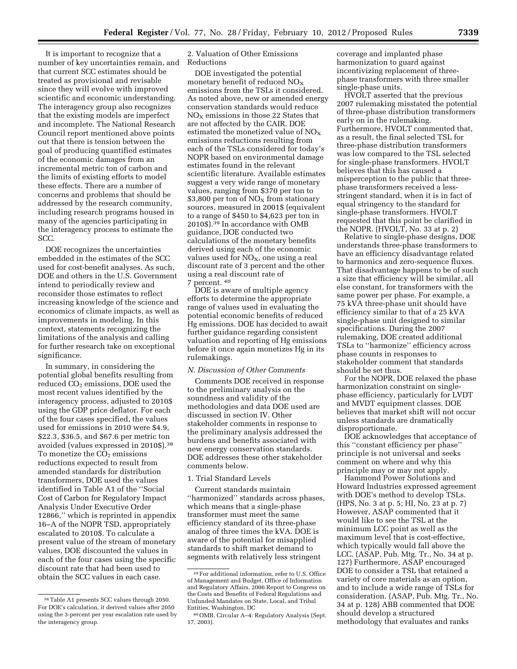It is important to recognize that a number of key uncertainties remain, and that current SCC estimates should be treated as provisional and revisable since they will evolve with improved scientific and economic understanding. The interagency group also recognizes that the existing models are imperfect and incomplete. The National Research Council report mentioned above points out that there is tension between the goal of producing quantified estimates of the economic damages from an incremental metric ton of carbon and the limits of existing efforts to model these effects. There are a number of concerns and problems that should be addressed by the research community, including research programs housed in many of the agencies participating in the interagency process to estimate the SCC.

DOE recognizes the uncertainties embedded in the estimates of the SCC used for cost-benefit analyses. As such, DOE and others in the U.S. Government intend to periodically review and reconsider those estimates to reflect increasing knowledge of the science and economics of climate impacts, as well as improvements in modeling. In this context, statements recognizing the limitations of the analysis and calling for further research take on exceptional significance.

In summary, in considering the potential global benefits resulting from reduced  $CO<sub>2</sub>$  emissions, DOE used the most recent values identified by the interagency process, adjusted to 2010\$ using the GDP price deflator. For each of the four cases specified, the values used for emissions in 2010 were \$4.9, \$22.3, \$36.5, and \$67.6 per metric ton avoided (values expressed in 2010\$).38 To monetize the  $CO<sub>2</sub>$  emissions reductions expected to result from amended standards for distribution transformers, DOE used the values identified in Table A1 of the ''Social Cost of Carbon for Regulatory Impact Analysis Under Executive Order 12866,'' which is reprinted in appendix 16–A of the NOPR TSD, appropriately escalated to 2010\$. To calculate a present value of the stream of monetary values, DOE discounted the values in each of the four cases using the specific discount rate that had been used to obtain the SCC values in each case.

2. Valuation of Other Emissions Reductions

DOE investigated the potential monetary benefit of reduced NOX emissions from the TSLs it considered. As noted above, new or amended energy conservation standards would reduce  $NO<sub>X</sub>$  emissions in those 22 States that are not affected by the CAIR. DOE estimated the monetized value of  $NO<sub>x</sub>$ emissions reductions resulting from each of the TSLs considered for today's NOPR based on environmental damage estimates found in the relevant scientific literature. Available estimates suggest a very wide range of monetary values, ranging from \$370 per ton to  $$3,800$  per ton of NO<sub>x</sub> from stationary sources, measured in 2001\$ (equivalent to a range of \$450 to \$4,623 per ton in 2010\$).39 In accordance with OMB guidance, DOE conducted two calculations of the monetary benefits derived using each of the economic values used for  $NO<sub>X</sub>$ , one using a real discount rate of 3 percent and the other using a real discount rate of 7 percent. 40

DOE is aware of multiple agency efforts to determine the appropriate range of values used in evaluating the potential economic benefits of reduced Hg emissions. DOE has decided to await further guidance regarding consistent valuation and reporting of Hg emissions before it once again monetizes Hg in its rulemakings.

### *N. Discussion of Other Comments*

Comments DOE received in response to the preliminary analysis on the soundness and validity of the methodologies and data DOE used are discussed in section IV. Other stakeholder comments in response to the preliminary analysis addressed the burdens and benefits associated with new energy conservation standards. DOE addresses these other stakeholder comments below.

## 1. Trial Standard Levels

Current standards maintain ''harmonized'' standards across phases, which means that a single-phase transformer must meet the same efficiency standard of its three-phase analog of three times the kVA. DOE is aware of the potential for misapplied standards to shift market demand to segments with relatively less stringent

coverage and implanted phase harmonization to guard against incentivizing replacement of threephase transformers with three smaller single-phase units.

HVOLT asserted that the previous 2007 rulemaking misstated the potential of three-phase distribution transformers early on in the rulemaking. Furthermore, HVOLT commented that, as a result, the final selected TSL for three-phase distribution transformers was low compared to the TSL selected for single-phase transformers. HVOLT believes that this has caused a misperception to the public that threephase transformers received a lessstringent standard, when it is in fact of equal stringency to the standard for single-phase transformers. HVOLT requested that this point be clarified in the NOPR. (HVOLT, No. 33 at p. 2)

Relative to single-phase designs, DOE understands three-phase transformers to have an efficiency disadvantage related to harmonics and zero-sequence fluxes. That disadvantage happens to be of such a size that efficiency will be similar, all else constant, for transformers with the same power per phase. For example, a 75 kVA three-phase unit should have efficiency similar to that of a 25 kVA single-phase unit designed to similar specifications. During the 2007 rulemaking, DOE created additional TSLs to ''harmonize'' efficiency across phase counts in responses to stakeholder comment that standards should be set thus.

For the NOPR, DOE relaxed the phase harmonization constraint on singlephase efficiency, particularly for LVDT and MVDT equipment classes. DOE believes that market shift will not occur unless standards are dramatically disproportionate.

DOE acknowledges that acceptance of this ''constant efficiency per phase'' principle is not universal and seeks comment on where and why this principle may or may not apply.

Hammond Power Solutions and Howard Industries expressed agreement with DOE's method to develop TSLs. (HPS, No. 3 at p. 5; HI, No. 23 at p. 7) However, ASAP commented that it would like to see the TSL at the minimum LCC point as well as the maximum level that is cost-effective, which typically would fall above the LCC. (ASAP, Pub. Mtg. Tr., No. 34 at p. 127) Furthermore, ASAP encouraged DOE to consider a TSL that retained a variety of core materials as an option, and to include a wide range of TSLs for consideration. (ASAP, Pub. Mtg. Tr., No. 34 at p. 128) ABB commented that DOE should develop a structured methodology that evaluates and ranks

<sup>38</sup>Table A1 presents SCC values through 2050. For DOE's calculation, it derived values after 2050 using the 3-percent per year escalation rate used by the interagency group.

<sup>39</sup>For additional information, refer to U.S. Office of Management and Budget, Office of Information and Regulatory Affairs, 2006 Report to Congress on the Costs and Benefits of Federal Regulations and Unfunded Mandates on State, Local, and Tribal Entities, Washington, DC

<sup>40</sup>OMB, Circular A–4: Regulatory Analysis (Sept. 17, 2003).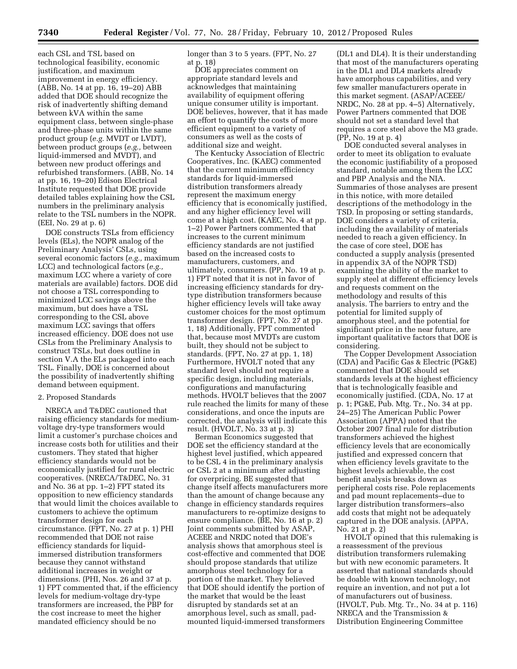each CSL and TSL based on technological feasibility, economic justification, and maximum improvement in energy efficiency. (ABB, No. 14 at pp. 16, 19–20) ABB added that DOE should recognize the risk of inadvertently shifting demand between kVA within the same equipment class, between single-phase and three-phase units within the same product group (*e.g.* MVDT or LVDT), between product groups (*e.g.,* between liquid-immersed and MVDT), and between new product offerings and refurbished transformers. (ABB, No. 14 at pp. 16, 19–20) Edison Electrical Institute requested that DOE provide detailed tables explaining how the CSL numbers in the preliminary analysis relate to the TSL numbers in the NOPR. (EEI, No. 29 at p. 6)

DOE constructs TSLs from efficiency levels (ELs), the NOPR analog of the Preliminary Analysis' CSLs, using several economic factors (*e.g.,* maximum LCC) and technological factors (*e.g.,*  maximum LCC where a variety of core materials are available) factors. DOE did not choose a TSL corresponding to minimized LCC savings above the maximum, but does have a TSL corresponding to the CSL above maximum LCC savings that offers increased efficiency. DOE does not use CSLs from the Preliminary Analysis to construct TSLs, but does outline in section V.A the ELs packaged into each TSL. Finally, DOE is concerned about the possibility of inadvertently shifting demand between equipment.

#### 2. Proposed Standards

NRECA and T&DEC cautioned that raising efficiency standards for mediumvoltage dry-type transformers would limit a customer's purchase choices and increase costs both for utilities and their customers. They stated that higher efficiency standards would not be economically justified for rural electric cooperatives. (NRECA/T&DEC, No. 31 and No. 36 at pp. 1–2) FPT stated its opposition to new efficiency standards that would limit the choices available to customers to achieve the optimum transformer design for each circumstance. (FPT, No. 27 at p. 1) PHI recommended that DOE not raise efficiency standards for liquidimmersed distribution transformers because they cannot withstand additional increases in weight or dimensions. (PHI, Nos. 26 and 37 at p. 1) FPT commented that, if the efficiency levels for medium-voltage dry-type transformers are increased, the PBP for the cost increase to meet the higher mandated efficiency should be no

longer than 3 to 5 years. (FPT, No. 27 at p. 18)

DOE appreciates comment on appropriate standard levels and acknowledges that maintaining availability of equipment offering unique consumer utility is important. DOE believes, however, that it has made an effort to quantify the costs of more efficient equipment to a variety of consumers as well as the costs of additional size and weight.

The Kentucky Association of Electric Cooperatives, Inc. (KAEC) commented that the current minimum efficiency standards for liquid-immersed distribution transformers already represent the maximum energy efficiency that is economically justified, and any higher efficiency level will come at a high cost. (KAEC, No. 4 at pp. 1–2) Power Partners commented that increases to the current minimum efficiency standards are not justified based on the increased costs to manufacturers, customers, and ultimately, consumers. (PP, No. 19 at p. 1) FPT noted that it is not in favor of increasing efficiency standards for drytype distribution transformers because higher efficiency levels will take away customer choices for the most optimum transformer design. (FPT, No. 27 at pp. 1, 18) Additionally, FPT commented that, because most MVDTs are custom built, they should not be subject to standards. (FPT, No. 27 at pp. 1, 18) Furthermore, HVOLT noted that any standard level should not require a specific design, including materials, configurations and manufacturing methods. HVOLT believes that the 2007 rule reached the limits for many of these considerations, and once the inputs are corrected, the analysis will indicate this result. (HVOLT, No. 33 at p. 3)

Berman Economics suggested that DOE set the efficiency standard at the highest level justified, which appeared to be CSL 4 in the preliminary analysis or CSL 2 at a minimum after adjusting for overpricing. BE suggested that change itself affects manufacturers more than the amount of change because any change in efficiency standards requires manufacturers to re-optimize designs to ensure compliance. (BE, No. 16 at p. 2) Joint comments submitted by ASAP, ACEEE and NRDC noted that DOE's analysis shows that amorphous steel is cost-effective and commented that DOE should propose standards that utilize amorphous steel technology for a portion of the market. They believed that DOE should identify the portion of the market that would be the least disrupted by standards set at an amorphous level, such as small, padmounted liquid-immersed transformers

(DL1 and DL4). It is their understanding that most of the manufacturers operating in the DL1 and DL4 markets already have amorphous capabilities, and very few smaller manufacturers operate in this market segment. (ASAP/ACEEE/ NRDC, No. 28 at pp. 4–5) Alternatively, Power Partners commented that DOE should not set a standard level that requires a core steel above the M3 grade. (PP, No. 19 at p. 4)

DOE conducted several analyses in order to meet its obligation to evaluate the economic justifiability of a proposed standard, notable among them the LCC and PBP Analysis and the NIA. Summaries of those analyses are present in this notice, with more detailed descriptions of the methodology in the TSD. In proposing or setting standards, DOE considers a variety of criteria, including the availability of materials needed to reach a given efficiency. In the case of core steel, DOE has conducted a supply analysis (presented in appendix 3A of the NOPR TSD) examining the ability of the market to supply steel at different efficiency levels and requests comment on the methodology and results of this analysis. The barriers to entry and the potential for limited supply of amorphous steel, and the potential for significant price in the near future, are important qualitative factors that DOE is considering.

The Copper Development Association (CDA) and Pacific Gas & Electric (PG&E) commented that DOE should set standards levels at the highest efficiency that is technologically feasible and economically justified. (CDA, No. 17 at p. 1; PG&E, Pub. Mtg. Tr., No. 34 at pp. 24–25) The American Public Power Association (APPA) noted that the October 2007 final rule for distribution transformers achieved the highest efficiency levels that are economically justified and expressed concern that when efficiency levels gravitate to the highest levels achievable, the cost benefit analysis breaks down as peripheral costs rise. Pole replacements and pad mount replacements–due to larger distribution transformers–also add costs that might not be adequately captured in the DOE analysis. (APPA, No. 21 at p. 2)

HVOLT opined that this rulemaking is a reassessment of the previous distribution transformers rulemaking but with new economic parameters. It asserted that national standards should be doable with known technology, not require an invention, and not put a lot of manufacturers out of business. (HVOLT, Pub. Mtg. Tr., No. 34 at p. 116) NRECA and the Transmission & Distribution Engineering Committee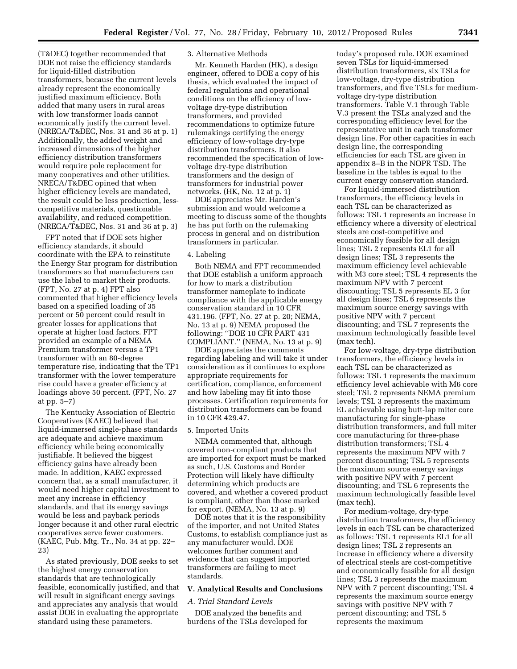(T&DEC) together recommended that DOE not raise the efficiency standards for liquid-filled distribution transformers, because the current levels already represent the economically justified maximum efficiency. Both added that many users in rural areas with low transformer loads cannot economically justify the current level. (NRECA/T&DEC, Nos. 31 and 36 at p. 1) Additionally, the added weight and increased dimensions of the higher efficiency distribution transformers would require pole replacement for many cooperatives and other utilities. NRECA/T&DEC opined that when higher efficiency levels are mandated, the result could be less production, lesscompetitive materials, questionable availability, and reduced competition. (NRECA/T&DEC, Nos. 31 and 36 at p. 3)

FPT noted that if DOE sets higher efficiency standards, it should coordinate with the EPA to reinstitute the Energy Star program for distribution transformers so that manufacturers can use the label to market their products. (FPT, No. 27 at p. 4) FPT also commented that higher efficiency levels based on a specified loading of 35 percent or 50 percent could result in greater losses for applications that operate at higher load factors. FPT provided an example of a NEMA Premium transformer versus a TP1 transformer with an 80-degree temperature rise, indicating that the TP1 transformer with the lower temperature rise could have a greater efficiency at loadings above 50 percent. (FPT, No. 27 at pp. 5–7)

The Kentucky Association of Electric Cooperatives (KAEC) believed that liquid-immersed single-phase standards are adequate and achieve maximum efficiency while being economically justifiable. It believed the biggest efficiency gains have already been made. In addition, KAEC expressed concern that, as a small manufacturer, it would need higher capital investment to meet any increase in efficiency standards, and that its energy savings would be less and payback periods longer because it and other rural electric cooperatives serve fewer customers. (KAEC, Pub. Mtg. Tr., No. 34 at pp. 22– 23)

As stated previously, DOE seeks to set the highest energy conservation standards that are technologically feasible, economically justified, and that will result in significant energy savings and appreciates any analysis that would assist DOE in evaluating the appropriate standard using these parameters.

## 3. Alternative Methods

Mr. Kenneth Harden (HK), a design engineer, offered to DOE a copy of his thesis, which evaluated the impact of federal regulations and operational conditions on the efficiency of lowvoltage dry-type distribution transformers, and provided recommendations to optimize future rulemakings certifying the energy efficiency of low-voltage dry-type distribution transformers. It also recommended the specification of lowvoltage dry-type distribution transformers and the design of transformers for industrial power networks. (HK, No. 12 at p. 1)

DOE appreciates Mr. Harden's submission and would welcome a meeting to discuss some of the thoughts he has put forth on the rulemaking process in general and on distribution transformers in particular.

## 4. Labeling

Both NEMA and FPT recommended that DOE establish a uniform approach for how to mark a distribution transformer nameplate to indicate compliance with the applicable energy conservation standard in 10 CFR 431.196. (FPT, No. 27 at p. 20; NEMA, No. 13 at p. 9) NEMA proposed the following: ''DOE 10 CFR PART 431 COMPLIANT.'' (NEMA, No. 13 at p. 9)

DOE appreciates the comments regarding labeling and will take it under consideration as it continues to explore appropriate requirements for certification, compliance, enforcement and how labeling may fit into those processes. Certification requirements for distribution transformers can be found in 10 CFR 429.47.

## 5. Imported Units

NEMA commented that, although covered non-compliant products that are imported for export must be marked as such, U.S. Customs and Border Protection will likely have difficulty determining which products are covered, and whether a covered product is compliant, other than those marked for export. (NEMA, No. 13 at p. 9)

DOE notes that it is the responsibility of the importer, and not United States Customs, to establish compliance just as any manufacturer would. DOE welcomes further comment and evidence that can suggest imported transformers are failing to meet standards.

#### **V. Analytical Results and Conclusions**

### *A. Trial Standard Levels*

DOE analyzed the benefits and burdens of the TSLs developed for

today's proposed rule. DOE examined seven TSLs for liquid-immersed distribution transformers, six TSLs for low-voltage, dry-type distribution transformers, and five TSLs for mediumvoltage dry-type distribution transformers. Table V.1 through Table V.3 present the TSLs analyzed and the corresponding efficiency level for the representative unit in each transformer design line. For other capacities in each design line, the corresponding efficiencies for each TSL are given in appendix 8–B in the NOPR TSD. The baseline in the tables is equal to the current energy conservation standard.

For liquid-immersed distribution transformers, the efficiency levels in each TSL can be characterized as follows: TSL 1 represents an increase in efficiency where a diversity of electrical steels are cost-competitive and economically feasible for all design lines; TSL 2 represents EL1 for all design lines; TSL 3 represents the maximum efficiency level achievable with M3 core steel; TSL 4 represents the maximum NPV with 7 percent discounting; TSL 5 represents EL 3 for all design lines; TSL 6 represents the maximum source energy savings with positive NPV with 7 percent discounting; and TSL 7 represents the maximum technologically feasible level (max tech).

For low-voltage, dry-type distribution transformers, the efficiency levels in each TSL can be characterized as follows: TSL 1 represents the maximum efficiency level achievable with M6 core steel; TSL 2 represents NEMA premium levels; TSL 3 represents the maximum EL achievable using butt-lap miter core manufacturing for single-phase distribution transformers, and full miter core manufacturing for three-phase distribution transformers; TSL 4 represents the maximum NPV with 7 percent discounting; TSL 5 represents the maximum source energy savings with positive NPV with 7 percent discounting; and TSL 6 represents the maximum technologically feasible level (max tech).

For medium-voltage, dry-type distribution transformers, the efficiency levels in each TSL can be characterized as follows: TSL 1 represents EL1 for all design lines; TSL 2 represents an increase in efficiency where a diversity of electrical steels are cost-competitive and economically feasible for all design lines; TSL 3 represents the maximum NPV with 7 percent discounting; TSL 4 represents the maximum source energy savings with positive NPV with 7 percent discounting; and TSL 5 represents the maximum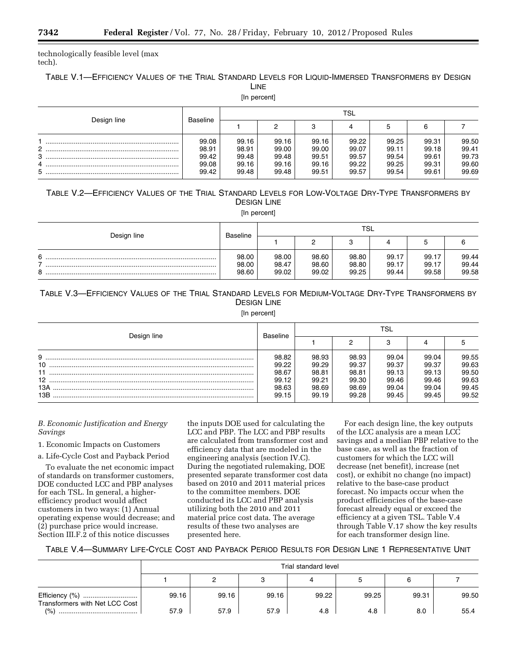technologically feasible level (max tech).

## TABLE V.1—EFFICIENCY VALUES OF THE TRIAL STANDARD LEVELS FOR LIQUID-IMMERSED TRANSFORMERS BY DESIGN LINE

[In percent]

|                              | Baseline                                  | <b>TSL</b>                                |                                           |                                           |                                           |                                           |                                           |                                           |  |
|------------------------------|-------------------------------------------|-------------------------------------------|-------------------------------------------|-------------------------------------------|-------------------------------------------|-------------------------------------------|-------------------------------------------|-------------------------------------------|--|
| Design line                  |                                           |                                           |                                           | c                                         |                                           |                                           |                                           |                                           |  |
| C<br><u>_</u><br>3<br>4<br>5 | 99.08<br>98.91<br>99.42<br>99.08<br>99.42 | 99.16<br>98.91<br>99.48<br>99.16<br>99.48 | 99.16<br>99.00<br>99.48<br>99.16<br>99.48 | 99.16<br>99.00<br>99.51<br>99.16<br>99.51 | 99.22<br>99.07<br>99.57<br>99.22<br>99.57 | 99.25<br>99.11<br>99.54<br>99.25<br>99.54 | 99.31<br>99.18<br>99.61<br>99.31<br>99.61 | 99.50<br>99.41<br>99.73<br>99.60<br>99.69 |  |

# TABLE V.2—EFFICIENCY VALUES OF THE TRIAL STANDARD LEVELS FOR LOW-VOLTAGE DRY-TYPE TRANSFORMERS BY DESIGN LINE

[In percent]

|             |                         | <b>TSL</b>              |                         |                         |                         |                         |                         |
|-------------|-------------------------|-------------------------|-------------------------|-------------------------|-------------------------|-------------------------|-------------------------|
| Design line | Baseline                |                         |                         |                         |                         |                         |                         |
| ĥ<br>я      | 98.00<br>98.00<br>98.60 | 98.00<br>98.47<br>99.02 | 98.60<br>98.60<br>99.02 | 98.80<br>98.80<br>99.25 | 99.17<br>99.17<br>99.44 | 99.17<br>99.17<br>99.58 | 99.44<br>99.44<br>99.58 |

# TABLE V.3—EFFICIENCY VALUES OF THE TRIAL STANDARD LEVELS FOR MEDIUM-VOLTAGE DRY-TYPE TRANSFORMERS BY DESIGN LINE

[In percent]

| Design line<br><b>Baseline</b> |       | TSL   |       |       |       |       |  |
|--------------------------------|-------|-------|-------|-------|-------|-------|--|
|                                |       |       |       |       |       |       |  |
| 9                              | 98.82 | 98.93 | 98.93 | 99.04 | 99.04 | 99.55 |  |
| 10 <sup>°</sup>                | 99.22 | 99.29 | 99.37 | 99.37 | 99.37 | 99.63 |  |
| 11                             | 98.67 | 98.81 | 98.81 | 99.13 | 99.13 | 99.50 |  |
| 12 <sup>12</sup>               | 99.12 | 99.21 | 99.30 | 99.46 | 99.46 | 99.63 |  |
| 13A                            | 98.63 | 98.69 | 98.69 | 99.04 | 99.04 | 99.45 |  |
| 13B                            | 99.15 | 99.19 | 99.28 | 99.45 | 99.45 | 99.52 |  |

## *B. Economic Justification and Energy Savings*

1. Economic Impacts on Customers

a. Life-Cycle Cost and Payback Period

To evaluate the net economic impact of standards on transformer customers, DOE conducted LCC and PBP analyses for each TSL. In general, a higherefficiency product would affect customers in two ways: (1) Annual operating expense would decrease; and (2) purchase price would increase. Section III.F.2 of this notice discusses

the inputs DOE used for calculating the LCC and PBP. The LCC and PBP results are calculated from transformer cost and efficiency data that are modeled in the engineering analysis (section IV.C). During the negotiated rulemaking, DOE presented separate transformer cost data based on 2010 and 2011 material prices to the committee members. DOE conducted its LCC and PBP analysis utilizing both the 2010 and 2011 material price cost data. The average results of these two analyses are presented here.

For each design line, the key outputs of the LCC analysis are a mean LCC savings and a median PBP relative to the base case, as well as the fraction of customers for which the LCC will decrease (net benefit), increase (net cost), or exhibit no change (no impact) relative to the base-case product forecast. No impacts occur when the product efficiencies of the base-case forecast already equal or exceed the efficiency at a given TSL. Table V.4 through Table V.17 show the key results for each transformer design line.

TABLE V.4—SUMMARY LIFE-CYCLE COST AND PAYBACK PERIOD RESULTS FOR DESIGN LINE 1 REPRESENTATIVE UNIT

|                                | Trial standard level |       |       |       |       |       |       |  |  |  |
|--------------------------------|----------------------|-------|-------|-------|-------|-------|-------|--|--|--|
|                                |                      |       |       | 4     |       | 6     |       |  |  |  |
| Transformers with Net LCC Cost | 99.16                | 99.16 | 99.16 | 99.22 | 99.25 | 99.31 | 99.50 |  |  |  |
| (% )                           | 57.9                 | 57.9  | 57.9  | 4.8   | 4.8   | 8.0   | 55.4  |  |  |  |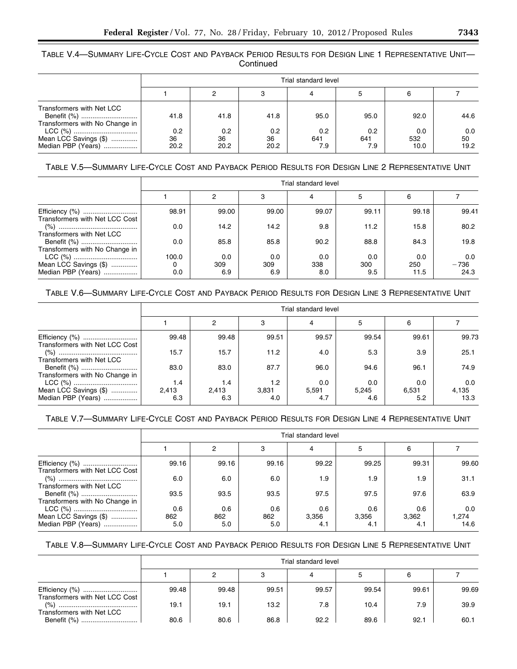TABLE V.4—SUMMARY LIFE-CYCLE COST AND PAYBACK PERIOD RESULTS FOR DESIGN LINE 1 REPRESENTATIVE UNIT— Continued

|                                                                            | Trial standard level |                   |                   |                   |                   |                    |                   |  |  |
|----------------------------------------------------------------------------|----------------------|-------------------|-------------------|-------------------|-------------------|--------------------|-------------------|--|--|
|                                                                            |                      |                   | 3                 |                   | 5                 |                    |                   |  |  |
| Transformers with Net LCC<br>Benefit (%)<br>Transformers with No Change in | 41.8                 | 41.8              | 41.8              | 95.0              | 95.0              | 92.0               | 44.6              |  |  |
| Mean LCC Savings (\$)<br>Median PBP (Years)                                | 0.2<br>36<br>20.2    | 0.2<br>36<br>20.2 | 0.2<br>36<br>20.2 | 0.2<br>641<br>7.9 | 0.2<br>641<br>7.9 | 0.0<br>532<br>10.0 | 0.0<br>50<br>19.2 |  |  |

## TABLE V.5—SUMMARY LIFE-CYCLE COST AND PAYBACK PERIOD RESULTS FOR DESIGN LINE 2 REPRESENTATIVE UNIT

|                                             | Trial standard level |                   |                   |                   |                   |                    |                       |  |  |
|---------------------------------------------|----------------------|-------------------|-------------------|-------------------|-------------------|--------------------|-----------------------|--|--|
|                                             |                      | 2                 | 3                 |                   | 5                 | 6                  |                       |  |  |
| Transformers with Net LCC Cost              | 98.91                | 99.00             | 99.00             | 99.07             | 99.11             | 99.18              | 99.41                 |  |  |
| Transformers with Net LCC                   | 0.0                  | 14.2              | 14.2              | 9.8               | 11.2              | 15.8               | 80.2                  |  |  |
| Transformers with No Change in              | 0.0                  | 85.8              | 85.8              | 90.2              | 88.8              | 84.3               | 19.8                  |  |  |
| Mean LCC Savings (\$)<br>Median PBP (Years) | 100.0<br>0.0         | 0.0<br>309<br>6.9 | 0.0<br>309<br>6.9 | 0.0<br>338<br>8.0 | 0.0<br>300<br>9.5 | 0.0<br>250<br>11.5 | 0.0<br>$-736$<br>24.3 |  |  |

# TABLE V.6—SUMMARY LIFE-CYCLE COST AND PAYBACK PERIOD RESULTS FOR DESIGN LINE 3 REPRESENTATIVE UNIT

|                                | Trial standard level |       |       |       |       |       |       |
|--------------------------------|----------------------|-------|-------|-------|-------|-------|-------|
|                                |                      | 2     | 3     |       | 5     | 6     |       |
| Transformers with Net LCC Cost | 99.48                | 99.48 | 99.51 | 99.57 | 99.54 | 99.61 | 99.73 |
| Transformers with Net LCC      | 15.7                 | 15.7  | 11.2  | 4.0   | 5.3   | 3.9   | 25.1  |
| Transformers with No Change in | 83.0                 | 83.0  | 87.7  | 96.0  | 94.6  | 96.1  | 74.9  |
|                                | 1.4                  | 1.4   | 1.2   | 0.0   | 0.0   | 0.0   | 0.0   |
| Mean LCC Savings (\$)          | 2.413                | 2,413 | 3,831 | 5,591 | 5,245 | 6,531 | 4,135 |
| Median PBP (Years)             | 6.3                  | 6.3   | 4.0   | 4.7   | 4.6   | 5.2   | 13.3  |

# TABLE V.7—SUMMARY LIFE-CYCLE COST AND PAYBACK PERIOD RESULTS FOR DESIGN LINE 4 REPRESENTATIVE UNIT

|                                             | Trial standard level |            |            |              |              |              |               |
|---------------------------------------------|----------------------|------------|------------|--------------|--------------|--------------|---------------|
|                                             |                      | 2          | 3          | 4            | 5            | 6            |               |
| Transformers with Net LCC Cost              | 99.16                | 99.16      | 99.16      | 99.22        | 99.25        | 99.31        | 99.60         |
| Transformers with Net LCC                   | 6.0                  | 6.0        | 6.0        | 1.9          | 1.9          | 1.9          | 31.1          |
| Transformers with No Change in              | 93.5                 | 93.5       | 93.5       | 97.5         | 97.5         | 97.6         | 63.9          |
|                                             | 0.6                  | 0.6        | 0.6        | 0.6          | 0.6          | 0.6          | 0.0           |
| Mean LCC Savings (\$)<br>Median PBP (Years) | 862<br>5.0           | 862<br>5.0 | 862<br>5.0 | 3,356<br>4.1 | 3,356<br>4.1 | 3,362<br>4.1 | 1,274<br>14.6 |

# TABLE V.8—SUMMARY LIFE-CYCLE COST AND PAYBACK PERIOD RESULTS FOR DESIGN LINE 5 REPRESENTATIVE UNIT

|                                |       | Trial standard level |       |       |       |       |       |  |
|--------------------------------|-------|----------------------|-------|-------|-------|-------|-------|--|
|                                |       |                      |       |       |       | 6     |       |  |
| Transformers with Net LCC Cost | 99.48 | 99.48                | 99.51 | 99.57 | 99.54 | 99.61 | 99.69 |  |
| Transformers with Net LCC      | 19.1  | 19.1                 | 13.2  | 7.8   | 10.4  | 7.9   | 39.9  |  |
| Benefit (%)                    | 80.6  | 80.6                 | 86.8  | 92.2  | 89.6  | 92.1  | 60.1  |  |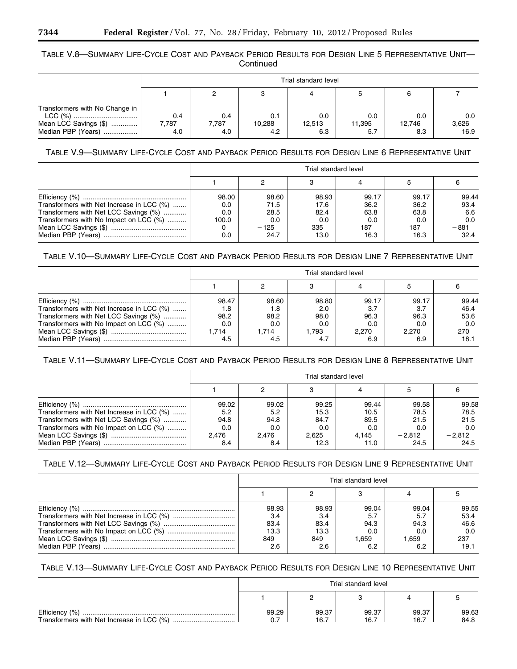## TABLE V.8—SUMMARY LIFE-CYCLE COST AND PAYBACK PERIOD RESULTS FOR DESIGN LINE 5 REPRESENTATIVE UNIT— **Continued**

|                                                                               | Trial standard level |                     |                      |                      |                      |                      |                      |
|-------------------------------------------------------------------------------|----------------------|---------------------|----------------------|----------------------|----------------------|----------------------|----------------------|
|                                                                               |                      |                     |                      |                      |                      |                      |                      |
| Transformers with No Change in<br>Mean LCC Savings (\$)<br>Median PBP (Years) | 0.4<br>7.787<br>4.0  | 0.4<br>7.787<br>4.0 | 0.1<br>10.288<br>4.2 | 0.0<br>12,513<br>6.3 | 0.0<br>11,395<br>5.7 | 0.0<br>12.746<br>8.3 | 0.0<br>3,626<br>16.9 |

## TABLE V.9—SUMMARY LIFE-CYCLE COST AND PAYBACK PERIOD RESULTS FOR DESIGN LINE 6 REPRESENTATIVE UNIT

|                                           | Trial standard level |        |       |       |       |        |  |
|-------------------------------------------|----------------------|--------|-------|-------|-------|--------|--|
|                                           |                      |        |       |       |       |        |  |
|                                           | 98.00                | 98.60  | 98.93 | 99.17 | 99.17 | 99.44  |  |
| Transformers with Net Increase in LCC (%) | 0.0                  | 71.5   | 17.6  | 36.2  | 36.2  | 93.4   |  |
| Transformers with Net LCC Savings (%)     | 0.0                  | 28.5   | 82.4  | 63.8  | 63.8  | 6.6    |  |
| Transformers with No Impact on LCC (%)    | 100.0                | 0.0    | 0.0   | 0.0   | 0.0   | 0.0    |  |
|                                           |                      | $-125$ | 335   | 187   | 187   | $-881$ |  |
|                                           | 0.0                  | 24.7   | 13.0  | 16.3  | 16.3  | 32.4   |  |

## TABLE V.10—SUMMARY LIFE-CYCLE COST AND PAYBACK PERIOD RESULTS FOR DESIGN LINE 7 REPRESENTATIVE UNIT

|                                           | Trial standard level |       |       |       |       |       |  |
|-------------------------------------------|----------------------|-------|-------|-------|-------|-------|--|
|                                           |                      |       |       |       |       |       |  |
|                                           | 98.47                | 98.60 | 98.80 | 99.17 | 99.17 | 99.44 |  |
| Transformers with Net Increase in LCC (%) | 8. ا                 | 1.8   | 2.0   | 3.7   | 3.7   | 46.4  |  |
| Transformers with Net LCC Savings (%)     | 98.2                 | 98.2  | 98.0  | 96.3  | 96.3  | 53.6  |  |
| Transformers with No Impact on LCC (%)    | 0.0                  | 0.0   | 0.0   | 0.0   | 0.0   | 0.0   |  |
|                                           | 1.714                | 1.714 | 1.793 | 2.270 | 2.270 | 270   |  |
|                                           | 4.5                  | 4.5   | 4.7   | 6.9   | 6.9   | 18.1  |  |

# TABLE V.11—SUMMARY LIFE-CYCLE COST AND PAYBACK PERIOD RESULTS FOR DESIGN LINE 8 REPRESENTATIVE UNIT

|                                           | Trial standard level |       |       |       |          |          |  |
|-------------------------------------------|----------------------|-------|-------|-------|----------|----------|--|
|                                           |                      |       |       |       |          |          |  |
|                                           | 99.02                | 99.02 | 99.25 | 99.44 | 99.58    | 99.58    |  |
| Transformers with Net Increase in LCC (%) | 5.2                  | 5.2   | 15.3  | 10.5  | 78.5     | 78.5     |  |
| Transformers with Net LCC Savings (%)     | 94.8                 | 94.8  | 84.7  | 89.5  | 21.5     | 21.5     |  |
| Transformers with No Impact on LCC (%)    | 0.0                  | 0.0   | 0.0   | 0.0   | 0.0      | 0.0      |  |
|                                           | 2.476                | 2.476 | 2.625 | 4.145 | $-2.812$ | $-2,812$ |  |
|                                           | 8.4                  | 8.4   | 12.3  | 11.0  | 24.5     | 24.5     |  |

## TABLE V.12—SUMMARY LIFE-CYCLE COST AND PAYBACK PERIOD RESULTS FOR DESIGN LINE 9 REPRESENTATIVE UNIT

| Trial standard level |       |       |       |       |  |  |
|----------------------|-------|-------|-------|-------|--|--|
|                      |       |       |       |       |  |  |
| 98.93                | 98.93 | 99.04 | 99.04 | 99.55 |  |  |
| 3.4                  | 3.4   | 5.7   | 5.7   | 53.4  |  |  |
| 83.4                 | 83.4  | 94.3  | 94.3  | 46.6  |  |  |
| 13.3                 | 13.3  | 0.0   | 0.0   | 0.0   |  |  |
| 849                  | 849   | 1.659 | 1.659 | 237   |  |  |
| 2.6                  | 2.6   | 6.2   | 6.2   | 19.1  |  |  |

# TABLE V.13—SUMMARY LIFE-CYCLE COST AND PAYBACK PERIOD RESULTS FOR DESIGN LINE 10 REPRESENTATIVE UNIT

| Trial standard level |               |               |               |               |  |  |
|----------------------|---------------|---------------|---------------|---------------|--|--|
|                      |               |               |               |               |  |  |
| 99.29<br>0.7         | 99.37<br>16.7 | 99.37<br>16.7 | 99.37<br>16.7 | 99.63<br>84.8 |  |  |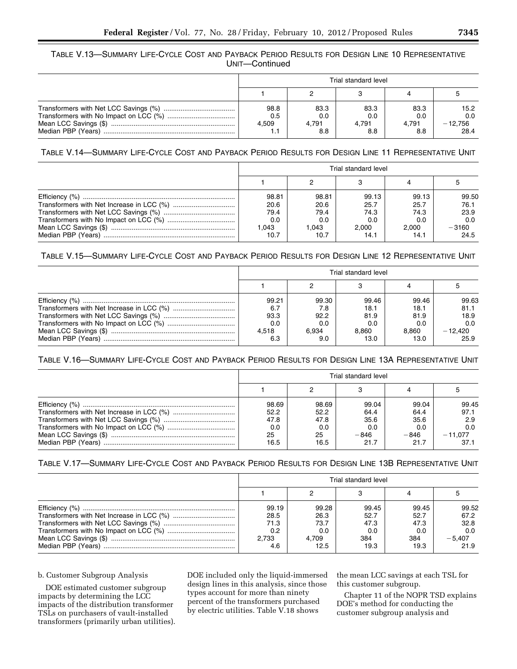## TABLE V.13—SUMMARY LIFE-CYCLE COST AND PAYBACK PERIOD RESULTS FOR DESIGN LINE 10 REPRESENTATIVE UNIT—Continued

| Trial standard level        |                             |                             |                             |                                  |  |  |
|-----------------------------|-----------------------------|-----------------------------|-----------------------------|----------------------------------|--|--|
|                             |                             |                             |                             |                                  |  |  |
| 98.8<br>0.5<br>4.509<br>1.1 | 83.3<br>0.0<br>4.791<br>8.8 | 83.3<br>0.0<br>4.791<br>8.8 | 83.3<br>0.0<br>4.791<br>8.8 | 15.2<br>0.0<br>$-12,756$<br>28.4 |  |  |

TABLE V.14—SUMMARY LIFE-CYCLE COST AND PAYBACK PERIOD RESULTS FOR DESIGN LINE 11 REPRESENTATIVE UNIT

| Trial standard level |       |       |       |         |  |  |
|----------------------|-------|-------|-------|---------|--|--|
|                      |       |       |       |         |  |  |
| 98.81                | 98.81 | 99.13 | 99.13 | 99.50   |  |  |
| 20.6                 | 20.6  | 25.7  | 25.7  | 76.1    |  |  |
| 79.4                 | 79.4  | 74.3  | 74.3  | 23.9    |  |  |
| 0.0                  | 0.0   | 0.0   | 0.0   | 0.0     |  |  |
| .043                 | 1.043 | 2.000 | 2.000 | $-3160$ |  |  |
| 10.7                 | 10.7  | 14.1  | 14.1  | 24.5    |  |  |

## TABLE V.15—SUMMARY LIFE-CYCLE COST AND PAYBACK PERIOD RESULTS FOR DESIGN LINE 12 REPRESENTATIVE UNIT

| Trial standard level |       |       |       |           |  |  |
|----------------------|-------|-------|-------|-----------|--|--|
|                      |       |       |       |           |  |  |
| 99.21                | 99.30 | 99.46 | 99.46 | 99.63     |  |  |
| 6.7                  | 7.8   | 18.1  | 18.1  | 81.1      |  |  |
| 93.3                 | 92.2  | 81.9  | 81.9  | 18.9      |  |  |
| 0.0                  | 0.0   | 0.0   | 0.0   | 0.0       |  |  |
| 4.518                | 6.934 | 8.860 | 8.860 | $-12.420$ |  |  |
| 6.3                  | 9.0   | 13.0  | 13.0  | 25.9      |  |  |

## TABLE V.16—SUMMARY LIFE-CYCLE COST AND PAYBACK PERIOD RESULTS FOR DESIGN LINE 13A REPRESENTATIVE UNIT

| Trial standard level |       |        |        |           |  |  |  |  |  |
|----------------------|-------|--------|--------|-----------|--|--|--|--|--|
|                      |       |        |        |           |  |  |  |  |  |
| 98.69                | 98.69 | 99.04  | 99.04  | 99.45     |  |  |  |  |  |
| 52.2                 | 52.2  | 64.4   | 64.4   | 97.1      |  |  |  |  |  |
| 47.8                 | 47.8  | 35.6   | 35.6   | 2.9       |  |  |  |  |  |
| 0.0                  | 0.0   | 0.0    | 0.0    | 0.0       |  |  |  |  |  |
| 25                   | 25    | $-846$ | $-846$ | $-11,077$ |  |  |  |  |  |
| 16.5                 | 16.5  | 21.7   | 21.7   | 37.1      |  |  |  |  |  |

## TABLE V.17—SUMMARY LIFE-CYCLE COST AND PAYBACK PERIOD RESULTS FOR DESIGN LINE 13B REPRESENTATIVE UNIT

|       |       | Trial standard level |       |          |  |  |  |  |  |  |  |
|-------|-------|----------------------|-------|----------|--|--|--|--|--|--|--|
|       |       |                      |       |          |  |  |  |  |  |  |  |
| 99.19 | 99.28 | 99.45                | 99.45 | 99.52    |  |  |  |  |  |  |  |
| 28.5  | 26.3  | 52.7                 | 52.7  | 67.2     |  |  |  |  |  |  |  |
| 71.3  | 73.7  | 47.3                 | 47.3  | 32.8     |  |  |  |  |  |  |  |
| 0.2   | 0.0   | 0.0                  | 0.0   | 0.0      |  |  |  |  |  |  |  |
| 2.733 | 4.709 | 384                  | 384   | $-5,407$ |  |  |  |  |  |  |  |
| 4.6   | 12.5  | 19.3                 | 19.3  | 21.9     |  |  |  |  |  |  |  |

## b. Customer Subgroup Analysis

DOE estimated customer subgroup impacts by determining the LCC impacts of the distribution transformer TSLs on purchasers of vault-installed transformers (primarily urban utilities). DOE included only the liquid-immersed design lines in this analysis, since those types account for more than ninety percent of the transformers purchased by electric utilities. Table V.18 shows

the mean LCC savings at each TSL for this customer subgroup.

Chapter 11 of the NOPR TSD explains DOE's method for conducting the customer subgroup analysis and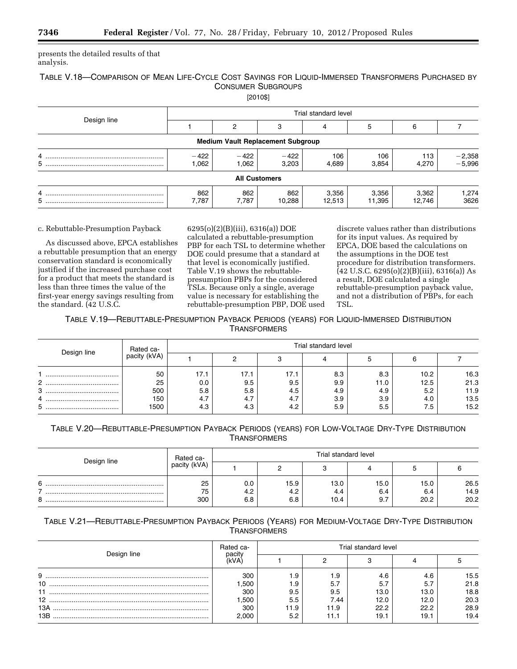presents the detailed results of that analysis.

# TABLE V.18—COMPARISON OF MEAN LIFE-CYCLE COST SAVINGS FOR LIQUID-IMMERSED TRANSFORMERS PURCHASED BY CONSUMER SUBGROUPS

[2010\$]

| Design line | Trial standard level |                                          |                      |                 |                 |                 |                      |  |  |  |
|-------------|----------------------|------------------------------------------|----------------------|-----------------|-----------------|-----------------|----------------------|--|--|--|
|             |                      |                                          |                      | 4               |                 | 6               |                      |  |  |  |
|             |                      | <b>Medium Vault Replacement Subgroup</b> |                      |                 |                 |                 |                      |  |  |  |
| 4<br>5      | $-422$<br>1.062      | $-422$<br>1,062                          | $-422$<br>3,203      | 106<br>4,689    | 106<br>3,854    | 113<br>4,270    | $-2,358$<br>$-5,996$ |  |  |  |
|             |                      |                                          | <b>All Customers</b> |                 |                 |                 |                      |  |  |  |
| 4           | 862<br>7.787         | 862<br>7,787                             | 862<br>10,288        | 3,356<br>12,513 | 3,356<br>11,395 | 3,362<br>12,746 | 274. ا<br>3626       |  |  |  |

## c. Rebuttable-Presumption Payback

As discussed above, EPCA establishes a rebuttable presumption that an energy conservation standard is economically justified if the increased purchase cost for a product that meets the standard is less than three times the value of the first-year energy savings resulting from the standard. (42 U.S.C.

6295(o)(2)(B)(iii), 6316(a)) DOE calculated a rebuttable-presumption PBP for each TSL to determine whether DOE could presume that a standard at that level is economically justified. Table V.19 shows the rebuttablepresumption PBPs for the considered TSLs. Because only a single, average value is necessary for establishing the rebuttable-presumption PBP, DOE used

discrete values rather than distributions for its input values. As required by EPCA, DOE based the calculations on the assumptions in the DOE test procedure for distribution transformers.  $(42 \text{ U.S.C. } 6295(0)(2)(\text{B})$ (iii), 6316(a)) As a result, DOE calculated a single rebuttable-presumption payback value, and not a distribution of PBPs, for each TSL.

TABLE V.19—REBUTTABLE-PRESUMPTION PAYBACK PERIODS (YEARS) FOR LIQUID-IMMERSED DISTRIBUTION **TRANSFORMERS** 

| Design line | Rated ca-          | Trial standard level |                   |                   |                   |                   |                   |                      |  |  |  |
|-------------|--------------------|----------------------|-------------------|-------------------|-------------------|-------------------|-------------------|----------------------|--|--|--|
|             | pacity (kVA)       |                      |                   | ◠                 |                   |                   | 6                 |                      |  |  |  |
| 2           | 50<br>25           | 17.1<br>0.0          | 17.1<br>9.5       | 17.1<br>9.5       | 8.3<br>9.9        | 8.3<br>11.0       | 10.2<br>12.5      | 16.3<br>21.3         |  |  |  |
| 3<br>4<br>5 | 500<br>150<br>1500 | 5.8<br>4.7<br>4.3    | 5.8<br>4.7<br>4.3 | 4.5<br>4.7<br>4.2 | 4.9<br>3.9<br>5.9 | 4.9<br>3.9<br>5.5 | 5.2<br>4.0<br>7.5 | 11.9<br>13.5<br>15.2 |  |  |  |

TABLE V.20—REBUTTABLE-PRESUMPTION PAYBACK PERIODS (YEARS) FOR LOW-VOLTAGE DRY-TYPE DISTRIBUTION **TRANSFORMERS** 

| Design line | Rated ca-       |                   |                    | Trial standard level |                    |                     |                      |
|-------------|-----------------|-------------------|--------------------|----------------------|--------------------|---------------------|----------------------|
|             | pacity (kVA)    |                   |                    |                      |                    |                     |                      |
| 6<br>8      | 25<br>75<br>300 | 0.0<br>4.2<br>6.8 | 15.9<br>4.2<br>6.8 | 13.0<br>4.4<br>10.4  | 15.0<br>6.4<br>9.7 | 15.0<br>6.4<br>20.2 | 26.5<br>14.9<br>20.2 |

# TABLE V.21—REBUTTABLE-PRESUMPTION PAYBACK PERIODS (YEARS) FOR MEDIUM-VOLTAGE DRY-TYPE DISTRIBUTION **TRANSFORMERS**

| Design line     | Rated ca-<br>pacity | Trial standard level |      |      |      |      |  |  |  |
|-----------------|---------------------|----------------------|------|------|------|------|--|--|--|
|                 | kVA`                |                      |      |      |      |      |  |  |  |
| 9               | 300                 | 9. ا                 | 1.9  | 4.6  | 4.6  | 15.5 |  |  |  |
| 10              | .500                | 9. ا                 | 5.7  | 5.7  | 5.7  | 21.8 |  |  |  |
| 11              | 300                 | 9.5                  | 9.5  | 13.0 | 13.0 | 18.8 |  |  |  |
| 12 <sup>2</sup> | .500                | 5.5                  | 7.44 | 12.0 | 12.0 | 20.3 |  |  |  |
| 13A             | 300                 | 11.9                 | 11.9 | 22.2 | 22.2 | 28.9 |  |  |  |
| 13B             | 2.000               | 5.2                  | 11.1 | 19.1 | 19.1 | 19.4 |  |  |  |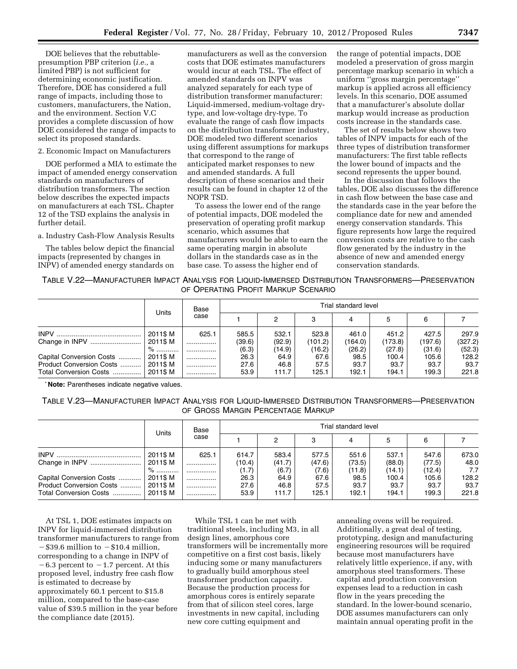DOE believes that the rebuttablepresumption PBP criterion (*i.e.,* a limited PBP) is not sufficient for determining economic justification. Therefore, DOE has considered a full range of impacts, including those to customers, manufacturers, the Nation, and the environment. Section V.C provides a complete discussion of how DOE considered the range of impacts to select its proposed standards.

2. Economic Impact on Manufacturers

DOE performed a MIA to estimate the impact of amended energy conservation standards on manufacturers of distribution transformers. The section below describes the expected impacts on manufacturers at each TSL. Chapter 12 of the TSD explains the analysis in further detail.

a. Industry Cash-Flow Analysis Results

The tables below depict the financial impacts (represented by changes in INPV) of amended energy standards on

manufacturers as well as the conversion costs that DOE estimates manufacturers would incur at each TSL. The effect of amended standards on INPV was analyzed separately for each type of distribution transformer manufacturer: Liquid-immersed, medium-voltage drytype, and low-voltage dry-type. To evaluate the range of cash flow impacts on the distribution transformer industry, DOE modeled two different scenarios using different assumptions for markups that correspond to the range of anticipated market responses to new and amended standards. A full description of these scenarios and their results can be found in chapter 12 of the NOPR TSD.

To assess the lower end of the range of potential impacts, DOE modeled the preservation of operating profit markup scenario, which assumes that manufacturers would be able to earn the same operating margin in absolute dollars in the standards case as in the base case. To assess the higher end of

the range of potential impacts, DOE modeled a preservation of gross margin percentage markup scenario in which a uniform ''gross margin percentage'' markup is applied across all efficiency levels. In this scenario, DOE assumed that a manufacturer's absolute dollar markup would increase as production costs increase in the standards case.

The set of results below shows two tables of INPV impacts for each of the three types of distribution transformer manufacturers: The first table reflects the lower bound of impacts and the second represents the upper bound.

In the discussion that follows the tables, DOE also discusses the difference in cash flow between the base case and the standards case in the year before the compliance date for new and amended energy conservation standards. This figure represents how large the required conversion costs are relative to the cash flow generated by the industry in the absence of new and amended energy conservation standards.

TABLE V.22—MANUFACTURER IMPACT ANALYSIS FOR LIQUID-IMMERSED DISTRIBUTION TRANSFORMERS—PRESERVATION OF OPERATING PROFIT MARKUP SCENARIO

|                          | Units    | Base  |        |        |         | Trial standard level |         |         |         |
|--------------------------|----------|-------|--------|--------|---------|----------------------|---------|---------|---------|
|                          |          | case  |        | 2      |         |                      |         | 6       |         |
|                          | 2011\$ M | 625.1 | 585.5  | 532.1  | 523.8   | 461.0                | 451.2   | 427.5   | 297.9   |
|                          | 2011\$ M |       | (39.6) | (92.9) | (101.2) | (164.0)              | (173.8) | (197.6) | (327.2) |
|                          | $\%$     |       | (6.3)  | (14.9) | (16.2)  | (26.2)               | (27.8)  | (31.6)  | (52.3)  |
| Capital Conversion Costs | 2011\$M  |       | 26.3   | 64.9   | 67.6    | 98.5                 | 100.4   | 105.6   | 128.2   |
| Product Conversion Costs | 2011\$M  |       | 27.6   | 46.8   | 57.5    | 93.7                 | 93.7    | 93.7    | 93.7    |
| Total Conversion Costs   | 2011\$ M |       | 53.9   | 111.7  | 125.1   | 192.1                | 194.1   | 199.3   | 221.8   |

\* **Note:** Parentheses indicate negative values.

TABLE V.23—MANUFACTURER IMPACT ANALYSIS FOR LIQUID-IMMERSED DISTRIBUTION TRANSFORMERS—PRESERVATION OF GROSS MARGIN PERCENTAGE MARKUP

|                          | Units    | Base  |        |        |        | Trial standard level |        |        |       |
|--------------------------|----------|-------|--------|--------|--------|----------------------|--------|--------|-------|
|                          |          | case  |        | 2      |        |                      |        | 6      |       |
|                          | 2011\$ M | 625.1 | 614.7  | 583.4  | 577.5  | 551.6                | 537.1  | 547.6  | 673.0 |
|                          | 2011\$ M |       | (10.4) | (41.7) | (47.6) | (73.5)               | (88.0) | (77.5) | 48.0  |
|                          | % …………   |       | (1.7)  | (6.7)  | (7.6)  | (11.8)               | (14.1) | (12.4) | 7.7   |
| Capital Conversion Costs | 2011\$ M |       | 26.3   | 64.9   | 67.6   | 98.5                 | 100.4  | 105.6  | 128.2 |
| Product Conversion Costs | 2011\$M  |       | 27.6   | 46.8   | 57.5   | 93.7                 | 93.7   | 93.7   | 93.7  |
| Total Conversion Costs   | 2011\$ M |       | 53.9   | 111.7  | 125.1  | 192.1                | 194.1  | 199.3  | 221.8 |

At TSL 1, DOE estimates impacts on INPV for liquid-immersed distribution transformer manufacturers to range from  $-\$39.6$  million to  $-\$10.4$  million, corresponding to a change in INPV of  $-6.3$  percent to  $-1.7$  percent. At this proposed level, industry free cash flow is estimated to decrease by approximately 60.1 percent to \$15.8 million, compared to the base-case value of \$39.5 million in the year before the compliance date (2015).

While TSL 1 can be met with traditional steels, including M3, in all design lines, amorphous core transformers will be incrementally more competitive on a first cost basis, likely inducing some or many manufacturers to gradually build amorphous steel transformer production capacity. Because the production process for amorphous cores is entirely separate from that of silicon steel cores, large investments in new capital, including new core cutting equipment and

annealing ovens will be required. Additionally, a great deal of testing, prototyping, design and manufacturing engineering resources will be required because most manufacturers have relatively little experience, if any, with amorphous steel transformers. These capital and production conversion expenses lead to a reduction in cash flow in the years preceding the standard. In the lower-bound scenario, DOE assumes manufacturers can only maintain annual operating profit in the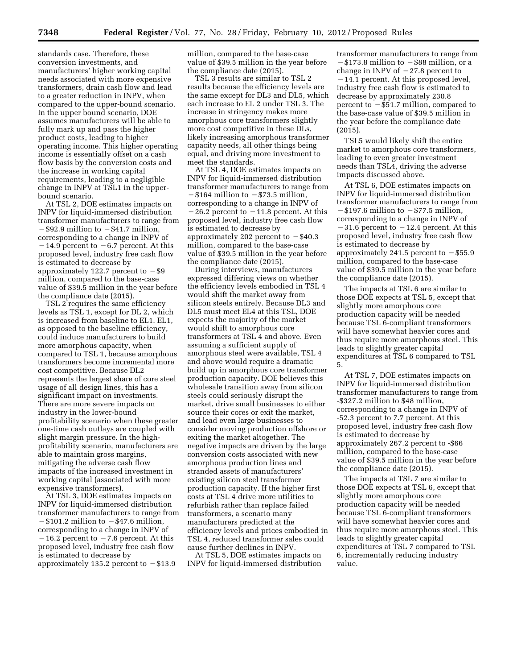standards case. Therefore, these conversion investments, and manufacturers' higher working capital needs associated with more expensive transformers, drain cash flow and lead to a greater reduction in INPV, when compared to the upper-bound scenario. In the upper bound scenario, DOE assumes manufacturers will be able to fully mark up and pass the higher product costs, leading to higher operating income. This higher operating income is essentially offset on a cash flow basis by the conversion costs and the increase in working capital requirements, leading to a negligible change in INPV at TSL1 in the upperbound scenario.

At TSL 2, DOE estimates impacts on INPV for liquid-immersed distribution transformer manufacturers to range from  $-\$92.9$  million to  $-\$41.7$  million, corresponding to a change in INPV of  $-14.9$  percent to  $-6.7$  percent. At this proposed level, industry free cash flow is estimated to decrease by approximately 122.7 percent to  $-$  \$9 million, compared to the base-case value of \$39.5 million in the year before the compliance date (2015).

TSL 2 requires the same efficiency levels as TSL 1, except for DL 2, which is increased from baseline to EL1. EL1, as opposed to the baseline efficiency, could induce manufacturers to build more amorphous capacity, when compared to TSL 1, because amorphous transformers become incremental more cost competitive. Because DL2 represents the largest share of core steel usage of all design lines, this has a significant impact on investments. There are more severe impacts on industry in the lower-bound profitability scenario when these greater one-time cash outlays are coupled with slight margin pressure. In the highprofitability scenario, manufacturers are able to maintain gross margins, mitigating the adverse cash flow impacts of the increased investment in working capital (associated with more expensive transformers).

At TSL 3, DOE estimates impacts on INPV for liquid-immersed distribution transformer manufacturers to range from  $-$ \$101.2 million to  $-$ \$47.6 million, corresponding to a change in INPV of  $-16.2$  percent to  $-7.6$  percent. At this proposed level, industry free cash flow is estimated to decrease by approximately 135.2 percent to  $-\$13.9$ 

million, compared to the base-case value of \$39.5 million in the year before the compliance date (2015).

TSL 3 results are similar to TSL 2 results because the efficiency levels are the same except for DL3 and DL5, which each increase to EL 2 under TSL 3. The increase in stringency makes more amorphous core transformers slightly more cost competitive in these DLs, likely increasing amorphous transformer capacity needs, all other things being equal, and driving more investment to meet the standards.

At TSL 4, DOE estimates impacts on INPV for liquid-immersed distribution transformer manufacturers to range from −\$164 million to −\$73.5 million, corresponding to a change in INPV of  $-26.2$  percent to  $-11.8$  percent. At this proposed level, industry free cash flow is estimated to decrease by approximately 202 percent to  $-$  \$40.3 million, compared to the base-case value of \$39.5 million in the year before the compliance date (2015).

During interviews, manufacturers expressed differing views on whether the efficiency levels embodied in TSL 4 would shift the market away from silicon steels entirely. Because DL3 and DL5 must meet EL4 at this TSL, DOE expects the majority of the market would shift to amorphous core transformers at TSL 4 and above. Even assuming a sufficient supply of amorphous steel were available, TSL 4 and above would require a dramatic build up in amorphous core transformer production capacity. DOE believes this wholesale transition away from silicon steels could seriously disrupt the market, drive small businesses to either source their cores or exit the market, and lead even large businesses to consider moving production offshore or exiting the market altogether. The negative impacts are driven by the large conversion costs associated with new amorphous production lines and stranded assets of manufacturers' existing silicon steel transformer production capacity. If the higher first costs at TSL 4 drive more utilities to refurbish rather than replace failed transformers, a scenario many manufacturers predicted at the efficiency levels and prices embodied in TSL 4, reduced transformer sales could cause further declines in INPV.

At TSL 5, DOE estimates impacts on INPV for liquid-immersed distribution

transformer manufacturers to range from  $-$ \$173.8 million to  $-$ \$88 million, or a change in INPV of  $-27.8$  percent to ¥14.1 percent. At this proposed level, industry free cash flow is estimated to decrease by approximately 230.8 percent to  $-$  \$51.7 million, compared to the base-case value of \$39.5 million in the year before the compliance date (2015).

TSL5 would likely shift the entire market to amorphous core transformers, leading to even greater investment needs than TSL4, driving the adverse impacts discussed above.

At TSL 6, DOE estimates impacts on INPV for liquid-immersed distribution transformer manufacturers to range from  $-$ \$197.6 million to  $-$ \$77.5 million, corresponding to a change in INPV of  $-31.6$  percent to  $-12.4$  percent. At this proposed level, industry free cash flow is estimated to decrease by approximately 241.5 percent to  $-$ \$55.9 million, compared to the base-case value of \$39.5 million in the year before the compliance date (2015).

The impacts at TSL 6 are similar to those DOE expects at TSL 5, except that slightly more amorphous core production capacity will be needed because TSL 6-compliant transformers will have somewhat heavier cores and thus require more amorphous steel. This leads to slightly greater capital expenditures at TSL 6 compared to TSL 5.

At TSL 7, DOE estimates impacts on INPV for liquid-immersed distribution transformer manufacturers to range from -\$327.2 million to \$48 million, corresponding to a change in INPV of -52.3 percent to 7.7 percent. At this proposed level, industry free cash flow is estimated to decrease by approximately 267.2 percent to -\$66 million, compared to the base-case value of \$39.5 million in the year before the compliance date (2015).

The impacts at TSL 7 are similar to those DOE expects at TSL 6, except that slightly more amorphous core production capacity will be needed because TSL 6-compliant transformers will have somewhat heavier cores and thus require more amorphous steel. This leads to slightly greater capital expenditures at TSL 7 compared to TSL 6, incrementally reducing industry value.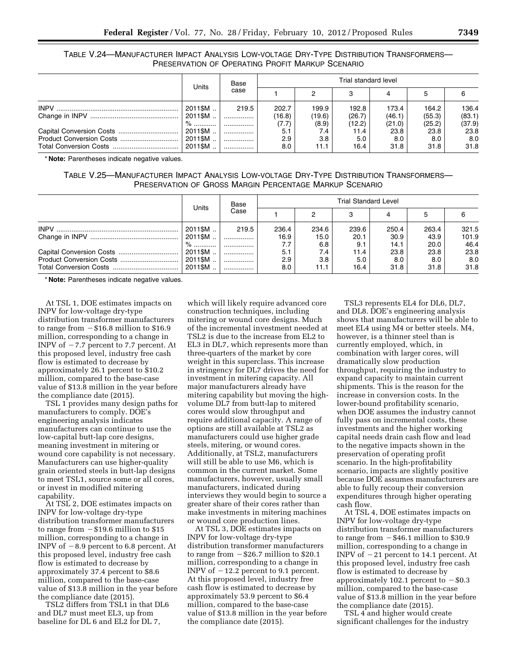TABLE V.24—MANUFACTURER IMPACT ANALYSIS LOW-VOLTAGE DRY-TYPE DISTRIBUTION TRANSFORMERS— PRESERVATION OF OPERATING PROFIT MARKUP SCENARIO

|                          | Units                   | Base  |        |        | Trial standard level |        |        |        |
|--------------------------|-------------------------|-------|--------|--------|----------------------|--------|--------|--------|
|                          |                         | case  |        |        |                      |        |        |        |
|                          | 2011\$M                 | 219.5 | 202.7  | 199.9  | 192.8                | 173.4  | 164.2  | 136.4  |
|                          | 2011\$M                 |       | (16.8) | (19.6) | (26.7)               | (46.1) | (55.3) | (83.1) |
|                          | $\%$                    |       | (7.7)  | (8.9)  | (12.2)               | (21.0) | (25.2) | (37.9) |
|                          | $^{\circ}$ 2011\$M $\,$ |       | 5.1    | 7.4    | 11.4                 | 23.8   | 23.8   | 23.8   |
| Product Conversion Costs | 2011\$M                 |       | 2.9    | 3.8    | 5.0                  | 8.0    | 8.0    | 8.0    |
|                          | 2011\$M                 |       | 8.0    | 11.1   | 16.4                 | 31.8   | 31.8   | 31.8   |

\* **Note:** Parentheses indicate negative values.

TABLE V.25—MANUFACTURER IMPACT ANALYSIS LOW-VOLTAGE DRY-TYPE DISTRIBUTION TRANSFORMERS— PRESERVATION OF GROSS MARGIN PERCENTAGE MARKUP SCENARIO

|                          | Units   | Base  |       |       | <b>Trial Standard Level</b> |       |       |       |
|--------------------------|---------|-------|-------|-------|-----------------------------|-------|-------|-------|
|                          |         | Case  |       |       |                             |       |       |       |
|                          | 2011\$M | 219.5 | 236.4 | 234.6 | 239.6                       | 250.4 | 263.4 | 321.5 |
|                          | 2011\$M |       | 16.9  | 15.0  | 20.1                        | 30.9  | 43.9  | 101.9 |
|                          | $\%$    |       | 7.7   | 6.8   | 9.1                         | 14.1  | 20.0  | 46.4  |
|                          | 2011\$M |       | 5.1   | 7.4   | 11.4                        | 23.8  | 23.8  | 23.8  |
| Product Conversion Costs | 2011\$M |       | 2.9   | 3.8   | 5.0                         | 8.0   | 8.0   | 8.0   |
|                          | 2011\$M |       | 8.0   | 11.1  | 16.4                        | 31.8  | 31.8  | 31.8  |

\* **Note:** Parentheses indicate negative values.

At TSL 1, DOE estimates impacts on INPV for low-voltage dry-type distribution transformer manufacturers to range from  $-$  \$16.8 million to \$16.9 million, corresponding to a change in INPV of  $-7.7$  percent to 7.7 percent. At this proposed level, industry free cash flow is estimated to decrease by approximately 26.1 percent to \$10.2 million, compared to the base-case value of \$13.8 million in the year before the compliance date (2015).

TSL 1 provides many design paths for manufacturers to comply. DOE's engineering analysis indicates manufacturers can continue to use the low-capital butt-lap core designs, meaning investment in mitering or wound core capability is not necessary. Manufacturers can use higher-quality grain oriented steels in butt-lap designs to meet TSL1, source some or all cores, or invest in modified mitering capability.

At TSL 2, DOE estimates impacts on INPV for low-voltage dry-type distribution transformer manufacturers to range from  $-$  \$19.6 million to \$15 million, corresponding to a change in INPV of  $-8.9$  percent to 6.8 percent. At this proposed level, industry free cash flow is estimated to decrease by approximately 37.4 percent to \$8.6 million, compared to the base-case value of \$13.8 million in the year before the compliance date (2015).

TSL2 differs from TSL1 in that DL6 and DL7 must meet EL3, up from baseline for DL 6 and EL2 for DL 7,

which will likely require advanced core construction techniques, including mitering or wound core designs. Much of the incremental investment needed at TSL2 is due to the increase from EL2 to EL3 in DL7, which represents more than three-quarters of the market by core weight in this superclass. This increase in stringency for DL7 drives the need for investment in mitering capacity. All major manufacturers already have mitering capability but moving the highvolume DL7 from butt-lap to mitered cores would slow throughput and require additional capacity. A range of options are still available at TSL2 as manufacturers could use higher grade steels, mitering, or wound cores. Additionally, at TSL2, manufacturers will still be able to use M6, which is common in the current market. Some manufacturers, however, usually small manufacturers, indicated during interviews they would begin to source a greater share of their cores rather than make investments in mitering machines or wound core production lines.

At TSL 3, DOE estimates impacts on INPV for low-voltage dry-type distribution transformer manufacturers to range from  $-\$26.7$  million to \$20.1 million, corresponding to a change in INPV of  $-12.2$  percent to 9.1 percent. At this proposed level, industry free cash flow is estimated to decrease by approximately 53.9 percent to \$6.4 million, compared to the base-case value of \$13.8 million in the year before the compliance date (2015).

TSL3 represents EL4 for DL6, DL7, and DL8. DOE's engineering analysis shows that manufacturers will be able to meet EL4 using M4 or better steels. M4, however, is a thinner steel than is currently employed, which, in combination with larger cores, will dramatically slow production throughput, requiring the industry to expand capacity to maintain current shipments. This is the reason for the increase in conversion costs. In the lower-bound profitability scenario, when DOE assumes the industry cannot fully pass on incremental costs, these investments and the higher working capital needs drain cash flow and lead to the negative impacts shown in the preservation of operating profit scenario. In the high-profitability scenario, impacts are slightly positive because DOE assumes manufacturers are able to fully recoup their conversion expenditures through higher operating cash flow.

At TSL 4, DOE estimates impacts on INPV for low-voltage dry-type distribution transformer manufacturers to range from  $-$  \$46.1 million to \$30.9 million, corresponding to a change in INPV of  $-21$  percent to 14.1 percent. At this proposed level, industry free cash flow is estimated to decrease by approximately 102.1 percent to  $-$ \$0.3 million, compared to the base-case value of \$13.8 million in the year before the compliance date (2015).

TSL 4 and higher would create significant challenges for the industry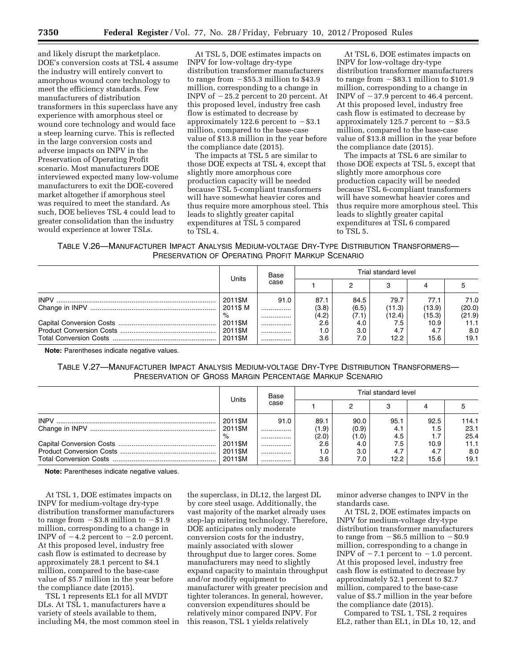and likely disrupt the marketplace. DOE's conversion costs at TSL 4 assume the industry will entirely convert to amorphous wound core technology to meet the efficiency standards. Few manufacturers of distribution transformers in this superclass have any experience with amorphous steel or wound core technology and would face a steep learning curve. This is reflected in the large conversion costs and adverse impacts on INPV in the Preservation of Operating Profit scenario. Most manufacturers DOE interviewed expected many low-volume manufacturers to exit the DOE-covered market altogether if amorphous steel was required to meet the standard. As such, DOE believes TSL 4 could lead to greater consolidation than the industry would experience at lower TSLs.

At TSL 5, DOE estimates impacts on INPV for low-voltage dry-type distribution transformer manufacturers to range from  $-$  \$55.3 million to \$43.9 million, corresponding to a change in INPV of  $-25.2$  percent to 20 percent. At this proposed level, industry free cash flow is estimated to decrease by approximately 122.6 percent to  $-$  \$3.1 million, compared to the base-case value of \$13.8 million in the year before the compliance date (2015).

The impacts at TSL 5 are similar to those DOE expects at TSL 4, except that slightly more amorphous core production capacity will be needed because TSL 5-compliant transformers will have somewhat heavier cores and thus require more amorphous steel. This leads to slightly greater capital expenditures at TSL 5 compared to TSL 4.

At TSL 6, DOE estimates impacts on INPV for low-voltage dry-type distribution transformer manufacturers to range from  $-$  \$83.1 million to \$101.9 million, corresponding to a change in INPV of  $-37.9$  percent to 46.4 percent. At this proposed level, industry free cash flow is estimated to decrease by approximately 125.7 percent to  $-$ \$3.5 million, compared to the base-case value of \$13.8 million in the year before the compliance date (2015).

The impacts at TSL 6 are similar to those DOE expects at TSL 5, except that slightly more amorphous core production capacity will be needed because TSL 6-compliant transformers will have somewhat heavier cores and thus require more amorphous steel. This leads to slightly greater capital expenditures at TSL 6 compared to TSL 5.

TABLE V.26—MANUFACTURER IMPACT ANALYSIS MEDIUM-VOLTAGE DRY-TYPE DISTRIBUTION TRANSFORMERS— PRESERVATION OF OPERATING PROFIT MARKUP SCENARIO

| Units                         | Base         |                        | Trial standard level   |                          |                          |                          |
|-------------------------------|--------------|------------------------|------------------------|--------------------------|--------------------------|--------------------------|
|                               | case         |                        |                        |                          |                          |                          |
| 2011\$M<br>2011\$ M<br>$\%$   | 91.0<br><br> | 87.1<br>(3.8)<br>(4.2) | 84.5<br>(6.5)<br>(7.1) | 79.7<br>(11.3)<br>(12.4) | 77.1<br>(13.9)<br>(15.3) | 71.0<br>(20.0)<br>(21.9) |
| 2011\$M<br>2011\$M<br>2011\$M | <br><br>     | 2.6<br>1.0<br>3.6      | 4.0<br>3.0<br>7.0      | 7.5<br>4.7<br>12.2       | 10.9<br>4.7<br>15.6      | 8.0<br>19.1              |

**Note:** Parentheses indicate negative values.

TABLE V.27—MANUFACTURER IMPACT ANALYSIS MEDIUM-VOLTAGE DRY-TYPE DISTRIBUTION TRANSFORMERS— PRESERVATION OF GROSS MARGIN PERCENTAGE MARKUP SCENARIO

|         | Base |       | Trial standard level |      |      |       |
|---------|------|-------|----------------------|------|------|-------|
| Units   | case |       |                      |      |      |       |
| 2011\$M | 91.0 | 89.1  | 90.0                 | 95.1 | 92.5 | 114.1 |
| 2011\$M |      | (1.9) | (0.9)                | 4.1  | 1.5  | 23.1  |
| %       |      | (2.0) | (1.0)                | 4.5  |      | 25.4  |
| 2011\$M |      | 2.6   | 4.0                  | 7.5  | 10.9 | 11.1  |
| 2011\$M |      | 1.0   | 3.0                  | 4.7  |      | 8.0   |
| 2011\$M | .    | 3.6   | 7.0                  | 12.2 | 15.6 | 19.1  |

**Note:** Parentheses indicate negative values.

At TSL 1, DOE estimates impacts on INPV for medium-voltage dry-type distribution transformer manufacturers to range from  $-$  \$3.8 million to  $-$  \$1.9 million, corresponding to a change in INPV of  $-4.2$  percent to  $-2.0$  percent. At this proposed level, industry free cash flow is estimated to decrease by approximately 28.1 percent to \$4.1 million, compared to the base-case value of \$5.7 million in the year before the compliance date (2015).

TSL 1 represents EL1 for all MVDT DLs. At TSL 1, manufacturers have a variety of steels available to them, including M4, the most common steel in

the superclass, in DL12, the largest DL by core steel usage. Additionally, the vast majority of the market already uses step-lap mitering technology. Therefore, DOE anticipates only moderate conversion costs for the industry, mainly associated with slower throughput due to larger cores. Some manufacturers may need to slightly expand capacity to maintain throughput and/or modify equipment to manufacturer with greater precision and tighter tolerances. In general, however, conversion expenditures should be relatively minor compared INPV. For this reason, TSL 1 yields relatively

minor adverse changes to INPV in the standards case.

At TSL 2, DOE estimates impacts on INPV for medium-voltage dry-type distribution transformer manufacturers to range from  $-$  \$6.5 million to  $-$  \$0.9 million, corresponding to a change in INPV of  $-7.1$  percent to  $-1.0$  percent. At this proposed level, industry free cash flow is estimated to decrease by approximately 52.1 percent to \$2.7 million, compared to the base-case value of \$5.7 million in the year before the compliance date (2015).

Compared to TSL 1, TSL 2 requires EL2, rather than EL1, in DLs 10, 12, and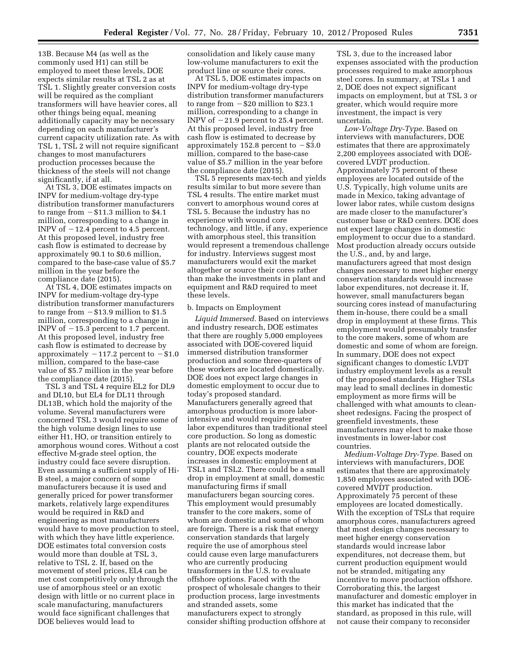13B. Because M4 (as well as the commonly used H1) can still be employed to meet these levels, DOE expects similar results at TSL 2 as at TSL 1. Slightly greater conversion costs will be required as the compliant transformers will have heavier cores, all other things being equal, meaning additionally capacity may be necessary depending on each manufacturer's current capacity utilization rate. As with TSL 1, TSL 2 will not require significant changes to most manufacturers production processes because the thickness of the steels will not change significantly, if at all.

At TSL 3, DOE estimates impacts on INPV for medium-voltage dry-type distribution transformer manufacturers to range from  $- $11.3$  million to  $$4.1$ million, corresponding to a change in INPV of  $-12.4$  percent to 4.5 percent. At this proposed level, industry free cash flow is estimated to decrease by approximately 90.1 to \$0.6 million, compared to the base-case value of \$5.7 million in the year before the compliance date (2015).

At TSL 4, DOE estimates impacts on INPV for medium-voltage dry-type distribution transformer manufacturers to range from  $-$  \$13.9 million to \$1.5 million, corresponding to a change in INPV of  $-15.3$  percent to 1.7 percent. At this proposed level, industry free cash flow is estimated to decrease by approximately  $-117.2$  percent to  $-\$1.0$ million, compared to the base-case value of \$5.7 million in the year before the compliance date (2015).

TSL 3 and TSL 4 require EL2 for DL9 and DL10, but EL4 for DL11 through DL13B, which hold the majority of the volume. Several manufacturers were concerned TSL 3 would require some of the high volume design lines to use either H1, HO, or transition entirely to amorphous wound cores. Without a cost effective M-grade steel option, the industry could face severe disruption. Even assuming a sufficient supply of Hi-B steel, a major concern of some manufacturers because it is used and generally priced for power transformer markets, relatively large expenditures would be required in R&D and engineering as most manufacturers would have to move production to steel, with which they have little experience. DOE estimates total conversion costs would more than double at TSL 3, relative to TSL 2. If, based on the movement of steel prices, EL4 can be met cost competitively only through the use of amorphous steel or an exotic design with little or no current place in scale manufacturing, manufacturers would face significant challenges that DOE believes would lead to

consolidation and likely cause many low-volume manufacturers to exit the product line or source their cores.

At TSL 5, DOE estimates impacts on INPV for medium-voltage dry-type distribution transformer manufacturers to range from  $-$  \$20 million to \$23.1 million, corresponding to a change in INPV of  $-21.9$  percent to 25.4 percent. At this proposed level, industry free cash flow is estimated to decrease by approximately 152.8 percent to  $-$ \$3.0 million, compared to the base-case value of \$5.7 million in the year before the compliance date (2015).

TSL 5 represents max-tech and yields results similar to but more severe than TSL 4 results. The entire market must convert to amorphous wound cores at TSL 5. Because the industry has no experience with wound core technology, and little, if any, experience with amorphous steel, this transition would represent a tremendous challenge for industry. Interviews suggest most manufacturers would exit the market altogether or source their cores rather than make the investments in plant and equipment and R&D required to meet these levels.

#### b. Impacts on Employment

*Liquid Immersed.* Based on interviews and industry research, DOE estimates that there are roughly 5,000 employees associated with DOE-covered liquid immersed distribution transformer production and some three-quarters of these workers are located domestically. DOE does not expect large changes in domestic employment to occur due to today's proposed standard. Manufacturers generally agreed that amorphous production is more laborintensive and would require greater labor expenditures than traditional steel core production. So long as domestic plants are not relocated outside the country, DOE expects moderate increases in domestic employment at TSL1 and TSL2. There could be a small drop in employment at small, domestic manufacturing firms if small manufacturers began sourcing cores. This employment would presumably transfer to the core makers, some of whom are domestic and some of whom are foreign. There is a risk that energy conservation standards that largely require the use of amorphous steel could cause even large manufacturers who are currently producing transformers in the U.S. to evaluate offshore options. Faced with the prospect of wholesale changes to their production process, large investments and stranded assets, some manufacturers expect to strongly consider shifting production offshore at

TSL 3, due to the increased labor expenses associated with the production processes required to make amorphous steel cores. In summary, at TSLs 1 and 2, DOE does not expect significant impacts on employment, but at TSL 3 or greater, which would require more investment, the impact is very uncertain.

*Low-Voltage Dry-Type.* Based on interviews with manufacturers, DOE estimates that there are approximately 2,200 employees associated with DOEcovered LVDT production. Approximately 75 percent of these employees are located outside of the U.S. Typically, high volume units are made in Mexico, taking advantage of lower labor rates, while custom designs are made closer to the manufacturer's customer base or R&D centers. DOE does not expect large changes in domestic employment to occur due to a standard. Most production already occurs outside the U.S., and, by and large, manufacturers agreed that most design changes necessary to meet higher energy conservation standards would increase labor expenditures, not decrease it. If, however, small manufacturers began sourcing cores instead of manufacturing them in-house, there could be a small drop in employment at these firms. This employment would presumably transfer to the core makers, some of whom are domestic and some of whom are foreign. In summary, DOE does not expect significant changes to domestic LVDT industry employment levels as a result of the proposed standards. Higher TSLs may lead to small declines in domestic employment as more firms will be challenged with what amounts to cleansheet redesigns. Facing the prospect of greenfield investments, these manufacturers may elect to make those investments in lower-labor cost countries.

*Medium-Voltage Dry-Type.* Based on interviews with manufacturers, DOE estimates that there are approximately 1,850 employees associated with DOEcovered MVDT production. Approximately 75 percent of these employees are located domestically. With the exception of TSLs that require amorphous cores, manufacturers agreed that most design changes necessary to meet higher energy conservation standards would increase labor expenditures, not decrease them, but current production equipment would not be stranded, mitigating any incentive to move production offshore. Corroborating this, the largest manufacturer and domestic employer in this market has indicated that the standard, as proposed in this rule, will not cause their company to reconsider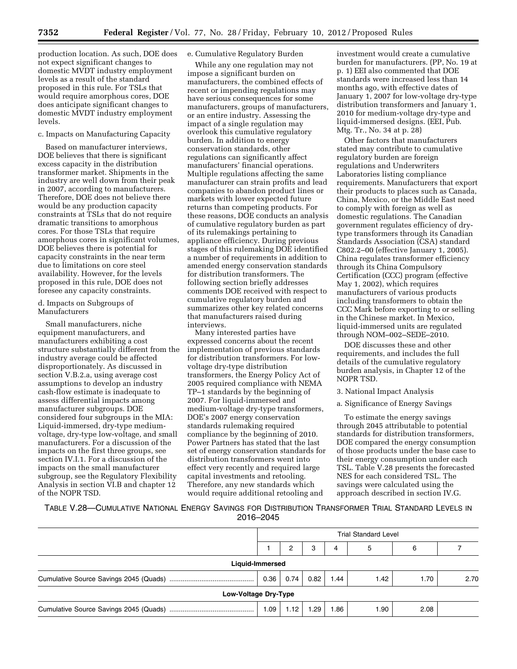production location. As such, DOE does not expect significant changes to domestic MVDT industry employment levels as a result of the standard proposed in this rule. For TSLs that would require amorphous cores, DOE does anticipate significant changes to domestic MVDT industry employment levels.

## c. Impacts on Manufacturing Capacity

Based on manufacturer interviews, DOE believes that there is significant excess capacity in the distribution transformer market. Shipments in the industry are well down from their peak in 2007, according to manufacturers. Therefore, DOE does not believe there would be any production capacity constraints at TSLs that do not require dramatic transitions to amorphous cores. For those TSLs that require amorphous cores in significant volumes, DOE believes there is potential for capacity constraints in the near term due to limitations on core steel availability. However, for the levels proposed in this rule, DOE does not foresee any capacity constraints.

### d. Impacts on Subgroups of Manufacturers

Small manufacturers, niche equipment manufacturers, and manufacturers exhibiting a cost structure substantially different from the industry average could be affected disproportionately. As discussed in section V.B.2.a, using average cost assumptions to develop an industry cash-flow estimate is inadequate to assess differential impacts among manufacturer subgroups. DOE considered four subgroups in the MIA: Liquid-immersed, dry-type mediumvoltage, dry-type low-voltage, and small manufacturers. For a discussion of the impacts on the first three groups, see section IV.I.1. For a discussion of the impacts on the small manufacturer subgroup, see the Regulatory Flexibility Analysis in section VI.B and chapter 12 of the NOPR TSD.

## e. Cumulative Regulatory Burden

While any one regulation may not impose a significant burden on manufacturers, the combined effects of recent or impending regulations may have serious consequences for some manufacturers, groups of manufacturers, or an entire industry. Assessing the impact of a single regulation may overlook this cumulative regulatory burden. In addition to energy conservation standards, other regulations can significantly affect manufacturers' financial operations. Multiple regulations affecting the same manufacturer can strain profits and lead companies to abandon product lines or markets with lower expected future returns than competing products. For these reasons, DOE conducts an analysis of cumulative regulatory burden as part of its rulemakings pertaining to appliance efficiency. During previous stages of this rulemaking DOE identified a number of requirements in addition to amended energy conservation standards for distribution transformers. The following section briefly addresses comments DOE received with respect to cumulative regulatory burden and summarizes other key related concerns that manufacturers raised during interviews.

Many interested parties have expressed concerns about the recent implementation of previous standards for distribution transformers. For lowvoltage dry-type distribution transformers, the Energy Policy Act of 2005 required compliance with NEMA TP–1 standards by the beginning of 2007. For liquid-immersed and medium-voltage dry-type transformers, DOE's 2007 energy conservation standards rulemaking required compliance by the beginning of 2010. Power Partners has stated that the last set of energy conservation standards for distribution transformers went into effect very recently and required large capital investments and retooling. Therefore, any new standards which would require additional retooling and

investment would create a cumulative burden for manufacturers. (PP, No. 19 at p. 1) EEI also commented that DOE standards were increased less than 14 months ago, with effective dates of January 1, 2007 for low-voltage dry-type distribution transformers and January 1, 2010 for medium-voltage dry-type and liquid-immersed designs. (EEI, Pub. Mtg. Tr., No. 34 at p. 28)

Other factors that manufacturers stated may contribute to cumulative regulatory burden are foreign regulations and Underwriters Laboratories listing compliance requirements. Manufacturers that export their products to places such as Canada, China, Mexico, or the Middle East need to comply with foreign as well as domestic regulations. The Canadian government regulates efficiency of drytype transformers through its Canadian Standards Association (CSA) standard C802.2–00 (effective January 1, 2005). China regulates transformer efficiency through its China Compulsory Certification (CCC) program (effective May 1, 2002), which requires manufacturers of various products including transformers to obtain the CCC Mark before exporting to or selling in the Chinese market. In Mexico, liquid-immersed units are regulated through NOM–002–SEDE–2010.

DOE discusses these and other requirements, and includes the full details of the cumulative regulatory burden analysis, in Chapter 12 of the NOPR TSD.

- 3. National Impact Analysis
- a. Significance of Energy Savings

To estimate the energy savings through 2045 attributable to potential standards for distribution transformers, DOE compared the energy consumption of those products under the base case to their energy consumption under each TSL. Table V.28 presents the forecasted NES for each considered TSL. The savings were calculated using the approach described in section IV.G.

TABLE V.28—CUMULATIVE NATIONAL ENERGY SAVINGS FOR DISTRIBUTION TRANSFORMER TRIAL STANDARD LEVELS IN 2016–2045

|                      | <b>Trial Standard Level</b> |      |      |      |      |      |      |
|----------------------|-----------------------------|------|------|------|------|------|------|
|                      |                             | 2    | 3    | 4    | 5    | 6    |      |
| Liquid-Immersed      |                             |      |      |      |      |      |      |
|                      | 0.36                        | 0.74 | 0.82 | 1.44 | 1.42 | 1.70 | 2.70 |
| Low-Voltage Dry-Type |                             |      |      |      |      |      |      |
|                      | 1.09                        | 1.12 | .29  | .86  | 1.90 | 2.08 |      |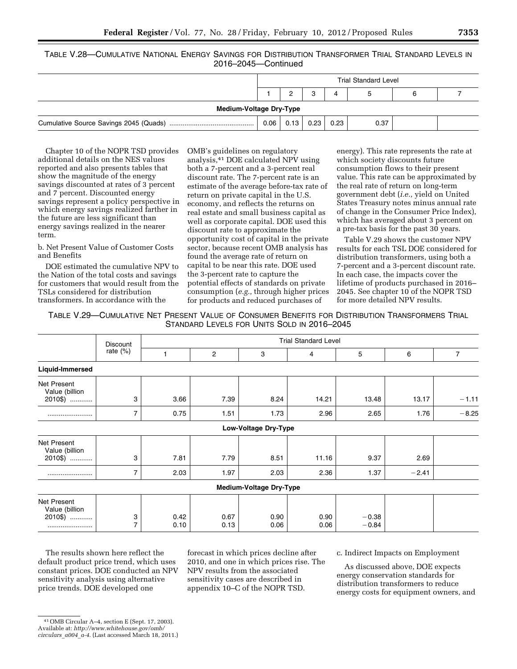TABLE V.28—CUMULATIVE NATIONAL ENERGY SAVINGS FOR DISTRIBUTION TRANSFORMER TRIAL STANDARD LEVELS IN 2016–2045—Continued

|                                | <b>Trial Standard Level</b> |      |      |      |      |  |  |
|--------------------------------|-----------------------------|------|------|------|------|--|--|
| 3<br>4<br>5                    |                             |      |      |      |      |  |  |
| <b>Medium-Voltage Dry-Type</b> |                             |      |      |      |      |  |  |
|                                | 0.06                        | 0.13 | 0.23 | 0.23 | 0.37 |  |  |

Chapter 10 of the NOPR TSD provides additional details on the NES values reported and also presents tables that show the magnitude of the energy savings discounted at rates of 3 percent and 7 percent. Discounted energy savings represent a policy perspective in which energy savings realized farther in the future are less significant than energy savings realized in the nearer term.

b. Net Present Value of Customer Costs and Benefits

DOE estimated the cumulative NPV to the Nation of the total costs and savings for customers that would result from the TSLs considered for distribution transformers. In accordance with the

OMB's guidelines on regulatory analysis,41 DOE calculated NPV using both a 7-percent and a 3-percent real discount rate. The 7-percent rate is an estimate of the average before-tax rate of return on private capital in the U.S. economy, and reflects the returns on real estate and small business capital as well as corporate capital. DOE used this discount rate to approximate the opportunity cost of capital in the private sector, because recent OMB analysis has found the average rate of return on capital to be near this rate. DOE used the 3-percent rate to capture the potential effects of standards on private consumption (*e.g.,* through higher prices for products and reduced purchases of

energy). This rate represents the rate at which society discounts future consumption flows to their present value. This rate can be approximated by the real rate of return on long-term government debt (*i.e.,* yield on United States Treasury notes minus annual rate of change in the Consumer Price Index), which has averaged about 3 percent on a pre-tax basis for the past 30 years.

Table V.29 shows the customer NPV results for each TSL DOE considered for distribution transformers, using both a 7-percent and a 3-percent discount rate. In each case, the impacts cover the lifetime of products purchased in 2016– 2045. See chapter 10 of the NOPR TSD for more detailed NPV results.

TABLE V.29—CUMULATIVE NET PRESENT VALUE OF CONSUMER BENEFITS FOR DISTRIBUTION TRANSFORMERS TRIAL STANDARD LEVELS FOR UNITS SOLD IN 2016–2045

|                                              | Discount            |              | <b>Trial Standard Level</b> |                                |              |                    |         |         |
|----------------------------------------------|---------------------|--------------|-----------------------------|--------------------------------|--------------|--------------------|---------|---------|
|                                              | rate $(\%)$         | 1            | 2                           | 3                              | 4            | 5                  | 6       | 7       |
| Liquid-Immersed                              |                     |              |                             |                                |              |                    |         |         |
| Net Present<br>Value (billion<br>2010\$)     | 3                   | 3.66         | 7.39                        | 8.24                           | 14.21        | 13.48              | 13.17   | $-1.11$ |
|                                              | 7                   | 0.75         | 1.51                        | 1.73                           | 2.96         | 2.65               | 1.76    | $-8.25$ |
|                                              |                     |              |                             | Low-Voltage Dry-Type           |              |                    |         |         |
| Net Present<br>Value (billion<br>2010\$)     | 3                   | 7.81         | 7.79                        | 8.51                           | 11.16        | 9.37               | 2.69    |         |
|                                              | 7                   | 2.03         | 1.97                        | 2.03                           | 2.36         | 1.37               | $-2.41$ |         |
|                                              |                     |              |                             | <b>Medium-Voltage Dry-Type</b> |              |                    |         |         |
| Net Present<br>Value (billion<br>2010\$)<br> | 3<br>$\overline{7}$ | 0.42<br>0.10 | 0.67<br>0.13                | 0.90<br>0.06                   | 0.90<br>0.06 | $-0.38$<br>$-0.84$ |         |         |

The results shown here reflect the default product price trend, which uses constant prices. DOE conducted an NPV sensitivity analysis using alternative price trends. DOE developed one

forecast in which prices decline after 2010, and one in which prices rise. The NPV results from the associated sensitivity cases are described in appendix 10–C of the NOPR TSD.

c. Indirect Impacts on Employment

As discussed above, DOE expects energy conservation standards for distribution transformers to reduce energy costs for equipment owners, and

<sup>41</sup>OMB Circular A–4, section E (Sept. 17, 2003). Available at: *[http://www.whitehouse.gov/omb/](http://www.whitehouse.gov/omb/circulars_a004_a-4)  [circulars](http://www.whitehouse.gov/omb/circulars_a004_a-4)*\_*a004*\_*a-4*. (Last accessed March 18, 2011.)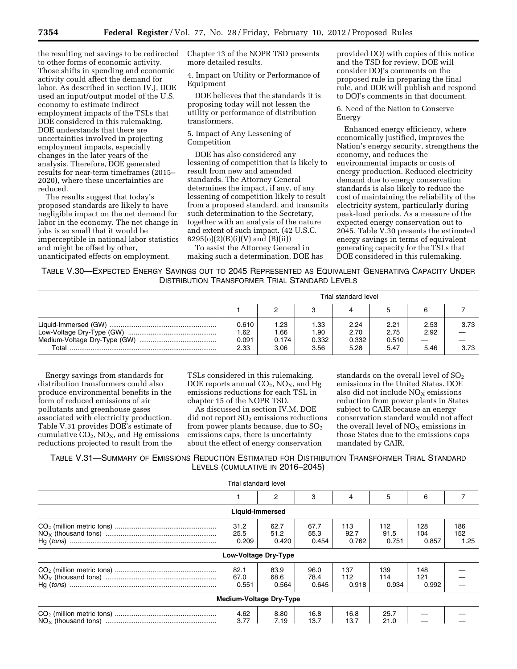the resulting net savings to be redirected to other forms of economic activity. Those shifts in spending and economic activity could affect the demand for labor. As described in section IV.J, DOE used an input/output model of the U.S. economy to estimate indirect employment impacts of the TSLs that DOE considered in this rulemaking. DOE understands that there are uncertainties involved in projecting employment impacts, especially changes in the later years of the analysis. Therefore, DOE generated results for near-term timeframes (2015– 2020), where these uncertainties are reduced.

The results suggest that today's proposed standards are likely to have negligible impact on the net demand for labor in the economy. The net change in jobs is so small that it would be imperceptible in national labor statistics and might be offset by other, unanticipated effects on employment.

Chapter 13 of the NOPR TSD presents more detailed results.

4. Impact on Utility or Performance of Equipment

DOE believes that the standards it is proposing today will not lessen the utility or performance of distribution transformers.

### 5. Impact of Any Lessening of Competition

DOE has also considered any lessening of competition that is likely to result from new and amended standards. The Attorney General determines the impact, if any, of any lessening of competition likely to result from a proposed standard, and transmits such determination to the Secretary, together with an analysis of the nature and extent of such impact. (42 U.S.C.  $6295(o)(2)(B)(i)(V)$  and  $(B)(ii))$ 

To assist the Attorney General in making such a determination, DOE has

provided DOJ with copies of this notice and the TSD for review. DOE will consider DOJ's comments on the proposed rule in preparing the final rule, and DOE will publish and respond to DOJ's comments in that document.

6. Need of the Nation to Conserve Energy

Enhanced energy efficiency, where economically justified, improves the Nation's energy security, strengthens the economy, and reduces the environmental impacts or costs of energy production. Reduced electricity demand due to energy conservation standards is also likely to reduce the cost of maintaining the reliability of the electricity system, particularly during peak-load periods. As a measure of the expected energy conservation out to 2045, Table V.30 presents the estimated energy savings in terms of equivalent generating capacity for the TSLs that DOE considered in this rulemaking.

## TABLE V.30—EXPECTED ENERGY SAVINGS OUT TO 2045 REPRESENTED AS EQUIVALENT GENERATING CAPACITY UNDER DISTRIBUTION TRANSFORMER TRIAL STANDARD LEVELS

|       | Trial standard level          |                                 |                               |                               |                               |                                           |              |
|-------|-------------------------------|---------------------------------|-------------------------------|-------------------------------|-------------------------------|-------------------------------------------|--------------|
|       |                               |                                 |                               |                               |                               | 6                                         |              |
| Total | 0.610<br>.62<br>0.091<br>2.33 | 23. ا<br>66. ا<br>0.174<br>3.06 | 1.33<br>1.90<br>0.332<br>3.56 | 2.24<br>2.70<br>0.332<br>5.28 | 2.21<br>2.75<br>0.510<br>5.47 | 2.53<br>2.92<br>$\hspace{0.05cm}$<br>5.46 | 3.73<br>3.73 |

Energy savings from standards for distribution transformers could also produce environmental benefits in the form of reduced emissions of air pollutants and greenhouse gases associated with electricity production. Table V.31 provides DOE's estimate of cumulative  $CO<sub>2</sub>$ , NO<sub>x</sub>, and Hg emissions reductions projected to result from the

TSLs considered in this rulemaking. DOE reports annual  $CO<sub>2</sub>$ , NO<sub>X</sub>, and Hg emissions reductions for each TSL in chapter 15 of the NOPR TSD.

As discussed in section IV.M, DOE did not report SO<sub>2</sub> emissions reductions from power plants because, due to  $SO<sub>2</sub>$ emissions caps, there is uncertainty about the effect of energy conservation

standards on the overall level of  $SO<sub>2</sub>$ emissions in the United States. DOE also did not include  $NO<sub>x</sub>$  emissions reduction from power plants in States subject to CAIR because an energy conservation standard would not affect the overall level of  $NO<sub>X</sub>$  emissions in those States due to the emissions caps mandated by CAIR.

| TABLE V.31-SUMMARY OF EMISSIONS REDUCTION ESTIMATED FOR DISTRIBUTION TRANSFORMER TRIAL STANDARD |                                  |  |  |
|-------------------------------------------------------------------------------------------------|----------------------------------|--|--|
|                                                                                                 | LEVELS (CUMULATIVE IN 2016-2045) |  |  |

| Trial standard level  |                                |                       |                      |                      |                     |                    |
|-----------------------|--------------------------------|-----------------------|----------------------|----------------------|---------------------|--------------------|
|                       | 2                              | 3                     | 4                    | 5                    | 6                   |                    |
| Liquid-Immersed       |                                |                       |                      |                      |                     |                    |
| 31.2<br>25.5<br>0.209 | 62.7<br>51.2<br>0.420          | 67.7<br>55.3<br>0.454 | 113<br>92.7<br>0.762 | 112<br>91.5<br>0.751 | 128<br>104<br>0.857 | 186<br>152<br>1.25 |
| Low-Voltage Dry-Type  |                                |                       |                      |                      |                     |                    |
| 82.1<br>67.0<br>0.551 | 83.9<br>68.6<br>0.564          | 96.0<br>78.4<br>0.645 | 137<br>112<br>0.918  | 139<br>114<br>0.934  | 148<br>121<br>0.992 |                    |
|                       | <b>Medium-Voltage Dry-Type</b> |                       |                      |                      |                     |                    |
| 4.62<br>3.77          | 8.80<br>7.19                   | 16.8<br>13.7          | 16.8<br>13.7         | 25.7<br>21.0         |                     |                    |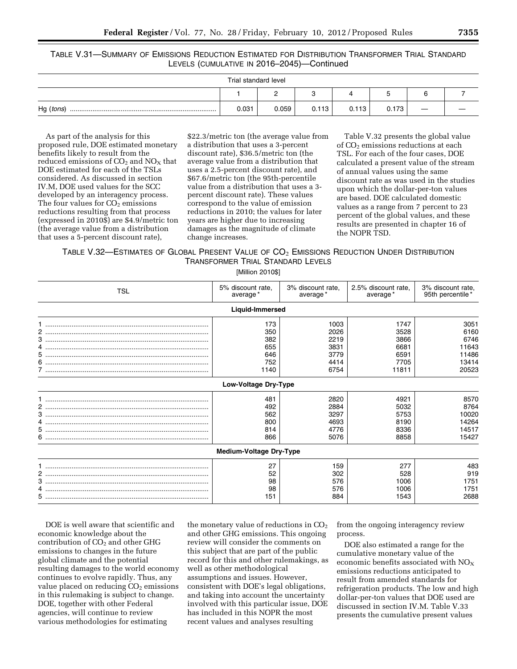### TABLE V.31—SUMMARY OF EMISSIONS REDUCTION ESTIMATED FOR DISTRIBUTION TRANSFORMER TRIAL STANDARD LEVELS (CUMULATIVE IN 2016–2045)—Continued

| Trial standard level |       |       |       |       |       |                   |  |
|----------------------|-------|-------|-------|-------|-------|-------------------|--|
| <u>_</u>             |       |       |       |       |       |                   |  |
| Hg (tons)            | 0.031 | 0.059 | 0.113 | 0.113 | 0.173 | $\hspace{0.05cm}$ |  |

As part of the analysis for this proposed rule, DOE estimated monetary benefits likely to result from the reduced emissions of  $CO<sub>2</sub>$  and  $NO<sub>X</sub>$  that DOE estimated for each of the TSLs considered. As discussed in section IV.M, DOE used values for the SCC developed by an interagency process. The four values for  $CO<sub>2</sub>$  emissions reductions resulting from that process (expressed in 2010\$) are \$4.9/metric ton (the average value from a distribution that uses a 5-percent discount rate),

\$22.3/metric ton (the average value from a distribution that uses a 3-percent discount rate), \$36.5/metric ton (the average value from a distribution that uses a 2.5-percent discount rate), and \$67.6/metric ton (the 95th-percentile value from a distribution that uses a 3 percent discount rate). These values correspond to the value of emission reductions in 2010; the values for later years are higher due to increasing damages as the magnitude of climate change increases.

Table V.32 presents the global value of CO<sub>2</sub> emissions reductions at each TSL. For each of the four cases, DOE calculated a present value of the stream of annual values using the same discount rate as was used in the studies upon which the dollar-per-ton values are based. DOE calculated domestic values as a range from 7 percent to 23 percent of the global values, and these results are presented in chapter 16 of the NOPR TSD.

TABLE V.32—ESTIMATES OF GLOBAL PRESENT VALUE OF CO<sub>2</sub> EMISSIONS REDUCTION UNDER DISTRIBUTION TRANSFORMER TRIAL STANDARD LEVELS

[Million 2010\$]

| 5% discount rate,<br>3% discount rate,<br>2.5% discount rate,<br>3% discount rate,<br><b>TSL</b><br>average*<br>average*<br>95th percentile *<br>average*<br>Liquid-Immersed | 3051<br>6160 |
|------------------------------------------------------------------------------------------------------------------------------------------------------------------------------|--------------|
|                                                                                                                                                                              |              |
|                                                                                                                                                                              |              |
| 173<br>1003<br>1747                                                                                                                                                          |              |
| 350<br>2026<br>3528                                                                                                                                                          |              |
| 382<br>3866<br>2219                                                                                                                                                          | 6746         |
| 655<br>3831<br>6681                                                                                                                                                          | 11643        |
| 3779<br>6591<br>646                                                                                                                                                          | 11486        |
| 752<br>4414<br>7705                                                                                                                                                          | 13414        |
| 1140<br>6754<br>11811<br>/ ……………………………………………………………………………                                                                                                                     | 20523        |
| <b>Low-Voltage Dry-Type</b>                                                                                                                                                  |              |
| 2820<br>481<br>4921                                                                                                                                                          | 8570         |
| 5032<br>492<br>2884                                                                                                                                                          | 8764         |
| 562<br>3297<br>5753                                                                                                                                                          | 10020        |
| 8190<br>800<br>4693                                                                                                                                                          | 14264        |
| 814<br>4776<br>8336                                                                                                                                                          | 14517        |
| 8858<br>866<br>5076                                                                                                                                                          | 15427        |
| <b>Medium-Voltage Dry-Type</b>                                                                                                                                               |              |
| 27<br>159<br>277                                                                                                                                                             | 483          |
| 52<br>2<br>302<br>528                                                                                                                                                        | 919          |
| 98<br>576<br>1006                                                                                                                                                            | 1751         |
| 98<br>576<br>1006                                                                                                                                                            | 1751         |
| 151<br>884<br>1543                                                                                                                                                           | 2688         |

DOE is well aware that scientific and economic knowledge about the contribution of  $CO<sub>2</sub>$  and other GHG emissions to changes in the future global climate and the potential resulting damages to the world economy continues to evolve rapidly. Thus, any value placed on reducing  $CO<sub>2</sub>$  emissions in this rulemaking is subject to change. DOE, together with other Federal agencies, will continue to review various methodologies for estimating

the monetary value of reductions in  $CO<sub>2</sub>$ and other GHG emissions. This ongoing review will consider the comments on this subject that are part of the public record for this and other rulemakings, as well as other methodological assumptions and issues. However, consistent with DOE's legal obligations, and taking into account the uncertainty involved with this particular issue, DOE has included in this NOPR the most recent values and analyses resulting

from the ongoing interagency review process.

DOE also estimated a range for the cumulative monetary value of the economic benefits associated with  $NO<sub>X</sub>$ emissions reductions anticipated to result from amended standards for refrigeration products. The low and high dollar-per-ton values that DOE used are discussed in section IV.M. Table V.33 presents the cumulative present values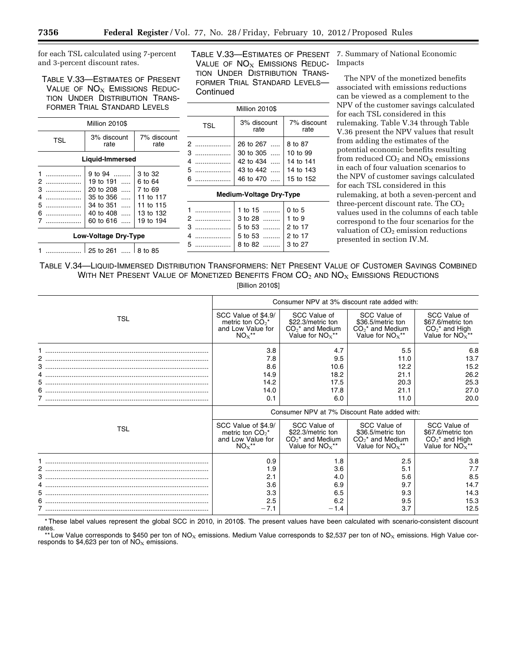for each TSL calculated using 7-percent and 3-percent discount rates.

TABLE V.33—ESTIMATES OF PRESENT VALUE OF  $NO<sub>X</sub>$  EMISSIONS REDUC-TION UNDER DISTRIBUTION TRANS-FORMER TRIAL STANDARD LEVELS

|                       | Million 2010\$                        |                                     | <b>TSL</b>                  | 3% discount<br>rate            | $7%$ dis<br>ra         |
|-----------------------|---------------------------------------|-------------------------------------|-----------------------------|--------------------------------|------------------------|
| <b>TSL</b>            | 3% discount<br>rate                   | 7% discount<br>rate                 | 2                           | 26 to 267                      | 8 to 87                |
|                       | Liquid-Immersed                       |                                     | 3<br>.<br>4<br>.            | 30 to 305<br>42 to 434         | $10$ to $9$<br>14 to 1 |
| .<br>2                | 9 to $94$<br>19 to 191                | 3 to 32<br>6 to 64                  | $5$<br>$6$                  | 43 to 442<br>46 to 470         | 14 to 1<br>15 to 1     |
| 3<br>.<br>4<br>.      | 20 to 208<br>35 to 356                | 7 to 69<br>11 to 117                |                             | <b>Medium-Voltage Dry-Type</b> |                        |
| 5<br>.<br>6<br>.<br>. | 34 to 351<br>40 to 408<br>60 to $616$ | 11 to 115<br>13 to 132<br>19 to 194 | .<br>2                      | 1 to $15$<br>3 to 28           | $0$ to 5<br>1 to $9$   |
|                       | Low-Voltage Dry-Type                  |                                     | 3<br>.<br>. <b>.</b> .<br>5 | 5 to 53<br>5 to 53<br>8 to 82  | 2 to 17<br>2 to 17     |
|                       | 25 to 261    8 to 85                  |                                     | .                           |                                | 3 to 27                |

TABLE V.33—ESTIMATES OF PRESENT VALUE OF  $NO<sub>X</sub>$  EMISSIONS REDUC-TION UNDER DISTRIBUTION TRANS-FORMER TRIAL STANDARD LEVELS— **Continued** 

Million 2010\$

42 to 434 ..... 14 to 141 43 to 442 ..... 14 to 143

................... 46 to 470 ..... 15 to 152 **Medium-Voltage Dry-Type** 

7% discount rate

7. Summary of National Economic Impacts

The NPV of the monetized benefits associated with emissions reductions can be viewed as a complement to the NPV of the customer savings calculated for each TSL considered in this rulemaking. Table V.34 through Table V.36 present the NPV values that result from adding the estimates of the potential economic benefits resulting from reduced  $CO<sub>2</sub>$  and  $NO<sub>X</sub>$  emissions in each of four valuation scenarios to the NPV of customer savings calculated for each TSL considered in this rulemaking, at both a seven-percent and three-percent discount rate. The CO<sub>2</sub> values used in the columns of each table correspond to the four scenarios for the valuation of  $CO<sub>2</sub>$  emission reductions presented in section IV.M.

TABLE V.34—LIQUID-IMMERSED DISTRIBUTION TRANSFORMERS: NET PRESENT VALUE OF CUSTOMER SAVINGS COMBINED WITH NET PRESENT VALUE OF MONETIZED BENEFITS FROM  $CO<sub>2</sub>$  and  $NO<sub>X</sub>$  Emissions Reductions

[Billion 2010\$]

|     | Consumer NPV at 3% discount rate added with:                               |                                                                              |                                                                              |                                                                           |  |  |
|-----|----------------------------------------------------------------------------|------------------------------------------------------------------------------|------------------------------------------------------------------------------|---------------------------------------------------------------------------|--|--|
| TSL | SCC Value of \$4.9/<br>metric ton $CO_2^*$<br>and Low Value for<br>$NOx**$ | SCC Value of<br>\$22.3/metric ton<br>$CO2*$ and Medium<br>Value for $NOx**$  | SCC Value of<br>\$36.5/metric ton<br>$CO2*$ and Medium<br>Value for $NOx**$  | SCC Value of<br>\$67.6/metric ton<br>$CO2*$ and High<br>Value for $NOx**$ |  |  |
|     | 3.8                                                                        | 4.7                                                                          | 5.5                                                                          | 6.8                                                                       |  |  |
|     | 7.8                                                                        | 9.5                                                                          | 11.0                                                                         | 13.7                                                                      |  |  |
| 3   | 8.6                                                                        | 10.6                                                                         | 12.2                                                                         | 15.2                                                                      |  |  |
|     | 14.9                                                                       | 18.2                                                                         | 21.1                                                                         | 26.2                                                                      |  |  |
|     | 14.2                                                                       | 17.5                                                                         | 20.3                                                                         | 25.3                                                                      |  |  |
| 6   | 14.0                                                                       | 17.8                                                                         | 21.1                                                                         | 27.0                                                                      |  |  |
|     | 0.1                                                                        | 6.0                                                                          | 11.0                                                                         | 20.0                                                                      |  |  |
|     |                                                                            |                                                                              | Consumer NPV at 7% Discount Rate added with:                                 |                                                                           |  |  |
|     |                                                                            |                                                                              |                                                                              |                                                                           |  |  |
| TSL | SCC Value of \$4.9/<br>metric ton $CO_2^*$<br>and Low Value for<br>$NOx**$ | SCC Value of<br>\$22.3/metric ton<br>$CO2$ * and Medium<br>Value for $NOx**$ | SCC Value of<br>\$36.5/metric ton<br>$CO2$ * and Medium<br>Value for $NOx**$ | SCC Value of<br>\$67.6/metric ton<br>$CO2*$ and High<br>Value for $NOx**$ |  |  |
|     | 0.9                                                                        | 1.8                                                                          | 2.5                                                                          | 3.8                                                                       |  |  |
|     | 1.9                                                                        | 3.6                                                                          | 5.1                                                                          | 7.7                                                                       |  |  |
|     | 2.1                                                                        | 4.0                                                                          | 5.6                                                                          | 8.5                                                                       |  |  |
|     | 3.6                                                                        | 6.9                                                                          | 9.7                                                                          | 14.7                                                                      |  |  |
|     | 3.3                                                                        | 6.5                                                                          | 9.3                                                                          | 14.3                                                                      |  |  |
| 6   | 2.5<br>$-7.1$                                                              | 6.2<br>$-1.4$                                                                | 9.5<br>3.7                                                                   | 15.3<br>12.5                                                              |  |  |

\* These label values represent the global SCC in 2010, in 2010\$. The present values have been calculated with scenario-consistent discount rates.

\*\* Low Value corresponds to \$450 per ton of NO<sub>X</sub> emissions. Medium Value corresponds to \$2,537 per ton of NO<sub>X</sub> emissions. High Value corresponds to  $$4,623$  per ton of  $NO<sub>x</sub>$  emissions.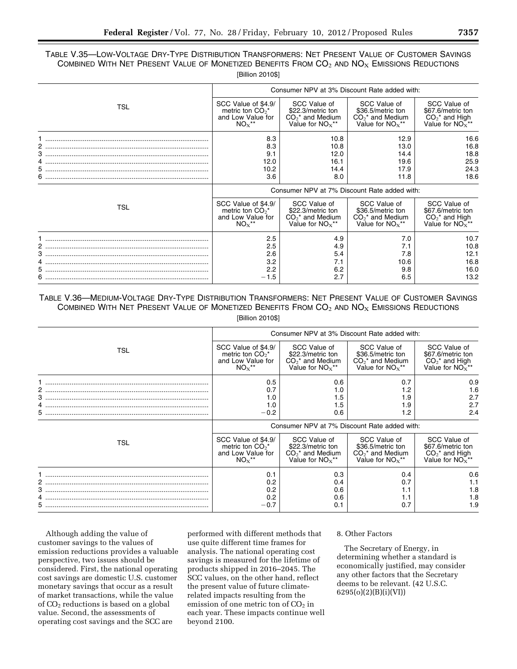## TABLE V.35—LOW-VOLTAGE DRY-TYPE DISTRIBUTION TRANSFORMERS: NET PRESENT VALUE OF CUSTOMER SAVINGS COMBINED WITH NET PRESENT VALUE OF MONETIZED BENEFITS FROM  $CO<sub>2</sub>$  and  $NO<sub>X</sub>$  Emissions Reductions [Billion 2010\$]

|            |                                              | Consumer NPV at 3% Discount Rate added with: |                    |                   |  |  |  |  |
|------------|----------------------------------------------|----------------------------------------------|--------------------|-------------------|--|--|--|--|
| <b>TSL</b> | SCC Value of \$4.9/                          | SCC Value of                                 | SCC Value of       | SCC Value of      |  |  |  |  |
|            | metric ton $CO2*$                            | \$22.3/metric ton                            | \$36.5/metric ton  | \$67.6/metric ton |  |  |  |  |
|            | and Low Value for                            | $CO2$ * and Medium                           | $CO2$ * and Medium | $CO2*$ and High   |  |  |  |  |
|            | $NOx**$                                      | Value for $NOx**$                            | Value for $NOx**$  | Value for $NOx**$ |  |  |  |  |
|            | 8.3                                          | 10.8                                         | 12.9               | 16.6              |  |  |  |  |
|            | 8.3                                          | 10.8                                         | 13.0               | 16.8              |  |  |  |  |
|            | 9.1                                          | 12.0                                         | 14.4               | 18.8              |  |  |  |  |
| 5          | 12.0                                         | 16.1                                         | 19.6               | 25.9              |  |  |  |  |
|            | 10.2                                         | 14.4                                         | 17.9               | 24.3              |  |  |  |  |
|            | 3.6                                          | 8.0                                          | 11.8               | 18.6              |  |  |  |  |
|            | Consumer NPV at 7% Discount Rate added with: |                                              |                    |                   |  |  |  |  |
| <b>TSL</b> | SCC Value of \$4.9/                          | SCC Value of                                 | SCC Value of       | SCC Value of      |  |  |  |  |
|            | metric ton $CO2*$                            | \$22.3/metric ton                            | \$36.5/metric ton  | \$67.6/metric ton |  |  |  |  |
|            | and Low Value for                            | $CO2*$ and Medium                            | $CO2*$ and Medium  | $CO2*$ and High   |  |  |  |  |
|            | $NOx**$                                      | Value for $NOx**$                            | Value for $NOx**$  | Value for $NOx**$ |  |  |  |  |
|            | 2.5                                          | 4.9                                          | 7.0                | 10.7              |  |  |  |  |
|            | 2.5                                          | 4.9                                          | 7.1                | 10.8              |  |  |  |  |
| 4          | 2.6                                          | 5.4                                          | 7.8                | 12.1              |  |  |  |  |
|            | 3.2                                          | 7.1                                          | 10.6               | 16.8              |  |  |  |  |
|            | 2.2                                          | 6.2                                          | 9.8                | 16.0              |  |  |  |  |
|            | $-1.5$                                       | 2.7                                          | 6.5                | 13.2              |  |  |  |  |

## TABLE V.36—MEDIUM-VOLTAGE DRY-TYPE DISTRIBUTION TRANSFORMERS: NET PRESENT VALUE OF CUSTOMER SAVINGS COMBINED WITH NET PRESENT VALUE OF MONETIZED BENEFITS FROM  $CO<sub>2</sub>$  and  $NO<sub>X</sub>$  Emissions Reductions [Billion 2010\$]

|             | Consumer NPV at 3% Discount Rate added with:                                         |                                                                              |                                                                              |                                                                                   |  |  |  |
|-------------|--------------------------------------------------------------------------------------|------------------------------------------------------------------------------|------------------------------------------------------------------------------|-----------------------------------------------------------------------------------|--|--|--|
| TSL         | SCC Value of \$4.9/<br>metric ton $CO2^*$<br>and Low Value for<br>$NOx^{\star\star}$ | SCC Value of<br>\$22.3/metric ton<br>$CO2$ * and Medium<br>Value for $NOx**$ | SCC Value of<br>\$36.5/metric ton<br>$CO2$ * and Medium<br>Value for $NOx**$ | SCC Value of<br>\$67.6/metric ton<br>$CO2*$ and High<br>Value for $NO_X^{\star*}$ |  |  |  |
| 2<br>3<br>5 | $0.5^{\circ}$<br>0.7<br>1.0<br>1.0<br>$-0.2$                                         | 0.6<br>1.0<br>1.5<br>1.5<br>0.6                                              | 0.7<br>1.2<br>1.9<br>1.9<br>1.2                                              | 0.9<br>1.6<br>2.7<br>2.7<br>2.4                                                   |  |  |  |
|             | Consumer NPV at 7% Discount Rate added with:                                         |                                                                              |                                                                              |                                                                                   |  |  |  |
| TSL         | SCC Value of \$4.9/<br>metric ton $CO2^*$<br>and Low Value for<br>$NOx**$            | SCC Value of<br>\$22.3/metric ton<br>$CO2$ * and Medium<br>Value for $NOx**$ | SCC Value of<br>\$36.5/metric ton<br>$CO2$ * and Medium<br>Value for $NOx**$ | SCC Value of<br>\$67.6/metric ton<br>$CO2*$ and High<br>Value for $NOx**$         |  |  |  |
|             | 0.1<br>0.2<br>0.2                                                                    | 0.3<br>0.4<br>0.6                                                            | 0.4<br>0.7                                                                   | 0.6<br>1.1<br>1.8                                                                 |  |  |  |
| 3<br>5.     | 0.2<br>$-0.7$                                                                        | 0.6<br>0.1                                                                   | 1.1<br>1.1<br>0.7                                                            | 1.8<br>1.9                                                                        |  |  |  |

Although adding the value of customer savings to the values of emission reductions provides a valuable perspective, two issues should be considered. First, the national operating cost savings are domestic U.S. customer monetary savings that occur as a result of market transactions, while the value of  $CO<sub>2</sub>$  reductions is based on a global value. Second, the assessments of operating cost savings and the SCC are

performed with different methods that use quite different time frames for analysis. The national operating cost savings is measured for the lifetime of products shipped in 2016–2045. The SCC values, on the other hand, reflect the present value of future climaterelated impacts resulting from the emission of one metric ton of  $CO<sub>2</sub>$  in each year. These impacts continue well beyond 2100.

### 8. Other Factors

The Secretary of Energy, in determining whether a standard is economically justified, may consider any other factors that the Secretary deems to be relevant. (42 U.S.C. 6295(o)(2)(B)(i)(VI))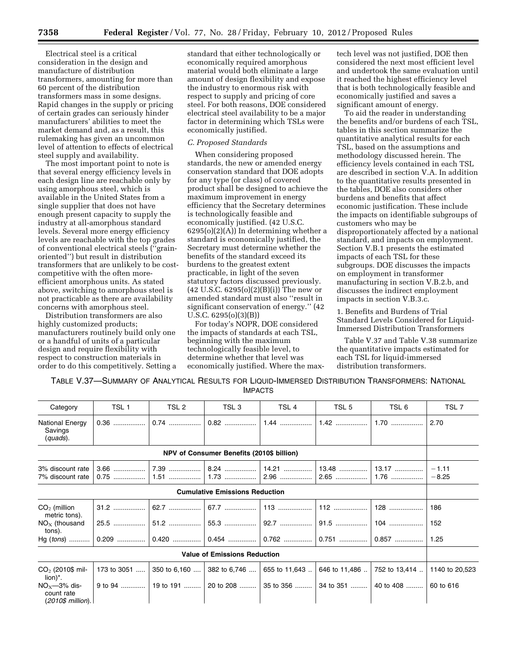Electrical steel is a critical consideration in the design and manufacture of distribution transformers, amounting for more than 60 percent of the distribution transformers mass in some designs. Rapid changes in the supply or pricing of certain grades can seriously hinder manufacturers' abilities to meet the market demand and, as a result, this rulemaking has given an uncommon level of attention to effects of electrical steel supply and availability.

The most important point to note is that several energy efficiency levels in each design line are reachable only by using amorphous steel, which is available in the United States from a single supplier that does not have enough present capacity to supply the industry at all-amorphous standard levels. Several more energy efficiency levels are reachable with the top grades of conventional electrical steels (''grainoriented'') but result in distribution transformers that are unlikely to be costcompetitive with the often moreefficient amorphous units. As stated above, switching to amorphous steel is not practicable as there are availability concerns with amorphous steel.

Distribution transformers are also highly customized products; manufacturers routinely build only one or a handful of units of a particular design and require flexibility with respect to construction materials in order to do this competitively. Setting a

standard that either technologically or economically required amorphous material would both eliminate a large amount of design flexibility and expose the industry to enormous risk with respect to supply and pricing of core steel. For both reasons, DOE considered electrical steel availability to be a major factor in determining which TSLs were economically justified.

#### *C. Proposed Standards*

When considering proposed standards, the new or amended energy conservation standard that DOE adopts for any type (or class) of covered product shall be designed to achieve the maximum improvement in energy efficiency that the Secretary determines is technologically feasible and economically justified. (42 U.S.C.  $6295(o)(2)(A)$  In determining whether a standard is economically justified, the Secretary must determine whether the benefits of the standard exceed its burdens to the greatest extent practicable, in light of the seven statutory factors discussed previously.  $(42 \text{ U.S.C. } 6295(0)(2)(B)(i))$  The new or amended standard must also ''result in significant conservation of energy.'' (42 U.S.C. 6295(o)(3)(B))

For today's NOPR, DOE considered the impacts of standards at each TSL, beginning with the maximum technologically feasible level, to determine whether that level was economically justified. Where the max-

tech level was not justified, DOE then considered the next most efficient level and undertook the same evaluation until it reached the highest efficiency level that is both technologically feasible and economically justified and saves a significant amount of energy.

To aid the reader in understanding the benefits and/or burdens of each TSL, tables in this section summarize the quantitative analytical results for each TSL, based on the assumptions and methodology discussed herein. The efficiency levels contained in each TSL are described in section V.A. In addition to the quantitative results presented in the tables, DOE also considers other burdens and benefits that affect economic justification. These include the impacts on identifiable subgroups of customers who may be disproportionately affected by a national standard, and impacts on employment. Section V.B.1 presents the estimated impacts of each TSL for these subgroups. DOE discusses the impacts on employment in transformer manufacturing in section V.B.2.b, and discusses the indirect employment impacts in section V.B.3.c.

1. Benefits and Burdens of Trial Standard Levels Considered for Liquid-Immersed Distribution Transformers

Table V.37 and Table V.38 summarize the quantitative impacts estimated for each TSL for liquid-immersed distribution transformers.

TABLE V.37—SUMMARY OF ANALYTICAL RESULTS FOR LIQUID-IMMERSED DISTRIBUTION TRANSFORMERS: NATIONAL IMPACTS

| Category                                           | TSL 1               | TSL 2                     | TSL <sub>3</sub>                          | TSL <sub>4</sub>                    | TSL <sub>5</sub> | TSL 6         | TSL 7              |
|----------------------------------------------------|---------------------|---------------------------|-------------------------------------------|-------------------------------------|------------------|---------------|--------------------|
| National Energy<br>Savings<br>(quads).             |                     | 0.74                      | $0.82$                                    | 1.44                                |                  | 1.70          | 2.70               |
|                                                    |                     |                           | NPV of Consumer Benefits (2010\$ billion) |                                     |                  |               |                    |
| 3% discount rate<br>7% discount rate               | 3.66<br>.<br>$0.75$ | 7.39<br>$1.51$            | 8.24<br>1.73                              | 14.21<br>$2.96$                     | 13.48<br>2.65    | 13.17<br>1.76 | $-1.11$<br>$-8.25$ |
|                                                    |                     |                           | <b>Cumulative Emissions Reduction</b>     |                                     |                  |               |                    |
| $CO2$ (million<br>metric tons).                    |                     | 62.7                      | 67.7                                      | 113                                 |                  | 128           | 186                |
| $NOx$ (thousand<br>tons).                          |                     |                           |                                           |                                     | 91.5             | $104$         | 152                |
| $Hg (tons)$                                        |                     |                           |                                           | 0.762                               | 0.751            | $0.857$       | 1.25               |
|                                                    |                     |                           | <b>Value of Emissions Reduction</b>       |                                     |                  |               |                    |
| $CO2$ (2010\$ mil-<br>lion)*.                      |                     | 173 to 3051  350 to 6,160 | 382 to 6,746                              | 655 to 11,643                       | 646 to 11,486    | 752 to 13,414 | 1140 to 20,523     |
| $NOx$ —3% dis-<br>count rate<br>$(2010\$ million). | 9 to 94             |                           |                                           | 19 to 191    20 to 208    35 to 356 | 34 to 351        | 40 to 408     | 60 to 616          |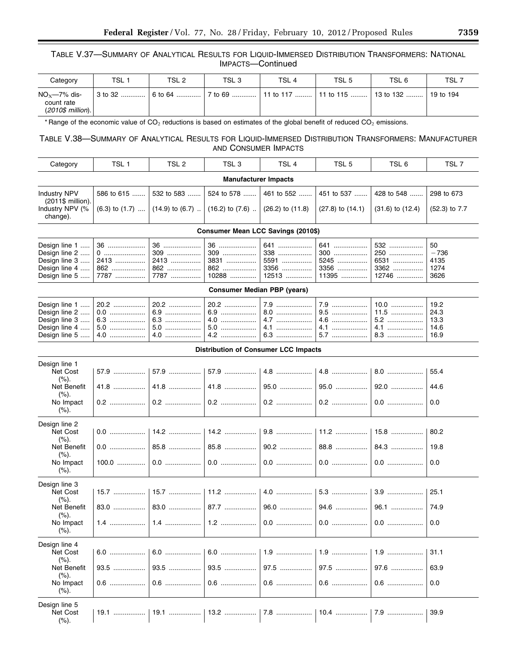## TABLE V.37—SUMMARY OF ANALYTICAL RESULTS FOR LIQUID-IMMERSED DISTRIBUTION TRANSFORMERS: NATIONAL IMPACTS—Continued

| Category                                           | TSL <sub>1</sub> | TSL 2 | TSL <sub>3</sub> | TSL 4                                                 | TSL <sub>5</sub> | TSL 6 | TSL 7     |
|----------------------------------------------------|------------------|-------|------------------|-------------------------------------------------------|------------------|-------|-----------|
| $NOx$ -7% dis-<br>count rate<br>$(2010\$ million). | 3 to 32          |       |                  | 6 to 64   7 to 69   11 to 117   11 to 115   13 to 132 |                  |       | 19 to 194 |

\* Range of the economic value of  $CO_2$  reductions is based on estimates of the global benefit of reduced  $CO_2$  emissions.

## TABLE V.38—SUMMARY OF ANALYTICAL RESULTS FOR LIQUID-IMMERSED DISTRIBUTION TRANSFORMERS: MANUFACTURER AND CONSUMER IMPACTS

| Category                                  | TSL 1      | TSL 2                                                                           | TSL 3      | TSL <sub>4</sub> | TSL 5                    | TSL 6                | TSL7              |  |  |  |
|-------------------------------------------|------------|---------------------------------------------------------------------------------|------------|------------------|--------------------------|----------------------|-------------------|--|--|--|
| <b>Manufacturer Impacts</b>               |            |                                                                                 |            |                  |                          |                      |                   |  |  |  |
| <b>Industry NPV</b><br>$(2011\$ million). | 586 to 615 | 532 to 583                                                                      | 524 to 578 |                  | 451 to 537    428 to 548 |                      | 298 to 673        |  |  |  |
| Industry NPV (%<br>change).               |            | $(6.3)$ to $(1.7)$ $(14.9)$ to $(6.7)$ $(16.2)$ to $(7.6)$ $(26.2)$ to $(11.8)$ |            |                  | $(27.8)$ to $(14.1)$     | $(31.6)$ to $(12.4)$ | $(52.3)$ to $7.7$ |  |  |  |

## **Consumer Mean LCC Savings (2010\$)**

| Design line 2 ……   0 ……………………   309 ………………   309 ………………   338 ………………   300 ………………   250 ………………   -736<br>Design line 3 …… 2413 ……………… 2413 ……………… 3831 ……………… 5591 ……………… 5245 ……………… 6531 ……………… 4135<br>Design line 4 ……   862 …………………   862 ………………   862 ………………   3356 ……………   3356 ………………   3362 ………………   1274 |  |  |  |  |
|--------------------------------------------------------------------------------------------------------------------------------------------------------------------------------------------------------------------------------------------------------------------------------------------------------------------|--|--|--|--|
|                                                                                                                                                                                                                                                                                                                    |  |  |  |  |

| <b>Consumer Median PBP (years)</b>                                                                                                                                                                                             |  |  |  |  |  |                                                             |      |  |  |  |
|--------------------------------------------------------------------------------------------------------------------------------------------------------------------------------------------------------------------------------|--|--|--|--|--|-------------------------------------------------------------|------|--|--|--|
| 14.6   سيستشير 14.1   سيستشير 14.1   سيستشير 1.4.1   1.0   1.0   1.0   1.0   1.0   1.0   1.0   1.0   1.0   1.0   1.0   1.0   1.0   1.0   1.0   1.0   1.0   1.0   1.0   1.0   1.0   1.0   1.0   1.0   1.0   1.0   1.0   1.0   1 |  |  |  |  |  | │ 9.5  │ 11.5  │ 24.3<br>│ 5.7 ………………… │ 8.3 ………………… │ 16.9 | 19.2 |  |  |  |

|                               | <b>Distribution of Consumer LCC Impacts</b> |        |        |        |         |        |      |  |  |  |  |
|-------------------------------|---------------------------------------------|--------|--------|--------|---------|--------|------|--|--|--|--|
| Design line 1                 |                                             |        |        |        |         |        |      |  |  |  |  |
| Net Cost<br>$(\%).$           | 57.9                                        | 57.9   | 57.9   |        | $4.8$   | 8.0    | 55.4 |  |  |  |  |
| <b>Net Benefit</b><br>$(\%).$ | 41.8                                        | $41.8$ | $41.8$ | 95.0   | 95.0    | 92.0   | 44.6 |  |  |  |  |
| No Impact<br>$(\%).$          | 0.2                                         | $0.2$  |        |        | $0.2$   | $0.0$  | 0.0  |  |  |  |  |
| Design line 2                 |                                             |        |        |        |         |        |      |  |  |  |  |
| Net Cost<br>$(\%).$           | 0.0                                         | $14.2$ | 14.2   |        | 11.2    | $15.8$ | 80.2 |  |  |  |  |
| Net Benefit<br>$(\%).$        | $0.0$                                       | 85.8   | 85.8   | 90.2   | 88.8    | 84.3   | 19.8 |  |  |  |  |
| No Impact<br>$(\%).$          | 100.0                                       |        |        |        | $0.0\,$ | $0.0$  | 0.0  |  |  |  |  |
| Design line 3                 |                                             |        |        |        |         |        |      |  |  |  |  |
| Net Cost<br>$(\%).$           | 15.7                                        | 15.7   | 11.2   | 4.0    | 5.3     | 3.9    | 25.1 |  |  |  |  |
| Net Benefit<br>$(\%).$        | 83.0                                        | $83.0$ | 87.7   | 96.0   | 94.6    | 96.1   | 74.9 |  |  |  |  |
| No Impact<br>$(\%).$          | $1.4$                                       | $1.4$  |        |        | $0.0$   | 0.0    | 0.0  |  |  |  |  |
| Design line 4                 |                                             |        |        |        |         |        |      |  |  |  |  |
| Net Cost<br>(%).              | 6.0                                         | 6.0    | $6.0$  |        | $1.9$   | $1.9$  | 31.1 |  |  |  |  |
| Net Benefit<br>(%).           | 93.5<br>                                    | $93.5$ | 93.5   | $97.5$ | $97.5$  | $97.6$ | 63.9 |  |  |  |  |
| No Impact<br>$(\%).$          | $0.6$                                       | $0.6$  | $0.6$  |        | $0.6\,$ | $0.6$  | 0.0  |  |  |  |  |
| Design line 5<br>Net Cost     |                                             | 19.1   |        |        |         |        | 39.9 |  |  |  |  |
| $(\%).$                       |                                             |        |        |        |         |        |      |  |  |  |  |

e.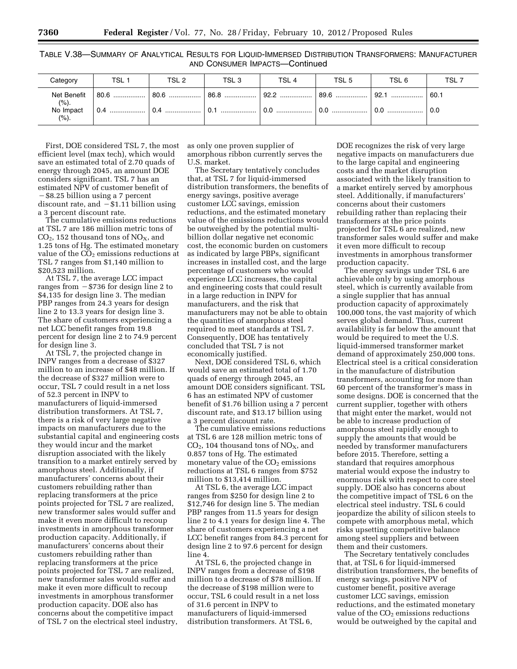TABLE V.38—SUMMARY OF ANALYTICAL RESULTS FOR LIQUID-IMMERSED DISTRIBUTION TRANSFORMERS: MANUFACTURER AND CONSUMER IMPACTS—Continued

| Category                                    | TSL <sub>1</sub>                  | TSL 2                                                                                             | TSL <sub>3</sub> | TSL 4 | TSL <sub>5</sub> | TSL 6 | TSL 7       |
|---------------------------------------------|-----------------------------------|---------------------------------------------------------------------------------------------------|------------------|-------|------------------|-------|-------------|
| Net Benefit<br>(%).<br>No Impact<br>$(\%).$ | │ 80.6  │ 80.6  │ 86.8  │ 92.2  │ | │ 0.4 …………………    │ 0.4 …………………    │ 0.1 …………………    │ 0.0 …………………    │ 0.0 …………………    │ 0.0 ……………… |                  |       | 89.6    92.1     |       | 60.1<br>0.0 |

First, DOE considered TSL 7, the most efficient level (max tech), which would save an estimated total of 2.70 quads of energy through 2045, an amount DOE considers significant. TSL 7 has an estimated NPV of customer benefit of ¥\$8.25 billion using a 7 percent discount rate, and  $- $1.11$  billion using a 3 percent discount rate.

The cumulative emissions reductions at TSL 7 are 186 million metric tons of  $CO<sub>2</sub>$ , 152 thousand tons of NO<sub>X</sub>, and 1.25 tons of Hg. The estimated monetary value of the  $CO<sub>2</sub>$  emissions reductions at TSL 7 ranges from \$1,140 million to \$20,523 million.

At TSL 7, the average LCC impact ranges from  $-$  \$736 for design line 2 to \$4,135 for design line 3. The median PBP ranges from 24.3 years for design line 2 to 13.3 years for design line 3. The share of customers experiencing a net LCC benefit ranges from 19.8 percent for design line 2 to 74.9 percent for design line 3.

At TSL 7, the projected change in INPV ranges from a decrease of \$327 million to an increase of \$48 million. If the decrease of \$327 million were to occur, TSL 7 could result in a net loss of 52.3 percent in INPV to manufacturers of liquid-immersed distribution transformers. At TSL 7, there is a risk of very large negative impacts on manufacturers due to the substantial capital and engineering costs they would incur and the market disruption associated with the likely transition to a market entirely served by amorphous steel. Additionally, if manufacturers' concerns about their customers rebuilding rather than replacing transformers at the price points projected for TSL 7 are realized, new transformer sales would suffer and make it even more difficult to recoup investments in amorphous transformer production capacity. Additionally, if manufacturers' concerns about their customers rebuilding rather than replacing transformers at the price points projected for TSL 7 are realized, new transformer sales would suffer and make it even more difficult to recoup investments in amorphous transformer production capacity. DOE also has concerns about the competitive impact of TSL 7 on the electrical steel industry,

as only one proven supplier of amorphous ribbon currently serves the U.S. market.

The Secretary tentatively concludes that, at TSL 7 for liquid-immersed distribution transformers, the benefits of energy savings, positive average customer LCC savings, emission reductions, and the estimated monetary value of the emissions reductions would be outweighed by the potential multibillion dollar negative net economic cost, the economic burden on customers as indicated by large PBPs, significant increases in installed cost, and the large percentage of customers who would experience LCC increases, the capital and engineering costs that could result in a large reduction in INPV for manufacturers, and the risk that manufacturers may not be able to obtain the quantities of amorphous steel required to meet standards at TSL 7. Consequently, DOE has tentatively concluded that TSL 7 is not economically justified.

Next, DOE considered TSL 6, which would save an estimated total of 1.70 quads of energy through 2045, an amount DOE considers significant. TSL 6 has an estimated NPV of customer benefit of \$1.76 billion using a 7 percent discount rate, and \$13.17 billion using a 3 percent discount rate.

The cumulative emissions reductions at TSL 6 are 128 million metric tons of  $CO<sub>2</sub>$ , 104 thousand tons of  $NO<sub>X</sub>$ , and 0.857 tons of Hg. The estimated monetary value of the  $CO<sub>2</sub>$  emissions reductions at TSL 6 ranges from \$752 million to \$13,414 million.

At TSL 6, the average LCC impact ranges from \$250 for design line 2 to \$12,746 for design line 5. The median PBP ranges from 11.5 years for design line 2 to 4.1 years for design line 4. The share of customers experiencing a net LCC benefit ranges from 84.3 percent for design line 2 to 97.6 percent for design line 4.

At TSL 6, the projected change in INPV ranges from a decrease of \$198 million to a decrease of \$78 million. If the decrease of \$198 million were to occur, TSL 6 could result in a net loss of 31.6 percent in INPV to manufacturers of liquid-immersed distribution transformers. At TSL 6,

DOE recognizes the risk of very large negative impacts on manufacturers due to the large capital and engineering costs and the market disruption associated with the likely transition to a market entirely served by amorphous steel. Additionally, if manufacturers' concerns about their customers rebuilding rather than replacing their transformers at the price points projected for TSL 6 are realized, new transformer sales would suffer and make it even more difficult to recoup investments in amorphous transformer production capacity.

The energy savings under TSL 6 are achievable only by using amorphous steel, which is currently available from a single supplier that has annual production capacity of approximately 100,000 tons, the vast majority of which serves global demand. Thus, current availability is far below the amount that would be required to meet the U.S. liquid-immersed transformer market demand of approximately 250,000 tons. Electrical steel is a critical consideration in the manufacture of distribution transformers, accounting for more than 60 percent of the transformer's mass in some designs. DOE is concerned that the current supplier, together with others that might enter the market, would not be able to increase production of amorphous steel rapidly enough to supply the amounts that would be needed by transformer manufacturers before 2015. Therefore, setting a standard that requires amorphous material would expose the industry to enormous risk with respect to core steel supply. DOE also has concerns about the competitive impact of TSL 6 on the electrical steel industry. TSL 6 could jeopardize the ability of silicon steels to compete with amorphous metal, which risks upsetting competitive balance among steel suppliers and between them and their customers.

The Secretary tentatively concludes that, at TSL 6 for liquid-immersed distribution transformers, the benefits of energy savings, positive NPV of customer benefit, positive average customer LCC savings, emission reductions, and the estimated monetary value of the  $CO<sub>2</sub>$  emissions reductions would be outweighed by the capital and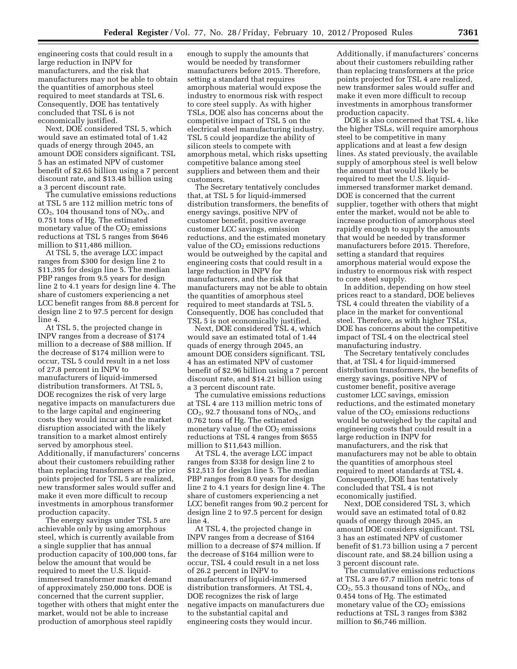engineering costs that could result in a large reduction in INPV for manufacturers, and the risk that manufacturers may not be able to obtain the quantities of amorphous steel required to meet standards at TSL 6. Consequently, DOE has tentatively concluded that TSL 6 is not economically justified.

Next, DOE considered TSL 5, which would save an estimated total of 1.42 quads of energy through 2045, an amount DOE considers significant. TSL 5 has an estimated NPV of customer benefit of \$2.65 billion using a 7 percent discount rate, and \$13.48 billion using a 3 percent discount rate.

The cumulative emissions reductions at TSL 5 are 112 million metric tons of  $CO<sub>2</sub>$ , 104 thousand tons of NO<sub>x</sub>, and 0.751 tons of Hg. The estimated monetary value of the  $CO<sub>2</sub>$  emissions reductions at TSL 5 ranges from \$646 million to \$11,486 million.

At TSL 5, the average LCC impact ranges from \$300 for design line 2 to \$11,395 for design line 5. The median PBP ranges from 9.5 years for design line 2 to 4.1 years for design line 4. The share of customers experiencing a net LCC benefit ranges from 88.8 percent for design line 2 to 97.5 percent for design line 4.

At TSL 5, the projected change in INPV ranges from a decrease of \$174 million to a decrease of \$88 million. If the decrease of \$174 million were to occur, TSL 5 could result in a net loss of 27.8 percent in INPV to manufacturers of liquid-immersed distribution transformers. At TSL 5, DOE recognizes the risk of very large negative impacts on manufacturers due to the large capital and engineering costs they would incur and the market disruption associated with the likely transition to a market almost entirely served by amorphous steel. Additionally, if manufacturers' concerns about their customers rebuilding rather than replacing transformers at the price points projected for TSL 5 are realized, new transformer sales would suffer and make it even more difficult to recoup investments in amorphous transformer production capacity.

The energy savings under TSL 5 are achievable only by using amorphous steel, which is currently available from a single supplier that has annual production capacity of 100,000 tons, far below the amount that would be required to meet the U.S. liquidimmersed transformer market demand of approximately 250,000 tons. DOE is concerned that the current supplier, together with others that might enter the market, would not be able to increase production of amorphous steel rapidly

enough to supply the amounts that would be needed by transformer manufacturers before 2015. Therefore, setting a standard that requires amorphous material would expose the industry to enormous risk with respect to core steel supply. As with higher TSLs, DOE also has concerns about the competitive impact of TSL 5 on the electrical steel manufacturing industry. TSL 5 could jeopardize the ability of silicon steels to compete with amorphous metal, which risks upsetting competitive balance among steel suppliers and between them and their customers.

The Secretary tentatively concludes that, at TSL 5 for liquid-immersed distribution transformers, the benefits of energy savings, positive NPV of customer benefit, positive average customer LCC savings, emission reductions, and the estimated monetary value of the  $CO<sub>2</sub>$  emissions reductions would be outweighed by the capital and engineering costs that could result in a large reduction in INPV for manufacturers, and the risk that manufacturers may not be able to obtain the quantities of amorphous steel required to meet standards at TSL 5. Consequently, DOE has concluded that TSL 5 is not economically justified.

Next, DOE considered TSL 4, which would save an estimated total of 1.44 quads of energy through 2045, an amount DOE considers significant. TSL 4 has an estimated NPV of customer benefit of \$2.96 billion using a 7 percent discount rate, and \$14.21 billion using a 3 percent discount rate.

The cumulative emissions reductions at TSL 4 are 113 million metric tons of  $CO<sub>2</sub>$ , 92.7 thousand tons of  $NO<sub>X</sub>$ , and 0.762 tons of Hg. The estimated monetary value of the  $CO<sub>2</sub>$  emissions reductions at TSL 4 ranges from \$655 million to \$11,643 million.

At TSL 4, the average LCC impact ranges from \$338 for design line 2 to \$12,513 for design line 5. The median PBP ranges from 8.0 years for design line 2 to 4.1 years for design line 4. The share of customers experiencing a net LCC benefit ranges from 90.2 percent for design line 2 to 97.5 percent for design line 4.

At TSL 4, the projected change in INPV ranges from a decrease of \$164 million to a decrease of \$74 million. If the decrease of \$164 million were to occur, TSL 4 could result in a net loss of 26.2 percent in INPV to manufacturers of liquid-immersed distribution transformers. At TSL 4, DOE recognizes the risk of large negative impacts on manufacturers due to the substantial capital and engineering costs they would incur.

Additionally, if manufacturers' concerns about their customers rebuilding rather than replacing transformers at the price points projected for TSL 4 are realized, new transformer sales would suffer and make it even more difficult to recoup investments in amorphous transformer production capacity.

DOE is also concerned that TSL 4, like the higher TSLs, will require amorphous steel to be competitive in many applications and at least a few design lines. As stated previously, the available supply of amorphous steel is well below the amount that would likely be required to meet the U.S. liquidimmersed transformer market demand. DOE is concerned that the current supplier, together with others that might enter the market, would not be able to increase production of amorphous steel rapidly enough to supply the amounts that would be needed by transformer manufacturers before 2015. Therefore, setting a standard that requires amorphous material would expose the industry to enormous risk with respect to core steel supply.

In addition, depending on how steel prices react to a standard, DOE believes TSL 4 could threaten the viability of a place in the market for conventional steel. Therefore, as with higher TSLs, DOE has concerns about the competitive impact of TSL 4 on the electrical steel manufacturing industry.

The Secretary tentatively concludes that, at TSL 4 for liquid-immersed distribution transformers, the benefits of energy savings, positive NPV of customer benefit, positive average customer LCC savings, emission reductions, and the estimated monetary value of the  $CO<sub>2</sub>$  emissions reductions would be outweighed by the capital and engineering costs that could result in a large reduction in INPV for manufacturers, and the risk that manufacturers may not be able to obtain the quantities of amorphous steel required to meet standards at TSL 4. Consequently, DOE has tentatively concluded that TSL 4 is not economically justified.

Next, DOE considered TSL 3, which would save an estimated total of 0.82 quads of energy through 2045, an amount DOE considers significant. TSL 3 has an estimated NPV of customer benefit of \$1.73 billion using a 7 percent discount rate, and \$8.24 billion using a 3 percent discount rate.

The cumulative emissions reductions at TSL 3 are 67.7 million metric tons of  $CO<sub>2</sub>$ , 55.3 thousand tons of NO<sub>X</sub>, and 0.454 tons of Hg. The estimated monetary value of the  $CO<sub>2</sub>$  emissions reductions at TSL 3 ranges from \$382 million to \$6,746 million.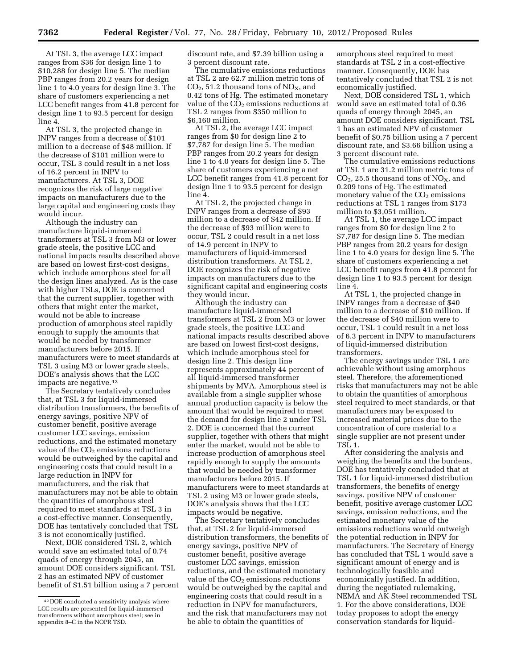At TSL 3, the average LCC impact ranges from \$36 for design line 1 to \$10,288 for design line 5. The median PBP ranges from 20.2 years for design line 1 to 4.0 years for design line 3. The share of customers experiencing a net LCC benefit ranges from 41.8 percent for design line 1 to 93.5 percent for design line 4.

At TSL 3, the projected change in INPV ranges from a decrease of \$101 million to a decrease of \$48 million. If the decrease of \$101 million were to occur, TSL 3 could result in a net loss of 16.2 percent in INPV to manufacturers. At TSL 3, DOE recognizes the risk of large negative impacts on manufacturers due to the large capital and engineering costs they would incur.

Although the industry can manufacture liquid-immersed transformers at TSL 3 from M3 or lower grade steels, the positive LCC and national impacts results described above are based on lowest first-cost designs, which include amorphous steel for all the design lines analyzed. As is the case with higher TSLs, DOE is concerned that the current supplier, together with others that might enter the market, would not be able to increase production of amorphous steel rapidly enough to supply the amounts that would be needed by transformer manufacturers before 2015. If manufacturers were to meet standards at TSL 3 using M3 or lower grade steels, DOE's analysis shows that the LCC impacts are negative.42

The Secretary tentatively concludes that, at TSL 3 for liquid-immersed distribution transformers, the benefits of energy savings, positive NPV of customer benefit, positive average customer LCC savings, emission reductions, and the estimated monetary value of the  $CO<sub>2</sub>$  emissions reductions would be outweighed by the capital and engineering costs that could result in a large reduction in INPV for manufacturers, and the risk that manufacturers may not be able to obtain the quantities of amorphous steel required to meet standards at TSL 3 in a cost-effective manner. Consequently, DOE has tentatively concluded that TSL 3 is not economically justified.

Next, DOE considered TSL 2, which would save an estimated total of 0.74 quads of energy through 2045, an amount DOE considers significant. TSL 2 has an estimated NPV of customer benefit of \$1.51 billion using a 7 percent discount rate, and \$7.39 billion using a 3 percent discount rate.

The cumulative emissions reductions at TSL 2 are 62.7 million metric tons of  $CO<sub>2</sub>$ , 51.2 thousand tons of  $NO<sub>X</sub>$ , and 0.42 tons of Hg. The estimated monetary value of the  $CO<sub>2</sub>$  emissions reductions at TSL 2 ranges from \$350 million to \$6,160 million.

At TSL 2, the average LCC impact ranges from \$0 for design line 2 to \$7,787 for design line 5. The median PBP ranges from 20.2 years for design line 1 to 4.0 years for design line 5. The share of customers experiencing a net LCC benefit ranges from 41.8 percent for design line 1 to 93.5 percent for design line 4

At TSL 2, the projected change in INPV ranges from a decrease of \$93 million to a decrease of \$42 million. If the decrease of \$93 million were to occur, TSL 2 could result in a net loss of 14.9 percent in INPV to manufacturers of liquid-immersed distribution transformers. At TSL 2, DOE recognizes the risk of negative impacts on manufacturers due to the significant capital and engineering costs they would incur.

Although the industry can manufacture liquid-immersed transformers at TSL 2 from M3 or lower grade steels, the positive LCC and national impacts results described above are based on lowest first-cost designs, which include amorphous steel for design line 2. This design line represents approximately 44 percent of all liquid-immersed transformer shipments by MVA. Amorphous steel is available from a single supplier whose annual production capacity is below the amount that would be required to meet the demand for design line 2 under TSL 2. DOE is concerned that the current supplier, together with others that might enter the market, would not be able to increase production of amorphous steel rapidly enough to supply the amounts that would be needed by transformer manufacturers before 2015. If manufacturers were to meet standards at TSL 2 using M3 or lower grade steels, DOE's analysis shows that the LCC impacts would be negative.

The Secretary tentatively concludes that, at TSL 2 for liquid-immersed distribution transformers, the benefits of energy savings, positive NPV of customer benefit, positive average customer LCC savings, emission reductions, and the estimated monetary value of the  $CO<sub>2</sub>$  emissions reductions would be outweighed by the capital and engineering costs that could result in a reduction in INPV for manufacturers, and the risk that manufacturers may not be able to obtain the quantities of

amorphous steel required to meet standards at TSL 2 in a cost-effective manner. Consequently, DOE has tentatively concluded that TSL 2 is not economically justified.

Next, DOE considered TSL 1, which would save an estimated total of 0.36 quads of energy through 2045, an amount DOE considers significant. TSL 1 has an estimated NPV of customer benefit of \$0.75 billion using a 7 percent discount rate, and \$3.66 billion using a 3 percent discount rate.

The cumulative emissions reductions at TSL 1 are 31.2 million metric tons of  $CO<sub>2</sub>$ , 25.5 thousand tons of NO<sub>x</sub>, and 0.209 tons of Hg. The estimated monetary value of the  $CO<sub>2</sub>$  emissions reductions at TSL 1 ranges from \$173 million to \$3,051 million.

At TSL 1, the average LCC impact ranges from \$0 for design line 2 to \$7,787 for design line 5. The median PBP ranges from 20.2 years for design line 1 to 4.0 years for design line 5. The share of customers experiencing a net LCC benefit ranges from 41.8 percent for design line 1 to 93.5 percent for design line 4.

At TSL 1, the projected change in INPV ranges from a decrease of \$40 million to a decrease of \$10 million. If the decrease of \$40 million were to occur, TSL 1 could result in a net loss of 6.3 percent in INPV to manufacturers of liquid-immersed distribution transformers.

The energy savings under TSL 1 are achievable without using amorphous steel. Therefore, the aforementioned risks that manufacturers may not be able to obtain the quantities of amorphous steel required to meet standards, or that manufacturers may be exposed to increased material prices due to the concentration of core material to a single supplier are not present under TSL 1.

After considering the analysis and weighing the benefits and the burdens, DOE has tentatively concluded that at TSL 1 for liquid-immersed distribution transformers, the benefits of energy savings, positive NPV of customer benefit, positive average customer LCC savings, emission reductions, and the estimated monetary value of the emissions reductions would outweigh the potential reduction in INPV for manufacturers. The Secretary of Energy has concluded that TSL 1 would save a significant amount of energy and is technologically feasible and economically justified. In addition, during the negotiated rulemaking, NEMA and AK Steel recommended TSL 1. For the above considerations, DOE today proposes to adopt the energy conservation standards for liquid-

<sup>42</sup> DOE conducted a sensitivity analysis where LCC results are presented for liquid-immersed transformers without amorphous steel; see in appendix 8-C in the NOPR TSD.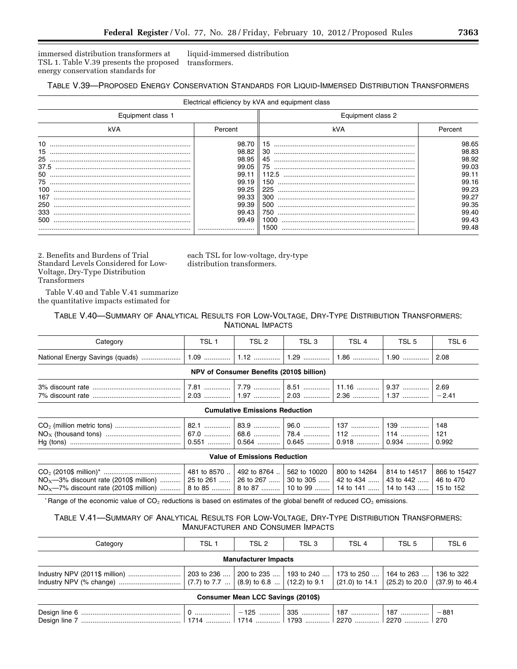immersed distribution transformers at TSL 1. Table V.39 presents the proposed energy conservation standards for

liquid-immersed distribution transformers.

## TABLE V.39—PROPOSED ENERGY CONSERVATION STANDARDS FOR LIQUID-IMMERSED DISTRIBUTION TRANSFORMERS

|                   |                | Electrical efficiency by kVA and equipment class |                |  |  |
|-------------------|----------------|--------------------------------------------------|----------------|--|--|
| Equipment class 1 |                | Equipment class 2                                |                |  |  |
| kVA               | kVA<br>Percent |                                                  | Percent        |  |  |
| 10                | 98.70          | 15                                               | 98.65          |  |  |
| 15                | 98.82          | 30                                               | 98.83          |  |  |
| 37.5              | 98.95<br>99.05 | 45<br>75                                         | 98.92<br>99.03 |  |  |
|                   | 99.11          |                                                  | 99.11          |  |  |
|                   | 99.19          | 150                                              | 99.16          |  |  |
| 100               | 99.25          | 225                                              | 99.23          |  |  |
| 167               | 99.33          | 300                                              | 99.27          |  |  |
| 250               | 99.39          | 500                                              | 99.35          |  |  |
| 333               | 99.43          | 750                                              | 99.40          |  |  |
| 500               | 99.49          |                                                  | 99.43          |  |  |
|                   |                | 1500                                             | 99.48          |  |  |

2. Benefits and Burdens of Trial Standard Levels Considered for Low-Voltage, Dry-Type Distribution Transformers

Table V.40 and Table V.41 summarize the quantitative impacts estimated for

each TSL for low-voltage, dry-type distribution transformers.

# TABLE V.40—SUMMARY OF ANALYTICAL RESULTS FOR LOW-VOLTAGE, DRY-TYPE DISTRIBUTION TRANSFORMERS: NATIONAL IMPACTS

| <i>Σ</i> ateαorv                | TSL.      | <b>TOL</b><br>3L Z | TCL<br>י ⊃∟ י | <b>TCI</b><br>ञ∟ | ن ∟ت      | י ∟כ י |
|---------------------------------|-----------|--------------------|---------------|------------------|-----------|--------|
| National Energy Savings (quads) | 1.09<br>. |                    | 1.29<br>.     | 1.86<br>.        | 1.90<br>. | 2.08   |

**NPV of Consumer Benefits (2010\$ billion)** 

| 3% discount rate | ں. ا<br>.           |             | ບ.ບ<br>.             | 1. I V<br>.    | .ບ<br>    | 2.69          |
|------------------|---------------------|-------------|----------------------|----------------|-----------|---------------|
| 7% discount rate | $\sim$<br>c.uu<br>. | $\cdot$<br> | $\sim$<br>. د.س<br>. | 36<br>ںں.ے<br> | ن. ا<br>. | 4<br><u>.</u> |
|                  |                     |             |                      |                |           |               |

#### **Cumulative Emissions Reduction**

|  |  |  | 148   |
|--|--|--|-------|
|  |  |  |       |
|  |  |  | 0.992 |

#### **Value of Emissions Reduction**

|                                                                                                             | $^{\prime}$ 481 to 8570    492 to 8764    562 to 10020 $\,$   800 to 14264 $\,$   814 to 14517 $^{\prime}$ |  | 866 to 15427 |
|-------------------------------------------------------------------------------------------------------------|------------------------------------------------------------------------------------------------------------|--|--------------|
| $NO_x$ —3% discount rate (2010\$ million)  25 to 261  26 to 267  30 to 305  42 to 434  43 to 442  46 to 470 |                                                                                                            |  |              |
| $NO_x$ -7% discount rate (2010\$ million)  8 to 85  8 to 87  10 to 99  14 to 141  14 to 143  15 to 152      |                                                                                                            |  |              |

\* Range of the economic value of  $CO_2$  reductions is based on estimates of the global benefit of reduced  $CO_2$  emissions.

# TABLE V.41—SUMMARY OF ANALYTICAL RESULTS FOR LOW-VOLTAGE, DRY-TYPE DISTRIBUTION TRANSFORMERS: MANUFACTURER AND CONSUMER IMPACTS

| Category                                                                                     | TSL <sub>1</sub>                       | TSL 2 | TSL 3 | TSL <sub>4</sub> | TSL <sub>5</sub>                                                             | TSL 6 |  |  |  |
|----------------------------------------------------------------------------------------------|----------------------------------------|-------|-------|------------------|------------------------------------------------------------------------------|-------|--|--|--|
| <b>Manufacturer Impacts</b>                                                                  |                                        |       |       |                  |                                                                              |       |  |  |  |
| Industry NPV (% change) $\ldots$ $(7.7)$ to 7.7 $\ldots$ (8.9) to 6.8 $\ldots$ (12.2) to 9.1 | 203 to 236    200 to 235    193 to 240 |       |       | 173 to 250       | 164 to 263  136 to 322<br>$(21.0)$ to 14.1 $(25.2)$ to 20.0 $(37.9)$ to 46.4 |       |  |  |  |
| Consumer Mean LCC Savings (2010\$)                                                           |                                        |       |       |                  |                                                                              |       |  |  |  |
|                                                                                              |                                        |       |       |                  |                                                                              |       |  |  |  |

Design line 7 ..................................................... 1714 ............. 1714 ............. 1793 ............. 2270 ............. 2270 ............. 270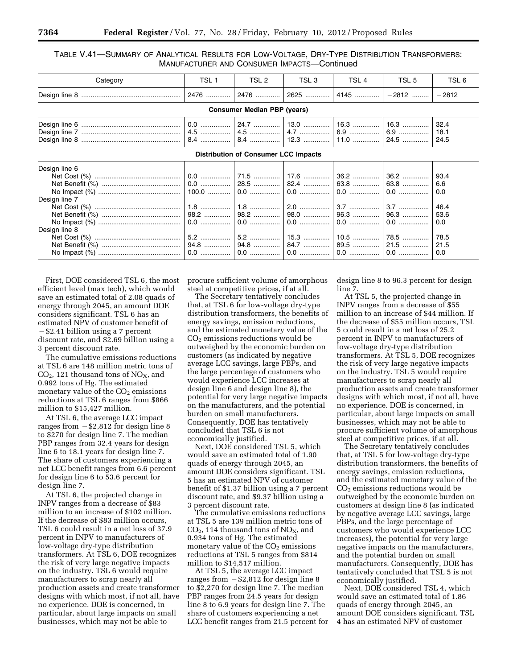### TABLE V.41—SUMMARY OF ANALYTICAL RESULTS FOR LOW-VOLTAGE, DRY-TYPE DISTRIBUTION TRANSFORMERS: MANUFACTURER AND CONSUMER IMPACTS—Continued

| Category                                                              | TSL 1 | TSL 2 | TSL <sub>3</sub> | TSL 4        | TSL 5 | TSL 6   |  |  |  |
|-----------------------------------------------------------------------|-------|-------|------------------|--------------|-------|---------|--|--|--|
|                                                                       |       |       |                  | 2625    4145 | -2812 | $-2812$ |  |  |  |
| <b>Consumer Median PBP (years)</b>                                    |       |       |                  |              |       |         |  |  |  |
|                                                                       |       |       |                  |              |       | 32.4    |  |  |  |
|                                                                       |       |       |                  |              |       | 18.1    |  |  |  |
|                                                                       |       |       |                  |              |       | 24.5    |  |  |  |
| <b>Distribution of Consumer LCC Impacts</b>                           |       |       |                  |              |       |         |  |  |  |
| Design line 6                                                         |       |       |                  |              |       |         |  |  |  |
|                                                                       |       |       |                  |              |       | 93.4    |  |  |  |
|                                                                       |       |       |                  |              |       | 6.6     |  |  |  |
|                                                                       |       |       |                  |              |       | 0.0     |  |  |  |
| Design line 7                                                         |       |       |                  |              |       |         |  |  |  |
|                                                                       |       |       |                  |              |       | 46.4    |  |  |  |
|                                                                       |       |       |                  |              |       | 53.6    |  |  |  |
|                                                                       |       |       |                  |              |       | 0.0     |  |  |  |
| Design line 8                                                         |       |       |                  |              |       |         |  |  |  |
|                                                                       |       |       |                  |              |       | 78.5    |  |  |  |
| Net Benefit (%) ……………………………………   94.8 ……………   94.8 ……………   84.7 …………… |       |       |                  |              |       | 21.5    |  |  |  |
|                                                                       |       |       |                  |              |       |         |  |  |  |

First, DOE considered TSL 6, the most efficient level (max tech), which would save an estimated total of 2.08 quads of energy through 2045, an amount DOE considers significant. TSL 6 has an estimated NPV of customer benefit of  $-$ \$2.41 billion using a 7 percent discount rate, and \$2.69 billion using a 3 percent discount rate.

The cumulative emissions reductions at TSL 6 are 148 million metric tons of  $CO<sub>2</sub>$ , 121 thousand tons of  $NO<sub>X</sub>$ , and 0.992 tons of Hg. The estimated monetary value of the  $CO<sub>2</sub>$  emissions reductions at TSL 6 ranges from \$866 million to \$15,427 million.

At TSL 6, the average LCC impact ranges from  $-$  \$2,812 for design line 8 to \$270 for design line 7. The median PBP ranges from 32.4 years for design line 6 to 18.1 years for design line 7. The share of customers experiencing a net LCC benefit ranges from 6.6 percent for design line 6 to 53.6 percent for design line 7.

At TSL 6, the projected change in INPV ranges from a decrease of \$83 million to an increase of \$102 million. If the decrease of \$83 million occurs, TSL 6 could result in a net loss of 37.9 percent in INPV to manufacturers of low-voltage dry-type distribution transformers. At TSL 6, DOE recognizes the risk of very large negative impacts on the industry. TSL 6 would require manufacturers to scrap nearly all production assets and create transformer designs with which most, if not all, have no experience. DOE is concerned, in particular, about large impacts on small businesses, which may not be able to

procure sufficient volume of amorphous steel at competitive prices, if at all.

The Secretary tentatively concludes that, at TSL 6 for low-voltage dry-type distribution transformers, the benefits of energy savings, emission reductions, and the estimated monetary value of the CO2 emissions reductions would be outweighed by the economic burden on customers (as indicated by negative average LCC savings, large PBPs, and the large percentage of customers who would experience LCC increases at design line 6 and design line 8), the potential for very large negative impacts on the manufacturers, and the potential burden on small manufacturers. Consequently, DOE has tentatively concluded that TSL 6 is not economically justified.

Next, DOE considered TSL 5, which would save an estimated total of 1.90 quads of energy through 2045, an amount DOE considers significant. TSL 5 has an estimated NPV of customer benefit of \$1.37 billion using a 7 percent discount rate, and \$9.37 billion using a 3 percent discount rate.

The cumulative emissions reductions at TSL 5 are 139 million metric tons of  $CO<sub>2</sub>$ , 114 thousand tons of NO<sub>X</sub>, and 0.934 tons of Hg. The estimated monetary value of the  $CO<sub>2</sub>$  emissions reductions at TSL 5 ranges from \$814 million to \$14,517 million.

At TSL 5, the average LCC impact ranges from  $-$  \$2,812 for design line 8 to \$2,270 for design line 7. The median PBP ranges from 24.5 years for design line 8 to 6.9 years for design line 7. The share of customers experiencing a net LCC benefit ranges from 21.5 percent for design line 8 to 96.3 percent for design line 7.

At TSL 5, the projected change in INPV ranges from a decrease of \$55 million to an increase of \$44 million. If the decrease of \$55 million occurs, TSL 5 could result in a net loss of 25.2 percent in INPV to manufacturers of low-voltage dry-type distribution transformers. At TSL 5, DOE recognizes the risk of very large negative impacts on the industry. TSL 5 would require manufacturers to scrap nearly all production assets and create transformer designs with which most, if not all, have no experience. DOE is concerned, in particular, about large impacts on small businesses, which may not be able to procure sufficient volume of amorphous steel at competitive prices, if at all.

The Secretary tentatively concludes that, at TSL 5 for low-voltage dry-type distribution transformers, the benefits of energy savings, emission reductions, and the estimated monetary value of the  $CO<sub>2</sub>$  emissions reductions would be outweighed by the economic burden on customers at design line 8 (as indicated by negative average LCC savings, large PBPs, and the large percentage of customers who would experience LCC increases), the potential for very large negative impacts on the manufacturers, and the potential burden on small manufacturers. Consequently, DOE has tentatively concluded that TSL 5 is not economically justified.

Next, DOE considered TSL 4, which would save an estimated total of 1.86 quads of energy through 2045, an amount DOE considers significant. TSL 4 has an estimated NPV of customer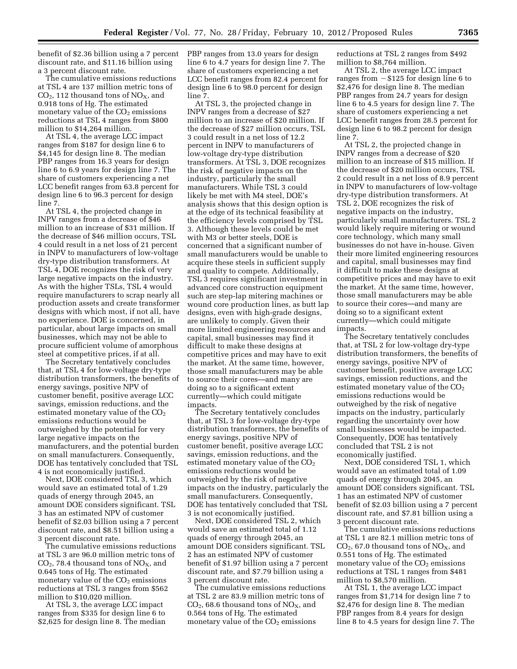benefit of \$2.36 billion using a 7 percent discount rate, and \$11.16 billion using a 3 percent discount rate.

The cumulative emissions reductions at TSL 4 are 137 million metric tons of  $CO<sub>2</sub>$ , 112 thousand tons of NO<sub>X</sub>, and 0.918 tons of Hg. The estimated monetary value of the  $CO<sub>2</sub>$  emissions reductions at TSL 4 ranges from \$800 million to \$14,264 million.

At TSL 4, the average LCC impact ranges from \$187 for design line 6 to \$4,145 for design line 8. The median PBP ranges from 16.3 years for design line 6 to 6.9 years for design line 7. The share of customers experiencing a net LCC benefit ranges from 63.8 percent for design line 6 to 96.3 percent for design line 7.

At TSL 4, the projected change in INPV ranges from a decrease of \$46 million to an increase of \$31 million. If the decrease of \$46 million occurs, TSL 4 could result in a net loss of 21 percent in INPV to manufacturers of low-voltage dry-type distribution transformers. At TSL 4, DOE recognizes the risk of very large negative impacts on the industry. As with the higher TSLs, TSL 4 would require manufacturers to scrap nearly all production assets and create transformer designs with which most, if not all, have no experience. DOE is concerned, in particular, about large impacts on small businesses, which may not be able to procure sufficient volume of amorphous steel at competitive prices, if at all.

The Secretary tentatively concludes that, at TSL 4 for low-voltage dry-type distribution transformers, the benefits of energy savings, positive NPV of customer benefit, positive average LCC savings, emission reductions, and the estimated monetary value of the  $CO<sub>2</sub>$ emissions reductions would be outweighed by the potential for very large negative impacts on the manufacturers, and the potential burden on small manufacturers. Consequently, DOE has tentatively concluded that TSL 4 is not economically justified.

Next, DOE considered TSL 3, which would save an estimated total of 1.29 quads of energy through 2045, an amount DOE considers significant. TSL 3 has an estimated NPV of customer benefit of \$2.03 billion using a 7 percent discount rate, and \$8.51 billion using a 3 percent discount rate.

The cumulative emissions reductions at TSL 3 are 96.0 million metric tons of  $CO<sub>2</sub>$ , 78.4 thousand tons of  $NO<sub>X</sub>$ , and 0.645 tons of Hg. The estimated monetary value of the  $CO<sub>2</sub>$  emissions reductions at TSL 3 ranges from \$562 million to \$10,020 million.

At TSL 3, the average LCC impact ranges from \$335 for design line 6 to \$2,625 for design line 8. The median PBP ranges from 13.0 years for design line 6 to 4.7 years for design line 7. The share of customers experiencing a net LCC benefit ranges from 82.4 percent for design line 6 to 98.0 percent for design line 7.

At TSL 3, the projected change in INPV ranges from a decrease of \$27 million to an increase of \$20 million. If the decrease of \$27 million occurs, TSL 3 could result in a net loss of 12.2 percent in INPV to manufacturers of low-voltage dry-type distribution transformers. At TSL 3, DOE recognizes the risk of negative impacts on the industry, particularly the small manufacturers. While TSL 3 could likely be met with M4 steel, DOE's analysis shows that this design option is at the edge of its technical feasibility at the efficiency levels comprised by TSL 3. Although these levels could be met with M3 or better steels, DOE is concerned that a significant number of small manufacturers would be unable to acquire these steels in sufficient supply and quality to compete. Additionally, TSL 3 requires significant investment in advanced core construction equipment such are step-lap mitering machines or wound core production lines, as butt lap designs, even with high-grade designs, are unlikely to comply. Given their more limited engineering resources and capital, small businesses may find it difficult to make these designs at competitive prices and may have to exit the market. At the same time, however, those small manufacturers may be able to source their cores—and many are doing so to a significant extent currently—which could mitigate impacts.

The Secretary tentatively concludes that, at TSL 3 for low-voltage dry-type distribution transformers, the benefits of energy savings, positive NPV of customer benefit, positive average LCC savings, emission reductions, and the estimated monetary value of the  $CO<sub>2</sub>$ emissions reductions would be outweighed by the risk of negative impacts on the industry, particularly the small manufacturers. Consequently, DOE has tentatively concluded that TSL 3 is not economically justified.

Next, DOE considered TSL 2, which would save an estimated total of 1.12 quads of energy through 2045, an amount DOE considers significant. TSL 2 has an estimated NPV of customer benefit of \$1.97 billion using a 7 percent discount rate, and \$7.79 billion using a 3 percent discount rate.

The cumulative emissions reductions at TSL 2 are 83.9 million metric tons of  $CO<sub>2</sub>$ , 68.6 thousand tons of  $NO<sub>X</sub>$ , and 0.564 tons of Hg. The estimated monetary value of the  $CO<sub>2</sub>$  emissions

reductions at TSL 2 ranges from \$492 million to \$8,764 million.

At TSL 2, the average LCC impact ranges from  $- $125$  for design line 6 to \$2,476 for design line 8. The median PBP ranges from 24.7 years for design line 6 to 4.5 years for design line 7. The share of customers experiencing a net LCC benefit ranges from 28.5 percent for design line 6 to 98.2 percent for design line 7.

At TSL 2, the projected change in INPV ranges from a decrease of \$20 million to an increase of \$15 million. If the decrease of \$20 million occurs, TSL 2 could result in a net loss of 8.9 percent in INPV to manufacturers of low-voltage dry-type distribution transformers. At TSL 2, DOE recognizes the risk of negative impacts on the industry, particularly small manufacturers. TSL 2 would likely require mitering or wound core technology, which many small businesses do not have in-house. Given their more limited engineering resources and capital, small businesses may find it difficult to make these designs at competitive prices and may have to exit the market. At the same time, however, those small manufacturers may be able to source their cores—and many are doing so to a significant extent currently—which could mitigate impacts.

The Secretary tentatively concludes that, at TSL 2 for low-voltage dry-type distribution transformers, the benefits of energy savings, positive NPV of customer benefit, positive average LCC savings, emission reductions, and the estimated monetary value of the  $CO<sub>2</sub>$ emissions reductions would be outweighed by the risk of negative impacts on the industry, particularly regarding the uncertainty over how small businesses would be impacted. Consequently, DOE has tentatively concluded that TSL 2 is not economically justified.

Next, DOE considered TSL 1, which would save an estimated total of 1.09 quads of energy through 2045, an amount DOE considers significant. TSL 1 has an estimated NPV of customer benefit of \$2.03 billion using a 7 percent discount rate, and \$7.81 billion using a 3 percent discount rate.

The cumulative emissions reductions at TSL 1 are 82.1 million metric tons of  $CO<sub>2</sub>$ , 67.0 thousand tons of NO<sub>x</sub>, and 0.551 tons of Hg. The estimated monetary value of the  $CO<sub>2</sub>$  emissions reductions at TSL 1 ranges from \$481 million to \$8,570 million.

At TSL 1, the average LCC impact ranges from \$1,714 for design line 7 to \$2,476 for design line 8. The median PBP ranges from 8.4 years for design line 8 to 4.5 years for design line 7. The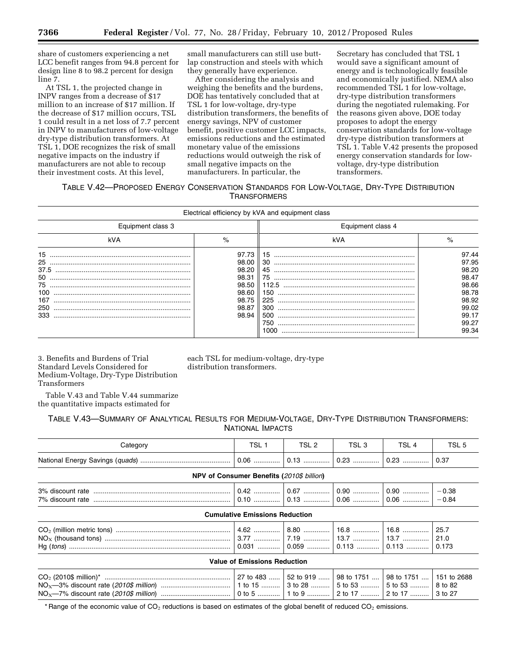share of customers experiencing a net LCC benefit ranges from 94.8 percent for design line 8 to 98.2 percent for design line 7.

At TSL 1, the projected change in INPV ranges from a decrease of \$17 million to an increase of \$17 million. If the decrease of \$17 million occurs, TSL 1 could result in a net loss of 7.7 percent in INPV to manufacturers of low-voltage dry-type distribution transformers. At TSL 1, DOE recognizes the risk of small negative impacts on the industry if manufacturers are not able to recoup their investment costs. At this level,

small manufacturers can still use buttlap construction and steels with which they generally have experience.

After considering the analysis and weighing the benefits and the burdens, DOE has tentatively concluded that at TSL 1 for low-voltage, dry-type distribution transformers, the benefits of energy savings, NPV of customer benefit, positive customer LCC impacts, emissions reductions and the estimated monetary value of the emissions reductions would outweigh the risk of small negative impacts on the manufacturers. In particular, the

Secretary has concluded that TSL 1 would save a significant amount of energy and is technologically feasible and economically justified. NEMA also recommended TSL 1 for low-voltage, dry-type distribution transformers during the negotiated rulemaking. For the reasons given above, DOE today proposes to adopt the energy conservation standards for low-voltage dry-type distribution transformers at TSL 1. Table V.42 presents the proposed energy conservation standards for lowvoltage, dry-type distribution transformers.

## TABLE V.42—PROPOSED ENERGY CONSERVATION STANDARDS FOR LOW-VOLTAGE, DRY-TYPE DISTRIBUTION **TRANSFORMERS**

|                                                          |                                                                               | Electrical efficiency by kVA and equipment class    |                                                                               |
|----------------------------------------------------------|-------------------------------------------------------------------------------|-----------------------------------------------------|-------------------------------------------------------------------------------|
| Equipment class 3                                        |                                                                               | Equipment class 4                                   |                                                                               |
| kVA                                                      | $\%$                                                                          | kVA                                                 | $\%$                                                                          |
| 15<br>25<br>37.5<br>50<br>75<br>100<br>167<br>250<br>333 | 97.73<br>98.00<br>98.20<br>98.31<br>98.50<br>98.60<br>98.75<br>98.87<br>98.94 | 30<br>45<br>75<br>112.5<br>150<br>225<br>300<br>500 | 97.44<br>97.95<br>98.20<br>98.47<br>98.66<br>98.78<br>98.92<br>99.02<br>99.17 |
|                                                          |                                                                               | 750<br>1000                                         | 99.27<br>99.34                                                                |

3. Benefits and Burdens of Trial Standard Levels Considered for Medium-Voltage, Dry-Type Distribution Transformers

each TSL for medium-voltage, dry-type distribution transformers.

Table V.43 and Table V.44 summarize the quantitative impacts estimated for

TABLE V.43—SUMMARY OF ANALYTICAL RESULTS FOR MEDIUM-VOLTAGE, DRY-TYPE DISTRIBUTION TRANSFORMERS: NATIONAL IMPACTS

| Category                            | TSL <sub>1</sub>                          | TSL 2 | TSL <sub>3</sub> | TSL <sub>4</sub> | TSL <sub>5</sub>      |  |  |
|-------------------------------------|-------------------------------------------|-------|------------------|------------------|-----------------------|--|--|
|                                     |                                           |       |                  |                  | 0.37                  |  |  |
|                                     | NPV of Consumer Benefits (2010\$ billion) |       |                  |                  |                       |  |  |
|                                     |                                           |       |                  |                  | $-0.38$<br>$-0.84$    |  |  |
|                                     | <b>Cumulative Emissions Reduction</b>     |       |                  |                  |                       |  |  |
|                                     |                                           |       |                  |                  | 25.7<br>21.0<br>0.173 |  |  |
| <b>Value of Emissions Reduction</b> |                                           |       |                  |                  |                       |  |  |
|                                     |                                           |       |                  |                  | 8 to 82               |  |  |

\* Range of the economic value of  $CO<sub>2</sub>$  reductions is based on estimates of the global benefit of reduced  $CO<sub>2</sub>$  emissions.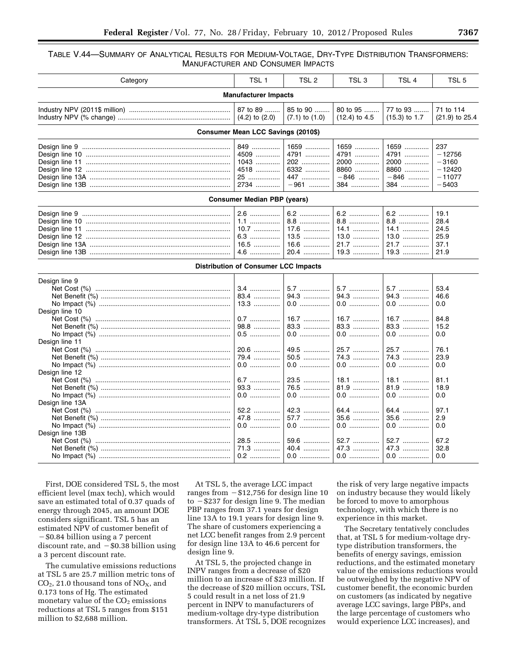### TABLE V.44—SUMMARY OF ANALYTICAL RESULTS FOR MEDIUM-VOLTAGE, DRY-TYPE DISTRIBUTION TRANSFORMERS: MANUFACTURER AND CONSUMER IMPACTS

| Category                                          | TSL <sub>1</sub>                                   | TSL <sub>2</sub>                                       | TSL 3                                                  | TSL <sub>4</sub>                                       | TSL <sub>5</sub>                                              |  |  |  |
|---------------------------------------------------|----------------------------------------------------|--------------------------------------------------------|--------------------------------------------------------|--------------------------------------------------------|---------------------------------------------------------------|--|--|--|
| <b>Manufacturer Impacts</b>                       |                                                    |                                                        |                                                        |                                                        |                                                               |  |  |  |
|                                                   | 87 to 89<br>$(4.2)$ to $(2.0)$                     | 85 to 90<br>$(7.1)$ to $(1.0)$                         | 80 to 95<br>$(12.4)$ to 4.5                            | 77 to 93<br>$(15.3)$ to 1.7                            | 71 to 114<br>$(21.9)$ to 25.4                                 |  |  |  |
|                                                   | Consumer Mean LCC Savings (2010\$)                 |                                                        |                                                        |                                                        |                                                               |  |  |  |
|                                                   | 849<br>4509<br>1043<br>4518<br>25<br>2734          | 1659<br>4791<br>202<br>6332<br>447<br>$-961$           | 1659<br>4791<br>2000<br>8860<br>$-846$<br>384          | 1659<br>4791<br>2000<br>8860<br>$-846$<br>384          | 237<br>$-12756$<br>$-3160$<br>$-12420$<br>$-11077$<br>$-5403$ |  |  |  |
|                                                   | <b>Consumer Median PBP (years)</b>                 |                                                        |                                                        |                                                        |                                                               |  |  |  |
|                                                   | $2.6$<br>$1.1$<br>$10.7$<br>6.3<br>$16.5$<br>$4.6$ | 6.2<br>8.8<br>$17.6$<br>13.5<br>16.6<br>20.4           | 6.2<br>8.8<br>14.1<br>13.0<br>21.7<br>$19.3$           | 6.2<br>8.8<br>$14.1$<br>13.0<br>21.7<br>$19.3$         | 19.1<br>28.4<br>24.5<br>25.9<br>37.1<br>21.9                  |  |  |  |
|                                                   | <b>Distribution of Consumer LCC Impacts</b>        |                                                        |                                                        |                                                        |                                                               |  |  |  |
| Design line 9<br>Design line 10<br>Design line 11 | $3.4$<br>83.4<br>$13.3$<br>0.7<br>98.8<br>$0.5$    | 5.7<br>94.3<br>0.0<br>$16.7$<br>83.3<br>$0.0$          | 5.7<br>$94.3$<br>$0.0$<br>16.7<br>83.3<br>$0.0$        | 5.7<br>94.3<br>$0.0$<br>$16.7$<br>83.3<br>$0.0$        | 53.4<br>46.6<br>0.0<br>84.8<br>15.2<br>0.0                    |  |  |  |
| Design line 12<br>Design line 13A                 | 20.6<br>79.4<br>0.0<br>6.7<br>93.3<br>0.0<br>52.2  | 49.5<br>50.5<br>$0.0$<br>23.5<br>76.5<br>$0.0$<br>42.3 | 25.7<br>74.3<br>$0.0$<br>18.1<br>81.9<br>$0.0$<br>64.4 | 25.7<br>74.3<br>0.0<br>$18.1$<br>$81.9$<br>0.0<br>64.4 | 76.1<br>23.9<br>0.0<br>81.1<br>18.9<br>0.0<br>97.1            |  |  |  |
| Design line 13B                                   | 47.8<br>$0.0$<br>28.5<br>71.3<br>0.2               | 57.7<br>$0.0$<br>59.6<br>40.4<br>0.0                   | 35.6<br>$0.0$<br>52.7<br>47.3<br>0.0                   | 35.6<br>.<br>$0.0$<br>52.7<br>47.3<br>0.0              | 2.9<br>0.0<br>67.2<br>32.8<br>0.0                             |  |  |  |

First, DOE considered TSL 5, the most efficient level (max tech), which would save an estimated total of 0.37 quads of energy through 2045, an amount DOE considers significant. TSL 5 has an estimated NPV of customer benefit of  $-$ \$0.84 billion using a 7 percent discount rate, and  $-$  \$0.38 billion using a 3 percent discount rate.

The cumulative emissions reductions at TSL 5 are 25.7 million metric tons of  $CO<sub>2</sub>$ , 21.0 thousand tons of NO<sub>X</sub>, and 0.173 tons of Hg. The estimated monetary value of the  $CO<sub>2</sub>$  emissions reductions at TSL 5 ranges from \$151 million to \$2,688 million.

At TSL 5, the average LCC impact ranges from  $-$  \$12,756 for design line 10 to  $-$ \$237 for design line 9. The median PBP ranges from 37.1 years for design line 13A to 19.1 years for design line 9. The share of customers experiencing a net LCC benefit ranges from 2.9 percent for design line 13A to 46.6 percent for design line 9.

At TSL 5, the projected change in INPV ranges from a decrease of \$20 million to an increase of \$23 million. If the decrease of \$20 million occurs, TSL 5 could result in a net loss of 21.9 percent in INPV to manufacturers of medium-voltage dry-type distribution transformers. At TSL 5, DOE recognizes

the risk of very large negative impacts on industry because they would likely be forced to move to amorphous technology, with which there is no experience in this market.

The Secretary tentatively concludes that, at TSL 5 for medium-voltage drytype distribution transformers, the benefits of energy savings, emission reductions, and the estimated monetary value of the emissions reductions would be outweighed by the negative NPV of customer benefit, the economic burden on customers (as indicated by negative average LCC savings, large PBPs, and the large percentage of customers who would experience LCC increases), and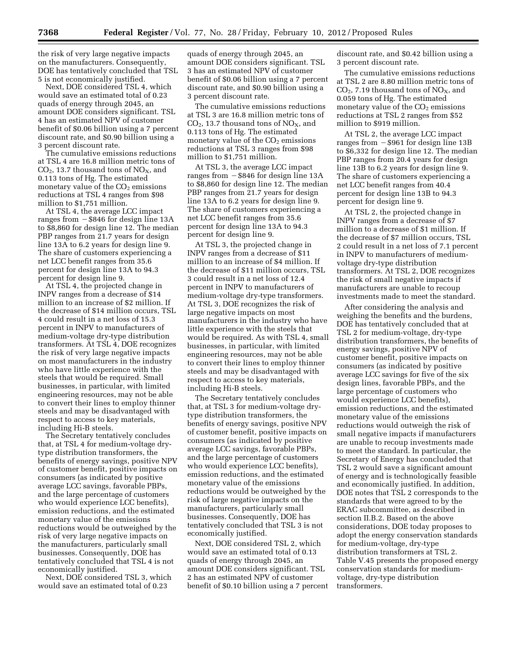the risk of very large negative impacts on the manufacturers. Consequently, DOE has tentatively concluded that TSL 5 is not economically justified.

Next, DOE considered TSL 4, which would save an estimated total of 0.23 quads of energy through 2045, an amount DOE considers significant. TSL 4 has an estimated NPV of customer benefit of \$0.06 billion using a 7 percent discount rate, and \$0.90 billion using a 3 percent discount rate.

The cumulative emissions reductions at TSL 4 are 16.8 million metric tons of  $CO<sub>2</sub>$ , 13.7 thousand tons of  $NO<sub>X</sub>$ , and 0.113 tons of Hg. The estimated monetary value of the  $CO<sub>2</sub>$  emissions reductions at TSL 4 ranges from \$98 million to \$1,751 million.

At TSL 4, the average LCC impact ranges from  $-$  \$846 for design line 13A to \$8,860 for design line 12. The median PBP ranges from 21.7 years for design line 13A to 6.2 years for design line 9. The share of customers experiencing a net LCC benefit ranges from 35.6 percent for design line 13A to 94.3 percent for design line 9.

At TSL 4, the projected change in INPV ranges from a decrease of \$14 million to an increase of \$2 million. If the decrease of \$14 million occurs, TSL 4 could result in a net loss of 15.3 percent in INPV to manufacturers of medium-voltage dry-type distribution transformers. At TSL 4, DOE recognizes the risk of very large negative impacts on most manufacturers in the industry who have little experience with the steels that would be required. Small businesses, in particular, with limited engineering resources, may not be able to convert their lines to employ thinner steels and may be disadvantaged with respect to access to key materials, including Hi-B steels.

The Secretary tentatively concludes that, at TSL 4 for medium-voltage drytype distribution transformers, the benefits of energy savings, positive NPV of customer benefit, positive impacts on consumers (as indicated by positive average LCC savings, favorable PBPs, and the large percentage of customers who would experience LCC benefits), emission reductions, and the estimated monetary value of the emissions reductions would be outweighed by the risk of very large negative impacts on the manufacturers, particularly small businesses. Consequently, DOE has tentatively concluded that TSL 4 is not economically justified.

Next, DOE considered TSL 3, which would save an estimated total of 0.23

quads of energy through 2045, an amount DOE considers significant. TSL 3 has an estimated NPV of customer benefit of \$0.06 billion using a 7 percent discount rate, and \$0.90 billion using a 3 percent discount rate.

The cumulative emissions reductions at TSL 3 are 16.8 million metric tons of  $CO<sub>2</sub>$ , 13.7 thousand tons of  $NO<sub>X</sub>$ , and 0.113 tons of Hg. The estimated monetary value of the  $CO<sub>2</sub>$  emissions reductions at TSL 3 ranges from \$98 million to \$1,751 million.

At TSL 3, the average LCC impact ranges from  $-$  \$846 for design line 13A to \$8,860 for design line 12. The median PBP ranges from 21.7 years for design line 13A to 6.2 years for design line 9. The share of customers experiencing a net LCC benefit ranges from 35.6 percent for design line 13A to 94.3 percent for design line 9.

At TSL 3, the projected change in INPV ranges from a decrease of \$11 million to an increase of \$4 million. If the decrease of \$11 million occurs, TSL 3 could result in a net loss of 12.4 percent in INPV to manufacturers of medium-voltage dry-type transformers. At TSL 3, DOE recognizes the risk of large negative impacts on most manufacturers in the industry who have little experience with the steels that would be required. As with TSL 4, small businesses, in particular, with limited engineering resources, may not be able to convert their lines to employ thinner steels and may be disadvantaged with respect to access to key materials, including Hi-B steels.

The Secretary tentatively concludes that, at TSL 3 for medium-voltage drytype distribution transformers, the benefits of energy savings, positive NPV of customer benefit, positive impacts on consumers (as indicated by positive average LCC savings, favorable PBPs, and the large percentage of customers who would experience LCC benefits), emission reductions, and the estimated monetary value of the emissions reductions would be outweighed by the risk of large negative impacts on the manufacturers, particularly small businesses. Consequently, DOE has tentatively concluded that TSL 3 is not economically justified.

Next, DOE considered TSL 2, which would save an estimated total of 0.13 quads of energy through 2045, an amount DOE considers significant. TSL 2 has an estimated NPV of customer benefit of \$0.10 billion using a 7 percent discount rate, and \$0.42 billion using a 3 percent discount rate.

The cumulative emissions reductions at TSL 2 are 8.80 million metric tons of  $CO<sub>2</sub>$ , 7.19 thousand tons of NO<sub>X</sub>, and 0.059 tons of Hg. The estimated monetary value of the  $CO<sub>2</sub>$  emissions reductions at TSL 2 ranges from \$52 million to \$919 million.

At TSL 2, the average LCC impact ranges from  $-$  \$961 for design line 13B to \$6,332 for design line 12. The median PBP ranges from 20.4 years for design line 13B to 6.2 years for design line 9. The share of customers experiencing a net LCC benefit ranges from 40.4 percent for design line 13B to 94.3 percent for design line 9.

At TSL 2, the projected change in INPV ranges from a decrease of \$7 million to a decrease of \$1 million. If the decrease of \$7 million occurs, TSL 2 could result in a net loss of 7.1 percent in INPV to manufacturers of mediumvoltage dry-type distribution transformers. At TSL 2, DOE recognizes the risk of small negative impacts if manufacturers are unable to recoup investments made to meet the standard.

After considering the analysis and weighing the benefits and the burdens, DOE has tentatively concluded that at TSL 2 for medium-voltage, dry-type distribution transformers, the benefits of energy savings, positive NPV of customer benefit, positive impacts on consumers (as indicated by positive average LCC savings for five of the six design lines, favorable PBPs, and the large percentage of customers who would experience LCC benefits), emission reductions, and the estimated monetary value of the emissions reductions would outweigh the risk of small negative impacts if manufacturers are unable to recoup investments made to meet the standard. In particular, the Secretary of Energy has concluded that TSL 2 would save a significant amount of energy and is technologically feasible and economically justified. In addition, DOE notes that TSL 2 corresponds to the standards that were agreed to by the ERAC subcommittee, as described in section II.B.2. Based on the above considerations, DOE today proposes to adopt the energy conservation standards for medium-voltage, dry-type distribution transformers at TSL 2. Table V.45 presents the proposed energy conservation standards for mediumvoltage, dry-type distribution transformers.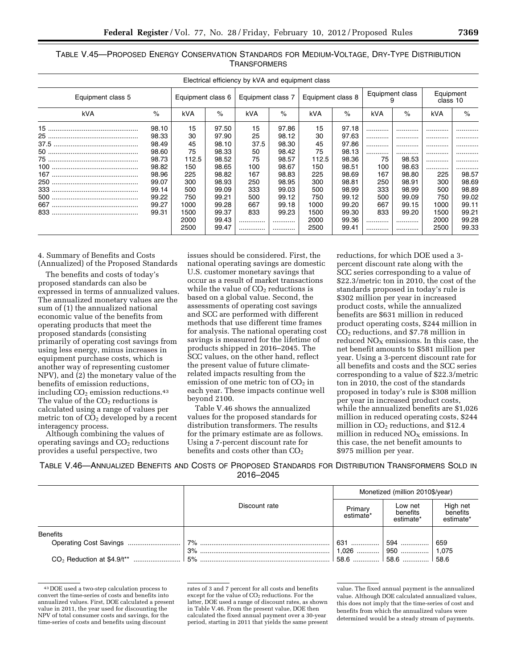|                   |       |                   |       | Electrical efficiency by kVA and equipment class |       |                   |       |                 |       |                       |       |
|-------------------|-------|-------------------|-------|--------------------------------------------------|-------|-------------------|-------|-----------------|-------|-----------------------|-------|
| Equipment class 5 |       | Equipment class 6 |       | Equipment class 7                                |       | Equipment class 8 |       | Equipment class |       | Equipment<br>class 10 |       |
| kVA               | $\%$  | kVA               | $\%$  | kVA                                              | $\%$  | kVA               | $\%$  | kVA             | $\%$  | kVA                   | $\%$  |
|                   | 98.10 | 15                | 97.50 | 15                                               | 97.86 | 15                | 97.18 |                 | .     |                       |       |
|                   | 98.33 | 30                | 97.90 | 25                                               | 98.12 | 30                | 97.63 | .               |       |                       | .     |
|                   | 98.49 | 45                | 98.10 | 37.5                                             | 98.30 | 45                | 97.86 | .               |       |                       | .     |
|                   | 98.60 | 75                | 98.33 | 50                                               | 98.42 | 75                | 98.13 | .               |       |                       |       |
|                   | 98.73 | 112.5             | 98.52 | 75                                               | 98.57 | 112.5             | 98.36 | 75              | 98.53 |                       | .     |
|                   | 98.82 | 150               | 98.65 | 100                                              | 98.67 | 150               | 98.51 | 100             | 98.63 |                       | .     |
|                   | 98.96 | 225               | 98.82 | 167                                              | 98.83 | 225               | 98.69 | 167             | 98.80 | 225                   | 98.57 |
|                   | 99.07 | 300               | 98.93 | 250                                              | 98.95 | 300               | 98.81 | 250             | 98.91 | 300                   | 98.69 |
|                   | 99.14 | 500               | 99.09 | 333                                              | 99.03 | 500               | 98.99 | 333             | 98.99 | 500                   | 98.89 |
|                   | 99.22 | 750               | 99.21 | 500                                              | 99.12 | 750               | 99.12 | 500             | 99.09 | 750                   | 99.02 |
|                   | 99.27 | 1000              | 99.28 | 667                                              | 99.18 | 1000              | 99.20 | 667             | 99.15 | 1000                  | 99.11 |
|                   | 99.31 | 1500              | 99.37 | 833                                              | 99.23 | 1500              | 99.30 | 833             | 99.20 | 1500                  | 99.21 |
|                   |       | 2000              | 99.43 |                                                  |       | 2000              | 99.36 | .               |       | 2000                  | 99.28 |
|                   |       | 2500              | 99.47 |                                                  |       | 2500              | 99.41 | .               |       | 2500                  | 99.33 |

TABLE V.45—PROPOSED ENERGY CONSERVATION STANDARDS FOR MEDIUM-VOLTAGE, DRY-TYPE DISTRIBUTION **TRANSFORMERS** 

4. Summary of Benefits and Costs (Annualized) of the Proposed Standards

The benefits and costs of today's proposed standards can also be expressed in terms of annualized values. The annualized monetary values are the sum of (1) the annualized national economic value of the benefits from operating products that meet the proposed standards (consisting primarily of operating cost savings from using less energy, minus increases in equipment purchase costs, which is another way of representing customer NPV), and (2) the monetary value of the benefits of emission reductions, including  $CO<sub>2</sub>$  emission reductions.<sup>43</sup> The value of the  $CO<sub>2</sub>$  reductions is calculated using a range of values per metric ton of  $\overline{CO}_2$  developed by a recent interagency process.

Although combining the values of operating savings and  $CO<sub>2</sub>$  reductions provides a useful perspective, two

issues should be considered. First, the national operating savings are domestic U.S. customer monetary savings that occur as a result of market transactions while the value of  $CO<sub>2</sub>$  reductions is based on a global value. Second, the assessments of operating cost savings and SCC are performed with different methods that use different time frames for analysis. The national operating cost savings is measured for the lifetime of products shipped in 2016–2045. The SCC values, on the other hand, reflect the present value of future climaterelated impacts resulting from the emission of one metric ton of  $CO<sub>2</sub>$  in each year. These impacts continue well beyond 2100.

Table V.46 shows the annualized values for the proposed standards for distribution transformers. The results for the primary estimate are as follows. Using a 7-percent discount rate for benefits and costs other than  $CO<sub>2</sub>$ 

reductions, for which DOE used a 3 percent discount rate along with the SCC series corresponding to a value of \$22.3/metric ton in 2010, the cost of the standards proposed in today's rule is \$302 million per year in increased product costs, while the annualized benefits are \$631 million in reduced product operating costs, \$244 million in  $CO<sub>2</sub>$  reductions, and \$7.78 million in reduced  $NO<sub>X</sub>$  emissions. In this case, the net benefit amounts to \$581 million per year. Using a 3-percent discount rate for all benefits and costs and the SCC series corresponding to a value of \$22.3/metric ton in 2010, the cost of the standards proposed in today's rule is \$308 million per year in increased product costs, while the annualized benefits are \$1,026 million in reduced operating costs, \$244 million in  $CO<sub>2</sub>$  reductions, and \$12.4 million in reduced  $NO<sub>x</sub>$  emissions. In this case, the net benefit amounts to \$975 million per year.

TABLE V.46—ANNUALIZED BENEFITS AND COSTS OF PROPOSED STANDARDS FOR DISTRIBUTION TRANSFORMERS SOLD IN 2016–2045

|                 |               | Monetized (million 2010\$/year) |                                  |                                   |  |
|-----------------|---------------|---------------------------------|----------------------------------|-----------------------------------|--|
|                 | Discount rate | Primary<br>estimate*            | Low net<br>benefits<br>estimate* | High net<br>benefits<br>estimate* |  |
| <b>Benefits</b> |               |                                 |                                  |                                   |  |
|                 | .   7%        | 631                             | 594                              | 659                               |  |
|                 | 3%            | 1,026                           |                                  |                                   |  |
|                 | 15%           |                                 |                                  |                                   |  |

<sup>43</sup> DOE used a two-step calculation process to convert the time-series of costs and benefits into annualized values. First, DOE calculated a present value in 2011, the year used for discounting the NPV of total consumer costs and savings, for the time-series of costs and benefits using discount

rates of 3 and 7 percent for all costs and benefits except for the value of CO<sub>2</sub> reductions. For the latter, DOE used a range of discount rates, as shown in Table V.46. From the present value, DOE then calculated the fixed annual payment over a 30-year period, starting in 2011 that yields the same present

value. The fixed annual payment is the annualized value. Although DOE calculated annualized values, this does not imply that the time-series of cost and benefits from which the annualized values were determined would be a steady stream of payments.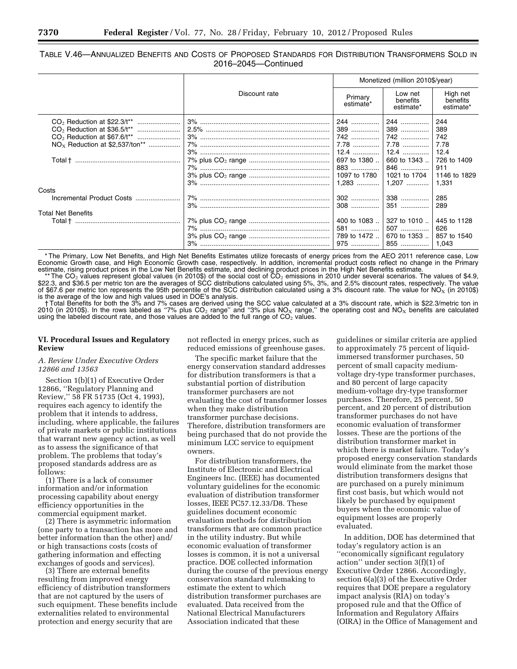TABLE V.46—ANNUALIZED BENEFITS AND COSTS OF PROPOSED STANDARDS FOR DISTRIBUTION TRANSFORMERS SOLD IN 2016–2045—Continued

|                                                                                         |               | Monetized (million 2010\$/year)               |                                             |                                             |  |
|-----------------------------------------------------------------------------------------|---------------|-----------------------------------------------|---------------------------------------------|---------------------------------------------|--|
|                                                                                         | Discount rate | Primary<br>estimate*                          | Low net<br>benefits<br>estimate*            | High net<br>benefits<br>estimate*           |  |
| CO <sub>2</sub> Reduction at \$36.5/t <sup>**</sup><br>$NOx$ Reduction at \$2,537/ton** |               | 244<br>389<br>742<br>7.78<br>$12.4$           | 244<br>389<br>742<br>7.78<br>$12.4$         | 244<br>389<br>742<br>7.78<br>12.4           |  |
|                                                                                         |               | 697 to 1380<br>883<br>1097 to 1780<br>$1,283$ | 660 to 1343<br>846<br>1021 to 1704<br>1,207 | 726 to 1409<br>911<br>1146 to 1829<br>1,331 |  |
| Costs                                                                                   |               |                                               |                                             |                                             |  |
| Incremental Product Costs                                                               |               | 302<br>308                                    | 338<br>351                                  | 285<br>289                                  |  |
| <b>Total Net Benefits</b>                                                               |               |                                               |                                             |                                             |  |
|                                                                                         |               | 400 to 1083<br>581<br>789 to 1472<br>975      | 327 to 1010<br>507<br>670 to 1353<br>855    | 445 to 1128<br>626<br>857 to 1540<br>1.043  |  |

\* The Primary, Low Net Benefits, and High Net Benefits Estimates utilize forecasts of energy prices from the AEO 2011 reference case, Low Economic Growth case, and High Economic Growth case, respectively. In addition, incremental product costs reflect no change in the Primary estimate, rising product prices in the Low Net Benefits estimate, and declining product prices in the High Net Benefits estimate.

\*\* The CO<sub>2</sub> values represent global values (in 2010\$) of the social cost of CO<sub>2</sub> emissions in 2010 under several scenarios. The values of \$4.9, \$22.3, and \$36.5 per metric ton are the averages of SCC distributions calculated using 5%, 3%, and 2.5% discount rates, respectively. The value<br>of \$67.6 per metric ton represents the 95th percentile of the SCC distribution is the average of the low and high values used in DOE's analysis.

† Total Benefits for both the 3% and 7% cases are derived using the SCC value calculated at a 3% discount rate, which is \$22.3/metric ton in 2010 (in 2010\$). In the rows labeled as "7% plus CO<sub>2</sub> range" and "3% plus NO<sub>X</sub> range," the operating cost and NO<sub>X</sub> benefits are calculated using the labeled discount rate, and those values are added to the full range of  $CO<sub>2</sub>$  values.

#### **VI. Procedural Issues and Regulatory Review**

#### *A. Review Under Executive Orders 12866 and 13563*

Section 1(b)(1) of Executive Order 12866, ''Regulatory Planning and Review,'' 58 FR 51735 (Oct 4, 1993), requires each agency to identify the problem that it intends to address, including, where applicable, the failures of private markets or public institutions that warrant new agency action, as well as to assess the significance of that problem. The problems that today's proposed standards address are as  $f_0$ llows:

(1) There is a lack of consumer information and/or information processing capability about energy efficiency opportunities in the commercial equipment market.

(2) There is asymmetric information (one party to a transaction has more and better information than the other) and/ or high transactions costs (costs of gathering information and effecting exchanges of goods and services).

(3) There are external benefits resulting from improved energy efficiency of distribution transformers that are not captured by the users of such equipment. These benefits include externalities related to environmental protection and energy security that are

not reflected in energy prices, such as reduced emissions of greenhouse gases.

The specific market failure that the energy conservation standard addresses for distribution transformers is that a substantial portion of distribution transformer purchasers are not evaluating the cost of transformer losses when they make distribution transformer purchase decisions. Therefore, distribution transformers are being purchased that do not provide the minimum LCC service to equipment owners.

For distribution transformers, the Institute of Electronic and Electrical Engineers Inc. (IEEE) has documented voluntary guidelines for the economic evaluation of distribution transformer losses, IEEE PC57.12.33/D8. These guidelines document economic evaluation methods for distribution transformers that are common practice in the utility industry. But while economic evaluation of transformer losses is common, it is not a universal practice. DOE collected information during the course of the previous energy conservation standard rulemaking to estimate the extent to which distribution transformer purchases are evaluated. Data received from the National Electrical Manufacturers Association indicated that these

guidelines or similar criteria are applied to approximately 75 percent of liquidimmersed transformer purchases, 50 percent of small capacity mediumvoltage dry-type transformer purchases, and 80 percent of large capacity medium-voltage dry-type transformer purchases. Therefore, 25 percent, 50 percent, and 20 percent of distribution transformer purchases do not have economic evaluation of transformer losses. These are the portions of the distribution transformer market in which there is market failure. Today's proposed energy conservation standards would eliminate from the market those distribution transformers designs that are purchased on a purely minimum first cost basis, but which would not likely be purchased by equipment buyers when the economic value of equipment losses are properly evaluated.

In addition, DOE has determined that today's regulatory action is an ''economically significant regulatory action'' under section 3(f)(1) of Executive Order 12866. Accordingly, section 6(a)(3) of the Executive Order requires that DOE prepare a regulatory impact analysis (RIA) on today's proposed rule and that the Office of Information and Regulatory Affairs (OIRA) in the Office of Management and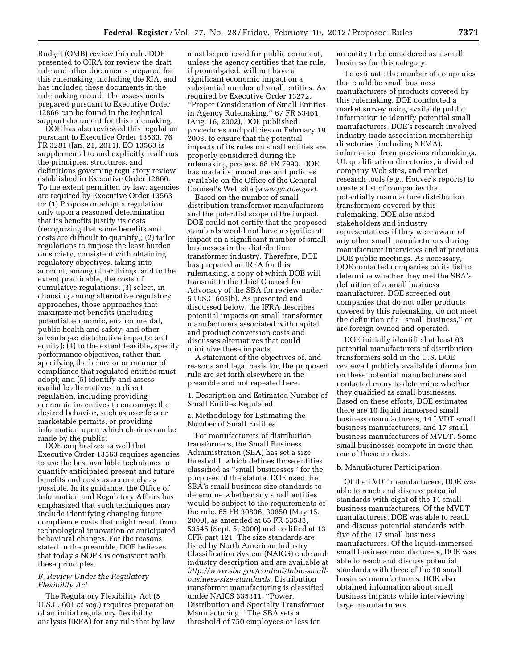Budget (OMB) review this rule. DOE presented to OIRA for review the draft rule and other documents prepared for this rulemaking, including the RIA, and has included these documents in the rulemaking record. The assessments prepared pursuant to Executive Order 12866 can be found in the technical support document for this rulemaking.

DOE has also reviewed this regulation pursuant to Executive Order 13563. 76 FR 3281 (Jan. 21, 2011). EO 13563 is supplemental to and explicitly reaffirms the principles, structures, and definitions governing regulatory review established in Executive Order 12866. To the extent permitted by law, agencies are required by Executive Order 13563 to: (1) Propose or adopt a regulation only upon a reasoned determination that its benefits justify its costs (recognizing that some benefits and costs are difficult to quantify); (2) tailor regulations to impose the least burden on society, consistent with obtaining regulatory objectives, taking into account, among other things, and to the extent practicable, the costs of cumulative regulations; (3) select, in choosing among alternative regulatory approaches, those approaches that maximize net benefits (including potential economic, environmental, public health and safety, and other advantages; distributive impacts; and equity); (4) to the extent feasible, specify performance objectives, rather than specifying the behavior or manner of compliance that regulated entities must adopt; and (5) identify and assess available alternatives to direct regulation, including providing economic incentives to encourage the desired behavior, such as user fees or marketable permits, or providing information upon which choices can be made by the public.

DOE emphasizes as well that Executive Order 13563 requires agencies to use the best available techniques to quantify anticipated present and future benefits and costs as accurately as possible. In its guidance, the Office of Information and Regulatory Affairs has emphasized that such techniques may include identifying changing future compliance costs that might result from technological innovation or anticipated behavioral changes. For the reasons stated in the preamble, DOE believes that today's NOPR is consistent with these principles.

## *B. Review Under the Regulatory Flexibility Act*

The Regulatory Flexibility Act (5 U.S.C. 601 *et seq.*) requires preparation of an initial regulatory flexibility analysis (IRFA) for any rule that by law

must be proposed for public comment, unless the agency certifies that the rule, if promulgated, will not have a significant economic impact on a substantial number of small entities. As required by Executive Order 13272, ''Proper Consideration of Small Entities in Agency Rulemaking,'' 67 FR 53461 (Aug. 16, 2002), DOE published procedures and policies on February 19, 2003, to ensure that the potential impacts of its rules on small entities are properly considered during the rulemaking process. 68 FR 7990. DOE has made its procedures and policies available on the Office of the General Counsel's Web site (*[www.gc.doe.gov](http://www.gc.doe.gov)*).

Based on the number of small distribution transformer manufacturers and the potential scope of the impact, DOE could not certify that the proposed standards would not have a significant impact on a significant number of small businesses in the distribution transformer industry. Therefore, DOE has prepared an IRFA for this rulemaking, a copy of which DOE will transmit to the Chief Counsel for Advocacy of the SBA for review under 5 U.S.C 605(b). As presented and discussed below, the IFRA describes potential impacts on small transformer manufacturers associated with capital and product conversion costs and discusses alternatives that could minimize these impacts.

A statement of the objectives of, and reasons and legal basis for, the proposed rule are set forth elsewhere in the preamble and not repeated here.

1. Description and Estimated Number of Small Entities Regulated

a. Methodology for Estimating the Number of Small Entities

For manufacturers of distribution transformers, the Small Business Administration (SBA) has set a size threshold, which defines those entities classified as ''small businesses'' for the purposes of the statute. DOE used the SBA's small business size standards to determine whether any small entities would be subject to the requirements of the rule. 65 FR 30836, 30850 (May 15, 2000), as amended at 65 FR 53533, 53545 (Sept. 5, 2000) and codified at 13 CFR part 121. The size standards are listed by North American Industry Classification System (NAICS) code and industry description and are available at *[http://www.sba.gov/content/table-small](http://www.sba.gov/content/table-small-business-size-standards)[business-size-standards](http://www.sba.gov/content/table-small-business-size-standards)*. Distribution transformer manufacturing is classified under NAICS 335311, ''Power, Distribution and Specialty Transformer Manufacturing.'' The SBA sets a threshold of 750 employees or less for

an entity to be considered as a small business for this category.

To estimate the number of companies that could be small business manufacturers of products covered by this rulemaking, DOE conducted a market survey using available public information to identify potential small manufacturers. DOE's research involved industry trade association membership directories (including NEMA), information from previous rulemakings, UL qualification directories, individual company Web sites, and market research tools (*e.g.,* Hoover's reports) to create a list of companies that potentially manufacture distribution transformers covered by this rulemaking. DOE also asked stakeholders and industry representatives if they were aware of any other small manufacturers during manufacturer interviews and at previous DOE public meetings. As necessary, DOE contacted companies on its list to determine whether they met the SBA's definition of a small business manufacturer. DOE screened out companies that do not offer products covered by this rulemaking, do not meet the definition of a ''small business,'' or are foreign owned and operated.

DOE initially identified at least 63 potential manufacturers of distribution transformers sold in the U.S. DOE reviewed publicly available information on these potential manufacturers and contacted many to determine whether they qualified as small businesses. Based on these efforts, DOE estimates there are 10 liquid immersed small business manufacturers, 14 LVDT small business manufacturers, and 17 small business manufacturers of MVDT. Some small businesses compete in more than one of these markets.

#### b. Manufacturer Participation

Of the LVDT manufacturers, DOE was able to reach and discuss potential standards with eight of the 14 small business manufacturers. Of the MVDT manufacturers, DOE was able to reach and discuss potential standards with five of the 17 small business manufacturers. Of the liquid-immersed small business manufacturers, DOE was able to reach and discuss potential standards with three of the 10 small business manufacturers. DOE also obtained information about small business impacts while interviewing large manufacturers.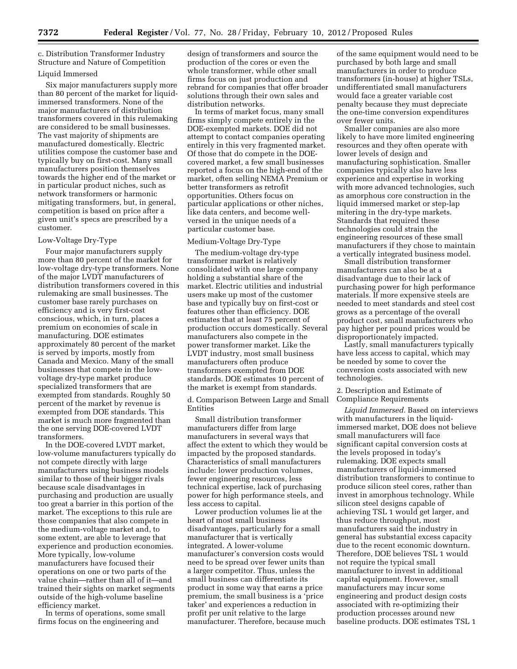c. Distribution Transformer Industry Structure and Nature of Competition

#### Liquid Immersed

Six major manufacturers supply more than 80 percent of the market for liquidimmersed transformers. None of the major manufacturers of distribution transformers covered in this rulemaking are considered to be small businesses. The vast majority of shipments are manufactured domestically. Electric utilities compose the customer base and typically buy on first-cost. Many small manufacturers position themselves towards the higher end of the market or in particular product niches, such as network transformers or harmonic mitigating transformers, but, in general, competition is based on price after a given unit's specs are prescribed by a customer.

#### Low-Voltage Dry-Type

Four major manufacturers supply more than 80 percent of the market for low-voltage dry-type transformers. None of the major LVDT manufacturers of distribution transformers covered in this rulemaking are small businesses. The customer base rarely purchases on efficiency and is very first-cost conscious, which, in turn, places a premium on economies of scale in manufacturing. DOE estimates approximately 80 percent of the market is served by imports, mostly from Canada and Mexico. Many of the small businesses that compete in the lowvoltage dry-type market produce specialized transformers that are exempted from standards. Roughly 50 percent of the market by revenue is exempted from DOE standards. This market is much more fragmented than the one serving DOE-covered LVDT transformers.

In the DOE-covered LVDT market, low-volume manufacturers typically do not compete directly with large manufacturers using business models similar to those of their bigger rivals because scale disadvantages in purchasing and production are usually too great a barrier in this portion of the market. The exceptions to this rule are those companies that also compete in the medium-voltage market and, to some extent, are able to leverage that experience and production economies. More typically, low-volume manufacturers have focused their operations on one or two parts of the value chain—rather than all of it—and trained their sights on market segments outside of the high-volume baseline efficiency market.

In terms of operations, some small firms focus on the engineering and

design of transformers and source the production of the cores or even the whole transformer, while other small firms focus on just production and rebrand for companies that offer broader solutions through their own sales and distribution networks.

In terms of market focus, many small firms simply compete entirely in the DOE-exempted markets. DOE did not attempt to contact companies operating entirely in this very fragmented market. Of those that do compete in the DOEcovered market, a few small businesses reported a focus on the high-end of the market, often selling NEMA Premium or better transformers as retrofit opportunities. Others focus on particular applications or other niches, like data centers, and become wellversed in the unique needs of a particular customer base.

## Medium-Voltage Dry-Type

The medium-voltage dry-type transformer market is relatively consolidated with one large company holding a substantial share of the market. Electric utilities and industrial users make up most of the customer base and typically buy on first-cost or features other than efficiency. DOE estimates that at least 75 percent of production occurs domestically. Several manufacturers also compete in the power transformer market. Like the LVDT industry, most small business manufacturers often produce transformers exempted from DOE standards. DOE estimates 10 percent of the market is exempt from standards.

d. Comparison Between Large and Small Entities

Small distribution transformer manufacturers differ from large manufacturers in several ways that affect the extent to which they would be impacted by the proposed standards. Characteristics of small manufacturers include: lower production volumes, fewer engineering resources, less technical expertise, lack of purchasing power for high performance steels, and less access to capital.

Lower production volumes lie at the heart of most small business disadvantages, particularly for a small manufacturer that is vertically integrated. A lower-volume manufacturer's conversion costs would need to be spread over fewer units than a larger competitor. Thus, unless the small business can differentiate its product in some way that earns a price premium, the small business is a 'price taker' and experiences a reduction in profit per unit relative to the large manufacturer. Therefore, because much

of the same equipment would need to be purchased by both large and small manufacturers in order to produce transformers (in-house) at higher TSLs, undifferentiated small manufacturers would face a greater variable cost penalty because they must depreciate the one-time conversion expenditures over fewer units.

Smaller companies are also more likely to have more limited engineering resources and they often operate with lower levels of design and manufacturing sophistication. Smaller companies typically also have less experience and expertise in working with more advanced technologies, such as amorphous core construction in the liquid immersed market or step-lap mitering in the dry-type markets. Standards that required these technologies could strain the engineering resources of these small manufacturers if they chose to maintain a vertically integrated business model.

Small distribution transformer manufacturers can also be at a disadvantage due to their lack of purchasing power for high performance materials. If more expensive steels are needed to meet standards and steel cost grows as a percentage of the overall product cost, small manufacturers who pay higher per pound prices would be disproportionately impacted.

Lastly, small manufacturers typically have less access to capital, which may be needed by some to cover the conversion costs associated with new technologies.

2. Description and Estimate of Compliance Requirements

*Liquid Immersed.* Based on interviews with manufacturers in the liquidimmersed market, DOE does not believe small manufacturers will face significant capital conversion costs at the levels proposed in today's rulemaking. DOE expects small manufacturers of liquid-immersed distribution transformers to continue to produce silicon steel cores, rather than invest in amorphous technology. While silicon steel designs capable of achieving TSL 1 would get larger, and thus reduce throughput, most manufacturers said the industry in general has substantial excess capacity due to the recent economic downturn. Therefore, DOE believes TSL 1 would not require the typical small manufacturer to invest in additional capital equipment. However, small manufacturers may incur some engineering and product design costs associated with re-optimizing their production processes around new baseline products. DOE estimates TSL 1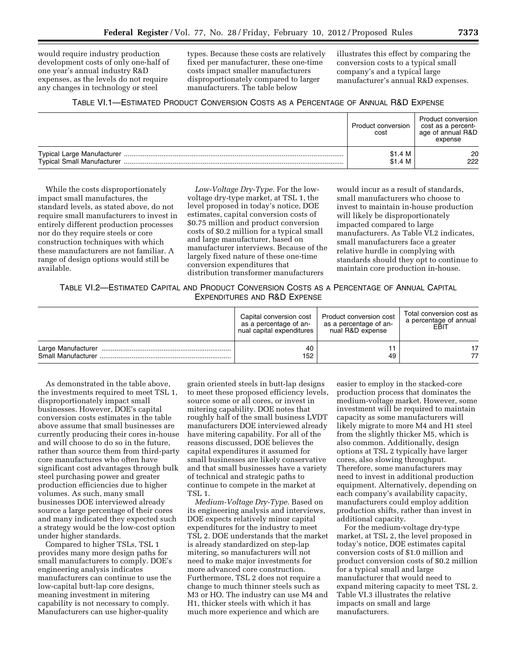would require industry production development costs of only one-half of one year's annual industry R&D expenses, as the levels do not require any changes in technology or steel

types. Because these costs are relatively fixed per manufacturer, these one-time costs impact smaller manufacturers disproportionately compared to larger manufacturers. The table below

illustrates this effect by comparing the conversion costs to a typical small company's and a typical large manufacturer's annual R&D expenses.

## TABLE VI.1—ESTIMATED PRODUCT CONVERSION COSTS AS A PERCENTAGE OF ANNUAL R&D EXPENSE

|                                   | Product conversion<br>cost | Product conversion<br>cost as a percent-<br>age of annual R&D<br>expense |
|-----------------------------------|----------------------------|--------------------------------------------------------------------------|
| <b>Typical Small Manufacturer</b> | \$1.4 M<br>\$1.4 M         | 20<br>222                                                                |

While the costs disproportionately impact small manufactures, the standard levels, as stated above, do not require small manufacturers to invest in entirely different production processes nor do they require steels or core construction techniques with which these manufacturers are not familiar. A range of design options would still be available.

*Low-Voltage Dry-Type.* For the lowvoltage dry-type market, at TSL 1, the level proposed in today's notice, DOE estimates, capital conversion costs of \$0.75 million and product conversion costs of \$0.2 million for a typical small and large manufacturer, based on manufacturer interviews. Because of the largely fixed nature of these one-time conversion expenditures that distribution transformer manufacturers

would incur as a result of standards, small manufacturers who choose to invest to maintain in-house production will likely be disproportionately impacted compared to large manufacturers. As Table VI.2 indicates, small manufacturers face a greater relative hurdle in complying with standards should they opt to continue to maintain core production in-house.

## TABLE VI.2—ESTIMATED CAPITAL AND PRODUCT CONVERSION COSTS AS A PERCENTAGE OF ANNUAL CAPITAL EXPENDITURES AND R&D EXPENSE

|                    | Capital conversion cost<br>as a percentage of an-<br>nual capital expenditures | Product conversion cost<br>as a percentage of an-<br>nual R&D expense | Total conversion cost as<br>a percentage of annual<br>EBIT |
|--------------------|--------------------------------------------------------------------------------|-----------------------------------------------------------------------|------------------------------------------------------------|
|                    | 40                                                                             | ۰1                                                                    | 77                                                         |
| Small Manufacturer | 152                                                                            | 49                                                                    |                                                            |

As demonstrated in the table above, the investments required to meet TSL 1, disproportionately impact small businesses. However, DOE's capital conversion costs estimates in the table above assume that small businesses are currently producing their cores in-house and will choose to do so in the future, rather than source them from third-party core manufactures who often have significant cost advantages through bulk steel purchasing power and greater production efficiencies due to higher volumes. As such, many small businesses DOE interviewed already source a large percentage of their cores and many indicated they expected such a strategy would be the low-cost option under higher standards.

Compared to higher TSLs, TSL 1 provides many more design paths for small manufacturers to comply. DOE's engineering analysis indicates manufacturers can continue to use the low-capital butt-lap core designs, meaning investment in mitering capability is not necessary to comply. Manufacturers can use higher-quality

grain oriented steels in butt-lap designs to meet these proposed efficiency levels, source some or all cores, or invest in mitering capability. DOE notes that roughly half of the small business LVDT manufacturers DOE interviewed already have mitering capability. For all of the reasons discussed, DOE believes the capital expenditures it assumed for small businesses are likely conservative and that small businesses have a variety of technical and strategic paths to continue to compete in the market at TSL 1.

*Medium-Voltage Dry-Type.* Based on its engineering analysis and interviews, DOE expects relatively minor capital expenditures for the industry to meet TSL 2. DOE understands that the market is already standardized on step-lap mitering, so manufacturers will not need to make major investments for more advanced core construction. Furthermore, TSL 2 does not require a change to much thinner steels such as M3 or HO. The industry can use M4 and H1, thicker steels with which it has much more experience and which are

easier to employ in the stacked-core production process that dominates the medium-voltage market. However, some investment will be required to maintain capacity as some manufacturers will likely migrate to more M4 and H1 steel from the slightly thicker M5, which is also common. Additionally, design options at TSL 2 typically have larger cores, also slowing throughput. Therefore, some manufacturers may need to invest in additional production equipment. Alternatively, depending on each company's availability capacity, manufacturers could employ addition production shifts, rather than invest in additional capacity.

For the medium-voltage dry-type market, at TSL 2, the level proposed in today's notice, DOE estimates capital conversion costs of \$1.0 million and product conversion costs of \$0.2 million for a typical small and large manufacturer that would need to expand mitering capacity to meet TSL 2. Table VI.3 illustrates the relative impacts on small and large manufacturers.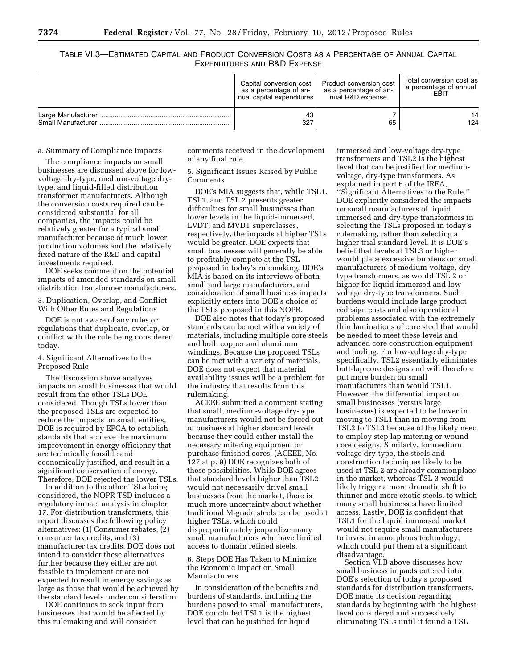TABLE VI.3—ESTIMATED CAPITAL AND PRODUCT CONVERSION COSTS AS A PERCENTAGE OF ANNUAL CAPITAL EXPENDITURES AND R&D EXPENSE

|                    | Capital conversion cost<br>as a percentage of an-<br>nual capital expenditures | Product conversion cost<br>as a percentage of an-<br>nual R&D expense | Total conversion cost as<br>a percentage of annual<br>EBIT |
|--------------------|--------------------------------------------------------------------------------|-----------------------------------------------------------------------|------------------------------------------------------------|
|                    | 43                                                                             | 65                                                                    | 14                                                         |
| Small Manufacturer | 327                                                                            |                                                                       | 124                                                        |

a. Summary of Compliance Impacts

The compliance impacts on small businesses are discussed above for lowvoltage dry-type, medium-voltage drytype, and liquid-filled distribution transformer manufacturers. Although the conversion costs required can be considered substantial for all companies, the impacts could be relatively greater for a typical small manufacturer because of much lower production volumes and the relatively fixed nature of the R&D and capital investments required.

DOE seeks comment on the potential impacts of amended standards on small distribution transformer manufacturers.

3. Duplication, Overlap, and Conflict With Other Rules and Regulations

DOE is not aware of any rules or regulations that duplicate, overlap, or conflict with the rule being considered today.

4. Significant Alternatives to the Proposed Rule

The discussion above analyzes impacts on small businesses that would result from the other TSLs DOE considered. Though TSLs lower than the proposed TSLs are expected to reduce the impacts on small entities, DOE is required by EPCA to establish standards that achieve the maximum improvement in energy efficiency that are technically feasible and economically justified, and result in a significant conservation of energy. Therefore, DOE rejected the lower TSLs.

In addition to the other TSLs being considered, the NOPR TSD includes a regulatory impact analysis in chapter 17. For distribution transformers, this report discusses the following policy alternatives: (1) Consumer rebates, (2) consumer tax credits, and (3) manufacturer tax credits. DOE does not intend to consider these alternatives further because they either are not feasible to implement or are not expected to result in energy savings as large as those that would be achieved by the standard levels under consideration.

DOE continues to seek input from businesses that would be affected by this rulemaking and will consider

comments received in the development of any final rule.

5. Significant Issues Raised by Public Comments

DOE's MIA suggests that, while TSL1, TSL1, and TSL 2 presents greater difficulties for small businesses than lower levels in the liquid-immersed, LVDT, and MVDT superclasses, respectively, the impacts at higher TSLs would be greater. DOE expects that small businesses will generally be able to profitably compete at the TSL proposed in today's rulemaking. DOE's MIA is based on its interviews of both small and large manufacturers, and consideration of small business impacts explicitly enters into DOE's choice of the TSLs proposed in this NOPR.

DOE also notes that today's proposed standards can be met with a variety of materials, including multiple core steels and both copper and aluminum windings. Because the proposed TSLs can be met with a variety of materials, DOE does not expect that material availability issues will be a problem for the industry that results from this rulemaking.

ACEEE submitted a comment stating that small, medium-voltage dry-type manufacturers would not be forced out of business at higher standard levels because they could either install the necessary mitering equipment or purchase finished cores. (ACEEE, No. 127 at p. 9) DOE recognizes both of these possibilities. While DOE agrees that standard levels higher than TSL2 would not necessarily drivel small businesses from the market, there is much more uncertainty about whether traditional M-grade steels can be used at higher TSLs, which could disproportionately jeopardize many small manufacturers who have limited access to domain refined steels.

### 6. Steps DOE Has Taken to Minimize the Economic Impact on Small Manufacturers

In consideration of the benefits and burdens of standards, including the burdens posed to small manufacturers, DOE concluded TSL1 is the highest level that can be justified for liquid

immersed and low-voltage dry-type transformers and TSL2 is the highest level that can be justified for mediumvoltage, dry-type transformers. As explained in part 6 of the IRFA, ''Significant Alternatives to the Rule,'' DOE explicitly considered the impacts on small manufacturers of liquid immersed and dry-type transformers in selecting the TSLs proposed in today's rulemaking, rather than selecting a higher trial standard level. It is DOE's belief that levels at TSL3 or higher would place excessive burdens on small manufacturers of medium-voltage, drytype transformers, as would TSL 2 or higher for liquid immersed and lowvoltage dry-type transformers. Such burdens would include large product redesign costs and also operational problems associated with the extremely thin laminations of core steel that would be needed to meet these levels and advanced core construction equipment and tooling. For low-voltage dry-type specifically, TSL2 essentially eliminates butt-lap core designs and will therefore put more burden on small manufacturers than would TSL1. However, the differential impact on small businesses (versus large businesses) is expected to be lower in moving to TSL1 than in moving from TSL2 to TSL3 because of the likely need to employ step lap mitering or wound core designs. Similarly, for medium voltage dry-type, the steels and construction techniques likely to be used at TSL 2 are already commonplace in the market, whereas TSL 3 would likely trigger a more dramatic shift to thinner and more exotic steels, to which many small businesses have limited access. Lastly, DOE is confident that TSL1 for the liquid immersed market would not require small manufacturers to invest in amorphous technology, which could put them at a significant disadvantage.

Section VI.B above discusses how small business impacts entered into DOE's selection of today's proposed standards for distribution transformers. DOE made its decision regarding standards by beginning with the highest level considered and successively eliminating TSLs until it found a TSL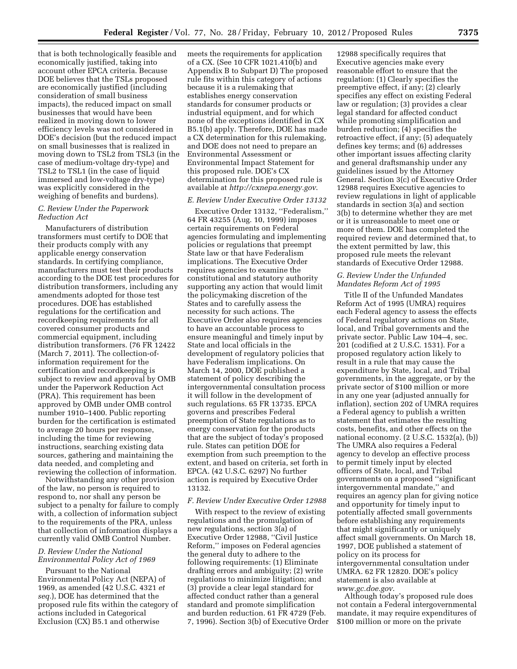that is both technologically feasible and economically justified, taking into account other EPCA criteria. Because DOE believes that the TSLs proposed are economically justified (including consideration of small business impacts), the reduced impact on small businesses that would have been realized in moving down to lower efficiency levels was not considered in DOE's decision (but the reduced impact on small businesses that is realized in moving down to TSL2 from TSL3 (in the case of medium-voltage dry-type) and TSL2 to TSL1 (in the case of liquid immersed and low-voltage dry-type) was explicitly considered in the weighing of benefits and burdens).

### *C. Review Under the Paperwork Reduction Act*

Manufacturers of distribution transformers must certify to DOE that their products comply with any applicable energy conservation standards. In certifying compliance, manufacturers must test their products according to the DOE test procedures for distribution transformers, including any amendments adopted for those test procedures. DOE has established regulations for the certification and recordkeeping requirements for all covered consumer products and commercial equipment, including distribution transformers. (76 FR 12422 (March 7, 2011). The collection-ofinformation requirement for the certification and recordkeeping is subject to review and approval by OMB under the Paperwork Reduction Act (PRA). This requirement has been approved by OMB under OMB control number 1910–1400. Public reporting burden for the certification is estimated to average 20 hours per response, including the time for reviewing instructions, searching existing data sources, gathering and maintaining the data needed, and completing and reviewing the collection of information.

Notwithstanding any other provision of the law, no person is required to respond to, nor shall any person be subject to a penalty for failure to comply with, a collection of information subject to the requirements of the PRA, unless that collection of information displays a currently valid OMB Control Number.

## *D. Review Under the National Environmental Policy Act of 1969*

Pursuant to the National Environmental Policy Act (NEPA) of 1969, as amended (42 U.S.C. 4321 *et seq.*), DOE has determined that the proposed rule fits within the category of actions included in Categorical Exclusion (CX) B5.1 and otherwise

meets the requirements for application of a CX. (See 10 CFR 1021.410(b) and Appendix B to Subpart D) The proposed rule fits within this category of actions because it is a rulemaking that establishes energy conservation standards for consumer products or industrial equipment, and for which none of the exceptions identified in CX B5.1(b) apply. Therefore, DOE has made a CX determination for this rulemaking, and DOE does not need to prepare an Environmental Assessment or Environmental Impact Statement for this proposed rule. DOE's CX determination for this proposed rule is available at *<http://cxnepa.energy.gov>*.

### *E. Review Under Executive Order 13132*

Executive Order 13132, ''Federalism,'' 64 FR 43255 (Aug. 10, 1999) imposes certain requirements on Federal agencies formulating and implementing policies or regulations that preempt State law or that have Federalism implications. The Executive Order requires agencies to examine the constitutional and statutory authority supporting any action that would limit the policymaking discretion of the States and to carefully assess the necessity for such actions. The Executive Order also requires agencies to have an accountable process to ensure meaningful and timely input by State and local officials in the development of regulatory policies that have Federalism implications. On March 14, 2000, DOE published a statement of policy describing the intergovernmental consultation process it will follow in the development of such regulations. 65 FR 13735. EPCA governs and prescribes Federal preemption of State regulations as to energy conservation for the products that are the subject of today's proposed rule. States can petition DOE for exemption from such preemption to the extent, and based on criteria, set forth in EPCA. (42 U.S.C. 6297) No further action is required by Executive Order 13132.

#### *F. Review Under Executive Order 12988*

With respect to the review of existing regulations and the promulgation of new regulations, section 3(a) of Executive Order 12988, ''Civil Justice Reform,'' imposes on Federal agencies the general duty to adhere to the following requirements: (1) Eliminate drafting errors and ambiguity; (2) write regulations to minimize litigation; and (3) provide a clear legal standard for affected conduct rather than a general standard and promote simplification and burden reduction. 61 FR 4729 (Feb. 7, 1996). Section 3(b) of Executive Order

12988 specifically requires that Executive agencies make every reasonable effort to ensure that the regulation: (1) Clearly specifies the preemptive effect, if any; (2) clearly specifies any effect on existing Federal law or regulation; (3) provides a clear legal standard for affected conduct while promoting simplification and burden reduction; (4) specifies the retroactive effect, if any; (5) adequately defines key terms; and (6) addresses other important issues affecting clarity and general draftsmanship under any guidelines issued by the Attorney General. Section 3(c) of Executive Order 12988 requires Executive agencies to review regulations in light of applicable standards in section 3(a) and section 3(b) to determine whether they are met or it is unreasonable to meet one or more of them. DOE has completed the required review and determined that, to the extent permitted by law, this proposed rule meets the relevant standards of Executive Order 12988.

### *G. Review Under the Unfunded Mandates Reform Act of 1995*

Title II of the Unfunded Mandates Reform Act of 1995 (UMRA) requires each Federal agency to assess the effects of Federal regulatory actions on State, local, and Tribal governments and the private sector. Public Law 104–4, sec. 201 (codified at 2 U.S.C. 1531). For a proposed regulatory action likely to result in a rule that may cause the expenditure by State, local, and Tribal governments, in the aggregate, or by the private sector of \$100 million or more in any one year (adjusted annually for inflation), section 202 of UMRA requires a Federal agency to publish a written statement that estimates the resulting costs, benefits, and other effects on the national economy. (2 U.S.C. 1532(a), (b)) The UMRA also requires a Federal agency to develop an effective process to permit timely input by elected officers of State, local, and Tribal governments on a proposed ''significant intergovernmental mandate,'' and requires an agency plan for giving notice and opportunity for timely input to potentially affected small governments before establishing any requirements that might significantly or uniquely affect small governments. On March 18, 1997, DOE published a statement of policy on its process for intergovernmental consultation under UMRA. 62 FR 12820. DOE's policy statement is also available at *[www.gc.doe.gov](http://www.gc.doe.gov)*.

Although today's proposed rule does not contain a Federal intergovernmental mandate, it may require expenditures of \$100 million or more on the private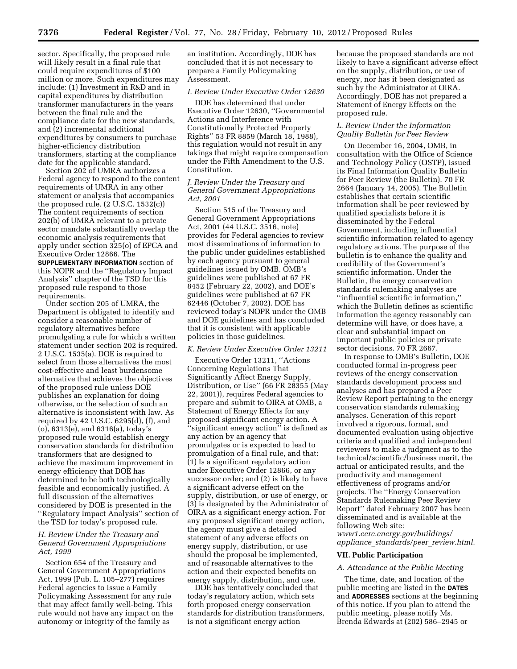sector. Specifically, the proposed rule will likely result in a final rule that could require expenditures of \$100 million or more. Such expenditures may include: (1) Investment in R&D and in capital expenditures by distribution transformer manufacturers in the years between the final rule and the compliance date for the new standards, and (2) incremental additional expenditures by consumers to purchase higher-efficiency distribution transformers, starting at the compliance date for the applicable standard.

Section 202 of UMRA authorizes a Federal agency to respond to the content requirements of UMRA in any other statement or analysis that accompanies the proposed rule. (2 U.S.C. 1532(c)) The content requirements of section 202(b) of UMRA relevant to a private sector mandate substantially overlap the economic analysis requirements that apply under section 325(o) of EPCA and Executive Order 12866. The **SUPPLEMENTARY INFORMATION** section of this NOPR and the ''Regulatory Impact Analysis'' chapter of the TSD for this proposed rule respond to those requirements.

Under section 205 of UMRA, the Department is obligated to identify and consider a reasonable number of regulatory alternatives before promulgating a rule for which a written statement under section 202 is required. 2 U.S.C. 1535(a). DOE is required to select from those alternatives the most cost-effective and least burdensome alternative that achieves the objectives of the proposed rule unless DOE publishes an explanation for doing otherwise, or the selection of such an alternative is inconsistent with law. As required by 42 U.S.C. 6295(d), (f), and (o), 6313(e), and 6316(a), today's proposed rule would establish energy conservation standards for distribution transformers that are designed to achieve the maximum improvement in energy efficiency that DOE has determined to be both technologically feasible and economically justified. A full discussion of the alternatives considered by DOE is presented in the ''Regulatory Impact Analysis'' section of the TSD for today's proposed rule.

#### *H. Review Under the Treasury and General Government Appropriations Act, 1999*

Section 654 of the Treasury and General Government Appropriations Act, 1999 (Pub. L. 105–277) requires Federal agencies to issue a Family Policymaking Assessment for any rule that may affect family well-being. This rule would not have any impact on the autonomy or integrity of the family as

an institution. Accordingly, DOE has concluded that it is not necessary to prepare a Family Policymaking Assessment.

### *I. Review Under Executive Order 12630*

DOE has determined that under Executive Order 12630, ''Governmental Actions and Interference with Constitutionally Protected Property Rights'' 53 FR 8859 (March 18, 1988), this regulation would not result in any takings that might require compensation under the Fifth Amendment to the U.S. Constitution.

#### *J. Review Under the Treasury and General Government Appropriations Act, 2001*

Section 515 of the Treasury and General Government Appropriations Act, 2001 (44 U.S.C. 3516, note) provides for Federal agencies to review most disseminations of information to the public under guidelines established by each agency pursuant to general guidelines issued by OMB. OMB's guidelines were published at 67 FR 8452 (February 22, 2002), and DOE's guidelines were published at 67 FR 62446 (October 7, 2002). DOE has reviewed today's NOPR under the OMB and DOE guidelines and has concluded that it is consistent with applicable policies in those guidelines.

#### *K. Review Under Executive Order 13211*

Executive Order 13211, ''Actions Concerning Regulations That Significantly Affect Energy Supply, Distribution, or Use'' (66 FR 28355 (May 22, 2001)), requires Federal agencies to prepare and submit to OIRA at OMB, a Statement of Energy Effects for any proposed significant energy action. A 'significant energy action'' is defined as any action by an agency that promulgates or is expected to lead to promulgation of a final rule, and that: (1) Is a significant regulatory action under Executive Order 12866, or any successor order; and (2) is likely to have a significant adverse effect on the supply, distribution, or use of energy, or (3) is designated by the Administrator of OIRA as a significant energy action. For any proposed significant energy action, the agency must give a detailed statement of any adverse effects on energy supply, distribution, or use should the proposal be implemented, and of reasonable alternatives to the action and their expected benefits on energy supply, distribution, and use.

DOE has tentatively concluded that today's regulatory action, which sets forth proposed energy conservation standards for distribution transformers, is not a significant energy action

because the proposed standards are not likely to have a significant adverse effect on the supply, distribution, or use of energy, nor has it been designated as such by the Administrator at OIRA. Accordingly, DOE has not prepared a Statement of Energy Effects on the proposed rule.

### *L. Review Under the Information Quality Bulletin for Peer Review*

On December 16, 2004, OMB, in consultation with the Office of Science and Technology Policy (OSTP), issued its Final Information Quality Bulletin for Peer Review (the Bulletin). 70 FR 2664 (January 14, 2005). The Bulletin establishes that certain scientific information shall be peer reviewed by qualified specialists before it is disseminated by the Federal Government, including influential scientific information related to agency regulatory actions. The purpose of the bulletin is to enhance the quality and credibility of the Government's scientific information. Under the Bulletin, the energy conservation standards rulemaking analyses are ''influential scientific information,'' which the Bulletin defines as scientific information the agency reasonably can determine will have, or does have, a clear and substantial impact on important public policies or private sector decisions. 70 FR 2667.

In response to OMB's Bulletin, DOE conducted formal in-progress peer reviews of the energy conservation standards development process and analyses and has prepared a Peer Review Report pertaining to the energy conservation standards rulemaking analyses. Generation of this report involved a rigorous, formal, and documented evaluation using objective criteria and qualified and independent reviewers to make a judgment as to the technical/scientific/business merit, the actual or anticipated results, and the productivity and management effectiveness of programs and/or projects. The ''Energy Conservation Standards Rulemaking Peer Review Report'' dated February 2007 has been disseminated and is available at the following Web site: *[www1.eere.energy.gov/buildings/](http://www1.eere.energy.gov/buildings/appliance_standards/peer_review.html)  appliance*\_*[standards/peer](http://www1.eere.energy.gov/buildings/appliance_standards/peer_review.html)*\_*review.html*.

#### **VII. Public Participation**

#### *A. Attendance at the Public Meeting*

The time, date, and location of the public meeting are listed in the **DATES** and **ADDRESSES** sections at the beginning of this notice. If you plan to attend the public meeting, please notify Ms. Brenda Edwards at (202) 586–2945 or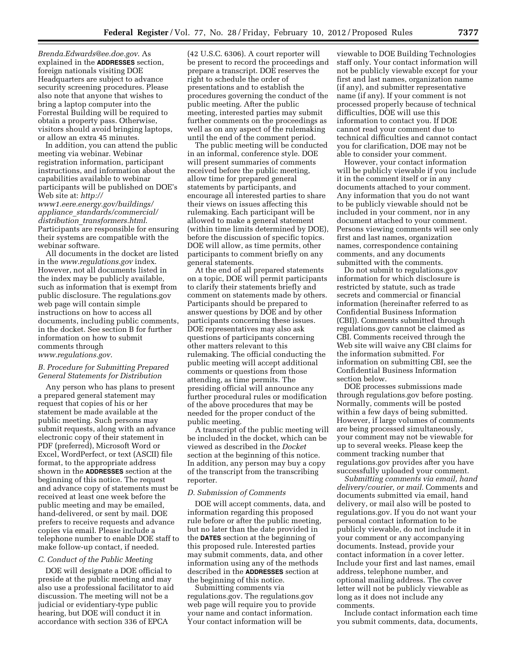*[Brenda.Edwards@ee.doe.gov](mailto:Brenda.Edwards@ee.doe.gov)*. As explained in the **ADDRESSES** section, foreign nationals visiting DOE Headquarters are subject to advance security screening procedures. Please also note that anyone that wishes to bring a laptop computer into the Forrestal Building will be required to obtain a property pass. Otherwise, visitors should avoid bringing laptops, or allow an extra 45 minutes.

In addition, you can attend the public meeting via webinar. Webinar registration information, participant instructions, and information about the capabilities available to webinar participants will be published on DOE's Web site at: *[http://](http://www1.eere.energy.gov/buildings/appliance_standards/commercial/distribution_transformers.html)  [www1.eere.energy.gov/buildings/](http://www1.eere.energy.gov/buildings/appliance_standards/commercial/distribution_transformers.html)  appliance*\_*[standards/commercial/](http://www1.eere.energy.gov/buildings/appliance_standards/commercial/distribution_transformers.html) distribution*\_*[transformers.html](http://www1.eere.energy.gov/buildings/appliance_standards/commercial/distribution_transformers.html)*. Participants are responsible for ensuring

their systems are compatible with the webinar software. All documents in the docket are listed in the *[www.regulations.gov](http://www.regulations.gov)* index. However, not all documents listed in the index may be publicly available, such as information that is exempt from public disclosure. The regulations.gov web page will contain simple instructions on how to access all documents, including public comments, in the docket. See section B for further information on how to submit comments through *[www.regulations.gov](http://www.regulations.gov)*.

#### *B. Procedure for Submitting Prepared General Statements for Distribution*

Any person who has plans to present a prepared general statement may request that copies of his or her statement be made available at the public meeting. Such persons may submit requests, along with an advance electronic copy of their statement in PDF (preferred), Microsoft Word or Excel, WordPerfect, or text (ASCII) file format, to the appropriate address shown in the **ADDRESSES** section at the beginning of this notice. The request and advance copy of statements must be received at least one week before the public meeting and may be emailed, hand-delivered, or sent by mail. DOE prefers to receive requests and advance copies via email. Please include a telephone number to enable DOE staff to make follow-up contact, if needed.

### *C. Conduct of the Public Meeting*

DOE will designate a DOE official to preside at the public meeting and may also use a professional facilitator to aid discussion. The meeting will not be a judicial or evidentiary-type public hearing, but DOE will conduct it in accordance with section 336 of EPCA

(42 U.S.C. 6306). A court reporter will be present to record the proceedings and prepare a transcript. DOE reserves the right to schedule the order of presentations and to establish the procedures governing the conduct of the public meeting. After the public meeting, interested parties may submit further comments on the proceedings as well as on any aspect of the rulemaking until the end of the comment period.

The public meeting will be conducted in an informal, conference style. DOE will present summaries of comments received before the public meeting, allow time for prepared general statements by participants, and encourage all interested parties to share their views on issues affecting this rulemaking. Each participant will be allowed to make a general statement (within time limits determined by DOE), before the discussion of specific topics. DOE will allow, as time permits, other participants to comment briefly on any general statements.

At the end of all prepared statements on a topic, DOE will permit participants to clarify their statements briefly and comment on statements made by others. Participants should be prepared to answer questions by DOE and by other participants concerning these issues. DOE representatives may also ask questions of participants concerning other matters relevant to this rulemaking. The official conducting the public meeting will accept additional comments or questions from those attending, as time permits. The presiding official will announce any further procedural rules or modification of the above procedures that may be needed for the proper conduct of the public meeting.

A transcript of the public meeting will be included in the docket, which can be viewed as described in the *Docket*  section at the beginning of this notice. In addition, any person may buy a copy of the transcript from the transcribing reporter.

### *D. Submission of Comments*

DOE will accept comments, data, and information regarding this proposed rule before or after the public meeting, but no later than the date provided in the **DATES** section at the beginning of this proposed rule. Interested parties may submit comments, data, and other information using any of the methods described in the **ADDRESSES** section at the beginning of this notice.

Submitting comments via regulations.gov. The regulations.gov web page will require you to provide your name and contact information. Your contact information will be

viewable to DOE Building Technologies staff only. Your contact information will not be publicly viewable except for your first and last names, organization name (if any), and submitter representative name (if any). If your comment is not processed properly because of technical difficulties, DOE will use this information to contact you. If DOE cannot read your comment due to technical difficulties and cannot contact you for clarification, DOE may not be able to consider your comment.

However, your contact information will be publicly viewable if you include it in the comment itself or in any documents attached to your comment. Any information that you do not want to be publicly viewable should not be included in your comment, nor in any document attached to your comment. Persons viewing comments will see only first and last names, organization names, correspondence containing comments, and any documents submitted with the comments.

Do not submit to regulations.gov information for which disclosure is restricted by statute, such as trade secrets and commercial or financial information (hereinafter referred to as Confidential Business Information (CBI)). Comments submitted through regulations.gov cannot be claimed as CBI. Comments received through the Web site will waive any CBI claims for the information submitted. For information on submitting CBI, see the Confidential Business Information section below.

DOE processes submissions made through regulations.gov before posting. Normally, comments will be posted within a few days of being submitted. However, if large volumes of comments are being processed simultaneously, your comment may not be viewable for up to several weeks. Please keep the comment tracking number that regulations.gov provides after you have successfully uploaded your comment.

*Submitting comments via email, hand delivery/courier, or mail.* Comments and documents submitted via email, hand delivery, or mail also will be posted to regulations.gov. If you do not want your personal contact information to be publicly viewable, do not include it in your comment or any accompanying documents. Instead, provide your contact information in a cover letter. Include your first and last names, email address, telephone number, and optional mailing address. The cover letter will not be publicly viewable as long as it does not include any comments.

Include contact information each time you submit comments, data, documents,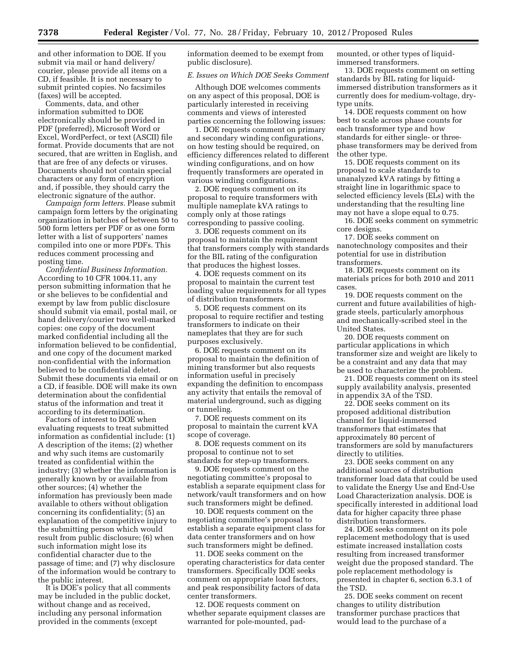and other information to DOE. If you submit via mail or hand delivery/ courier, please provide all items on a CD, if feasible. It is not necessary to submit printed copies. No facsimiles (faxes) will be accepted.

Comments, data, and other information submitted to DOE electronically should be provided in PDF (preferred), Microsoft Word or Excel, WordPerfect, or text (ASCII) file format. Provide documents that are not secured, that are written in English, and that are free of any defects or viruses. Documents should not contain special characters or any form of encryption and, if possible, they should carry the electronic signature of the author.

*Campaign form letters.* Please submit campaign form letters by the originating organization in batches of between 50 to 500 form letters per PDF or as one form letter with a list of supporters' names compiled into one or more PDFs. This reduces comment processing and posting time.

*Confidential Business Information.*  According to 10 CFR 1004.11, any person submitting information that he or she believes to be confidential and exempt by law from public disclosure should submit via email, postal mail, or hand delivery/courier two well-marked copies: one copy of the document marked confidential including all the information believed to be confidential, and one copy of the document marked non-confidential with the information believed to be confidential deleted. Submit these documents via email or on a CD, if feasible. DOE will make its own determination about the confidential status of the information and treat it according to its determination.

Factors of interest to DOE when evaluating requests to treat submitted information as confidential include: (1) A description of the items; (2) whether and why such items are customarily treated as confidential within the industry; (3) whether the information is generally known by or available from other sources; (4) whether the information has previously been made available to others without obligation concerning its confidentiality; (5) an explanation of the competitive injury to the submitting person which would result from public disclosure; (6) when such information might lose its confidential character due to the passage of time; and (7) why disclosure of the information would be contrary to the public interest.

It is DOE's policy that all comments may be included in the public docket, without change and as received, including any personal information provided in the comments (except

information deemed to be exempt from public disclosure).

#### *E. Issues on Which DOE Seeks Comment*

Although DOE welcomes comments on any aspect of this proposal, DOE is particularly interested in receiving comments and views of interested parties concerning the following issues:

1. DOE requests comment on primary and secondary winding configurations, on how testing should be required, on efficiency differences related to different winding configurations, and on how frequently transformers are operated in various winding configurations.

2. DOE requests comment on its proposal to require transformers with multiple nameplate kVA ratings to comply only at those ratings corresponding to passive cooling.

3. DOE requests comment on its proposal to maintain the requirement that transformers comply with standards for the BIL rating of the configuration that produces the highest losses.

4. DOE requests comment on its proposal to maintain the current test loading value requirements for all types of distribution transformers.

5. DOE requests comment on its proposal to require rectifier and testing transformers to indicate on their nameplates that they are for such purposes exclusively.

6. DOE requests comment on its proposal to maintain the definition of mining transformer but also requests information useful in precisely expanding the definition to encompass any activity that entails the removal of material underground, such as digging or tunneling.

7. DOE requests comment on its proposal to maintain the current kVA scope of coverage.

8. DOE requests comment on its proposal to continue not to set standards for step-up transformers.

9. DOE requests comment on the negotiating committee's proposal to establish a separate equipment class for network/vault transformers and on how such transformers might be defined.

10. DOE requests comment on the negotiating committee's proposal to establish a separate equipment class for data center transformers and on how such transformers might be defined.

11. DOE seeks comment on the operating characteristics for data center transformers. Specifically DOE seeks comment on appropriate load factors, and peak responsibility factors of data center transformers.

12. DOE requests comment on whether separate equipment classes are warranted for pole-mounted, padmounted, or other types of liquidimmersed transformers.

13. DOE requests comment on setting standards by BIL rating for liquidimmersed distribution transformers as it currently does for medium-voltage, drytype units.

14. DOE requests comment on how best to scale across phase counts for each transformer type and how standards for either single- or threephase transformers may be derived from the other type.

15. DOE requests comment on its proposal to scale standards to unanalyzed kVA ratings by fitting a straight line in logarithmic space to selected efficiency levels (ELs) with the understanding that the resulting line may not have a slope equal to 0.75.

16. DOE seeks comment on symmetric core designs.

17. DOE seeks comment on nanotechnology composites and their potential for use in distribution transformers.

18. DOE requests comment on its materials prices for both 2010 and 2011 cases.

19. DOE requests comment on the current and future availabilities of highgrade steels, particularly amorphous and mechanically-scribed steel in the United States.

20. DOE requests comment on particular applications in which transformer size and weight are likely to be a constraint and any data that may be used to characterize the problem.

21. DOE requests comment on its steel supply availability analysis, presented in appendix 3A of the TSD.

22. DOE seeks comment on its proposed additional distribution channel for liquid-immersed transformers that estimates that approximately 80 percent of transformers are sold by manufacturers directly to utilities.

23. DOE seeks comment on any additional sources of distribution transformer load data that could be used to validate the Energy Use and End-Use Load Characterization analysis. DOE is specifically interested in additional load data for higher capacity three phase distribution transformers.

24. DOE seeks comment on its pole replacement methodology that is used estimate increased installation costs resulting from increased transformer weight due the proposed standard. The pole replacement methodology is presented in chapter 6, section 6.3.1 of the TSD.

25. DOE seeks comment on recent changes to utility distribution transformer purchase practices that would lead to the purchase of a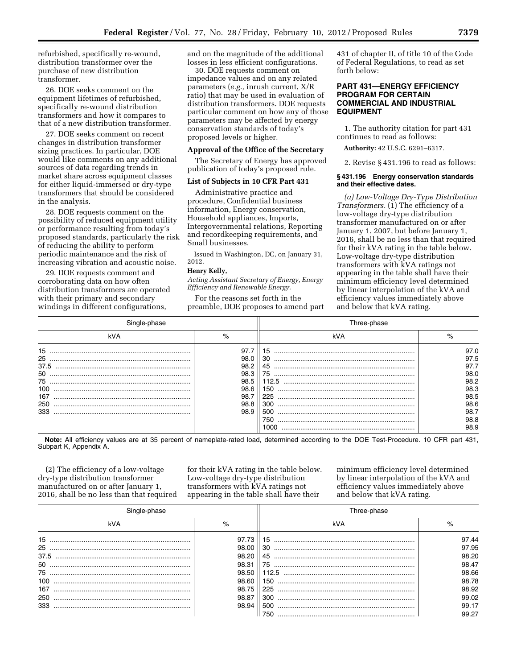refurbished, specifically re-wound, distribution transformer over the purchase of new distribution transformer.

26. DOE seeks comment on the equipment lifetimes of refurbished, specifically re-wound distribution transformers and how it compares to that of a new distribution transformer.

27. DOE seeks comment on recent changes in distribution transformer sizing practices. In particular, DOE would like comments on any additional sources of data regarding trends in market share across equipment classes for either liquid-immersed or dry-type transformers that should be considered in the analysis.

28. DOE requests comment on the possibility of reduced equipment utility or performance resulting from today's proposed standards, particularly the risk of reducing the ability to perform periodic maintenance and the risk of increasing vibration and acoustic noise.

29. DOE requests comment and corroborating data on how often distribution transformers are operated with their primary and secondary windings in different configurations,

and on the magnitude of the additional losses in less efficient configurations.

30. DOE requests comment on impedance values and on any related parameters (*e.g.,* inrush current, X/R ratio) that may be used in evaluation of distribution transformers. DOE requests particular comment on how any of those parameters may be affected by energy conservation standards of today's proposed levels or higher.

#### **Approval of the Office of the Secretary**

The Secretary of Energy has approved publication of today's proposed rule.

#### **List of Subjects in 10 CFR Part 431**

Administrative practice and procedure, Confidential business information, Energy conservation, Household appliances, Imports, Intergovernmental relations, Reporting and recordkeeping requirements, and Small businesses.

Issued in Washington, DC, on January 31, 2012.

#### **Henry Kelly,**

*Acting Assistant Secretary of Energy, Energy Efficiency and Renewable Energy.* 

For the reasons set forth in the preamble, DOE proposes to amend part 431 of chapter II, of title 10 of the Code of Federal Regulations, to read as set forth below:

### **PART 431—ENERGY EFFICIENCY PROGRAM FOR CERTAIN COMMERCIAL AND INDUSTRIAL EQUIPMENT**

1. The authority citation for part 431 continues to read as follows:

**Authority:** 42 U.S.C. 6291–6317.

2. Revise § 431.196 to read as follows:

#### **§ 431.196 Energy conservation standards and their effective dates.**

*(a) Low-Voltage Dry-Type Distribution Transformers.* (1) The efficiency of a low-voltage dry-type distribution transformer manufactured on or after January 1, 2007, but before January 1, 2016, shall be no less than that required for their kVA rating in the table below. Low-voltage dry-type distribution transformers with kVA ratings not appearing in the table shall have their minimum efficiency level determined by linear interpolation of the kVA and efficiency values immediately above and below that kVA rating.

|      |      | Three-phase |      |  |
|------|------|-------------|------|--|
| kVA  | $\%$ | kVA         |      |  |
| 15   | 97.7 | 15          | 97.0 |  |
| 25   | 98.0 | 30          | 97.5 |  |
| 37.5 | 98.2 | 45          | 97.7 |  |
| 50   | 98.3 | 75          | 98.0 |  |
| 75   | 98.5 | 112.5       | 98.2 |  |
| 100  | 98.6 | 150         | 98.3 |  |
| 167  | 98.7 | 225         | 98.5 |  |
| 250  | 98.8 | 300         | 98.6 |  |
| 333  | 98.9 | 500         | 98.7 |  |
|      |      | 750         | 98.8 |  |
|      |      | 1000        | 98.9 |  |

**Note:** All efficiency values are at 35 percent of nameplate-rated load, determined according to the DOE Test-Procedure. 10 CFR part 431, Subpart K, Appendix A.

(2) The efficiency of a low-voltage dry-type distribution transformer manufactured on or after January 1, 2016, shall be no less than that required for their kVA rating in the table below. Low-voltage dry-type distribution transformers with kVA ratings not appearing in the table shall have their

minimum efficiency level determined by linear interpolation of the kVA and efficiency values immediately above and below that kVA rating.

|      |       | l hree-phase                                                                                                                                                                                                                                                                                                                                                                                                                                         |       |  |
|------|-------|------------------------------------------------------------------------------------------------------------------------------------------------------------------------------------------------------------------------------------------------------------------------------------------------------------------------------------------------------------------------------------------------------------------------------------------------------|-------|--|
| kVA  | $\%$  | kVA                                                                                                                                                                                                                                                                                                                                                                                                                                                  | $\%$  |  |
| 15   | 97.73 | 15                                                                                                                                                                                                                                                                                                                                                                                                                                                   | 97.44 |  |
|      | 98.00 | 30                                                                                                                                                                                                                                                                                                                                                                                                                                                   | 97.95 |  |
| 37.5 | 98.20 | 45                                                                                                                                                                                                                                                                                                                                                                                                                                                   | 98.20 |  |
| 50   | 98.31 | $75^{\circ}$                                                                                                                                                                                                                                                                                                                                                                                                                                         | 98.47 |  |
| 75   | 98.50 | 112.5<br>$\begin{minipage}{0.5\textwidth} \begin{tabular}{ l l l } \hline \multicolumn{1}{ l l l } \hline \multicolumn{1}{ l l } \multicolumn{1}{ l } \multicolumn{1}{ l } \multicolumn{1}{ l } \multicolumn{1}{ l } \multicolumn{1}{ l } \multicolumn{1}{ l } \multicolumn{1}{ l } \multicolumn{1}{ l } \multicolumn{1}{ l } \multicolumn{1}{ l } \multicolumn{1}{ l } \multicolumn{1}{ l } \multicolumn{1}{ l } \multicolumn{1}{ l } \multicolumn$ | 98.66 |  |
| 100  | 98.60 | 150                                                                                                                                                                                                                                                                                                                                                                                                                                                  | 98.78 |  |
| 167  | 98.75 | 225                                                                                                                                                                                                                                                                                                                                                                                                                                                  | 98.92 |  |
| 250  | 98.87 | 300                                                                                                                                                                                                                                                                                                                                                                                                                                                  | 99.02 |  |
| 333  | 98.94 | 500                                                                                                                                                                                                                                                                                                                                                                                                                                                  | 99.17 |  |
|      |       | 750                                                                                                                                                                                                                                                                                                                                                                                                                                                  | 99.27 |  |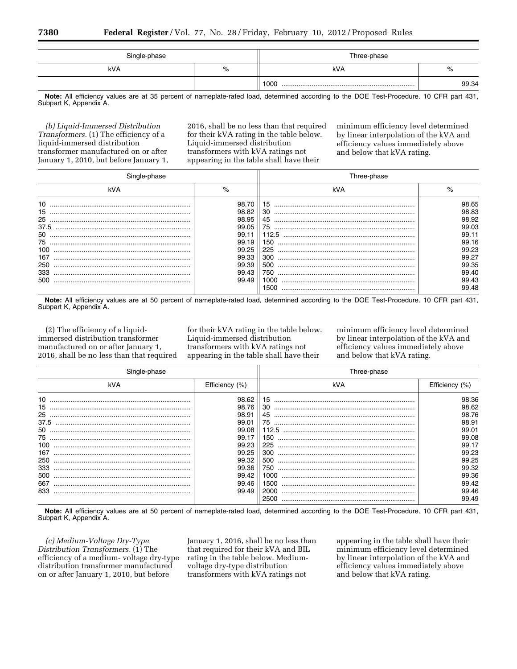| Single-phase |   | Three-phase |       |  |
|--------------|---|-------------|-------|--|
| kVA          | % | kVA         | $\%$  |  |
|              |   | 1000        | 99.34 |  |

**Note:** All efficiency values are at 35 percent of nameplate-rated load, determined according to the DOE Test-Procedure. 10 CFR part 431, Subpart K, Appendix A.

*(b) Liquid-Immersed Distribution Transformers.* (1) The efficiency of a liquid-immersed distribution transformer manufactured on or after January 1, 2010, but before January 1, 2016, shall be no less than that required for their kVA rating in the table below. Liquid-immersed distribution transformers with kVA ratings not appearing in the table shall have their

minimum efficiency level determined by linear interpolation of the kVA and efficiency values immediately above and below that kVA rating.

|                                                                |                                                                                        | Three-phase                                                |                                                                                        |  |
|----------------------------------------------------------------|----------------------------------------------------------------------------------------|------------------------------------------------------------|----------------------------------------------------------------------------------------|--|
| kVA                                                            | $\%$                                                                                   | kVA                                                        | $\%$                                                                                   |  |
| 10<br>15<br>25<br>37.5<br>50<br>75<br>100<br>167<br>250<br>333 | 98.70<br>98.82<br>98.95<br>99.05<br>99.11<br>99.19<br>99.25<br>99.33<br>99.39<br>99.43 | 30<br>45<br>75<br>112.5<br>150<br>225<br>300<br>500<br>750 | 98.65<br>98.83<br>98.92<br>99.03<br>99.11<br>99.16<br>99.23<br>99.27<br>99.35<br>99.40 |  |
| 500                                                            | 99.49                                                                                  | 1000<br>1500                                               | 99.43<br>99.48                                                                         |  |

**Note:** All efficiency values are at 50 percent of nameplate-rated load, determined according to the DOE Test-Procedure. 10 CFR part 431, Subpart K, Appendix A.

(2) The efficiency of a liquidimmersed distribution transformer manufactured on or after January 1, 2016, shall be no less than that required

for their kVA rating in the table below. Liquid-immersed distribution transformers with kVA ratings not appearing in the table shall have their

minimum efficiency level determined by linear interpolation of the kVA and efficiency values immediately above and below that kVA rating.

|      |                | Three-phase |                |  |
|------|----------------|-------------|----------------|--|
| kVA  | Efficiency (%) | kVA         | Efficiency (%) |  |
| 10   | 98.62          | 15          | 98.36          |  |
| 15   | 98.76          | 30          | 98.62          |  |
| 25   | 98.91          | 45          | 98.76          |  |
| 37.5 | 99.01          | 75          | 98.91          |  |
| 50   | 99.08          | 112.5       | 99.01          |  |
| 75   | 99.17          | 150         | 99.08          |  |
| 100  | 99.23          | 225         | 99.17          |  |
| 167  | 99.25          | 300         | 99.23          |  |
| 250  | 99.32          | 500         | 99.25          |  |
| 333  | 99.36          | 750         | 99.32          |  |
| 500  | 99.42          | 1000-       | 99.36          |  |
| 667  | 99.46          | 1500.       | 99.42          |  |
| 833  | 99.49          | 2000        | 99.46          |  |
|      |                | 2500        | 99.49          |  |

**Note:** All efficiency values are at 50 percent of nameplate-rated load, determined according to the DOE Test-Procedure. 10 CFR part 431, Subpart K, Appendix A.

*(c) Medium-Voltage Dry-Type Distribution Transformers.* (1) The efficiency of a medium- voltage dry-type distribution transformer manufactured on or after January 1, 2010, but before

January 1, 2016, shall be no less than that required for their kVA and BIL rating in the table below. Mediumvoltage dry-type distribution transformers with kVA ratings not

appearing in the table shall have their minimum efficiency level determined by linear interpolation of the kVA and efficiency values immediately above and below that kVA rating.